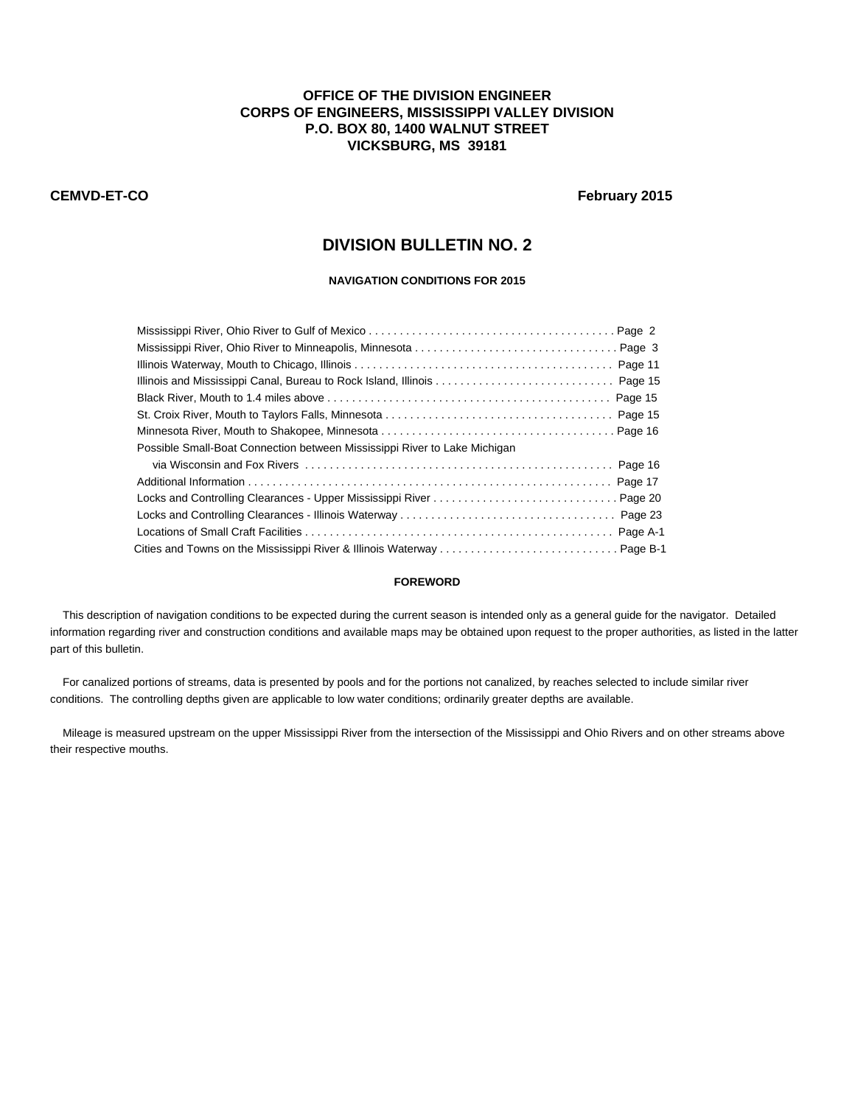## **OFFICE OF THE DIVISION ENGINEER CORPS OF ENGINEERS, MISSISSIPPI VALLEY DIVISION P.O. BOX 80, 1400 WALNUT STREET VICKSBURG, MS 39181**

### **CEMVD-ET-CO February 2015**

# **DIVISION BULLETIN NO. 2**

### **NAVIGATION CONDITIONS FOR 2015**

| Illinois and Mississippi Canal, Bureau to Rock Island, Illinois  Page 15  |  |
|---------------------------------------------------------------------------|--|
|                                                                           |  |
|                                                                           |  |
|                                                                           |  |
| Possible Small-Boat Connection between Mississippi River to Lake Michigan |  |
|                                                                           |  |
|                                                                           |  |
|                                                                           |  |
|                                                                           |  |
|                                                                           |  |
|                                                                           |  |

#### **FOREWORD**

 This description of navigation conditions to be expected during the current season is intended only as a general guide for the navigator. Detailed information regarding river and construction conditions and available maps may be obtained upon request to the proper authorities, as listed in the latter part of this bulletin.

 For canalized portions of streams, data is presented by pools and for the portions not canalized, by reaches selected to include similar river conditions. The controlling depths given are applicable to low water conditions; ordinarily greater depths are available.

 Mileage is measured upstream on the upper Mississippi River from the intersection of the Mississippi and Ohio Rivers and on other streams above their respective mouths.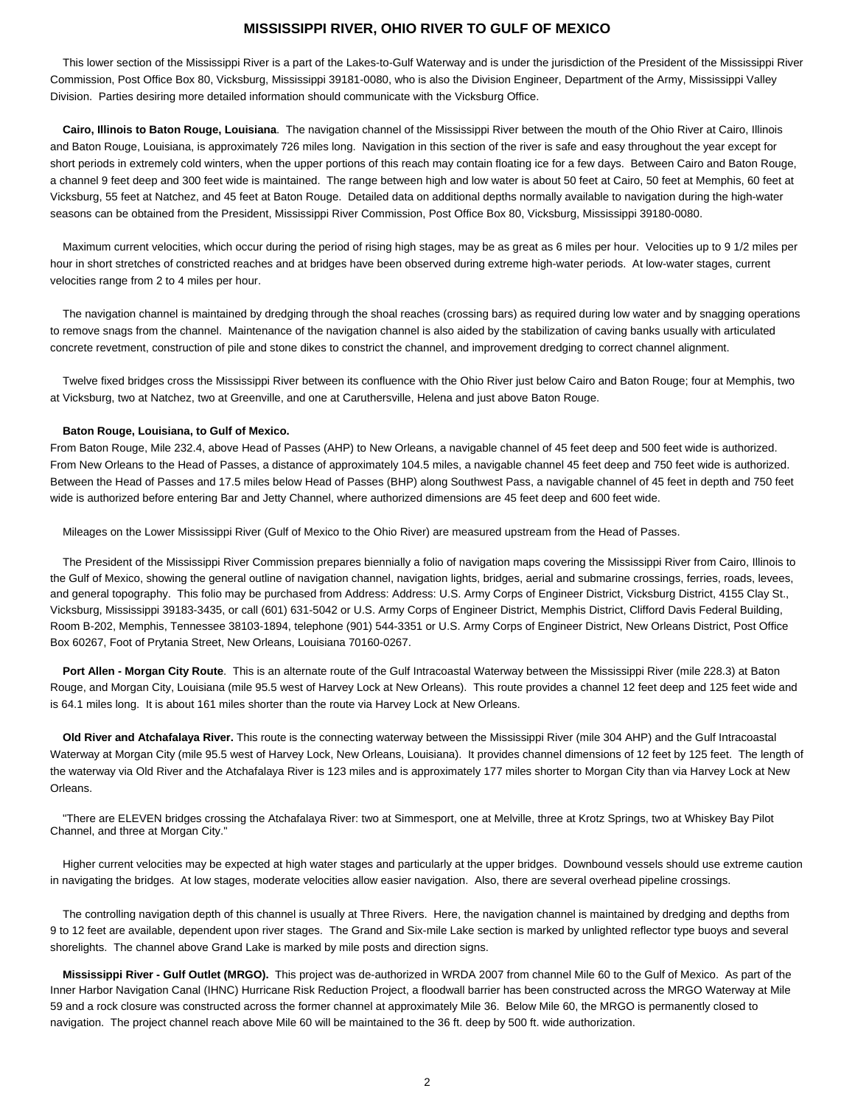### **MISSISSIPPI RIVER, OHIO RIVER TO GULF OF MEXICO**

 This lower section of the Mississippi River is a part of the Lakes-to-Gulf Waterway and is under the jurisdiction of the President of the Mississippi River Commission, Post Office Box 80, Vicksburg, Mississippi 39181-0080, who is also the Division Engineer, Department of the Army, Mississippi Valley Division. Parties desiring more detailed information should communicate with the Vicksburg Office.

 **Cairo, Illinois to Baton Rouge, Louisiana**. The navigation channel of the Mississippi River between the mouth of the Ohio River at Cairo, Illinois and Baton Rouge, Louisiana, is approximately 726 miles long. Navigation in this section of the river is safe and easy throughout the year except for short periods in extremely cold winters, when the upper portions of this reach may contain floating ice for a few days. Between Cairo and Baton Rouge, a channel 9 feet deep and 300 feet wide is maintained. The range between high and low water is about 50 feet at Cairo, 50 feet at Memphis, 60 feet at Vicksburg, 55 feet at Natchez, and 45 feet at Baton Rouge. Detailed data on additional depths normally available to navigation during the high-water seasons can be obtained from the President, Mississippi River Commission, Post Office Box 80, Vicksburg, Mississippi 39180-0080.

 Maximum current velocities, which occur during the period of rising high stages, may be as great as 6 miles per hour. Velocities up to 9 1/2 miles per hour in short stretches of constricted reaches and at bridges have been observed during extreme high-water periods. At low-water stages, current velocities range from 2 to 4 miles per hour.

 The navigation channel is maintained by dredging through the shoal reaches (crossing bars) as required during low water and by snagging operations to remove snags from the channel. Maintenance of the navigation channel is also aided by the stabilization of caving banks usually with articulated concrete revetment, construction of pile and stone dikes to constrict the channel, and improvement dredging to correct channel alignment.

 Twelve fixed bridges cross the Mississippi River between its confluence with the Ohio River just below Cairo and Baton Rouge; four at Memphis, two at Vicksburg, two at Natchez, two at Greenville, and one at Caruthersville, Helena and just above Baton Rouge.

#### **Baton Rouge, Louisiana, to Gulf of Mexico.**

From Baton Rouge, Mile 232.4, above Head of Passes (AHP) to New Orleans, a navigable channel of 45 feet deep and 500 feet wide is authorized. From New Orleans to the Head of Passes, a distance of approximately 104.5 miles, a navigable channel 45 feet deep and 750 feet wide is authorized. Between the Head of Passes and 17.5 miles below Head of Passes (BHP) along Southwest Pass, a navigable channel of 45 feet in depth and 750 feet wide is authorized before entering Bar and Jetty Channel, where authorized dimensions are 45 feet deep and 600 feet wide.

Mileages on the Lower Mississippi River (Gulf of Mexico to the Ohio River) are measured upstream from the Head of Passes.

 The President of the Mississippi River Commission prepares biennially a folio of navigation maps covering the Mississippi River from Cairo, Illinois to the Gulf of Mexico, showing the general outline of navigation channel, navigation lights, bridges, aerial and submarine crossings, ferries, roads, levees, and general topography. This folio may be purchased from Address: Address: U.S. Army Corps of Engineer District, Vicksburg District, 4155 Clay St., Vicksburg, Mississippi 39183-3435, or call (601) 631-5042 or U.S. Army Corps of Engineer District, Memphis District, Clifford Davis Federal Building, Room B-202, Memphis, Tennessee 38103-1894, telephone (901) 544-3351 or U.S. Army Corps of Engineer District, New Orleans District, Post Office Box 60267, Foot of Prytania Street, New Orleans, Louisiana 70160-0267.

 **Port Allen - Morgan City Route**. This is an alternate route of the Gulf Intracoastal Waterway between the Mississippi River (mile 228.3) at Baton Rouge, and Morgan City, Louisiana (mile 95.5 west of Harvey Lock at New Orleans). This route provides a channel 12 feet deep and 125 feet wide and is 64.1 miles long. It is about 161 miles shorter than the route via Harvey Lock at New Orleans.

 **Old River and Atchafalaya River.** This route is the connecting waterway between the Mississippi River (mile 304 AHP) and the Gulf Intracoastal Waterway at Morgan City (mile 95.5 west of Harvey Lock, New Orleans, Louisiana). It provides channel dimensions of 12 feet by 125 feet. The length of the waterway via Old River and the Atchafalaya River is 123 miles and is approximately 177 miles shorter to Morgan City than via Harvey Lock at New Orleans.

 "There are ELEVEN bridges crossing the Atchafalaya River: two at Simmesport, one at Melville, three at Krotz Springs, two at Whiskey Bay Pilot Channel, and three at Morgan City."

 Higher current velocities may be expected at high water stages and particularly at the upper bridges. Downbound vessels should use extreme caution in navigating the bridges. At low stages, moderate velocities allow easier navigation. Also, there are several overhead pipeline crossings.

 The controlling navigation depth of this channel is usually at Three Rivers. Here, the navigation channel is maintained by dredging and depths from 9 to 12 feet are available, dependent upon river stages. The Grand and Six-mile Lake section is marked by unlighted reflector type buoys and several shorelights. The channel above Grand Lake is marked by mile posts and direction signs.

 **Mississippi River - Gulf Outlet (MRGO).** This project was de-authorized in WRDA 2007 from channel Mile 60 to the Gulf of Mexico. As part of the Inner Harbor Navigation Canal (IHNC) Hurricane Risk Reduction Project, a floodwall barrier has been constructed across the MRGO Waterway at Mile 59 and a rock closure was constructed across the former channel at approximately Mile 36. Below Mile 60, the MRGO is permanently closed to navigation. The project channel reach above Mile 60 will be maintained to the 36 ft. deep by 500 ft. wide authorization.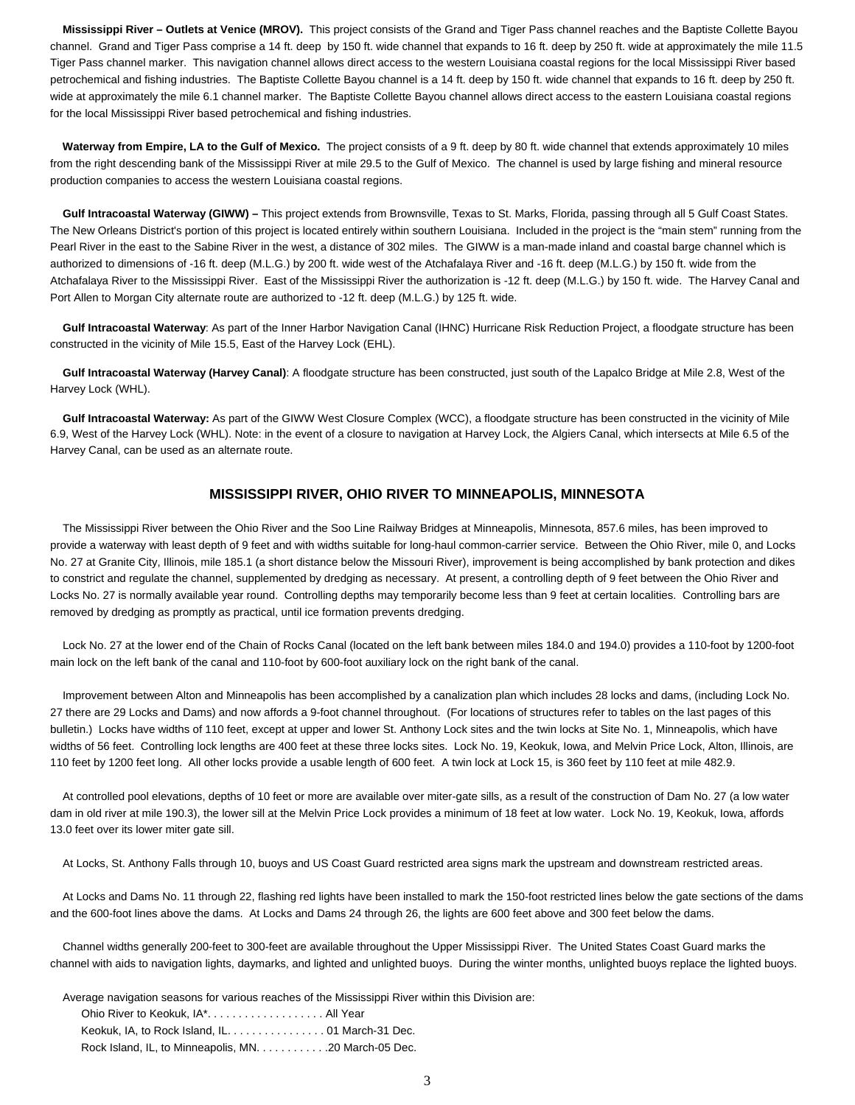**Mississippi River – Outlets at Venice (MROV).** This project consists of the Grand and Tiger Pass channel reaches and the Baptiste Collette Bayou channel. Grand and Tiger Pass comprise a 14 ft. deep by 150 ft. wide channel that expands to 16 ft. deep by 250 ft. wide at approximately the mile 11.5 Tiger Pass channel marker. This navigation channel allows direct access to the western Louisiana coastal regions for the local Mississippi River based petrochemical and fishing industries. The Baptiste Collette Bayou channel is a 14 ft. deep by 150 ft. wide channel that expands to 16 ft. deep by 250 ft. wide at approximately the mile 6.1 channel marker. The Baptiste Collette Bayou channel allows direct access to the eastern Louisiana coastal regions for the local Mississippi River based petrochemical and fishing industries.

 **Waterway from Empire, LA to the Gulf of Mexico.** The project consists of a 9 ft. deep by 80 ft. wide channel that extends approximately 10 miles from the right descending bank of the Mississippi River at mile 29.5 to the Gulf of Mexico. The channel is used by large fishing and mineral resource production companies to access the western Louisiana coastal regions.

 **Gulf Intracoastal Waterway (GIWW) –** This project extends from Brownsville, Texas to St. Marks, Florida, passing through all 5 Gulf Coast States. The New Orleans District's portion of this project is located entirely within southern Louisiana. Included in the project is the "main stem" running from the Pearl River in the east to the Sabine River in the west, a distance of 302 miles. The GIWW is a man-made inland and coastal barge channel which is authorized to dimensions of -16 ft. deep (M.L.G.) by 200 ft. wide west of the Atchafalaya River and -16 ft. deep (M.L.G.) by 150 ft. wide from the Atchafalaya River to the Mississippi River. East of the Mississippi River the authorization is -12 ft. deep (M.L.G.) by 150 ft. wide. The Harvey Canal and Port Allen to Morgan City alternate route are authorized to -12 ft. deep (M.L.G.) by 125 ft. wide.

 **Gulf Intracoastal Waterway**: As part of the Inner Harbor Navigation Canal (IHNC) Hurricane Risk Reduction Project, a floodgate structure has been constructed in the vicinity of Mile 15.5, East of the Harvey Lock (EHL).

 **Gulf Intracoastal Waterway (Harvey Canal)**: A floodgate structure has been constructed, just south of the Lapalco Bridge at Mile 2.8, West of the Harvey Lock (WHL).

 **Gulf Intracoastal Waterway:** As part of the GIWW West Closure Complex (WCC), a floodgate structure has been constructed in the vicinity of Mile 6.9, West of the Harvey Lock (WHL). Note: in the event of a closure to navigation at Harvey Lock, the Algiers Canal, which intersects at Mile 6.5 of the Harvey Canal, can be used as an alternate route.

### **MISSISSIPPI RIVER, OHIO RIVER TO MINNEAPOLIS, MINNESOTA**

The Mississippi River between the Ohio River and the Soo Line Railway Bridges at Minneapolis, Minnesota, 857.6 miles, has been improved to provide a waterway with least depth of 9 feet and with widths suitable for long-haul common-carrier service. Between the Ohio River, mile 0, and Locks No. 27 at Granite City, Illinois, mile 185.1 (a short distance below the Missouri River), improvement is being accomplished by bank protection and dikes to constrict and regulate the channel, supplemented by dredging as necessary. At present, a controlling depth of 9 feet between the Ohio River and Locks No. 27 is normally available year round. Controlling depths may temporarily become less than 9 feet at certain localities. Controlling bars are removed by dredging as promptly as practical, until ice formation prevents dredging.

 Lock No. 27 at the lower end of the Chain of Rocks Canal (located on the left bank between miles 184.0 and 194.0) provides a 110-foot by 1200-foot main lock on the left bank of the canal and 110-foot by 600-foot auxiliary lock on the right bank of the canal.

 Improvement between Alton and Minneapolis has been accomplished by a canalization plan which includes 28 locks and dams, (including Lock No. 27 there are 29 Locks and Dams) and now affords a 9-foot channel throughout. (For locations of structures refer to tables on the last pages of this bulletin.) Locks have widths of 110 feet, except at upper and lower St. Anthony Lock sites and the twin locks at Site No. 1, Minneapolis, which have widths of 56 feet. Controlling lock lengths are 400 feet at these three locks sites. Lock No. 19, Keokuk, Iowa, and Melvin Price Lock, Alton, Illinois, are 110 feet by 1200 feet long. All other locks provide a usable length of 600 feet. A twin lock at Lock 15, is 360 feet by 110 feet at mile 482.9.

 At controlled pool elevations, depths of 10 feet or more are available over miter-gate sills, as a result of the construction of Dam No. 27 (a low water dam in old river at mile 190.3), the lower sill at the Melvin Price Lock provides a minimum of 18 feet at low water. Lock No. 19, Keokuk, Iowa, affords 13.0 feet over its lower miter gate sill.

At Locks, St. Anthony Falls through 10, buoys and US Coast Guard restricted area signs mark the upstream and downstream restricted areas.

 At Locks and Dams No. 11 through 22, flashing red lights have been installed to mark the 150-foot restricted lines below the gate sections of the dams and the 600-foot lines above the dams. At Locks and Dams 24 through 26, the lights are 600 feet above and 300 feet below the dams.

 Channel widths generally 200-feet to 300-feet are available throughout the Upper Mississippi River. The United States Coast Guard marks the channel with aids to navigation lights, daymarks, and lighted and unlighted buoys. During the winter months, unlighted buoys replace the lighted buoys.

Average navigation seasons for various reaches of the Mississippi River within this Division are:

 Ohio River to Keokuk, IA\*. . . . . . . . . . . . . . . . . . . All Year Keokuk, IA, to Rock Island, IL. . . . . . . . . . . . . . . . 01 March-31 Dec. Rock Island, IL, to Minneapolis, MN. . . . . . . . . . . . . . 20 March-05 Dec.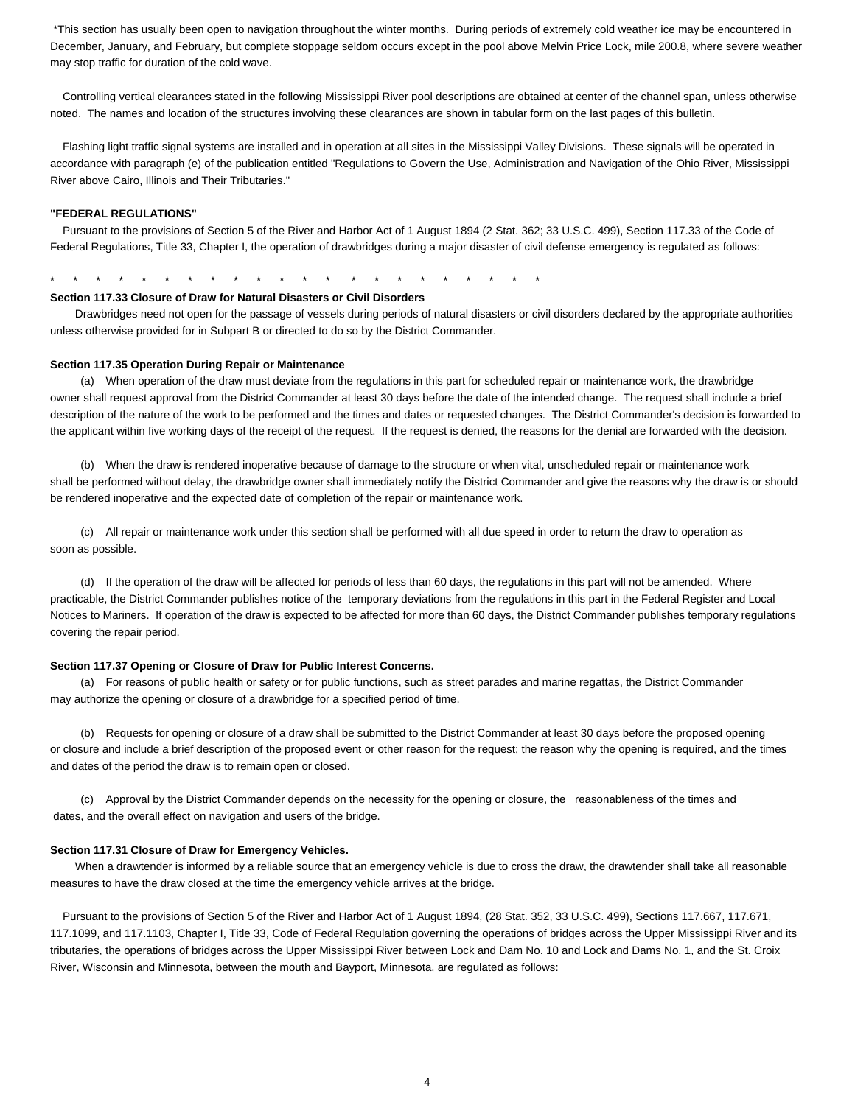\*This section has usually been open to navigation throughout the winter months. During periods of extremely cold weather ice may be encountered in December, January, and February, but complete stoppage seldom occurs except in the pool above Melvin Price Lock, mile 200.8, where severe weather may stop traffic for duration of the cold wave.

 Controlling vertical clearances stated in the following Mississippi River pool descriptions are obtained at center of the channel span, unless otherwise noted. The names and location of the structures involving these clearances are shown in tabular form on the last pages of this bulletin.

 Flashing light traffic signal systems are installed and in operation at all sites in the Mississippi Valley Divisions. These signals will be operated in accordance with paragraph (e) of the publication entitled "Regulations to Govern the Use, Administration and Navigation of the Ohio River, Mississippi River above Cairo, Illinois and Their Tributaries."

#### **"FEDERAL REGULATIONS"**

 Pursuant to the provisions of Section 5 of the River and Harbor Act of 1 August 1894 (2 Stat. 362; 33 U.S.C. 499), Section 117.33 of the Code of Federal Regulations, Title 33, Chapter I, the operation of drawbridges during a major disaster of civil defense emergency is regulated as follows:

\* \* \* \* \* \* \* \* \* \* \* \* \* \* \* \* \* \* \* \* \* \*

#### **Section 117.33 Closure of Draw for Natural Disasters or Civil Disorders**

 Drawbridges need not open for the passage of vessels during periods of natural disasters or civil disorders declared by the appropriate authorities unless otherwise provided for in Subpart B or directed to do so by the District Commander.

#### **Section 117.35 Operation During Repair or Maintenance**

(a) When operation of the draw must deviate from the regulations in this part for scheduled repair or maintenance work, the drawbridge owner shall request approval from the District Commander at least 30 days before the date of the intended change. The request shall include a brief description of the nature of the work to be performed and the times and dates or requested changes. The District Commander's decision is forwarded to the applicant within five working days of the receipt of the request. If the request is denied, the reasons for the denial are forwarded with the decision.

(b) When the draw is rendered inoperative because of damage to the structure or when vital, unscheduled repair or maintenance work shall be performed without delay, the drawbridge owner shall immediately notify the District Commander and give the reasons why the draw is or should be rendered inoperative and the expected date of completion of the repair or maintenance work.

(c) All repair or maintenance work under this section shall be performed with all due speed in order to return the draw to operation as soon as possible.

(d) If the operation of the draw will be affected for periods of less than 60 days, the regulations in this part will not be amended. Where practicable, the District Commander publishes notice of the temporary deviations from the regulations in this part in the Federal Register and Local Notices to Mariners. If operation of the draw is expected to be affected for more than 60 days, the District Commander publishes temporary regulations covering the repair period.

#### **Section 117.37 Opening or Closure of Draw for Public Interest Concerns.**

(a) For reasons of public health or safety or for public functions, such as street parades and marine regattas, the District Commander may authorize the opening or closure of a drawbridge for a specified period of time.

(b) Requests for opening or closure of a draw shall be submitted to the District Commander at least 30 days before the proposed opening or closure and include a brief description of the proposed event or other reason for the request; the reason why the opening is required, and the times and dates of the period the draw is to remain open or closed.

(c) Approval by the District Commander depends on the necessity for the opening or closure, the reasonableness of the times and dates, and the overall effect on navigation and users of the bridge.

#### **Section 117.31 Closure of Draw for Emergency Vehicles.**

When a drawtender is informed by a reliable source that an emergency vehicle is due to cross the draw, the drawtender shall take all reasonable measures to have the draw closed at the time the emergency vehicle arrives at the bridge.

 Pursuant to the provisions of Section 5 of the River and Harbor Act of 1 August 1894, (28 Stat. 352, 33 U.S.C. 499), Sections 117.667, 117.671, 117.1099, and 117.1103, Chapter I, Title 33, Code of Federal Regulation governing the operations of bridges across the Upper Mississippi River and its tributaries, the operations of bridges across the Upper Mississippi River between Lock and Dam No. 10 and Lock and Dams No. 1, and the St. Croix River, Wisconsin and Minnesota, between the mouth and Bayport, Minnesota, are regulated as follows: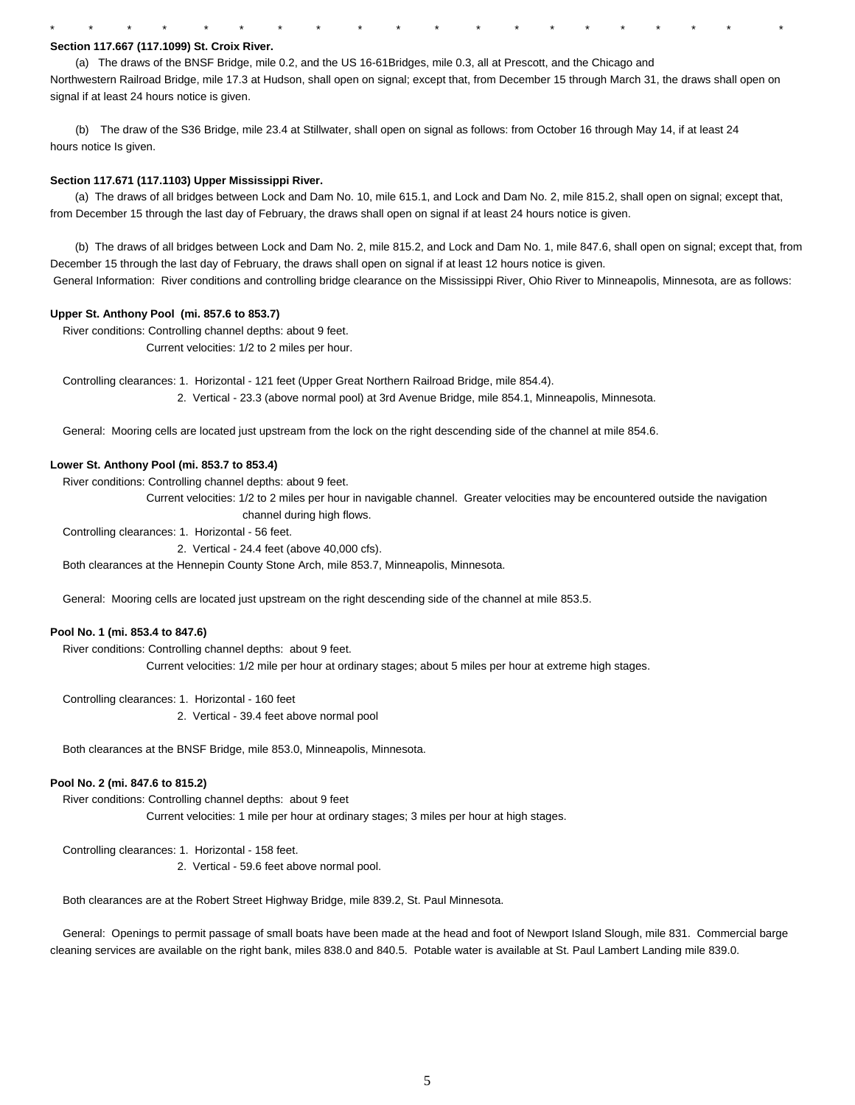#### **Section 117.667 (117.1099) St. Croix River.**

(a) The draws of the BNSF Bridge, mile 0.2, and the US 16-61Bridges, mile 0.3, all at Prescott, and the Chicago and Northwestern Railroad Bridge, mile 17.3 at Hudson, shall open on signal; except that, from December 15 through March 31, the draws shall open on signal if at least 24 hours notice is given.

\* \* \* \* \* \* \* \* \* \* \* \* \* \* \* \* \* \* \* \*

(b) The draw of the S36 Bridge, mile 23.4 at Stillwater, shall open on signal as follows: from October 16 through May 14, if at least 24 hours notice Is given.

#### **Section 117.671 (117.1103) Upper Mississippi River.**

 (a) The draws of all bridges between Lock and Dam No. 10, mile 615.1, and Lock and Dam No. 2, mile 815.2, shall open on signal; except that, from December 15 through the last day of February, the draws shall open on signal if at least 24 hours notice is given.

 (b) The draws of all bridges between Lock and Dam No. 2, mile 815.2, and Lock and Dam No. 1, mile 847.6, shall open on signal; except that, from December 15 through the last day of February, the draws shall open on signal if at least 12 hours notice is given. General Information: River conditions and controlling bridge clearance on the Mississippi River, Ohio River to Minneapolis, Minnesota, are as follows:

#### **Upper St. Anthony Pool (mi. 857.6 to 853.7)**

 River conditions: Controlling channel depths: about 9 feet. Current velocities: 1/2 to 2 miles per hour.

Controlling clearances: 1. Horizontal - 121 feet (Upper Great Northern Railroad Bridge, mile 854.4).

2. Vertical - 23.3 (above normal pool) at 3rd Avenue Bridge, mile 854.1, Minneapolis, Minnesota.

General: Mooring cells are located just upstream from the lock on the right descending side of the channel at mile 854.6.

#### **Lower St. Anthony Pool (mi. 853.7 to 853.4)**

River conditions: Controlling channel depths: about 9 feet.

 Current velocities: 1/2 to 2 miles per hour in navigable channel. Greater velocities may be encountered outside the navigation channel during high flows.

Controlling clearances: 1. Horizontal - 56 feet.

2. Vertical - 24.4 feet (above 40,000 cfs).

Both clearances at the Hennepin County Stone Arch, mile 853.7, Minneapolis, Minnesota.

General: Mooring cells are located just upstream on the right descending side of the channel at mile 853.5.

#### **Pool No. 1 (mi. 853.4 to 847.6)**

 River conditions: Controlling channel depths: about 9 feet. Current velocities: 1/2 mile per hour at ordinary stages; about 5 miles per hour at extreme high stages.

Controlling clearances: 1. Horizontal - 160 feet

2. Vertical - 39.4 feet above normal pool

Both clearances at the BNSF Bridge, mile 853.0, Minneapolis, Minnesota.

#### **Pool No. 2 (mi. 847.6 to 815.2)**

 River conditions: Controlling channel depths: about 9 feet Current velocities: 1 mile per hour at ordinary stages; 3 miles per hour at high stages.

Controlling clearances: 1. Horizontal - 158 feet.

2. Vertical - 59.6 feet above normal pool.

Both clearances are at the Robert Street Highway Bridge, mile 839.2, St. Paul Minnesota.

 General: Openings to permit passage of small boats have been made at the head and foot of Newport Island Slough, mile 831. Commercial barge cleaning services are available on the right bank, miles 838.0 and 840.5. Potable water is available at St. Paul Lambert Landing mile 839.0.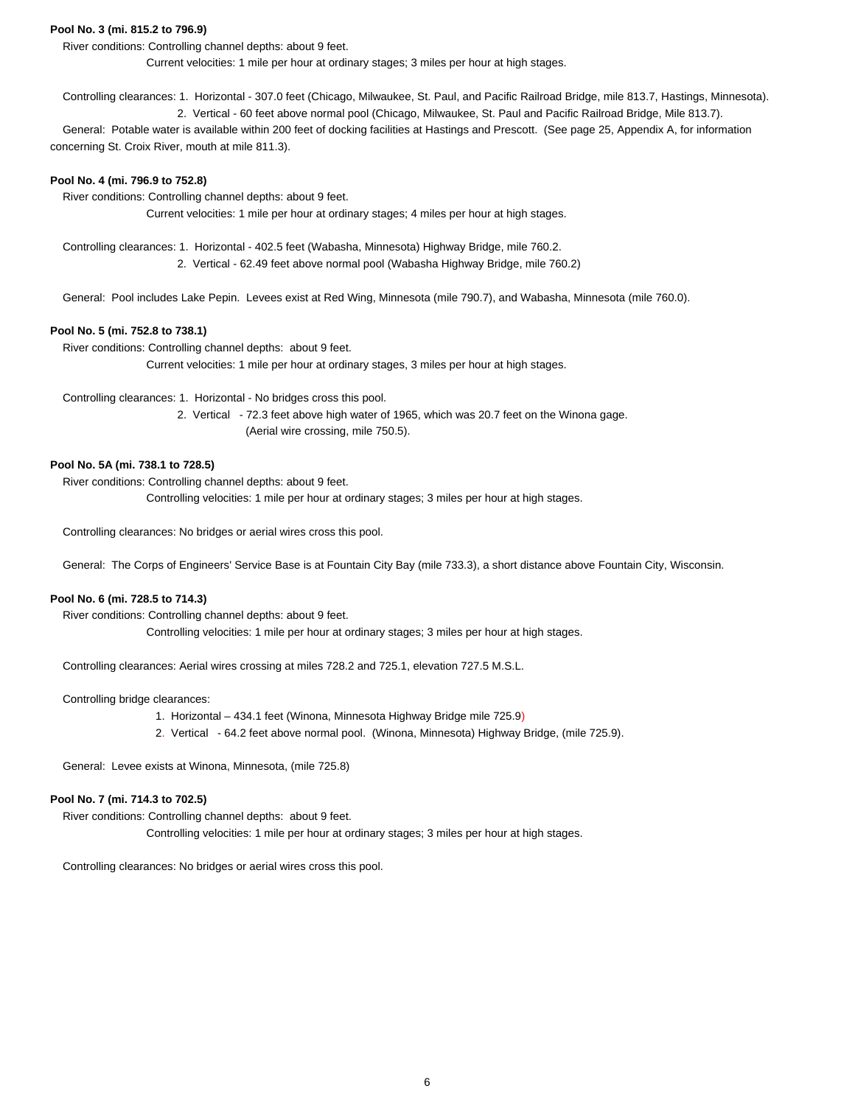### **Pool No. 3 (mi. 815.2 to 796.9)**

River conditions: Controlling channel depths: about 9 feet.

Current velocities: 1 mile per hour at ordinary stages; 3 miles per hour at high stages.

 Controlling clearances: 1. Horizontal - 307.0 feet (Chicago, Milwaukee, St. Paul, and Pacific Railroad Bridge, mile 813.7, Hastings, Minnesota). 2. Vertical - 60 feet above normal pool (Chicago, Milwaukee, St. Paul and Pacific Railroad Bridge, Mile 813.7).

 General: Potable water is available within 200 feet of docking facilities at Hastings and Prescott. (See page 25, Appendix A, for information concerning St. Croix River, mouth at mile 811.3).

#### **Pool No. 4 (mi. 796.9 to 752.8)**

River conditions: Controlling channel depths: about 9 feet.

Current velocities: 1 mile per hour at ordinary stages; 4 miles per hour at high stages.

 Controlling clearances: 1. Horizontal - 402.5 feet (Wabasha, Minnesota) Highway Bridge, mile 760.2. 2. Vertical - 62.49 feet above normal pool (Wabasha Highway Bridge, mile 760.2)

General: Pool includes Lake Pepin. Levees exist at Red Wing, Minnesota (mile 790.7), and Wabasha, Minnesota (mile 760.0).

#### **Pool No. 5 (mi. 752.8 to 738.1)**

River conditions: Controlling channel depths: about 9 feet.

Current velocities: 1 mile per hour at ordinary stages, 3 miles per hour at high stages.

Controlling clearances: 1. Horizontal - No bridges cross this pool.

 2. Vertical - 72.3 feet above high water of 1965, which was 20.7 feet on the Winona gage. (Aerial wire crossing, mile 750.5).

#### **Pool No. 5A (mi. 738.1 to 728.5)**

River conditions: Controlling channel depths: about 9 feet.

Controlling velocities: 1 mile per hour at ordinary stages; 3 miles per hour at high stages.

Controlling clearances: No bridges or aerial wires cross this pool.

General: The Corps of Engineers' Service Base is at Fountain City Bay (mile 733.3), a short distance above Fountain City, Wisconsin.

#### **Pool No. 6 (mi. 728.5 to 714.3)**

River conditions: Controlling channel depths: about 9 feet.

Controlling velocities: 1 mile per hour at ordinary stages; 3 miles per hour at high stages.

Controlling clearances: Aerial wires crossing at miles 728.2 and 725.1, elevation 727.5 M.S.L.

#### Controlling bridge clearances:

- 1. Horizontal 434.1 feet (Winona, Minnesota Highway Bridge mile 725.9)
- 2. Vertical 64.2 feet above normal pool. (Winona, Minnesota) Highway Bridge, (mile 725.9).

General: Levee exists at Winona, Minnesota, (mile 725.8)

### **Pool No. 7 (mi. 714.3 to 702.5)**

 River conditions: Controlling channel depths: about 9 feet. Controlling velocities: 1 mile per hour at ordinary stages; 3 miles per hour at high stages.

Controlling clearances: No bridges or aerial wires cross this pool.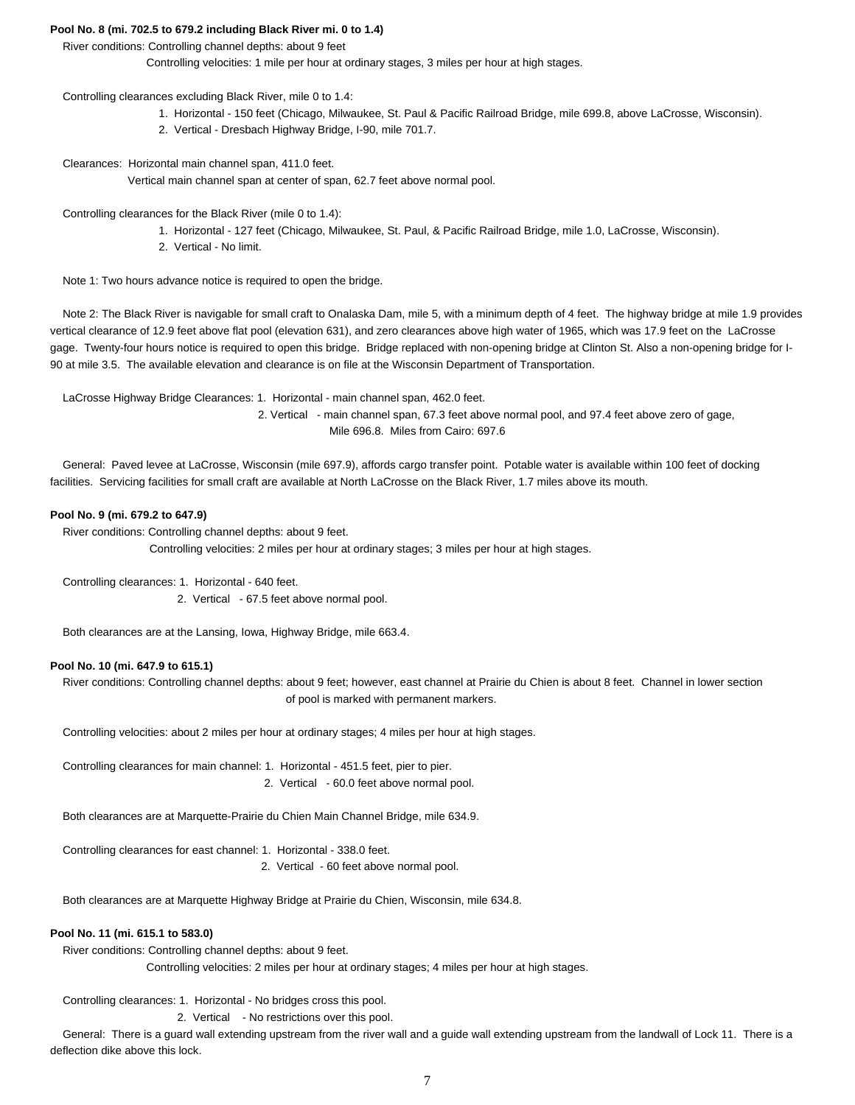### **Pool No. 8 (mi. 702.5 to 679.2 including Black River mi. 0 to 1.4)**

#### River conditions: Controlling channel depths: about 9 feet

Controlling velocities: 1 mile per hour at ordinary stages, 3 miles per hour at high stages.

Controlling clearances excluding Black River, mile 0 to 1.4:

- 1. Horizontal 150 feet (Chicago, Milwaukee, St. Paul & Pacific Railroad Bridge, mile 699.8, above LaCrosse, Wisconsin).
- 2. Vertical Dresbach Highway Bridge, I-90, mile 701.7.

Clearances: Horizontal main channel span, 411.0 feet.

Vertical main channel span at center of span, 62.7 feet above normal pool.

Controlling clearances for the Black River (mile 0 to 1.4):

- 1. Horizontal 127 feet (Chicago, Milwaukee, St. Paul, & Pacific Railroad Bridge, mile 1.0, LaCrosse, Wisconsin).
- 2. Vertical No limit.

Note 1: Two hours advance notice is required to open the bridge.

 Note 2: The Black River is navigable for small craft to Onalaska Dam, mile 5, with a minimum depth of 4 feet. The highway bridge at mile 1.9 provides vertical clearance of 12.9 feet above flat pool (elevation 631), and zero clearances above high water of 1965, which was 17.9 feet on the LaCrosse gage. Twenty-four hours notice is required to open this bridge. Bridge replaced with non-opening bridge at Clinton St. Also a non-opening bridge for I-90 at mile 3.5. The available elevation and clearance is on file at the Wisconsin Department of Transportation.

LaCrosse Highway Bridge Clearances: 1. Horizontal - main channel span, 462.0 feet.

 2. Vertical - main channel span, 67.3 feet above normal pool, and 97.4 feet above zero of gage, Mile 696.8. Miles from Cairo: 697.6

 General: Paved levee at LaCrosse, Wisconsin (mile 697.9), affords cargo transfer point. Potable water is available within 100 feet of docking facilities. Servicing facilities for small craft are available at North LaCrosse on the Black River, 1.7 miles above its mouth.

#### **Pool No. 9 (mi. 679.2 to 647.9)**

River conditions: Controlling channel depths: about 9 feet.

Controlling velocities: 2 miles per hour at ordinary stages; 3 miles per hour at high stages.

 Controlling clearances: 1. Horizontal - 640 feet. 2. Vertical - 67.5 feet above normal pool.

Both clearances are at the Lansing, Iowa, Highway Bridge, mile 663.4.

#### **Pool No. 10 (mi. 647.9 to 615.1)**

 River conditions: Controlling channel depths: about 9 feet; however, east channel at Prairie du Chien is about 8 feet. Channel in lower section of pool is marked with permanent markers.

Controlling velocities: about 2 miles per hour at ordinary stages; 4 miles per hour at high stages.

 Controlling clearances for main channel: 1. Horizontal - 451.5 feet, pier to pier. 2. Vertical - 60.0 feet above normal pool.

Both clearances are at Marquette-Prairie du Chien Main Channel Bridge, mile 634.9.

 Controlling clearances for east channel: 1. Horizontal - 338.0 feet. 2. Vertical - 60 feet above normal pool.

Both clearances are at Marquette Highway Bridge at Prairie du Chien, Wisconsin, mile 634.8.

### **Pool No. 11 (mi. 615.1 to 583.0)**

River conditions: Controlling channel depths: about 9 feet.

Controlling velocities: 2 miles per hour at ordinary stages; 4 miles per hour at high stages.

Controlling clearances: 1. Horizontal - No bridges cross this pool.

2. Vertical - No restrictions over this pool.

 General: There is a guard wall extending upstream from the river wall and a guide wall extending upstream from the landwall of Lock 11. There is a deflection dike above this lock.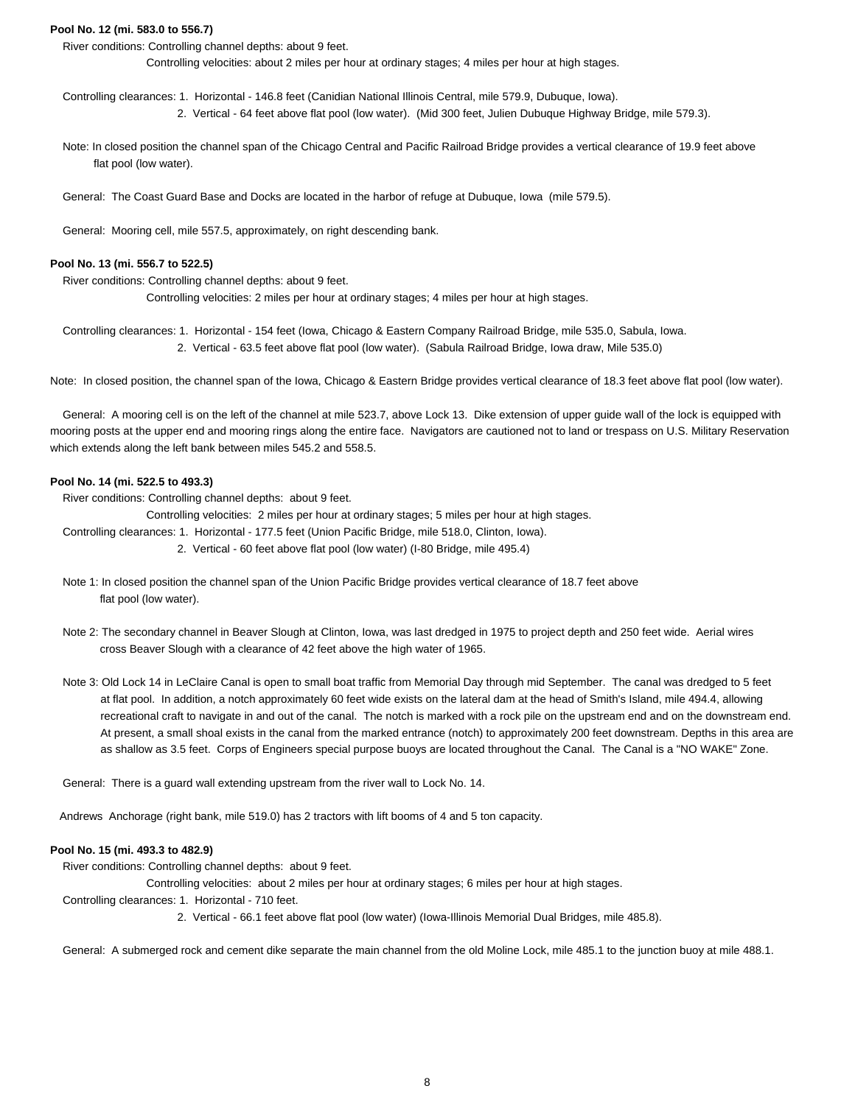### **Pool No. 12 (mi. 583.0 to 556.7)**

River conditions: Controlling channel depths: about 9 feet.

Controlling velocities: about 2 miles per hour at ordinary stages; 4 miles per hour at high stages.

 Controlling clearances: 1. Horizontal - 146.8 feet (Canidian National Illinois Central, mile 579.9, Dubuque, Iowa). 2. Vertical - 64 feet above flat pool (low water). (Mid 300 feet, Julien Dubuque Highway Bridge, mile 579.3).

 Note: In closed position the channel span of the Chicago Central and Pacific Railroad Bridge provides a vertical clearance of 19.9 feet above flat pool (low water).

General: The Coast Guard Base and Docks are located in the harbor of refuge at Dubuque, Iowa (mile 579.5).

General: Mooring cell, mile 557.5, approximately, on right descending bank.

#### **Pool No. 13 (mi. 556.7 to 522.5)**

River conditions: Controlling channel depths: about 9 feet.

Controlling velocities: 2 miles per hour at ordinary stages; 4 miles per hour at high stages.

 Controlling clearances: 1. Horizontal - 154 feet (Iowa, Chicago & Eastern Company Railroad Bridge, mile 535.0, Sabula, Iowa. 2. Vertical - 63.5 feet above flat pool (low water). (Sabula Railroad Bridge, Iowa draw, Mile 535.0)

Note: In closed position, the channel span of the Iowa, Chicago & Eastern Bridge provides vertical clearance of 18.3 feet above flat pool (low water).

 General: A mooring cell is on the left of the channel at mile 523.7, above Lock 13. Dike extension of upper guide wall of the lock is equipped with mooring posts at the upper end and mooring rings along the entire face. Navigators are cautioned not to land or trespass on U.S. Military Reservation which extends along the left bank between miles 545.2 and 558.5.

#### **Pool No. 14 (mi. 522.5 to 493.3)**

River conditions: Controlling channel depths: about 9 feet.

Controlling velocities: 2 miles per hour at ordinary stages; 5 miles per hour at high stages.

- Controlling clearances: 1. Horizontal 177.5 feet (Union Pacific Bridge, mile 518.0, Clinton, Iowa).
	- 2. Vertical 60 feet above flat pool (low water) (I-80 Bridge, mile 495.4)
- Note 1: In closed position the channel span of the Union Pacific Bridge provides vertical clearance of 18.7 feet above flat pool (low water).
- Note 2: The secondary channel in Beaver Slough at Clinton, Iowa, was last dredged in 1975 to project depth and 250 feet wide. Aerial wires cross Beaver Slough with a clearance of 42 feet above the high water of 1965.
- Note 3: Old Lock 14 in LeClaire Canal is open to small boat traffic from Memorial Day through mid September. The canal was dredged to 5 feet at flat pool. In addition, a notch approximately 60 feet wide exists on the lateral dam at the head of Smith's Island, mile 494.4, allowing recreational craft to navigate in and out of the canal. The notch is marked with a rock pile on the upstream end and on the downstream end. At present, a small shoal exists in the canal from the marked entrance (notch) to approximately 200 feet downstream. Depths in this area are as shallow as 3.5 feet. Corps of Engineers special purpose buoys are located throughout the Canal. The Canal is a "NO WAKE" Zone.

General: There is a guard wall extending upstream from the river wall to Lock No. 14.

Andrews Anchorage (right bank, mile 519.0) has 2 tractors with lift booms of 4 and 5 ton capacity.

#### **Pool No. 15 (mi. 493.3 to 482.9)**

River conditions: Controlling channel depths: about 9 feet.

Controlling velocities: about 2 miles per hour at ordinary stages; 6 miles per hour at high stages.

Controlling clearances: 1. Horizontal - 710 feet.

2. Vertical - 66.1 feet above flat pool (low water) (Iowa-Illinois Memorial Dual Bridges, mile 485.8).

General: A submerged rock and cement dike separate the main channel from the old Moline Lock, mile 485.1 to the junction buoy at mile 488.1.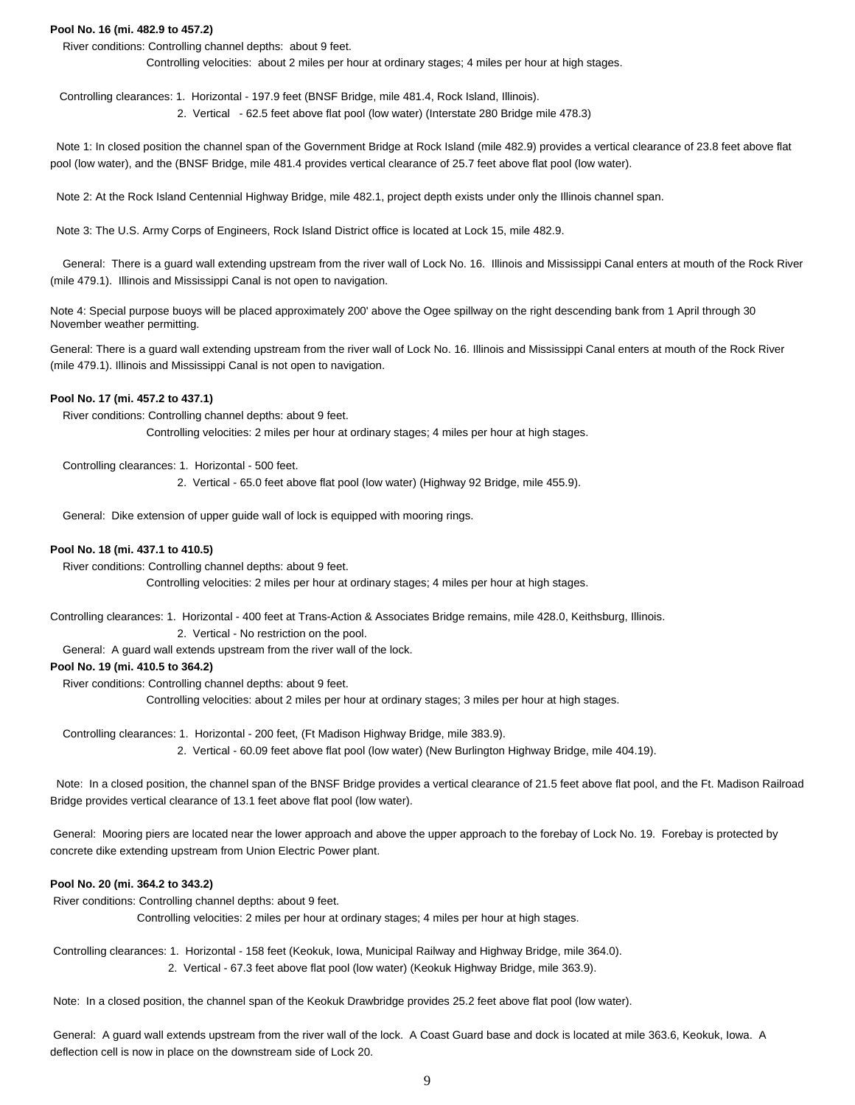#### **Pool No. 16 (mi. 482.9 to 457.2)**

River conditions: Controlling channel depths: about 9 feet.

Controlling velocities: about 2 miles per hour at ordinary stages; 4 miles per hour at high stages.

 Controlling clearances: 1. Horizontal - 197.9 feet (BNSF Bridge, mile 481.4, Rock Island, Illinois). 2. Vertical - 62.5 feet above flat pool (low water) (Interstate 280 Bridge mile 478.3)

 Note 1: In closed position the channel span of the Government Bridge at Rock Island (mile 482.9) provides a vertical clearance of 23.8 feet above flat pool (low water), and the (BNSF Bridge, mile 481.4 provides vertical clearance of 25.7 feet above flat pool (low water).

Note 2: At the Rock Island Centennial Highway Bridge, mile 482.1, project depth exists under only the Illinois channel span.

Note 3: The U.S. Army Corps of Engineers, Rock Island District office is located at Lock 15, mile 482.9.

 General: There is a guard wall extending upstream from the river wall of Lock No. 16. Illinois and Mississippi Canal enters at mouth of the Rock River (mile 479.1). Illinois and Mississippi Canal is not open to navigation.

Note 4: Special purpose buoys will be placed approximately 200' above the Ogee spillway on the right descending bank from 1 April through 30 November weather permitting.

General: There is a guard wall extending upstream from the river wall of Lock No. 16. Illinois and Mississippi Canal enters at mouth of the Rock River (mile 479.1). Illinois and Mississippi Canal is not open to navigation.

#### **Pool No. 17 (mi. 457.2 to 437.1)**

River conditions: Controlling channel depths: about 9 feet.

Controlling velocities: 2 miles per hour at ordinary stages; 4 miles per hour at high stages.

Controlling clearances: 1. Horizontal - 500 feet.

2. Vertical - 65.0 feet above flat pool (low water) (Highway 92 Bridge, mile 455.9).

General: Dike extension of upper guide wall of lock is equipped with mooring rings.

#### **Pool No. 18 (mi. 437.1 to 410.5)**

River conditions: Controlling channel depths: about 9 feet.

Controlling velocities: 2 miles per hour at ordinary stages; 4 miles per hour at high stages.

Controlling clearances: 1. Horizontal - 400 feet at Trans-Action & Associates Bridge remains, mile 428.0, Keithsburg, Illinois.

2. Vertical - No restriction on the pool.

General: A guard wall extends upstream from the river wall of the lock.

#### **Pool No. 19 (mi. 410.5 to 364.2)**

River conditions: Controlling channel depths: about 9 feet.

Controlling velocities: about 2 miles per hour at ordinary stages; 3 miles per hour at high stages.

Controlling clearances: 1. Horizontal - 200 feet, (Ft Madison Highway Bridge, mile 383.9).

2. Vertical - 60.09 feet above flat pool (low water) (New Burlington Highway Bridge, mile 404.19).

 Note: In a closed position, the channel span of the BNSF Bridge provides a vertical clearance of 21.5 feet above flat pool, and the Ft. Madison Railroad Bridge provides vertical clearance of 13.1 feet above flat pool (low water).

 General: Mooring piers are located near the lower approach and above the upper approach to the forebay of Lock No. 19. Forebay is protected by concrete dike extending upstream from Union Electric Power plant.

#### **Pool No. 20 (mi. 364.2 to 343.2)**

River conditions: Controlling channel depths: about 9 feet.

Controlling velocities: 2 miles per hour at ordinary stages; 4 miles per hour at high stages.

 Controlling clearances: 1. Horizontal - 158 feet (Keokuk, Iowa, Municipal Railway and Highway Bridge, mile 364.0). 2. Vertical - 67.3 feet above flat pool (low water) (Keokuk Highway Bridge, mile 363.9).

Note: In a closed position, the channel span of the Keokuk Drawbridge provides 25.2 feet above flat pool (low water).

 General: A guard wall extends upstream from the river wall of the lock. A Coast Guard base and dock is located at mile 363.6, Keokuk, Iowa. A deflection cell is now in place on the downstream side of Lock 20.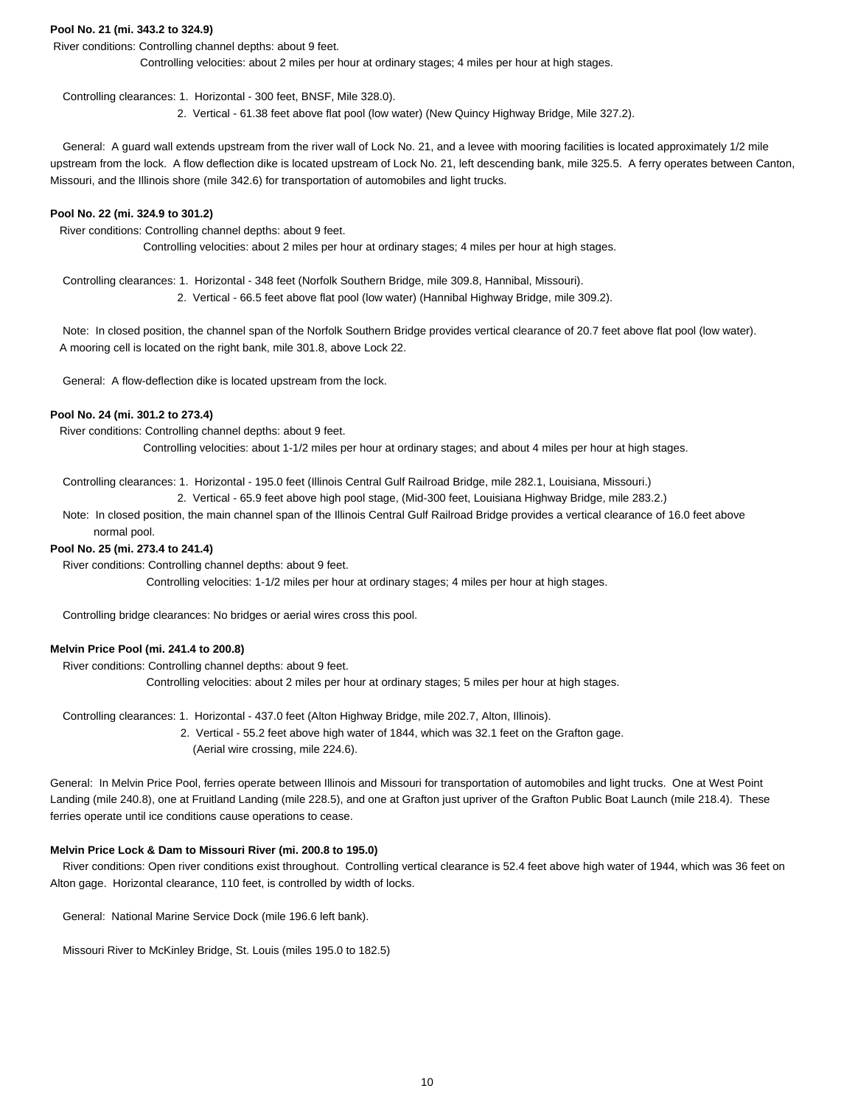### **Pool No. 21 (mi. 343.2 to 324.9)**

River conditions: Controlling channel depths: about 9 feet.

Controlling velocities: about 2 miles per hour at ordinary stages; 4 miles per hour at high stages.

Controlling clearances: 1. Horizontal - 300 feet, BNSF, Mile 328.0).

2. Vertical - 61.38 feet above flat pool (low water) (New Quincy Highway Bridge, Mile 327.2).

 General: A guard wall extends upstream from the river wall of Lock No. 21, and a levee with mooring facilities is located approximately 1/2 mile upstream from the lock. A flow deflection dike is located upstream of Lock No. 21, left descending bank, mile 325.5. A ferry operates between Canton, Missouri, and the Illinois shore (mile 342.6) for transportation of automobiles and light trucks.

#### **Pool No. 22 (mi. 324.9 to 301.2)**

River conditions: Controlling channel depths: about 9 feet.

Controlling velocities: about 2 miles per hour at ordinary stages; 4 miles per hour at high stages.

Controlling clearances: 1. Horizontal - 348 feet (Norfolk Southern Bridge, mile 309.8, Hannibal, Missouri).

2. Vertical - 66.5 feet above flat pool (low water) (Hannibal Highway Bridge, mile 309.2).

 Note: In closed position, the channel span of the Norfolk Southern Bridge provides vertical clearance of 20.7 feet above flat pool (low water). A mooring cell is located on the right bank, mile 301.8, above Lock 22.

General: A flow-deflection dike is located upstream from the lock.

### **Pool No. 24 (mi. 301.2 to 273.4)**

River conditions: Controlling channel depths: about 9 feet.

Controlling velocities: about 1-1/2 miles per hour at ordinary stages; and about 4 miles per hour at high stages.

Controlling clearances: 1. Horizontal - 195.0 feet (Illinois Central Gulf Railroad Bridge, mile 282.1, Louisiana, Missouri.)

2. Vertical - 65.9 feet above high pool stage, (Mid-300 feet, Louisiana Highway Bridge, mile 283.2.)

 Note: In closed position, the main channel span of the Illinois Central Gulf Railroad Bridge provides a vertical clearance of 16.0 feet above normal pool.

#### **Pool No. 25 (mi. 273.4 to 241.4)**

River conditions: Controlling channel depths: about 9 feet.

Controlling velocities: 1-1/2 miles per hour at ordinary stages; 4 miles per hour at high stages.

Controlling bridge clearances: No bridges or aerial wires cross this pool.

### **Melvin Price Pool (mi. 241.4 to 200.8)**

 River conditions: Controlling channel depths: about 9 feet. Controlling velocities: about 2 miles per hour at ordinary stages; 5 miles per hour at high stages.

Controlling clearances: 1. Horizontal - 437.0 feet (Alton Highway Bridge, mile 202.7, Alton, Illinois).

 2. Vertical - 55.2 feet above high water of 1844, which was 32.1 feet on the Grafton gage. (Aerial wire crossing, mile 224.6).

General: In Melvin Price Pool, ferries operate between Illinois and Missouri for transportation of automobiles and light trucks. One at West Point Landing (mile 240.8), one at Fruitland Landing (mile 228.5), and one at Grafton just upriver of the Grafton Public Boat Launch (mile 218.4). These ferries operate until ice conditions cause operations to cease.

#### **Melvin Price Lock & Dam to Missouri River (mi. 200.8 to 195.0)**

 River conditions: Open river conditions exist throughout. Controlling vertical clearance is 52.4 feet above high water of 1944, which was 36 feet on Alton gage. Horizontal clearance, 110 feet, is controlled by width of locks.

General: National Marine Service Dock (mile 196.6 left bank).

Missouri River to McKinley Bridge, St. Louis (miles 195.0 to 182.5)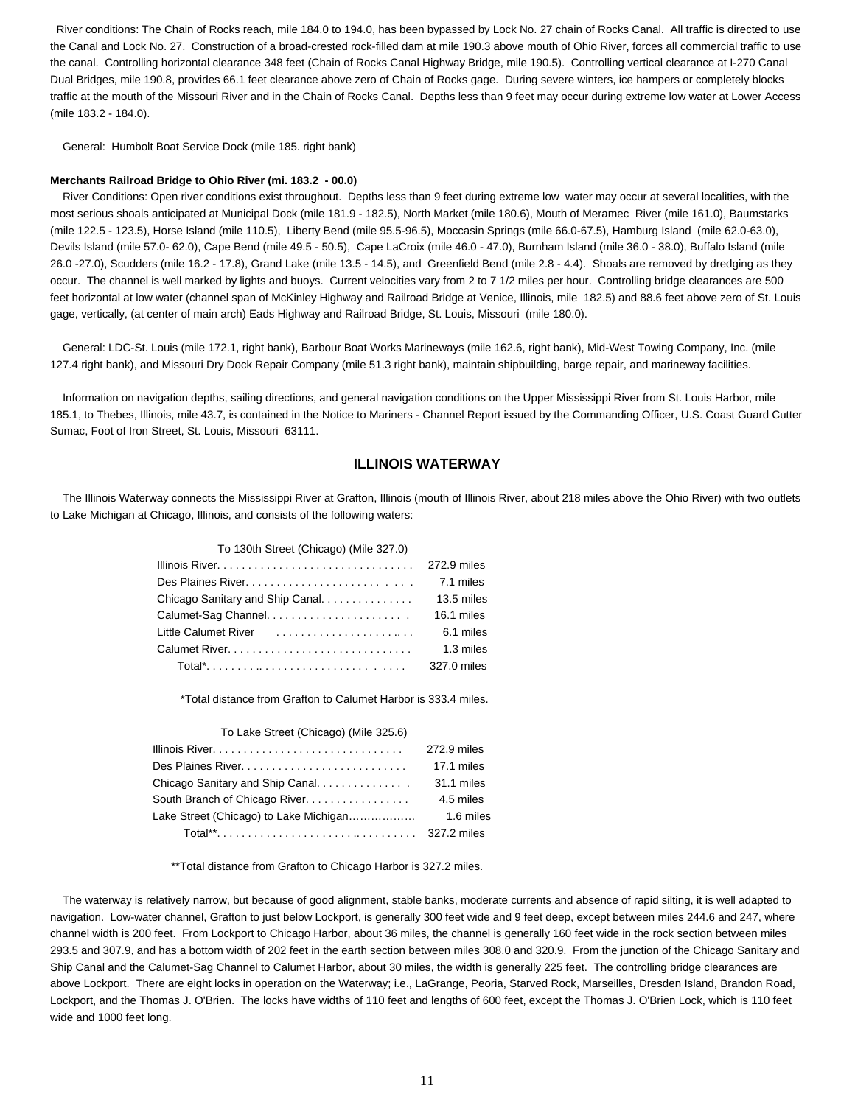River conditions: The Chain of Rocks reach, mile 184.0 to 194.0, has been bypassed by Lock No. 27 chain of Rocks Canal. All traffic is directed to use the Canal and Lock No. 27. Construction of a broad-crested rock-filled dam at mile 190.3 above mouth of Ohio River, forces all commercial traffic to use the canal. Controlling horizontal clearance 348 feet (Chain of Rocks Canal Highway Bridge, mile 190.5). Controlling vertical clearance at I-270 Canal Dual Bridges, mile 190.8, provides 66.1 feet clearance above zero of Chain of Rocks gage. During severe winters, ice hampers or completely blocks traffic at the mouth of the Missouri River and in the Chain of Rocks Canal. Depths less than 9 feet may occur during extreme low water at Lower Access (mile 183.2 - 184.0).

General: Humbolt Boat Service Dock (mile 185. right bank)

#### **Merchants Railroad Bridge to Ohio River (mi. 183.2 - 00.0)**

 River Conditions: Open river conditions exist throughout. Depths less than 9 feet during extreme low water may occur at several localities, with the most serious shoals anticipated at Municipal Dock (mile 181.9 - 182.5), North Market (mile 180.6), Mouth of Meramec River (mile 161.0), Baumstarks (mile 122.5 - 123.5), Horse Island (mile 110.5), Liberty Bend (mile 95.5-96.5), Moccasin Springs (mile 66.0-67.5), Hamburg Island (mile 62.0-63.0), Devils Island (mile 57.0- 62.0), Cape Bend (mile 49.5 - 50.5), Cape LaCroix (mile 46.0 - 47.0), Burnham Island (mile 36.0 - 38.0), Buffalo Island (mile 26.0 -27.0), Scudders (mile 16.2 - 17.8), Grand Lake (mile 13.5 - 14.5), and Greenfield Bend (mile 2.8 - 4.4). Shoals are removed by dredging as they occur. The channel is well marked by lights and buoys. Current velocities vary from 2 to 7 1/2 miles per hour. Controlling bridge clearances are 500 feet horizontal at low water (channel span of McKinley Highway and Railroad Bridge at Venice, Illinois, mile 182.5) and 88.6 feet above zero of St. Louis gage, vertically, (at center of main arch) Eads Highway and Railroad Bridge, St. Louis, Missouri (mile 180.0).

 General: LDC-St. Louis (mile 172.1, right bank), Barbour Boat Works Marineways (mile 162.6, right bank), Mid-West Towing Company, Inc. (mile 127.4 right bank), and Missouri Dry Dock Repair Company (mile 51.3 right bank), maintain shipbuilding, barge repair, and marineway facilities.

 Information on navigation depths, sailing directions, and general navigation conditions on the Upper Mississippi River from St. Louis Harbor, mile 185.1, to Thebes, Illinois, mile 43.7, is contained in the Notice to Mariners - Channel Report issued by the Commanding Officer, U.S. Coast Guard Cutter Sumac, Foot of Iron Street, St. Louis, Missouri 63111.

### **ILLINOIS WATERWAY**

 The Illinois Waterway connects the Mississippi River at Grafton, Illinois (mouth of Illinois River, about 218 miles above the Ohio River) with two outlets to Lake Michigan at Chicago, Illinois, and consists of the following waters:

| To 130th Street (Chicago) (Mile 327.0) |             |
|----------------------------------------|-------------|
|                                        | 272.9 miles |
|                                        | 7.1 miles   |
|                                        |             |
|                                        | 16.1 miles  |
|                                        | 6.1 miles   |
|                                        | 1.3 miles   |
|                                        |             |

\*Total distance from Grafton to Calumet Harbor is 333.4 miles.

| To Lake Street (Chicago) (Mile 325.6)                                                |             |
|--------------------------------------------------------------------------------------|-------------|
|                                                                                      | 272.9 miles |
| Des Plaines River                                                                    | 17.1 miles  |
| Chicago Sanitary and Ship Canal                                                      | 31.1 miles  |
| South Branch of Chicago River.                                                       | 4.5 miles   |
| Lake Street (Chicago) to Lake Michigan                                               | 1.6 miles   |
| Total**. $\ldots$ . $\ldots$ . $\ldots$ . $\ldots$ . $\ldots$ . $\ldots$ 327.2 miles |             |
|                                                                                      |             |

\*\*Total distance from Grafton to Chicago Harbor is 327.2 miles.

 The waterway is relatively narrow, but because of good alignment, stable banks, moderate currents and absence of rapid silting, it is well adapted to navigation. Low-water channel, Grafton to just below Lockport, is generally 300 feet wide and 9 feet deep, except between miles 244.6 and 247, where channel width is 200 feet. From Lockport to Chicago Harbor, about 36 miles, the channel is generally 160 feet wide in the rock section between miles 293.5 and 307.9, and has a bottom width of 202 feet in the earth section between miles 308.0 and 320.9. From the junction of the Chicago Sanitary and Ship Canal and the Calumet-Sag Channel to Calumet Harbor, about 30 miles, the width is generally 225 feet. The controlling bridge clearances are above Lockport. There are eight locks in operation on the Waterway; i.e., LaGrange, Peoria, Starved Rock, Marseilles, Dresden Island, Brandon Road, Lockport, and the Thomas J. O'Brien. The locks have widths of 110 feet and lengths of 600 feet, except the Thomas J. O'Brien Lock, which is 110 feet wide and 1000 feet long.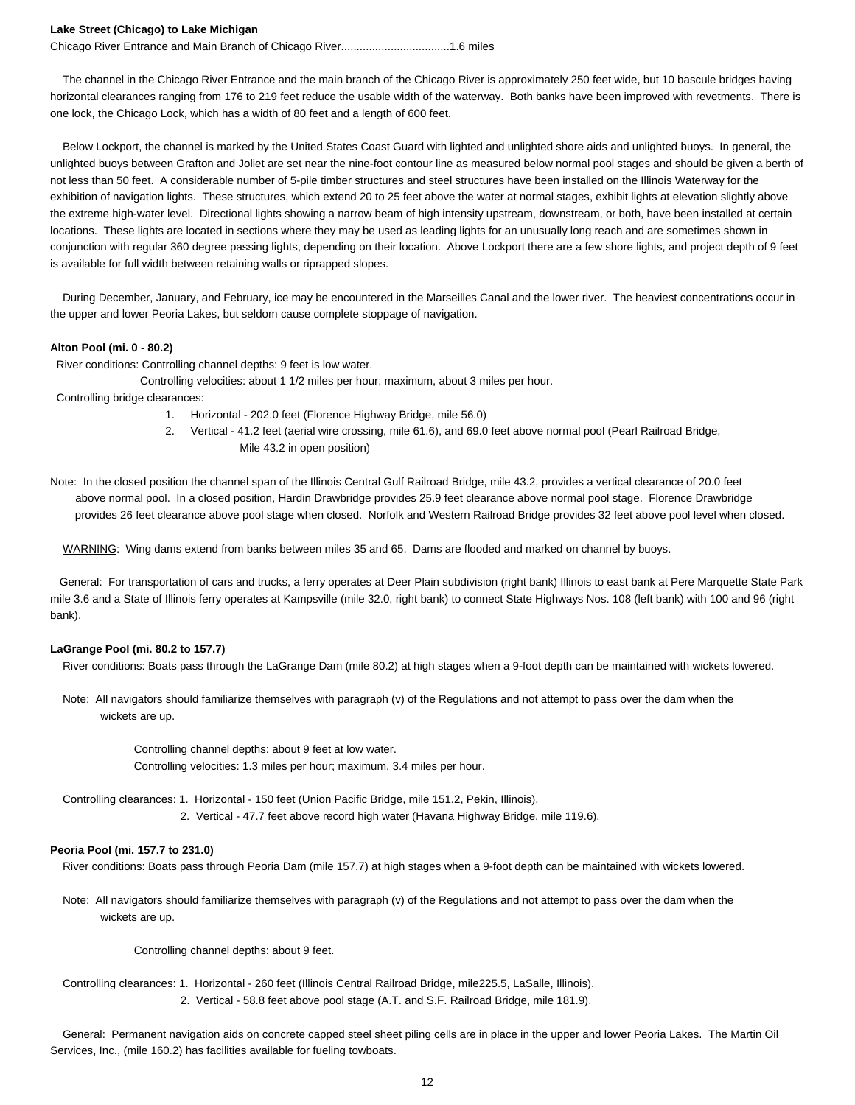#### **Lake Street (Chicago) to Lake Michigan**

Chicago River Entrance and Main Branch of Chicago River...................................1.6 miles

 The channel in the Chicago River Entrance and the main branch of the Chicago River is approximately 250 feet wide, but 10 bascule bridges having horizontal clearances ranging from 176 to 219 feet reduce the usable width of the waterway. Both banks have been improved with revetments. There is one lock, the Chicago Lock, which has a width of 80 feet and a length of 600 feet.

 Below Lockport, the channel is marked by the United States Coast Guard with lighted and unlighted shore aids and unlighted buoys. In general, the unlighted buoys between Grafton and Joliet are set near the nine-foot contour line as measured below normal pool stages and should be given a berth of not less than 50 feet. A considerable number of 5-pile timber structures and steel structures have been installed on the Illinois Waterway for the exhibition of navigation lights. These structures, which extend 20 to 25 feet above the water at normal stages, exhibit lights at elevation slightly above the extreme high-water level. Directional lights showing a narrow beam of high intensity upstream, downstream, or both, have been installed at certain locations. These lights are located in sections where they may be used as leading lights for an unusually long reach and are sometimes shown in conjunction with regular 360 degree passing lights, depending on their location. Above Lockport there are a few shore lights, and project depth of 9 feet is available for full width between retaining walls or riprapped slopes.

 During December, January, and February, ice may be encountered in the Marseilles Canal and the lower river. The heaviest concentrations occur in the upper and lower Peoria Lakes, but seldom cause complete stoppage of navigation.

#### **Alton Pool (mi. 0 - 80.2)**

River conditions: Controlling channel depths: 9 feet is low water.

Controlling velocities: about 1 1/2 miles per hour; maximum, about 3 miles per hour.

- Controlling bridge clearances:
	- 1. Horizontal 202.0 feet (Florence Highway Bridge, mile 56.0)
	- 2. Vertical 41.2 feet (aerial wire crossing, mile 61.6), and 69.0 feet above normal pool (Pearl Railroad Bridge, Mile 43.2 in open position)

Note: In the closed position the channel span of the Illinois Central Gulf Railroad Bridge, mile 43.2, provides a vertical clearance of 20.0 feet above normal pool. In a closed position, Hardin Drawbridge provides 25.9 feet clearance above normal pool stage. Florence Drawbridge provides 26 feet clearance above pool stage when closed. Norfolk and Western Railroad Bridge provides 32 feet above pool level when closed.

WARNING: Wing dams extend from banks between miles 35 and 65. Dams are flooded and marked on channel by buoys.

 General: For transportation of cars and trucks, a ferry operates at Deer Plain subdivision (right bank) Illinois to east bank at Pere Marquette State Park mile 3.6 and a State of Illinois ferry operates at Kampsville (mile 32.0, right bank) to connect State Highways Nos. 108 (left bank) with 100 and 96 (right bank).

#### **LaGrange Pool (mi. 80.2 to 157.7)**

River conditions: Boats pass through the LaGrange Dam (mile 80.2) at high stages when a 9-foot depth can be maintained with wickets lowered.

 Note: All navigators should familiarize themselves with paragraph (v) of the Regulations and not attempt to pass over the dam when the wickets are up.

> Controlling channel depths: about 9 feet at low water. Controlling velocities: 1.3 miles per hour; maximum, 3.4 miles per hour.

Controlling clearances: 1. Horizontal - 150 feet (Union Pacific Bridge, mile 151.2, Pekin, Illinois).

2. Vertical - 47.7 feet above record high water (Havana Highway Bridge, mile 119.6).

#### **Peoria Pool (mi. 157.7 to 231.0)**

River conditions: Boats pass through Peoria Dam (mile 157.7) at high stages when a 9-foot depth can be maintained with wickets lowered.

 Note: All navigators should familiarize themselves with paragraph (v) of the Regulations and not attempt to pass over the dam when the wickets are up.

Controlling channel depths: about 9 feet.

- Controlling clearances: 1. Horizontal 260 feet (Illinois Central Railroad Bridge, mile225.5, LaSalle, Illinois).
	- 2. Vertical 58.8 feet above pool stage (A.T. and S.F. Railroad Bridge, mile 181.9).

 General: Permanent navigation aids on concrete capped steel sheet piling cells are in place in the upper and lower Peoria Lakes. The Martin Oil Services, Inc., (mile 160.2) has facilities available for fueling towboats.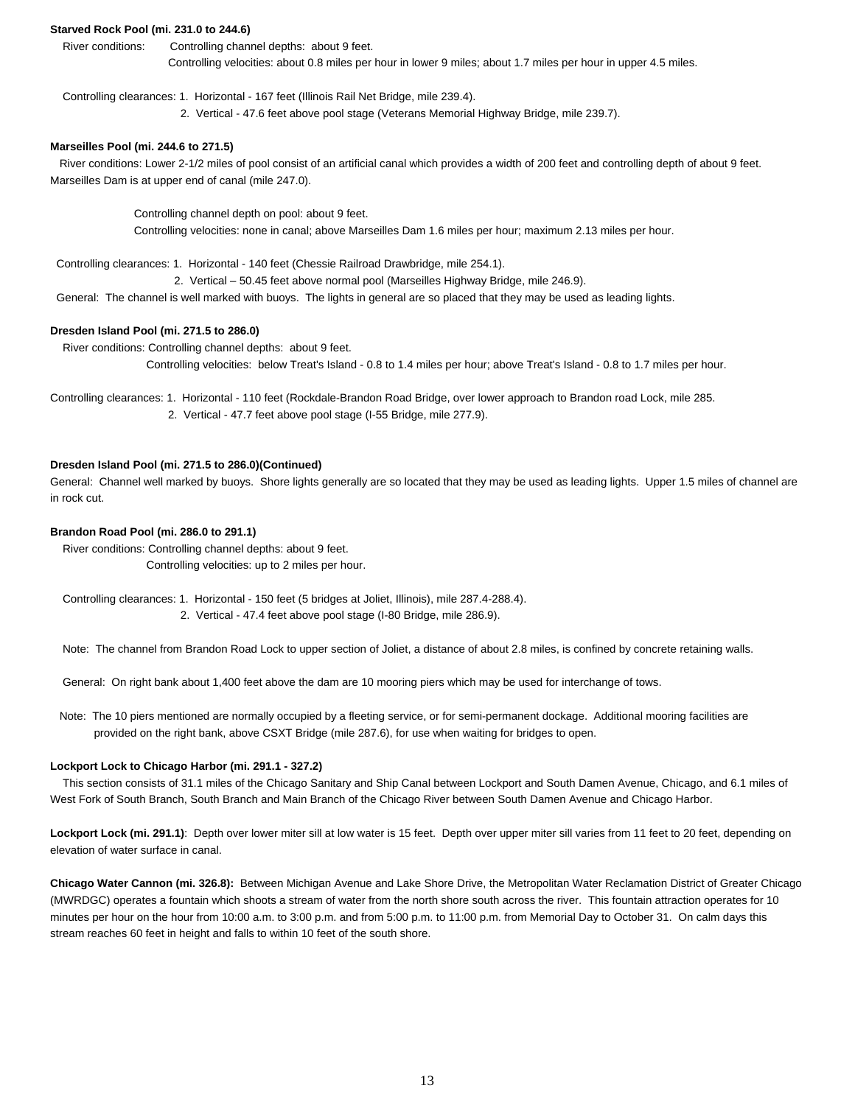### **Starved Rock Pool (mi. 231.0 to 244.6)**

 River conditions: Controlling channel depths: about 9 feet. Controlling velocities: about 0.8 miles per hour in lower 9 miles; about 1.7 miles per hour in upper 4.5 miles.

Controlling clearances: 1. Horizontal - 167 feet (Illinois Rail Net Bridge, mile 239.4).

2. Vertical - 47.6 feet above pool stage (Veterans Memorial Highway Bridge, mile 239.7).

#### **Marseilles Pool (mi. 244.6 to 271.5)**

 River conditions: Lower 2-1/2 miles of pool consist of an artificial canal which provides a width of 200 feet and controlling depth of about 9 feet. Marseilles Dam is at upper end of canal (mile 247.0).

> Controlling channel depth on pool: about 9 feet. Controlling velocities: none in canal; above Marseilles Dam 1.6 miles per hour; maximum 2.13 miles per hour.

Controlling clearances: 1. Horizontal - 140 feet (Chessie Railroad Drawbridge, mile 254.1).

2. Vertical – 50.45 feet above normal pool (Marseilles Highway Bridge, mile 246.9).

General: The channel is well marked with buoys. The lights in general are so placed that they may be used as leading lights.

#### **Dresden Island Pool (mi. 271.5 to 286.0)**

River conditions: Controlling channel depths: about 9 feet.

Controlling velocities: below Treat's Island - 0.8 to 1.4 miles per hour; above Treat's Island - 0.8 to 1.7 miles per hour.

Controlling clearances: 1. Horizontal - 110 feet (Rockdale-Brandon Road Bridge, over lower approach to Brandon road Lock, mile 285. 2. Vertical - 47.7 feet above pool stage (I-55 Bridge, mile 277.9).

#### **Dresden Island Pool (mi. 271.5 to 286.0)(Continued)**

General: Channel well marked by buoys. Shore lights generally are so located that they may be used as leading lights. Upper 1.5 miles of channel are in rock cut.

### **Brandon Road Pool (mi. 286.0 to 291.1)**

 River conditions: Controlling channel depths: about 9 feet. Controlling velocities: up to 2 miles per hour.

 Controlling clearances: 1. Horizontal - 150 feet (5 bridges at Joliet, Illinois), mile 287.4-288.4). 2. Vertical - 47.4 feet above pool stage (I-80 Bridge, mile 286.9).

Note: The channel from Brandon Road Lock to upper section of Joliet, a distance of about 2.8 miles, is confined by concrete retaining walls.

General: On right bank about 1,400 feet above the dam are 10 mooring piers which may be used for interchange of tows.

 Note: The 10 piers mentioned are normally occupied by a fleeting service, or for semi-permanent dockage. Additional mooring facilities are provided on the right bank, above CSXT Bridge (mile 287.6), for use when waiting for bridges to open.

#### **Lockport Lock to Chicago Harbor (mi. 291.1 - 327.2)**

 This section consists of 31.1 miles of the Chicago Sanitary and Ship Canal between Lockport and South Damen Avenue, Chicago, and 6.1 miles of West Fork of South Branch, South Branch and Main Branch of the Chicago River between South Damen Avenue and Chicago Harbor.

Lockport Lock (mi. 291.1): Depth over lower miter sill at low water is 15 feet. Depth over upper miter sill varies from 11 feet to 20 feet, depending on elevation of water surface in canal.

**Chicago Water Cannon (mi. 326.8):** Between Michigan Avenue and Lake Shore Drive, the Metropolitan Water Reclamation District of Greater Chicago (MWRDGC) operates a fountain which shoots a stream of water from the north shore south across the river. This fountain attraction operates for 10 minutes per hour on the hour from 10:00 a.m. to 3:00 p.m. and from 5:00 p.m. to 11:00 p.m. from Memorial Day to October 31. On calm days this stream reaches 60 feet in height and falls to within 10 feet of the south shore.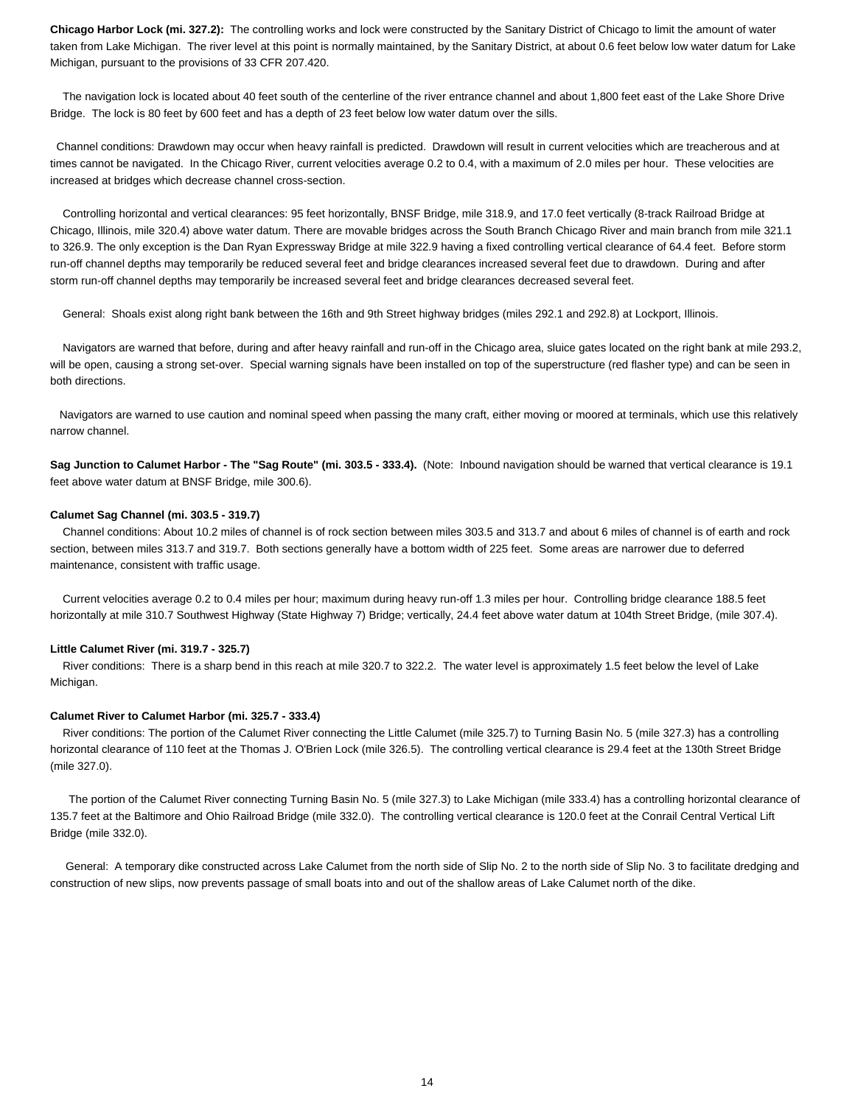**Chicago Harbor Lock (mi. 327.2):** The controlling works and lock were constructed by the Sanitary District of Chicago to limit the amount of water taken from Lake Michigan. The river level at this point is normally maintained, by the Sanitary District, at about 0.6 feet below low water datum for Lake Michigan, pursuant to the provisions of 33 CFR 207.420.

 The navigation lock is located about 40 feet south of the centerline of the river entrance channel and about 1,800 feet east of the Lake Shore Drive Bridge. The lock is 80 feet by 600 feet and has a depth of 23 feet below low water datum over the sills.

 Channel conditions: Drawdown may occur when heavy rainfall is predicted. Drawdown will result in current velocities which are treacherous and at times cannot be navigated. In the Chicago River, current velocities average 0.2 to 0.4, with a maximum of 2.0 miles per hour. These velocities are increased at bridges which decrease channel cross-section.

 Controlling horizontal and vertical clearances: 95 feet horizontally, BNSF Bridge, mile 318.9, and 17.0 feet vertically (8-track Railroad Bridge at Chicago, Illinois, mile 320.4) above water datum. There are movable bridges across the South Branch Chicago River and main branch from mile 321.1 to 326.9. The only exception is the Dan Ryan Expressway Bridge at mile 322.9 having a fixed controlling vertical clearance of 64.4 feet. Before storm run-off channel depths may temporarily be reduced several feet and bridge clearances increased several feet due to drawdown. During and after storm run-off channel depths may temporarily be increased several feet and bridge clearances decreased several feet.

General: Shoals exist along right bank between the 16th and 9th Street highway bridges (miles 292.1 and 292.8) at Lockport, Illinois.

 Navigators are warned that before, during and after heavy rainfall and run-off in the Chicago area, sluice gates located on the right bank at mile 293.2, will be open, causing a strong set-over. Special warning signals have been installed on top of the superstructure (red flasher type) and can be seen in both directions.

 Navigators are warned to use caution and nominal speed when passing the many craft, either moving or moored at terminals, which use this relatively narrow channel.

**Sag Junction to Calumet Harbor - The "Sag Route" (mi. 303.5 - 333.4).** (Note: Inbound navigation should be warned that vertical clearance is 19.1 feet above water datum at BNSF Bridge, mile 300.6).

#### **Calumet Sag Channel (mi. 303.5 - 319.7)**

 Channel conditions: About 10.2 miles of channel is of rock section between miles 303.5 and 313.7 and about 6 miles of channel is of earth and rock section, between miles 313.7 and 319.7. Both sections generally have a bottom width of 225 feet. Some areas are narrower due to deferred maintenance, consistent with traffic usage.

 Current velocities average 0.2 to 0.4 miles per hour; maximum during heavy run-off 1.3 miles per hour. Controlling bridge clearance 188.5 feet horizontally at mile 310.7 Southwest Highway (State Highway 7) Bridge; vertically, 24.4 feet above water datum at 104th Street Bridge, (mile 307.4).

#### **Little Calumet River (mi. 319.7 - 325.7)**

 River conditions: There is a sharp bend in this reach at mile 320.7 to 322.2. The water level is approximately 1.5 feet below the level of Lake Michigan.

#### **Calumet River to Calumet Harbor (mi. 325.7 - 333.4)**

 River conditions: The portion of the Calumet River connecting the Little Calumet (mile 325.7) to Turning Basin No. 5 (mile 327.3) has a controlling horizontal clearance of 110 feet at the Thomas J. O'Brien Lock (mile 326.5). The controlling vertical clearance is 29.4 feet at the 130th Street Bridge (mile 327.0).

 The portion of the Calumet River connecting Turning Basin No. 5 (mile 327.3) to Lake Michigan (mile 333.4) has a controlling horizontal clearance of 135.7 feet at the Baltimore and Ohio Railroad Bridge (mile 332.0). The controlling vertical clearance is 120.0 feet at the Conrail Central Vertical Lift Bridge (mile 332.0).

 General: A temporary dike constructed across Lake Calumet from the north side of Slip No. 2 to the north side of Slip No. 3 to facilitate dredging and construction of new slips, now prevents passage of small boats into and out of the shallow areas of Lake Calumet north of the dike.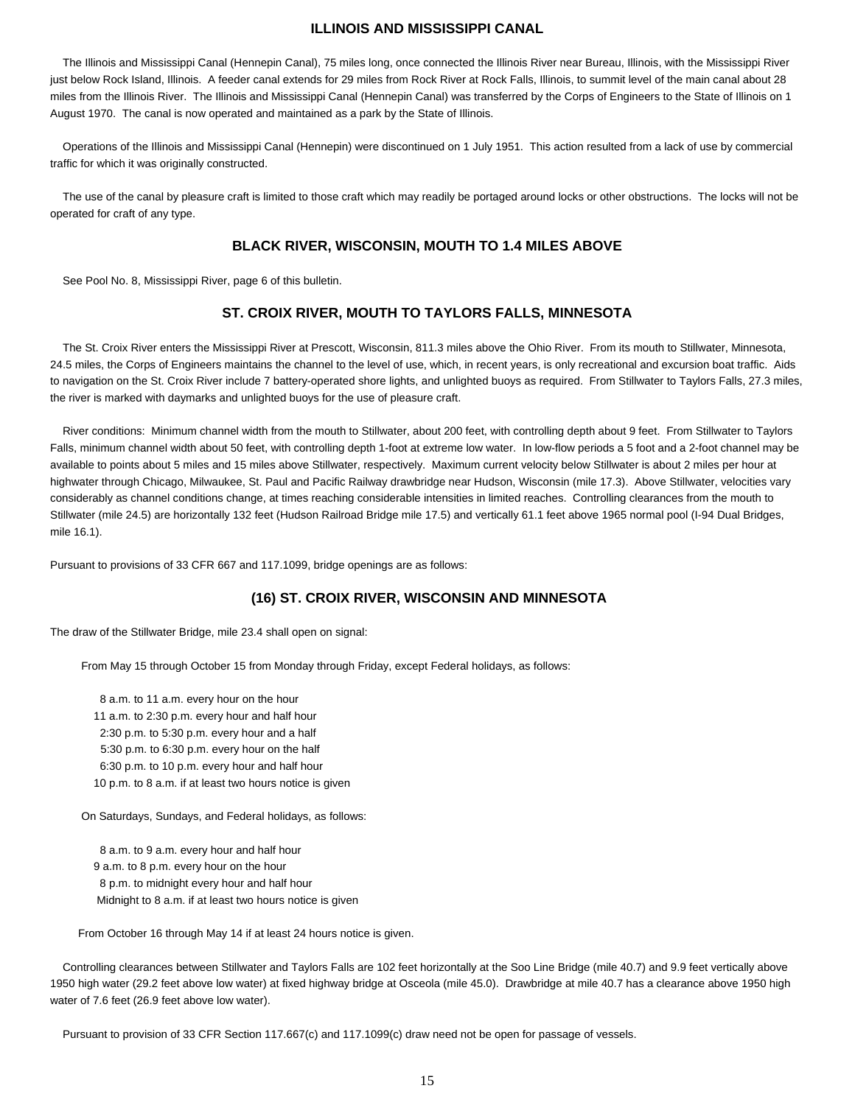### **ILLINOIS AND MISSISSIPPI CANAL**

 The Illinois and Mississippi Canal (Hennepin Canal), 75 miles long, once connected the Illinois River near Bureau, Illinois, with the Mississippi River just below Rock Island, Illinois. A feeder canal extends for 29 miles from Rock River at Rock Falls, Illinois, to summit level of the main canal about 28 miles from the Illinois River. The Illinois and Mississippi Canal (Hennepin Canal) was transferred by the Corps of Engineers to the State of Illinois on 1 August 1970. The canal is now operated and maintained as a park by the State of Illinois.

 Operations of the Illinois and Mississippi Canal (Hennepin) were discontinued on 1 July 1951. This action resulted from a lack of use by commercial traffic for which it was originally constructed.

 The use of the canal by pleasure craft is limited to those craft which may readily be portaged around locks or other obstructions. The locks will not be operated for craft of any type.

### **BLACK RIVER, WISCONSIN, MOUTH TO 1.4 MILES ABOVE**

See Pool No. 8, Mississippi River, page 6 of this bulletin.

### **ST. CROIX RIVER, MOUTH TO TAYLORS FALLS, MINNESOTA**

 The St. Croix River enters the Mississippi River at Prescott, Wisconsin, 811.3 miles above the Ohio River. From its mouth to Stillwater, Minnesota, 24.5 miles, the Corps of Engineers maintains the channel to the level of use, which, in recent years, is only recreational and excursion boat traffic. Aids to navigation on the St. Croix River include 7 battery-operated shore lights, and unlighted buoys as required. From Stillwater to Taylors Falls, 27.3 miles, the river is marked with daymarks and unlighted buoys for the use of pleasure craft.

 River conditions: Minimum channel width from the mouth to Stillwater, about 200 feet, with controlling depth about 9 feet. From Stillwater to Taylors Falls, minimum channel width about 50 feet, with controlling depth 1-foot at extreme low water. In low-flow periods a 5 foot and a 2-foot channel may be available to points about 5 miles and 15 miles above Stillwater, respectively. Maximum current velocity below Stillwater is about 2 miles per hour at highwater through Chicago, Milwaukee, St. Paul and Pacific Railway drawbridge near Hudson, Wisconsin (mile 17.3). Above Stillwater, velocities vary considerably as channel conditions change, at times reaching considerable intensities in limited reaches. Controlling clearances from the mouth to Stillwater (mile 24.5) are horizontally 132 feet (Hudson Railroad Bridge mile 17.5) and vertically 61.1 feet above 1965 normal pool (I-94 Dual Bridges, mile 16.1).

Pursuant to provisions of 33 CFR 667 and 117.1099, bridge openings are as follows:

### **(16) ST. CROIX RIVER, WISCONSIN AND MINNESOTA**

The draw of the Stillwater Bridge, mile 23.4 shall open on signal:

From May 15 through October 15 from Monday through Friday, except Federal holidays, as follows:

 8 a.m. to 11 a.m. every hour on the hour 11 a.m. to 2:30 p.m. every hour and half hour 2:30 p.m. to 5:30 p.m. every hour and a half 5:30 p.m. to 6:30 p.m. every hour on the half 6:30 p.m. to 10 p.m. every hour and half hour 10 p.m. to 8 a.m. if at least two hours notice is given

On Saturdays, Sundays, and Federal holidays, as follows:

 8 a.m. to 9 a.m. every hour and half hour 9 a.m. to 8 p.m. every hour on the hour 8 p.m. to midnight every hour and half hour Midnight to 8 a.m. if at least two hours notice is given

From October 16 through May 14 if at least 24 hours notice is given.

 Controlling clearances between Stillwater and Taylors Falls are 102 feet horizontally at the Soo Line Bridge (mile 40.7) and 9.9 feet vertically above 1950 high water (29.2 feet above low water) at fixed highway bridge at Osceola (mile 45.0). Drawbridge at mile 40.7 has a clearance above 1950 high water of 7.6 feet (26.9 feet above low water).

Pursuant to provision of 33 CFR Section 117.667(c) and 117.1099(c) draw need not be open for passage of vessels.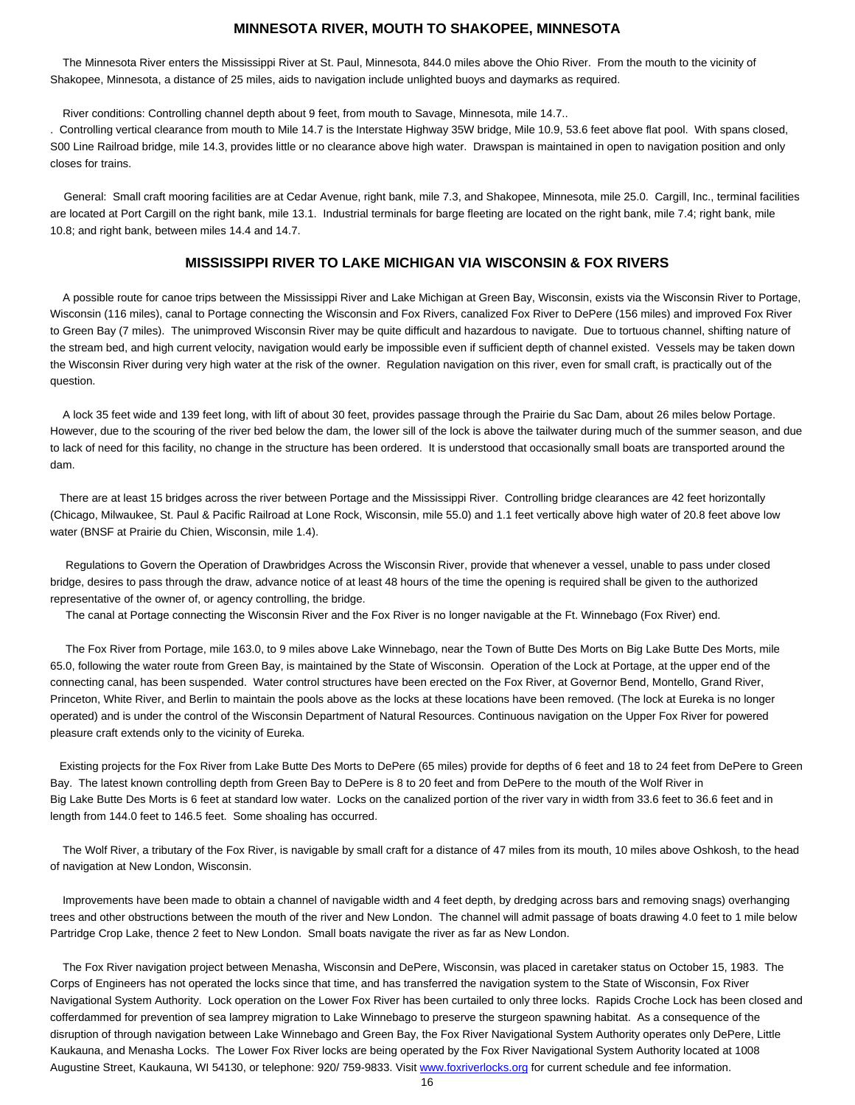### **MINNESOTA RIVER, MOUTH TO SHAKOPEE, MINNESOTA**

 The Minnesota River enters the Mississippi River at St. Paul, Minnesota, 844.0 miles above the Ohio River. From the mouth to the vicinity of Shakopee, Minnesota, a distance of 25 miles, aids to navigation include unlighted buoys and daymarks as required.

River conditions: Controlling channel depth about 9 feet, from mouth to Savage, Minnesota, mile 14.7..

. Controlling vertical clearance from mouth to Mile 14.7 is the Interstate Highway 35W bridge, Mile 10.9, 53.6 feet above flat pool. With spans closed, S00 Line Railroad bridge, mile 14.3, provides little or no clearance above high water. Drawspan is maintained in open to navigation position and only closes for trains.

 General: Small craft mooring facilities are at Cedar Avenue, right bank, mile 7.3, and Shakopee, Minnesota, mile 25.0. Cargill, Inc., terminal facilities are located at Port Cargill on the right bank, mile 13.1. Industrial terminals for barge fleeting are located on the right bank, mile 7.4; right bank, mile 10.8; and right bank, between miles 14.4 and 14.7.

### **MISSISSIPPI RIVER TO LAKE MICHIGAN VIA WISCONSIN & FOX RIVERS**

 A possible route for canoe trips between the Mississippi River and Lake Michigan at Green Bay, Wisconsin, exists via the Wisconsin River to Portage, Wisconsin (116 miles), canal to Portage connecting the Wisconsin and Fox Rivers, canalized Fox River to DePere (156 miles) and improved Fox River to Green Bay (7 miles). The unimproved Wisconsin River may be quite difficult and hazardous to navigate. Due to tortuous channel, shifting nature of the stream bed, and high current velocity, navigation would early be impossible even if sufficient depth of channel existed. Vessels may be taken down the Wisconsin River during very high water at the risk of the owner. Regulation navigation on this river, even for small craft, is practically out of the question.

 A lock 35 feet wide and 139 feet long, with lift of about 30 feet, provides passage through the Prairie du Sac Dam, about 26 miles below Portage. However, due to the scouring of the river bed below the dam, the lower sill of the lock is above the tailwater during much of the summer season, and due to lack of need for this facility, no change in the structure has been ordered. It is understood that occasionally small boats are transported around the dam.

 There are at least 15 bridges across the river between Portage and the Mississippi River. Controlling bridge clearances are 42 feet horizontally (Chicago, Milwaukee, St. Paul & Pacific Railroad at Lone Rock, Wisconsin, mile 55.0) and 1.1 feet vertically above high water of 20.8 feet above low water (BNSF at Prairie du Chien, Wisconsin, mile 1.4).

 Regulations to Govern the Operation of Drawbridges Across the Wisconsin River, provide that whenever a vessel, unable to pass under closed bridge, desires to pass through the draw, advance notice of at least 48 hours of the time the opening is required shall be given to the authorized representative of the owner of, or agency controlling, the bridge.

The canal at Portage connecting the Wisconsin River and the Fox River is no longer navigable at the Ft. Winnebago (Fox River) end.

 The Fox River from Portage, mile 163.0, to 9 miles above Lake Winnebago, near the Town of Butte Des Morts on Big Lake Butte Des Morts, mile 65.0, following the water route from Green Bay, is maintained by the State of Wisconsin. Operation of the Lock at Portage, at the upper end of the connecting canal, has been suspended. Water control structures have been erected on the Fox River, at Governor Bend, Montello, Grand River, Princeton, White River, and Berlin to maintain the pools above as the locks at these locations have been removed. (The lock at Eureka is no longer operated) and is under the control of the Wisconsin Department of Natural Resources. Continuous navigation on the Upper Fox River for powered pleasure craft extends only to the vicinity of Eureka.

 Existing projects for the Fox River from Lake Butte Des Morts to DePere (65 miles) provide for depths of 6 feet and 18 to 24 feet from DePere to Green Bay. The latest known controlling depth from Green Bay to DePere is 8 to 20 feet and from DePere to the mouth of the Wolf River in Big Lake Butte Des Morts is 6 feet at standard low water. Locks on the canalized portion of the river vary in width from 33.6 feet to 36.6 feet and in length from 144.0 feet to 146.5 feet. Some shoaling has occurred.

 The Wolf River, a tributary of the Fox River, is navigable by small craft for a distance of 47 miles from its mouth, 10 miles above Oshkosh, to the head of navigation at New London, Wisconsin.

 Improvements have been made to obtain a channel of navigable width and 4 feet depth, by dredging across bars and removing snags) overhanging trees and other obstructions between the mouth of the river and New London. The channel will admit passage of boats drawing 4.0 feet to 1 mile below Partridge Crop Lake, thence 2 feet to New London. Small boats navigate the river as far as New London.

 The Fox River navigation project between Menasha, Wisconsin and DePere, Wisconsin, was placed in caretaker status on October 15, 1983. The Corps of Engineers has not operated the locks since that time, and has transferred the navigation system to the State of Wisconsin, Fox River Navigational System Authority. Lock operation on the Lower Fox River has been curtailed to only three locks. Rapids Croche Lock has been closed and cofferdammed for prevention of sea lamprey migration to Lake Winnebago to preserve the sturgeon spawning habitat. As a consequence of the disruption of through navigation between Lake Winnebago and Green Bay, the Fox River Navigational System Authority operates only DePere, Little Kaukauna, and Menasha Locks. The Lower Fox River locks are being operated by the Fox River Navigational System Authority located at 1008 Augustine Street, Kaukauna, WI 54130, or telephone: 920/759-9833. Visit www.foxriverlocks.org for current schedule and fee information.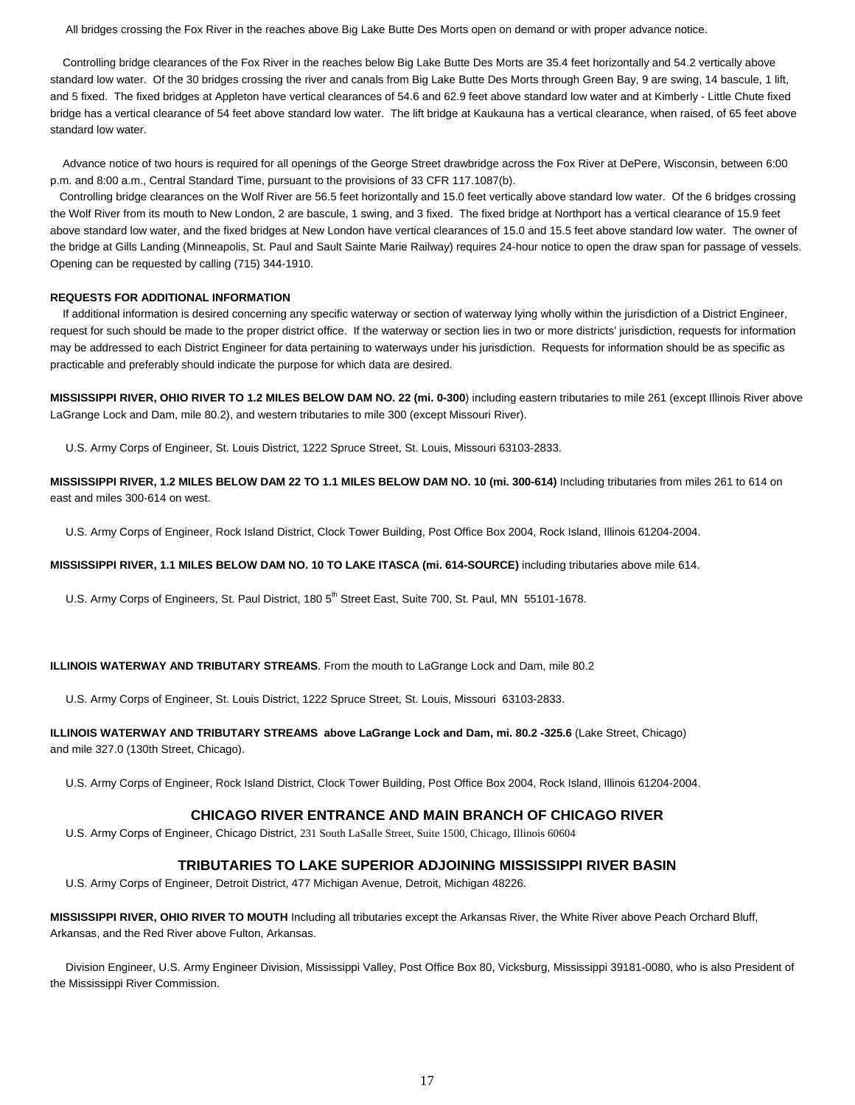All bridges crossing the Fox River in the reaches above Big Lake Butte Des Morts open on demand or with proper advance notice.

 Controlling bridge clearances of the Fox River in the reaches below Big Lake Butte Des Morts are 35.4 feet horizontally and 54.2 vertically above standard low water. Of the 30 bridges crossing the river and canals from Big Lake Butte Des Morts through Green Bay, 9 are swing, 14 bascule, 1 lift, and 5 fixed. The fixed bridges at Appleton have vertical clearances of 54.6 and 62.9 feet above standard low water and at Kimberly - Little Chute fixed bridge has a vertical clearance of 54 feet above standard low water. The lift bridge at Kaukauna has a vertical clearance, when raised, of 65 feet above standard low water.

 Advance notice of two hours is required for all openings of the George Street drawbridge across the Fox River at DePere, Wisconsin, between 6:00 p.m. and 8:00 a.m., Central Standard Time, pursuant to the provisions of 33 CFR 117.1087(b).

 Controlling bridge clearances on the Wolf River are 56.5 feet horizontally and 15.0 feet vertically above standard low water. Of the 6 bridges crossing the Wolf River from its mouth to New London, 2 are bascule, 1 swing, and 3 fixed. The fixed bridge at Northport has a vertical clearance of 15.9 feet above standard low water, and the fixed bridges at New London have vertical clearances of 15.0 and 15.5 feet above standard low water. The owner of the bridge at Gills Landing (Minneapolis, St. Paul and Sault Sainte Marie Railway) requires 24-hour notice to open the draw span for passage of vessels. Opening can be requested by calling (715) 344-1910.

#### **REQUESTS FOR ADDITIONAL INFORMATION**

 If additional information is desired concerning any specific waterway or section of waterway lying wholly within the jurisdiction of a District Engineer, request for such should be made to the proper district office. If the waterway or section lies in two or more districts' jurisdiction, requests for information may be addressed to each District Engineer for data pertaining to waterways under his jurisdiction. Requests for information should be as specific as practicable and preferably should indicate the purpose for which data are desired.

**MISSISSIPPI RIVER, OHIO RIVER TO 1.2 MILES BELOW DAM NO. 22 (mi. 0-300**) including eastern tributaries to mile 261 (except Illinois River above LaGrange Lock and Dam, mile 80.2), and western tributaries to mile 300 (except Missouri River).

U.S. Army Corps of Engineer, St. Louis District, 1222 Spruce Street, St. Louis, Missouri 63103-2833.

**MISSISSIPPI RIVER, 1.2 MILES BELOW DAM 22 TO 1.1 MILES BELOW DAM NO. 10 (mi. 300-614)** Including tributaries from miles 261 to 614 on east and miles 300-614 on west.

U.S. Army Corps of Engineer, Rock Island District, Clock Tower Building, Post Office Box 2004, Rock Island, Illinois 61204-2004.

**MISSISSIPPI RIVER, 1.1 MILES BELOW DAM NO. 10 TO LAKE ITASCA (mi. 614-SOURCE)** including tributaries above mile 614.

U.S. Army Corps of Engineers, St. Paul District, 180 5<sup>th</sup> Street East, Suite 700, St. Paul, MN 55101-1678.

#### **ILLINOIS WATERWAY AND TRIBUTARY STREAMS**. From the mouth to LaGrange Lock and Dam, mile 80.2

U.S. Army Corps of Engineer, St. Louis District, 1222 Spruce Street, St. Louis, Missouri 63103-2833.

### **ILLINOIS WATERWAY AND TRIBUTARY STREAMS above LaGrange Lock and Dam, mi. 80.2 -325.6** (Lake Street, Chicago) and mile 327.0 (130th Street, Chicago).

U.S. Army Corps of Engineer, Rock Island District, Clock Tower Building, Post Office Box 2004, Rock Island, Illinois 61204-2004.

#### **CHICAGO RIVER ENTRANCE AND MAIN BRANCH OF CHICAGO RIVER**

U.S. Army Corps of Engineer, Chicago District, 231 South LaSalle Street, Suite 1500, Chicago, Illinois 60604

### **TRIBUTARIES TO LAKE SUPERIOR ADJOINING MISSISSIPPI RIVER BASIN**

U.S. Army Corps of Engineer, Detroit District, 477 Michigan Avenue, Detroit, Michigan 48226.

**MISSISSIPPI RIVER, OHIO RIVER TO MOUTH** Including all tributaries except the Arkansas River, the White River above Peach Orchard Bluff, Arkansas, and the Red River above Fulton, Arkansas.

 Division Engineer, U.S. Army Engineer Division, Mississippi Valley, Post Office Box 80, Vicksburg, Mississippi 39181-0080, who is also President of the Mississippi River Commission.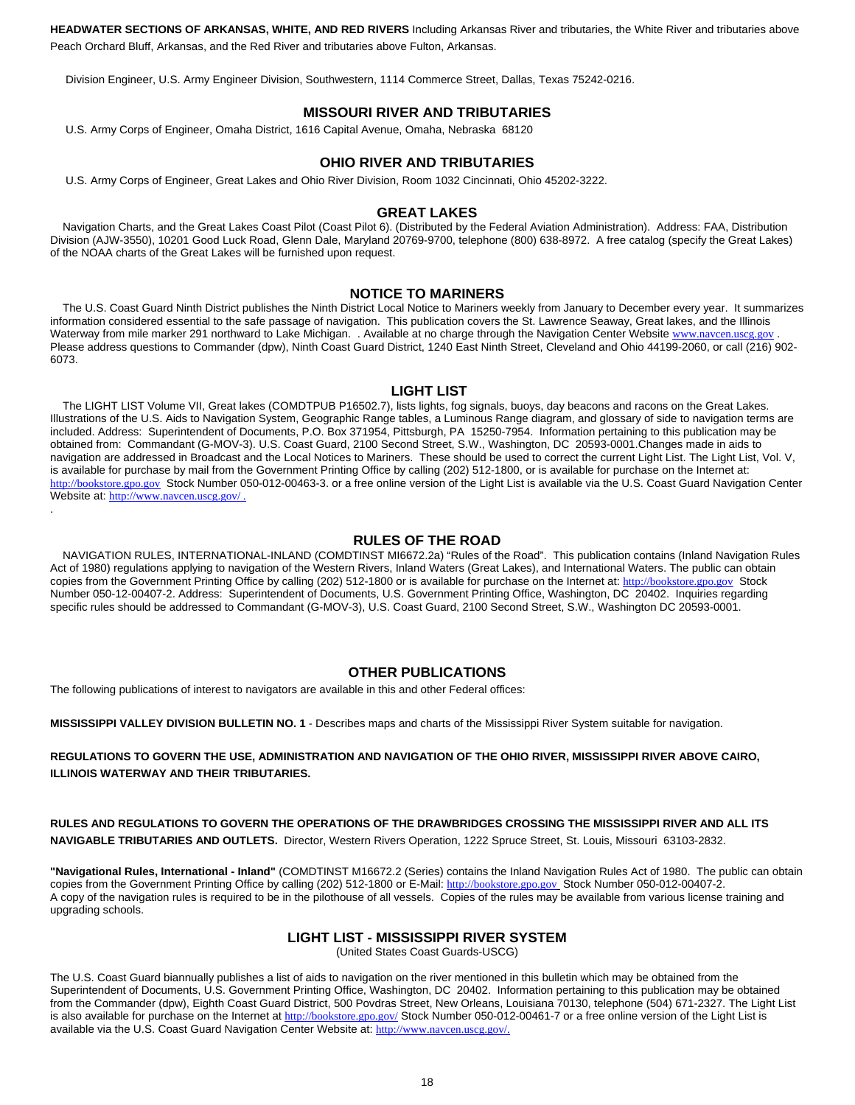**HEADWATER SECTIONS OF ARKANSAS, WHITE, AND RED RIVERS** Including Arkansas River and tributaries, the White River and tributaries above Peach Orchard Bluff, Arkansas, and the Red River and tributaries above Fulton, Arkansas.

Division Engineer, U.S. Army Engineer Division, Southwestern, 1114 Commerce Street, Dallas, Texas 75242-0216.

### **MISSOURI RIVER AND TRIBUTARIES**

U.S. Army Corps of Engineer, Omaha District, 1616 Capital Avenue, Omaha, Nebraska 68120

### **OHIO RIVER AND TRIBUTARIES**

U.S. Army Corps of Engineer, Great Lakes and Ohio River Division, Room 1032 Cincinnati, Ohio 45202-3222.

#### **GREAT LAKES**

 Navigation Charts, and the Great Lakes Coast Pilot (Coast Pilot 6). (Distributed by the Federal Aviation Administration). Address: FAA, Distribution Division (AJW-3550), 10201 Good Luck Road, Glenn Dale, Maryland 20769-9700, telephone (800) 638-8972. A free catalog (specify the Great Lakes) of the NOAA charts of the Great Lakes will be furnished upon request.

#### **NOTICE TO MARINERS**

 The U.S. Coast Guard Ninth District publishes the Ninth District Local Notice to Mariners weekly from January to December every year. It summarizes information considered essential to the safe passage of navigation. This publication covers the St. Lawrence Seaway, Great lakes, and the Illinois Waterway from mile marker 291 northward to Lake Michigan. . Available at no charge through the Navigation Center Website www.navcen.uscg.gov Please address questions to Commander (dpw), Ninth Coast Guard District, 1240 East Ninth Street, Cleveland and Ohio 44199-2060, or call (216) 902- 6073.

#### **LIGHT LIST**

 The LIGHT LIST Volume VII, Great lakes (COMDTPUB P16502.7), lists lights, fog signals, buoys, day beacons and racons on the Great Lakes. Illustrations of the U.S. Aids to Navigation System, Geographic Range tables, a Luminous Range diagram, and glossary of side to navigation terms are included. Address: Superintendent of Documents, P.O. Box 371954, Pittsburgh, PA 15250-7954. Information pertaining to this publication may be obtained from: Commandant (G-MOV-3). U.S. Coast Guard, 2100 Second Street, S.W., Washington, DC 20593-0001.Changes made in aids to navigation are addressed in Broadcast and the Local Notices to Mariners. These should be used to correct the current Light List. The Light List, Vol. V, is available for purchase by mail from the Government Printing Office by calling (202) 512-1800, or is available for purchase on the Internet at: http://bookstore.gpo.gov Stock Number 050-012-00463-3. or a free online version of the Light List is available via the U.S. Coast Guard Navigation Center Website at: http://www.navcen.uscg.gov/ .

### **RULES OF THE ROAD**

 NAVIGATION RULES, INTERNATIONAL-INLAND (COMDTINST MI6672.2a) "Rules of the Road". This publication contains (Inland Navigation Rules Act of 1980) regulations applying to navigation of the Western Rivers, Inland Waters (Great Lakes), and International Waters. The public can obtain copies from the Government Printing Office by calling (202) 512-1800 or is available for purchase on the Internet at: http://bookstore.gpo.gov Stock Number 050-12-00407-2. Address: Superintendent of Documents, U.S. Government Printing Office, Washington, DC 20402. Inquiries regarding specific rules should be addressed to Commandant (G-MOV-3), U.S. Coast Guard, 2100 Second Street, S.W., Washington DC 20593-0001.

#### **OTHER PUBLICATIONS**

The following publications of interest to navigators are available in this and other Federal offices:

.

**MISSISSIPPI VALLEY DIVISION BULLETIN NO. 1** - Describes maps and charts of the Mississippi River System suitable for navigation.

### **REGULATIONS TO GOVERN THE USE, ADMINISTRATION AND NAVIGATION OF THE OHIO RIVER, MISSISSIPPI RIVER ABOVE CAIRO, ILLINOIS WATERWAY AND THEIR TRIBUTARIES.**

**RULES AND REGULATIONS TO GOVERN THE OPERATIONS OF THE DRAWBRIDGES CROSSING THE MISSISSIPPI RIVER AND ALL ITS NAVIGABLE TRIBUTARIES AND OUTLETS.** Director, Western Rivers Operation, 1222 Spruce Street, St. Louis, Missouri 63103-2832.

**"Navigational Rules, International - Inland"** (COMDTINST M16672.2 (Series) contains the Inland Navigation Rules Act of 1980. The public can obtain copies from the Government Printing Office by calling (202) 512-1800 or E-Mail: http://bookstore.gpo.gov Stock Number 050-012-00407-2. A copy of the navigation rules is required to be in the pilothouse of all vessels. Copies of the rules may be available from various license training and upgrading schools.

#### **LIGHT LIST - MISSISSIPPI RIVER SYSTEM**

(United States Coast Guards-USCG)

The U.S. Coast Guard biannually publishes a list of aids to navigation on the river mentioned in this bulletin which may be obtained from the Superintendent of Documents, U.S. Government Printing Office, Washington, DC 20402. Information pertaining to this publication may be obtained from the Commander (dpw), Eighth Coast Guard District, 500 Povdras Street, New Orleans, Louisiana 70130, telephone (504) 671-2327. The Light List is also available for purchase on the Internet at http://bookstore.gpo.gov/ Stock Number 050-012-00461-7 or a free online version of the Light List is available via the U.S. Coast Guard Navigation Center Website at: http://www.navcen.uscg.gov/.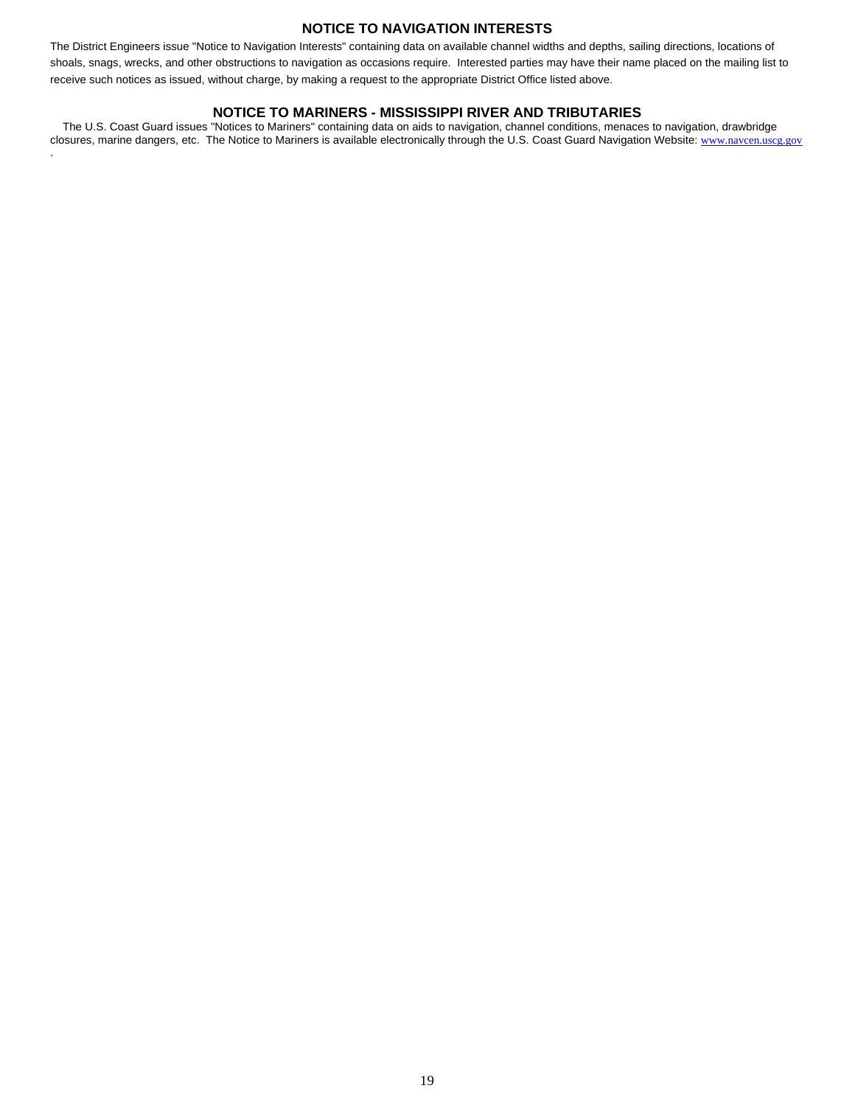### **NOTICE TO NAVIGATION INTERESTS**

The District Engineers issue "Notice to Navigation Interests" containing data on available channel widths and depths, sailing directions, locations of shoals, snags, wrecks, and other obstructions to navigation as occasions require. Interested parties may have their name placed on the mailing list to receive such notices as issued, without charge, by making a request to the appropriate District Office listed above.

### **NOTICE TO MARINERS - MISSISSIPPI RIVER AND TRIBUTARIES**

 The U.S. Coast Guard issues "Notices to Mariners" containing data on aids to navigation, channel conditions, menaces to navigation, drawbridge closures, marine dangers, etc. The Notice to Mariners is available electronically through the U.S. Coast Guard Navigation Website: www.navcen.uscg.gov

.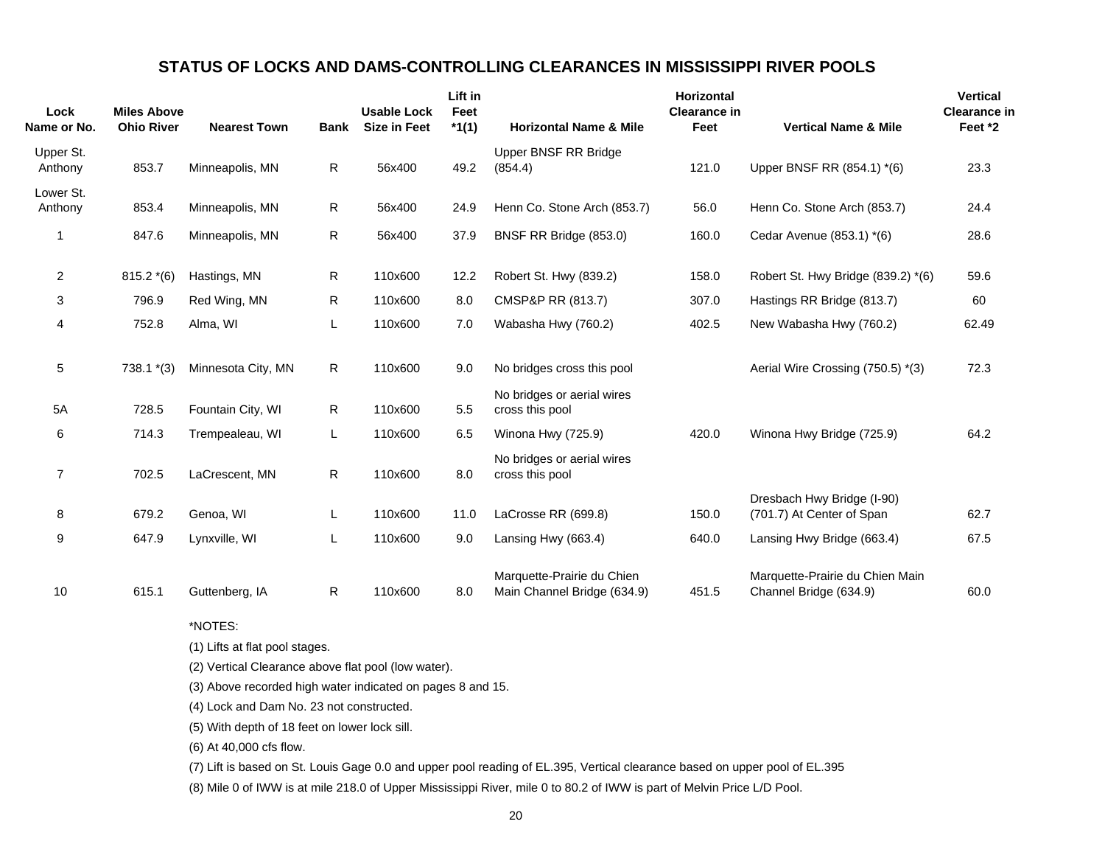# **STATUS OF LOCKS AND DAMS-CONTROLLING CLEARANCES IN MISSISSIPPI RIVER POOLS**

| Lock<br>Name or No.  | <b>Miles Above</b><br><b>Ohio River</b> | <b>Nearest Town</b> | <b>Bank</b> | <b>Usable Lock</b><br><b>Size in Feet</b> | Lift in<br>Feet<br>$*1(1)$ | <b>Horizontal Name &amp; Mile</b>                         | <b>Horizontal</b><br><b>Clearance in</b><br>Feet | <b>Vertical Name &amp; Mile</b>                           | <b>Vertical</b><br><b>Clearance in</b><br>Feet *2 |
|----------------------|-----------------------------------------|---------------------|-------------|-------------------------------------------|----------------------------|-----------------------------------------------------------|--------------------------------------------------|-----------------------------------------------------------|---------------------------------------------------|
| Upper St.<br>Anthony | 853.7                                   | Minneapolis, MN     | R           | 56x400                                    | 49.2                       | <b>Upper BNSF RR Bridge</b><br>(854.4)                    | 121.0                                            | Upper BNSF RR (854.1) *(6)                                | 23.3                                              |
| Lower St.<br>Anthony | 853.4                                   | Minneapolis, MN     | R           | 56x400                                    | 24.9                       | Henn Co. Stone Arch (853.7)                               | 56.0                                             | Henn Co. Stone Arch (853.7)                               | 24.4                                              |
| 1                    | 847.6                                   | Minneapolis, MN     | R           | 56x400                                    | 37.9                       | BNSF RR Bridge (853.0)                                    | 160.0                                            | Cedar Avenue (853.1) *(6)                                 | 28.6                                              |
| 2                    | $815.2*(6)$                             | Hastings, MN        | R           | 110x600                                   | 12.2                       | Robert St. Hwy (839.2)                                    | 158.0                                            | Robert St. Hwy Bridge (839.2) *(6)                        | 59.6                                              |
| 3                    | 796.9                                   | Red Wing, MN        | R           | 110x600                                   | 8.0                        | CMSP&P RR (813.7)                                         | 307.0                                            | Hastings RR Bridge (813.7)                                | 60                                                |
| 4                    | 752.8                                   | Alma, WI            | L           | 110x600                                   | 7.0                        | Wabasha Hwy (760.2)                                       | 402.5                                            | New Wabasha Hwy (760.2)                                   | 62.49                                             |
| 5                    | $738.1*(3)$                             | Minnesota City, MN  | R           | 110x600                                   | 9.0                        | No bridges cross this pool                                |                                                  | Aerial Wire Crossing (750.5) *(3)                         | 72.3                                              |
| 5A                   | 728.5                                   | Fountain City, WI   | R           | 110x600                                   | 5.5                        | No bridges or aerial wires<br>cross this pool             |                                                  |                                                           |                                                   |
| 6                    | 714.3                                   | Trempealeau, WI     | L           | 110x600                                   | 6.5                        | Winona Hwy (725.9)                                        | 420.0                                            | Winona Hwy Bridge (725.9)                                 | 64.2                                              |
| 7                    | 702.5                                   | LaCrescent, MN      | R           | 110x600                                   | 8.0                        | No bridges or aerial wires<br>cross this pool             |                                                  |                                                           |                                                   |
| 8                    | 679.2                                   | Genoa, WI           | L           | 110x600                                   | 11.0                       | LaCrosse RR (699.8)                                       | 150.0                                            | Dresbach Hwy Bridge (I-90)<br>(701.7) At Center of Span   | 62.7                                              |
| 9                    | 647.9                                   | Lynxville, WI       | L           | 110x600                                   | 9.0                        | Lansing Hwy (663.4)                                       | 640.0                                            | Lansing Hwy Bridge (663.4)                                | 67.5                                              |
| 10                   | 615.1                                   | Guttenberg, IA      | R           | 110x600                                   | 8.0                        | Marquette-Prairie du Chien<br>Main Channel Bridge (634.9) | 451.5                                            | Marquette-Prairie du Chien Main<br>Channel Bridge (634.9) | 60.0                                              |

\*NOTES:

(1) Lifts at flat pool stages.

(2) Vertical Clearance above flat pool (low water).

(3) Above recorded high water indicated on pages 8 and 15.

(4) Lock and Dam No. 23 not constructed.

(5) With depth of 18 feet on lower lock sill.

(6) At 40,000 cfs flow.

(7) Lift is based on St. Louis Gage 0.0 and upper pool reading of EL.395, Vertical clearance based on upper pool of EL.395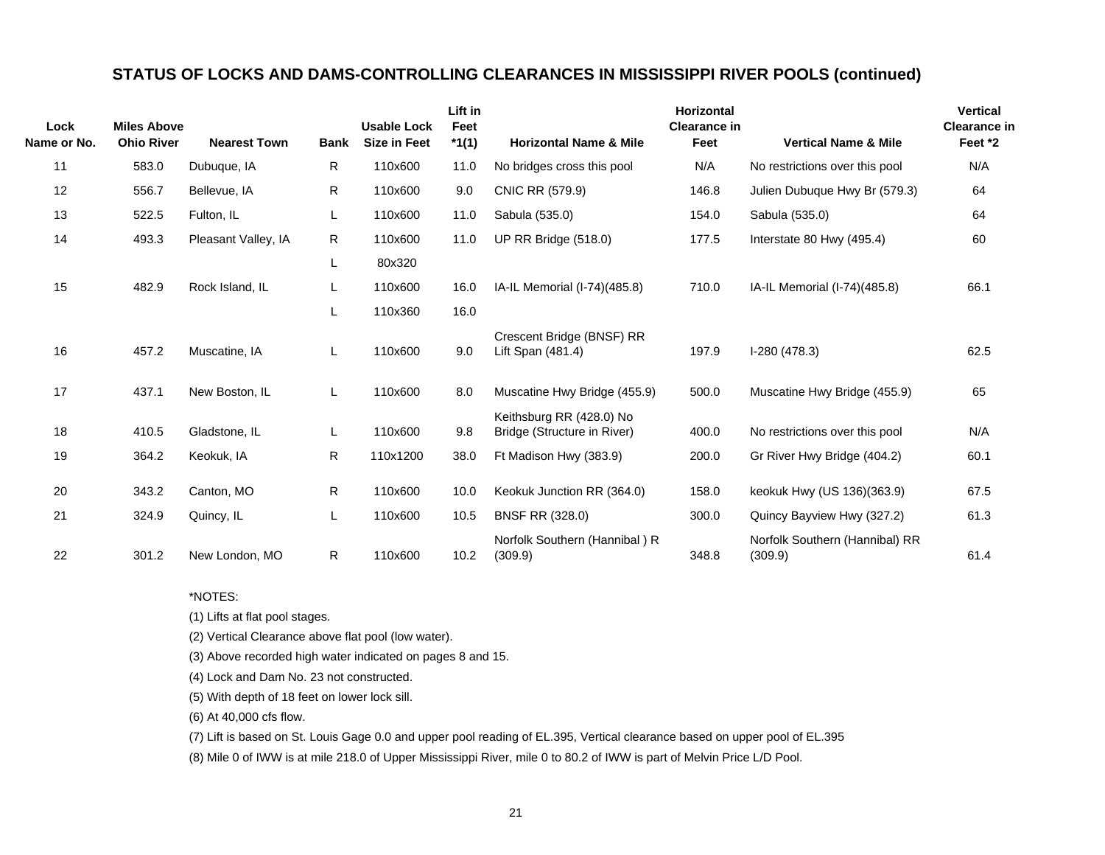# **STATUS OF LOCKS AND DAMS-CONTROLLING CLEARANCES IN MISSISSIPPI RIVER POOLS (continued)**

| Lock<br>Name or No. | <b>Miles Above</b><br><b>Ohio River</b> | <b>Nearest Town</b> | <b>Bank</b>  | <b>Usable Lock</b><br><b>Size in Feet</b> | Lift in<br>Feet<br>$*1(1)$ | <b>Horizontal Name &amp; Mile</b>                       | <b>Horizontal</b><br><b>Clearance in</b><br>Feet | <b>Vertical Name &amp; Mile</b>           | <b>Vertical</b><br><b>Clearance in</b><br>Feet *2 |
|---------------------|-----------------------------------------|---------------------|--------------|-------------------------------------------|----------------------------|---------------------------------------------------------|--------------------------------------------------|-------------------------------------------|---------------------------------------------------|
| 11                  | 583.0                                   | Dubuque, IA         | $\mathsf{R}$ | 110x600                                   | 11.0                       | No bridges cross this pool                              | N/A                                              | No restrictions over this pool            | N/A                                               |
| 12                  | 556.7                                   | Bellevue, IA        | R            | 110x600                                   | 9.0                        | CNIC RR (579.9)                                         | 146.8                                            | Julien Dubuque Hwy Br (579.3)             | 64                                                |
| 13                  | 522.5                                   | Fulton, IL          | L            | 110x600                                   | 11.0                       | Sabula (535.0)                                          | 154.0                                            | Sabula (535.0)                            | 64                                                |
| 14                  | 493.3                                   | Pleasant Valley, IA | R            | 110x600                                   | 11.0                       | UP RR Bridge (518.0)                                    | 177.5                                            | Interstate 80 Hwy (495.4)                 | 60                                                |
|                     |                                         |                     | L            | 80x320                                    |                            |                                                         |                                                  |                                           |                                                   |
| 15                  | 482.9                                   | Rock Island, IL     | L            | 110x600                                   | 16.0                       | IA-IL Memorial (I-74)(485.8)                            | 710.0                                            | IA-IL Memorial (I-74)(485.8)              | 66.1                                              |
|                     |                                         |                     |              | 110x360                                   | 16.0                       |                                                         |                                                  |                                           |                                                   |
| 16                  | 457.2                                   | Muscatine, IA       | L            | 110x600                                   | 9.0                        | Crescent Bridge (BNSF) RR<br>Lift Span (481.4)          | 197.9                                            | $I-280(478.3)$                            | 62.5                                              |
| 17                  | 437.1                                   | New Boston, IL      | L            | 110x600                                   | 8.0                        | Muscatine Hwy Bridge (455.9)                            | 500.0                                            | Muscatine Hwy Bridge (455.9)              | 65                                                |
| 18                  | 410.5                                   | Gladstone, IL       | L            | 110x600                                   | 9.8                        | Keithsburg RR (428.0) No<br>Bridge (Structure in River) | 400.0                                            | No restrictions over this pool            | N/A                                               |
| 19                  | 364.2                                   | Keokuk, IA          | R.           | 110x1200                                  | 38.0                       | Ft Madison Hwy (383.9)                                  | 200.0                                            | Gr River Hwy Bridge (404.2)               | 60.1                                              |
| 20                  | 343.2                                   | Canton, MO          | R.           | 110x600                                   | 10.0                       | Keokuk Junction RR (364.0)                              | 158.0                                            | keokuk Hwy (US 136)(363.9)                | 67.5                                              |
| 21                  | 324.9                                   | Quincy, IL          | L            | 110x600                                   | 10.5                       | <b>BNSF RR (328.0)</b>                                  | 300.0                                            | Quincy Bayview Hwy (327.2)                | 61.3                                              |
| 22                  | 301.2                                   | New London, MO      | $\mathsf{R}$ | 110x600                                   | 10.2                       | Norfolk Southern (Hannibal) R<br>(309.9)                | 348.8                                            | Norfolk Southern (Hannibal) RR<br>(309.9) | 61.4                                              |

\*NOTES:

(1) Lifts at flat pool stages.

(2) Vertical Clearance above flat pool (low water).

(3) Above recorded high water indicated on pages 8 and 15.

(4) Lock and Dam No. 23 not constructed.

(5) With depth of 18 feet on lower lock sill.

(6) At 40,000 cfs flow.

(7) Lift is based on St. Louis Gage 0.0 and upper pool reading of EL.395, Vertical clearance based on upper pool of EL.395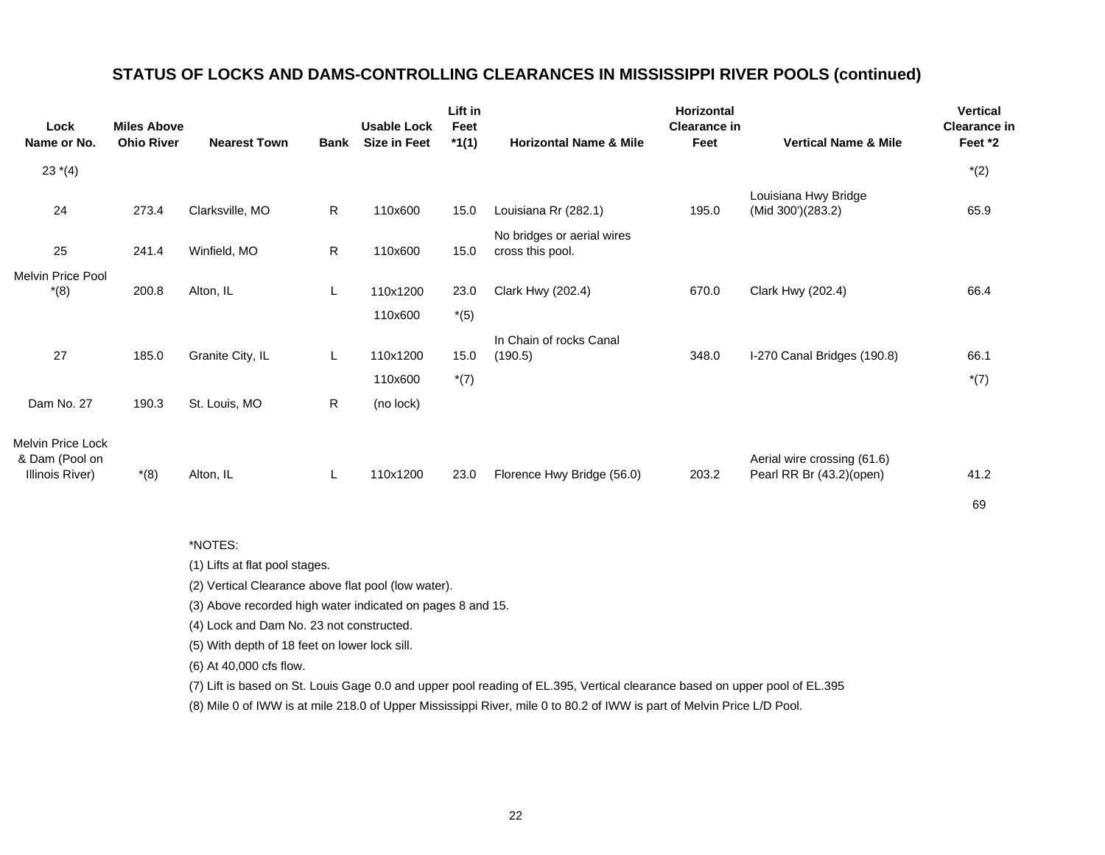# **STATUS OF LOCKS AND DAMS-CONTROLLING CLEARANCES IN MISSISSIPPI RIVER POOLS (continued)**

| Lock<br>Name or No.                 | <b>Miles Above</b><br><b>Ohio River</b> | <b>Nearest Town</b> | <b>Bank</b> | <b>Usable Lock</b><br><b>Size in Feet</b> | Lift in<br>Feet<br>$*1(1)$ | <b>Horizontal Name &amp; Mile</b>              | Horizontal<br><b>Clearance in</b><br>Feet | <b>Vertical Name &amp; Mile</b>           | <b>Vertical</b><br><b>Clearance in</b><br>Feet *2 |
|-------------------------------------|-----------------------------------------|---------------------|-------------|-------------------------------------------|----------------------------|------------------------------------------------|-------------------------------------------|-------------------------------------------|---------------------------------------------------|
|                                     |                                         |                     |             |                                           |                            |                                                |                                           |                                           |                                                   |
| $23*(4)$                            |                                         |                     |             |                                           |                            |                                                |                                           |                                           | $*(2)$                                            |
| 24                                  | 273.4                                   | Clarksville, MO     | R           | 110x600                                   | 15.0                       | Louisiana Rr (282.1)                           | 195.0                                     | Louisiana Hwy Bridge<br>(Mid 300')(283.2) | 65.9                                              |
| 25                                  | 241.4                                   | Winfield, MO        | R           | 110x600                                   | 15.0                       | No bridges or aerial wires<br>cross this pool. |                                           |                                           |                                                   |
| Melvin Price Pool                   |                                         |                     |             |                                           |                            |                                                |                                           |                                           |                                                   |
| $*(8)$                              | 200.8                                   | Alton, IL           | L           | 110x1200                                  | 23.0                       | Clark Hwy (202.4)                              | 670.0                                     | Clark Hwy (202.4)                         | 66.4                                              |
|                                     |                                         |                     |             | 110x600                                   | $*(5)$                     |                                                |                                           |                                           |                                                   |
|                                     |                                         |                     |             |                                           |                            | In Chain of rocks Canal                        |                                           |                                           |                                                   |
| 27                                  | 185.0                                   | Granite City, IL    | L           | 110x1200                                  | 15.0                       | (190.5)                                        | 348.0                                     | I-270 Canal Bridges (190.8)               | 66.1                                              |
|                                     |                                         |                     |             | 110x600                                   | $*(7)$                     |                                                |                                           |                                           | $*(7)$                                            |
| Dam No. 27                          | 190.3                                   | St. Louis, MO       | R.          | (no lock)                                 |                            |                                                |                                           |                                           |                                                   |
| Melvin Price Lock<br>& Dam (Pool on |                                         |                     |             |                                           |                            |                                                |                                           | Aerial wire crossing (61.6)               |                                                   |
| Illinois River)                     | $*(8)$                                  | Alton, IL           | L           | 110x1200                                  | 23.0                       | Florence Hwy Bridge (56.0)                     | 203.2                                     | Pearl RR Br (43.2)(open)                  | 41.2                                              |

#### \*NOTES:

(1) Lifts at flat pool stages.

(2) Vertical Clearance above flat pool (low water).

(3) Above recorded high water indicated on pages 8 and 15.

(4) Lock and Dam No. 23 not constructed.

(5) With depth of 18 feet on lower lock sill.

(6) At 40,000 cfs flow.

(7) Lift is based on St. Louis Gage 0.0 and upper pool reading of EL.395, Vertical clearance based on upper pool of EL.395

69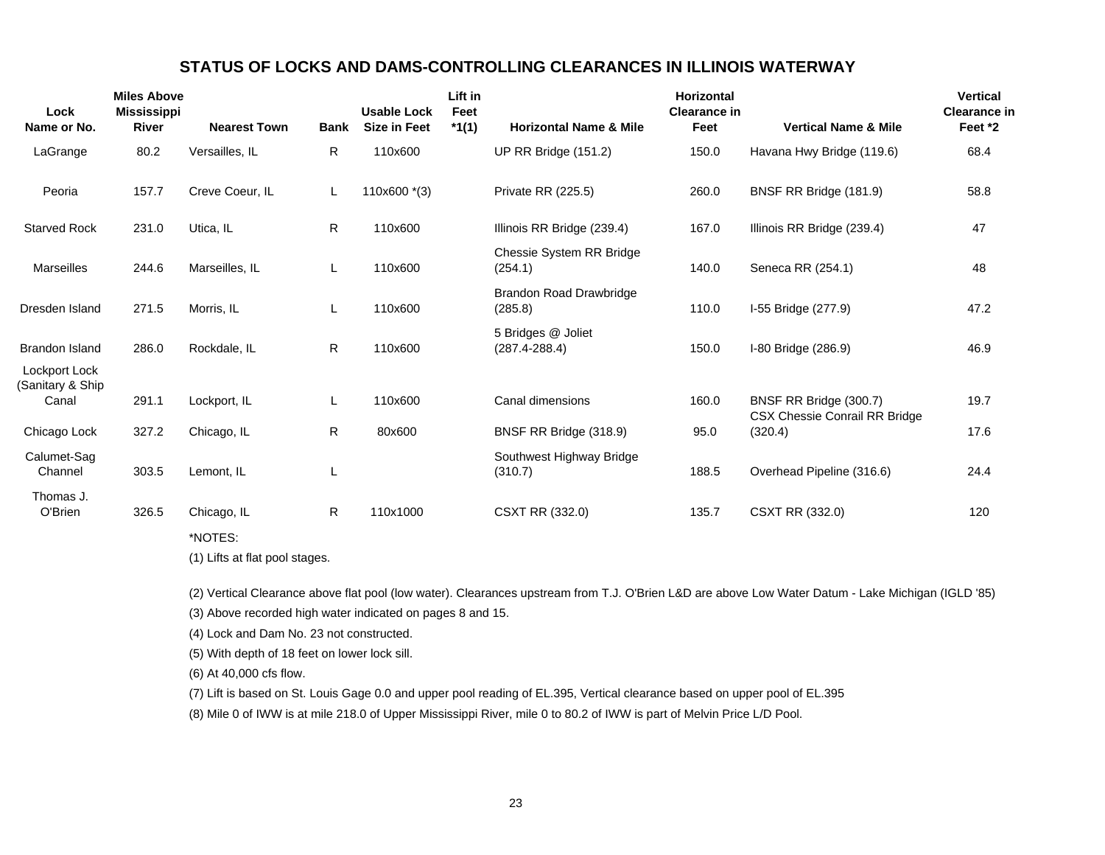# **STATUS OF LOCKS AND DAMS-CONTROLLING CLEARANCES IN ILLINOIS WATERWAY**

| Lock<br>Name or No.                        | <b>Miles Above</b><br><b>Mississippi</b><br><b>River</b> | <b>Nearest Town</b> | <b>Bank</b> | <b>Usable Lock</b><br><b>Size in Feet</b> | Lift in<br>Feet<br>$*1(1)$ | <b>Horizontal Name &amp; Mile</b>         | <b>Horizontal</b><br><b>Clearance in</b><br>Feet | <b>Vertical Name &amp; Mile</b>          | <b>Vertical</b><br><b>Clearance in</b><br>Feet *2 |
|--------------------------------------------|----------------------------------------------------------|---------------------|-------------|-------------------------------------------|----------------------------|-------------------------------------------|--------------------------------------------------|------------------------------------------|---------------------------------------------------|
| LaGrange                                   | 80.2                                                     | Versailles, IL      | R           | 110x600                                   |                            | <b>UP RR Bridge (151.2)</b>               | 150.0                                            | Havana Hwy Bridge (119.6)                | 68.4                                              |
| Peoria                                     | 157.7                                                    | Creve Coeur, IL     | L           | 110x600 *(3)                              |                            | Private RR (225.5)                        | 260.0                                            | BNSF RR Bridge (181.9)                   | 58.8                                              |
| <b>Starved Rock</b>                        | 231.0                                                    | Utica, IL           | R.          | 110x600                                   |                            | Illinois RR Bridge (239.4)                | 167.0                                            | Illinois RR Bridge (239.4)               | 47                                                |
| <b>Marseilles</b>                          | 244.6                                                    | Marseilles, IL      | L           | 110x600                                   |                            | Chessie System RR Bridge<br>(254.1)       | 140.0                                            | Seneca RR (254.1)                        | 48                                                |
| Dresden Island                             | 271.5                                                    | Morris, IL          | L           | 110x600                                   |                            | <b>Brandon Road Drawbridge</b><br>(285.8) | 110.0                                            | I-55 Bridge (277.9)                      | 47.2                                              |
| <b>Brandon Island</b>                      | 286.0                                                    | Rockdale, IL        | R           | 110x600                                   |                            | 5 Bridges @ Joliet<br>$(287.4 - 288.4)$   | 150.0                                            | I-80 Bridge (286.9)                      | 46.9                                              |
| Lockport Lock<br>Sanitary & Ship)<br>Canal | 291.1                                                    | Lockport, IL        | L           | 110x600                                   |                            | Canal dimensions                          | 160.0                                            | BNSF RR Bridge (300.7)                   | 19.7                                              |
| Chicago Lock                               | 327.2                                                    | Chicago, IL         | R.          | 80x600                                    |                            | BNSF RR Bridge (318.9)                    | 95.0                                             | CSX Chessie Conrail RR Bridge<br>(320.4) | 17.6                                              |
| Calumet-Sag<br>Channel                     | 303.5                                                    | Lemont, IL          |             |                                           |                            | Southwest Highway Bridge<br>(310.7)       | 188.5                                            | Overhead Pipeline (316.6)                | 24.4                                              |
| Thomas J.<br>O'Brien                       | 326.5                                                    | Chicago, IL         | R           | 110x1000                                  |                            | CSXT RR (332.0)                           | 135.7                                            | CSXT RR (332.0)                          | 120                                               |
|                                            |                                                          | *NOTES:             |             |                                           |                            |                                           |                                                  |                                          |                                                   |

(1) Lifts at flat pool stages.

(2) Vertical Clearance above flat pool (low water). Clearances upstream from T.J. O'Brien L&D are above Low Water Datum - Lake Michigan (IGLD '85)

(3) Above recorded high water indicated on pages 8 and 15.

(4) Lock and Dam No. 23 not constructed.

(5) With depth of 18 feet on lower lock sill.

(6) At 40,000 cfs flow.

(7) Lift is based on St. Louis Gage 0.0 and upper pool reading of EL.395, Vertical clearance based on upper pool of EL.395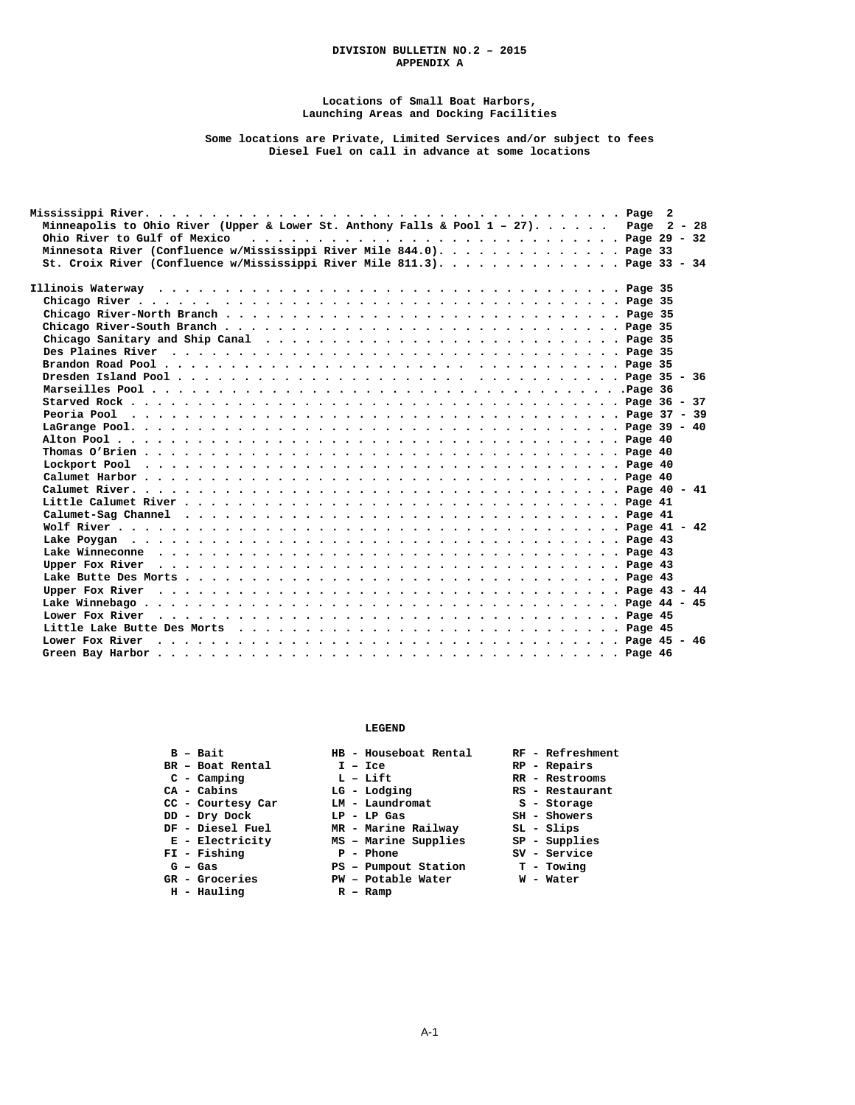#### **DIVISION BULLETIN NO.2 – 2015 APPENDIX A**

#### **Locations of Small Boat Harbors, Launching Areas and Docking Facilities**

#### **Some locations are Private, Limited Services and/or subject to fees Diesel Fuel on call in advance at some locations**

| Minneapolis to Ohio River (Upper & Lower St. Anthony Falls & Pool 1 - 27). Page 2 - 28 |
|----------------------------------------------------------------------------------------|
|                                                                                        |
| Minnesota River (Confluence w/Mississippi River Mile 844.0). Page 33                   |
| St. Croix River (Confluence w/Mississippi River Mile 811.3). Page 33 - 34              |
|                                                                                        |
|                                                                                        |
|                                                                                        |
|                                                                                        |
|                                                                                        |
|                                                                                        |
|                                                                                        |
|                                                                                        |
|                                                                                        |
|                                                                                        |
|                                                                                        |
|                                                                                        |
|                                                                                        |
|                                                                                        |
|                                                                                        |
|                                                                                        |
|                                                                                        |
|                                                                                        |
|                                                                                        |
|                                                                                        |
|                                                                                        |
|                                                                                        |
|                                                                                        |
|                                                                                        |
|                                                                                        |
|                                                                                        |
|                                                                                        |
|                                                                                        |
|                                                                                        |
|                                                                                        |

#### **LEGEND**

- **BR** Boat Rental **I** Ice **RP** Repairs
	-
	-
- **CC Courtesy Car LM Laundromat S Storage**
- **DD Dry Dock LP LP Gas SH Showers** 
	-
	-
	- **FI Fishing T** Phone T SV Service **PI SV** Service **SV** Service **PI Phone Pumpout Station P** Towing
	-
	- GR Groceries<br>H Hauling
	-
- 
- 
- 
- 
- 
- 
- **DF Diesel Fuel AREA** Diesel Fuel MR Marine Railway SH Showers<br>
B Blectricity MS Marine Supplies SP Supplies  **E - Electricity MS – Marine Supplies SP - Supplies** 
	-
	-
	- **G Gas PS Pumpout Station T Towing**
	- **GR Groceries PW Potable Water W Water** 
		-
- **B Bait HB Houseboat Rental RF Refreshment** 
	-
- **C Camping L Lift RR Restrooms**
- C Camping L Lift RR Restrooms<br>
CA Cabins LG Lodging RS Restaurant<br>
CC Courtesy Car LM Laundromat S Storage
	-
	-
	-
	-
	-
	-
	-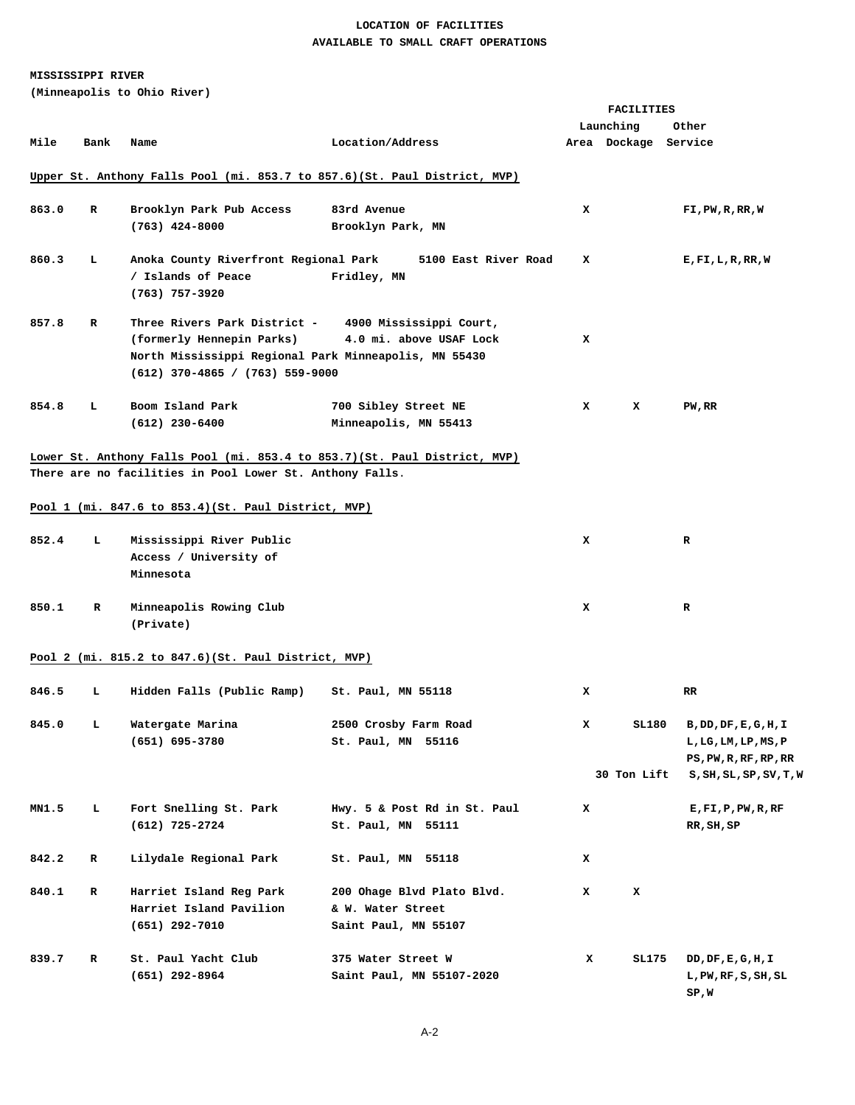### **LOCATION OF FACILITIES AVAILABLE TO SMALL CRAFT OPERATIONS**

### **MISSISSIPPI RIVER**

**(Minneapolis to Ohio River)** 

|       |      |                                                          |                                                                           | FACILITIES |                      |                                |  |  |  |
|-------|------|----------------------------------------------------------|---------------------------------------------------------------------------|------------|----------------------|--------------------------------|--|--|--|
|       |      |                                                          |                                                                           |            | Launching            | Other                          |  |  |  |
| Mile  | Bank | Name                                                     | Location/Address                                                          |            | Area Dockage Service |                                |  |  |  |
|       |      |                                                          | Upper St. Anthony Falls Pool (mi. 853.7 to 857.6)(St. Paul District, MVP) |            |                      |                                |  |  |  |
| 863.0 | R    | Brooklyn Park Pub Access                                 | 83rd Avenue                                                               | x          |                      | FI,PW,R,RR,W                   |  |  |  |
|       |      | $(763)$ 424-8000                                         | Brooklyn Park, MN                                                         |            |                      |                                |  |  |  |
|       |      |                                                          |                                                                           |            |                      |                                |  |  |  |
| 860.3 | ъ    | Anoka County Riverfront Regional Park                    | 5100 East River Road                                                      | x          |                      | E,FI,L,R,RR,W                  |  |  |  |
|       |      | / Islands of Peace                                       | Fridley, MN                                                               |            |                      |                                |  |  |  |
|       |      | (763) 757-3920                                           |                                                                           |            |                      |                                |  |  |  |
| 857.8 | R    | Three Rivers Park District -                             |                                                                           |            |                      |                                |  |  |  |
|       |      | (formerly Hennepin Parks)                                | 4900 Mississippi Court,<br>4.0 mi. above USAF Lock                        | х          |                      |                                |  |  |  |
|       |      | North Mississippi Regional Park Minneapolis, MN 55430    |                                                                           |            |                      |                                |  |  |  |
|       |      | $(612)$ 370-4865 / (763) 559-9000                        |                                                                           |            |                      |                                |  |  |  |
|       |      |                                                          |                                                                           |            |                      |                                |  |  |  |
| 854.8 | L    | Boom Island Park                                         | 700 Sibley Street NE                                                      | x          | x                    | PW, RR                         |  |  |  |
|       |      | $(612)$ 230-6400                                         | Minneapolis, MN 55413                                                     |            |                      |                                |  |  |  |
|       |      |                                                          |                                                                           |            |                      |                                |  |  |  |
|       |      |                                                          | Lower St. Anthony Falls Pool (mi. 853.4 to 853.7)(St. Paul District, MVP) |            |                      |                                |  |  |  |
|       |      | There are no facilities in Pool Lower St. Anthony Falls. |                                                                           |            |                      |                                |  |  |  |
|       |      |                                                          |                                                                           |            |                      |                                |  |  |  |
|       |      | Pool 1 (mi. 847.6 to 853.4) (St. Paul District, MVP)     |                                                                           |            |                      |                                |  |  |  |
|       |      |                                                          |                                                                           |            |                      |                                |  |  |  |
| 852.4 | т.   | Mississippi River Public                                 |                                                                           | x          |                      | R                              |  |  |  |
|       |      | Access / University of<br>Minnesota                      |                                                                           |            |                      |                                |  |  |  |
|       |      |                                                          |                                                                           |            |                      |                                |  |  |  |
| 850.1 | R    | Minneapolis Rowing Club                                  |                                                                           | x          |                      | R                              |  |  |  |
|       |      | (Private)                                                |                                                                           |            |                      |                                |  |  |  |
|       |      |                                                          |                                                                           |            |                      |                                |  |  |  |
|       |      | Pool 2 (mi. 815.2 to 847.6)(St. Paul District, MVP)      |                                                                           |            |                      |                                |  |  |  |
|       |      |                                                          |                                                                           |            |                      |                                |  |  |  |
| 846.5 | т.   | Hidden Falls (Public Ramp)                               | St. Paul, MN 55118                                                        | x          |                      | RR.                            |  |  |  |
|       |      |                                                          |                                                                           |            |                      |                                |  |  |  |
| 845.0 | L,   | Watergate Marina                                         | 2500 Crosby Farm Road                                                     | x          | SL180                | B,DD,DF,E,G,H,I                |  |  |  |
|       |      | $(651) 695 - 3780$                                       | St. Paul, MN 55116                                                        |            |                      | L, LG, LM, LP, MS, P           |  |  |  |
|       |      |                                                          |                                                                           |            |                      | $\mathtt{PS,PW,R,RF,RP,RR}$    |  |  |  |
|       |      |                                                          |                                                                           |            | 30 Ton Lift          | S, SH, SL, SP, SV, T, W        |  |  |  |
|       |      |                                                          |                                                                           |            |                      |                                |  |  |  |
| MN1.5 | ь.   | Fort Snelling St. Park                                   | Hwy. 5 & Post Rd in St. Paul                                              | x          |                      | $E$ , $F1$ , $P$ , $PW$ , $RF$ |  |  |  |
|       |      | $(612)$ 725-2724                                         | St. Paul, MN 55111                                                        |            |                      | RR, SH, SP                     |  |  |  |
| 842.2 | R    | Lilydale Regional Park                                   |                                                                           | x          |                      |                                |  |  |  |
|       |      |                                                          | St. Paul, MN 55118                                                        |            |                      |                                |  |  |  |
| 840.1 | R    | Harriet Island Reg Park                                  | 200 Ohage Blvd Plato Blvd.                                                | x          | x                    |                                |  |  |  |
|       |      | Harriet Island Pavilion                                  | & W. Water Street                                                         |            |                      |                                |  |  |  |
|       |      | $(651)$ 292-7010                                         | Saint Paul, MN 55107                                                      |            |                      |                                |  |  |  |
|       |      |                                                          |                                                                           |            |                      |                                |  |  |  |
| 839.7 | R    | St. Paul Yacht Club                                      | 375 Water Street W                                                        | x          | SL175                | DD, DF, E, G, H, I             |  |  |  |
|       |      | $(651)$ 292-8964                                         | Saint Paul, MN 55107-2020                                                 |            |                      | L, PW, RF, S, SH, SL           |  |  |  |
|       |      |                                                          |                                                                           |            |                      | SP,W                           |  |  |  |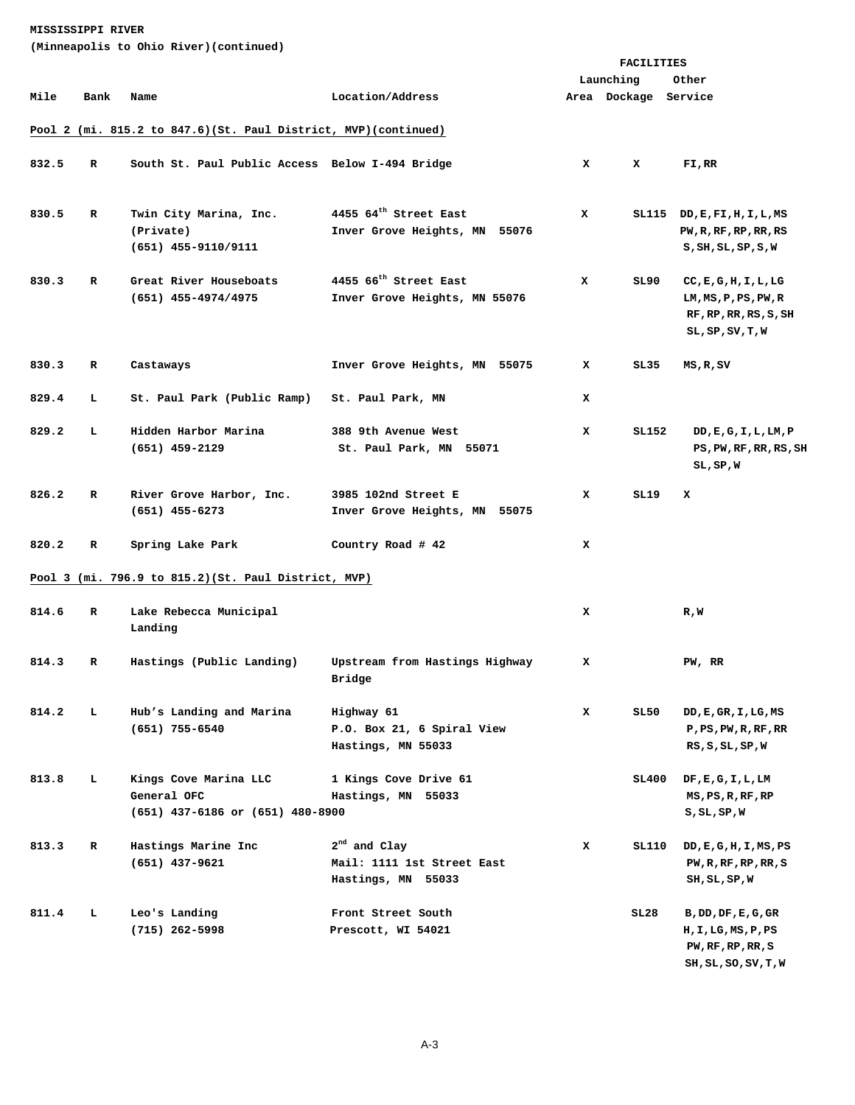| (Minneapolis to Ohio River)(continued) |  |  |  |  |
|----------------------------------------|--|--|--|--|
|----------------------------------------|--|--|--|--|

|       |             |                                                                          |                                                                    |   | FACILITIES           |                                                                                                          |
|-------|-------------|--------------------------------------------------------------------------|--------------------------------------------------------------------|---|----------------------|----------------------------------------------------------------------------------------------------------|
|       |             |                                                                          |                                                                    |   | Launching            | Other                                                                                                    |
| Mile  | Bank        | Name                                                                     | Location/Address                                                   |   | Area Dockage Service |                                                                                                          |
|       |             | Pool 2 (mi. 815.2 to 847.6)(St. Paul District, MVP)(continued)           |                                                                    |   |                      |                                                                                                          |
| 832.5 | R           | South St. Paul Public Access Below I-494 Bridge                          |                                                                    | x | x                    | FI,RR                                                                                                    |
| 830.5 | R           | Twin City Marina, Inc.<br>(Private)<br>$(651)$ 455-9110/9111             | 4455 64 <sup>th</sup> Street East<br>Inver Grove Heights, MN 55076 | x |                      | SL115 DD, E, FI, H, I, L, MS<br>PW, R, RF, RP, RR, RS<br>S, SH, SL, SP, S, W                             |
| 830.3 | $\mathbf R$ | Great River Houseboats<br>$(651)$ 455-4974/4975                          | 4455 66 <sup>th</sup> Street East<br>Inver Grove Heights, MN 55076 | x | SL90                 | CC, E, G, H, I, L, LG<br>LM, MS, P, PS, PW, R<br>RF, RP, RR, RS, S, SH<br>$SL$ , $SP$ , $SV$ , $T$ , $W$ |
| 830.3 | R           | Castaways                                                                | Inver Grove Heights, MN 55075                                      | x | SL35                 | MS,R,SV                                                                                                  |
| 829.4 | L           | St. Paul Park (Public Ramp)                                              | St. Paul Park, MN                                                  | x |                      |                                                                                                          |
| 829.2 | L           | Hidden Harbor Marina<br>$(651)$ 459-2129                                 | 388 9th Avenue West<br>St. Paul Park, MN 55071                     | x | SL152                | DD, E, G, I, L, LM, P<br>PS, PW, RF, RR, RS, SH<br>SL, SP, W                                             |
| 826.2 | R           | River Grove Harbor, Inc.<br>$(651)$ 455-6273                             | 3985 102nd Street E<br>Inver Grove Heights, MN 55075               | x | SL19                 | x                                                                                                        |
| 820.2 | R           | Spring Lake Park                                                         | Country Road # 42                                                  | x |                      |                                                                                                          |
|       |             | Pool 3 (mi. 796.9 to 815.2) (St. Paul District, MVP)                     |                                                                    |   |                      |                                                                                                          |
| 814.6 | R           | Lake Rebecca Municipal<br>Landing                                        |                                                                    | x |                      | R,W                                                                                                      |
| 814.3 | R           | Hastings (Public Landing)                                                | Upstream from Hastings Highway<br>Bridge                           | x |                      | PW, RR                                                                                                   |
| 814.2 | ь.          | Hub's Landing and Marina<br>$(651)$ 755-6540                             | Highway 61<br>P.O. Box 21, 6 Spiral View<br>Hastings, MN 55033     | x | SL50                 | DD, E, GR, I, LG, MS<br>$P$ , $PS$ , $PW$ , $RF$ , $RR$<br>RS, S, SL, SP, W                              |
| 813.8 | L.          | Kings Cove Marina LLC<br>General OFC<br>(651) 437-6186 or (651) 480-8900 | 1 Kings Cove Drive 61<br>Hastings, MN 55033                        |   | SL400                | DF, E, G, I, L, LM<br>MS, PS, R, RF, RP<br>S,SL,SP,W                                                     |
| 813.3 | R           | Hastings Marine Inc<br>$(651)$ 437-9621                                  | $2nd$ and Clay<br>Mail: 1111 1st Street East<br>Hastings, MN 55033 | x | SL110                | DD, E, G, H, I, MS, PS<br>PW, R, RF, RP, RR, S<br>SH, SL, SP, W                                          |
| 811.4 | L.          | Leo's Landing<br>$(715)$ 262-5998                                        | Front Street South<br>Prescott, WI 54021                           |   | SL28                 | B, DD, DF, E, G, GR<br>H,I,LG,MS,P,PS<br>PW, RF, RP, RR, S<br>SH, SL, SO, SV, T, W                       |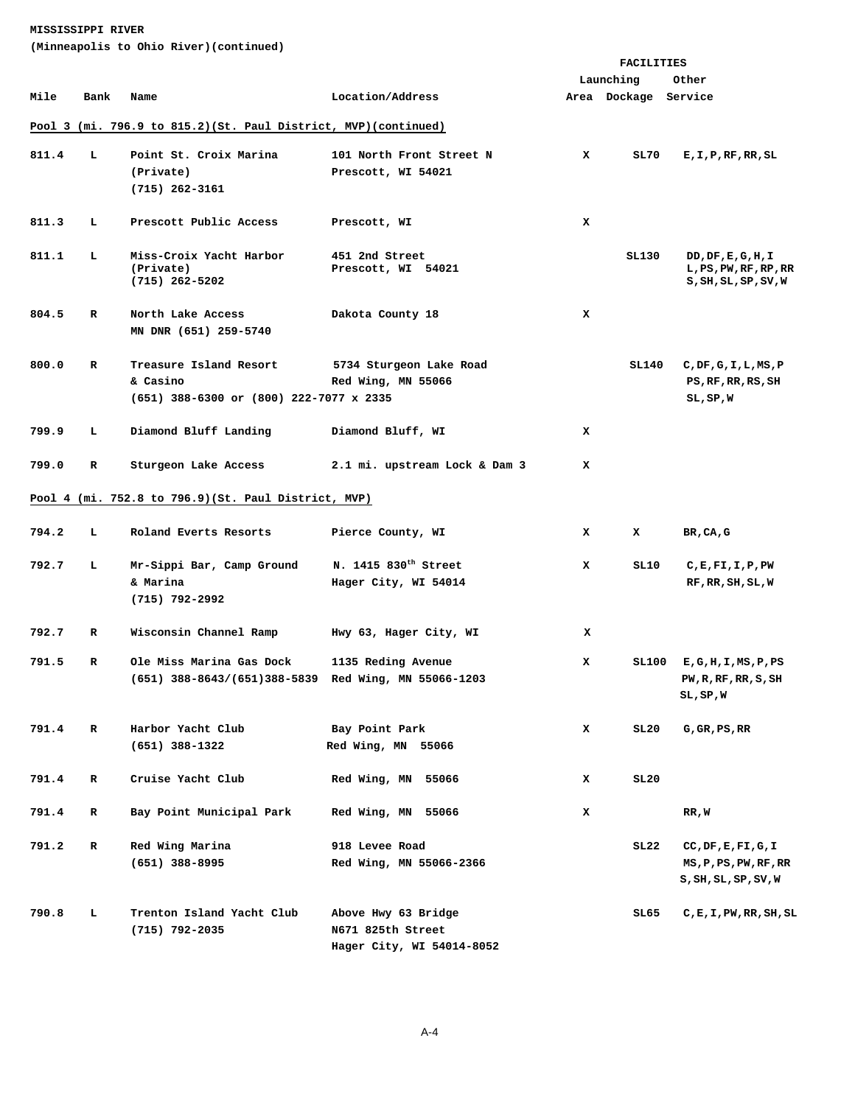**(Minneapolis to Ohio River)(continued)** 

|       |      |                                                                                  |                                                          |   | <b>FACILITIES</b>    |                                                                  |
|-------|------|----------------------------------------------------------------------------------|----------------------------------------------------------|---|----------------------|------------------------------------------------------------------|
|       |      |                                                                                  |                                                          |   | Launching            | Other                                                            |
| Mile  | Bank | Name                                                                             | Location/Address                                         |   | Area Dockage Service |                                                                  |
|       |      | Pool 3 (mi. 796.9 to 815.2) (St. Paul District, MVP) (continued)                 |                                                          |   |                      |                                                                  |
| 811.4 | L    | Point St. Croix Marina<br>(Private)<br>$(715)$ 262-3161                          | 101 North Front Street N<br>Prescott, WI 54021           | x | SL70                 | E, I, P, RF, RR, SL                                              |
| 811.3 | L    | Prescott Public Access                                                           | Prescott, WI                                             | x |                      |                                                                  |
| 811.1 | L    | Miss-Croix Yacht Harbor<br>(Private)<br>$(715)$ 262-5202                         | 451 2nd Street<br>Prescott, WI 54021                     |   | SL130                | DD, DF, E, G, H, I<br>L, PS, PW, RF, RP, RR<br>S,SH,SL,SP,SV,W   |
| 804.5 | R    | North Lake Access<br>MN DNR (651) 259-5740                                       | Dakota County 18                                         | x |                      |                                                                  |
| 800.0 | R    | Treasure Island Resort<br>& Casino<br>(651) 388-6300 or (800) 222-7077 x 2335    | 5734 Sturgeon Lake Road<br>Red Wing, MN 55066            |   | SL140                | C, DF, G, I, L, MS, P<br>PS, RF, RR, RS, SH<br>$SL$ , $SP$ , $W$ |
| 799.9 | ъ.   | Diamond Bluff Landing                                                            | Diamond Bluff, WI                                        | x |                      |                                                                  |
| 799.0 | R    | Sturgeon Lake Access                                                             | 2.1 mi. upstream Lock & Dam 3                            | x |                      |                                                                  |
|       |      | Pool 4 (mi. 752.8 to 796.9)(St. Paul District, MVP)                              |                                                          |   |                      |                                                                  |
| 794.2 | L.   | Roland Everts Resorts                                                            | Pierce County, WI                                        | x | x                    | BR, CA, G                                                        |
| 792.7 | L    | Mr-Sippi Bar, Camp Ground<br>& Marina<br>$(715)$ 792-2992                        | N. 1415 830 <sup>th</sup> Street<br>Hager City, WI 54014 | x | SL10                 | $C$ , $E$ , $F$ I, $I$ , $P$ , $PW$<br>RF, RR, SH, SL, W         |
| 792.7 | R    | Wisconsin Channel Ramp                                                           | Hwy 63, Hager City, WI                                   | x |                      |                                                                  |
| 791.5 | R    | Ole Miss Marina Gas Dock<br>(651) 388-8643/(651)388-5839 Red Wing, MN 55066-1203 | 1135 Reding Avenue                                       | x |                      | SL100 E, G, H, I, MS, P, PS<br>PW, R, RF, RR, S, SH<br>SL,SP,W   |
| 791.4 | R    | Harbor Yacht Club<br>$(651)$ 388-1322                                            | Bay Point Park<br>Red Wing, MN 55066                     | x | SL20                 | $G$ , $GR$ , $PS$ , $RR$                                         |
| 791.4 | R    | Cruise Yacht Club                                                                | Red Wing, MN 55066                                       | x | SL20                 |                                                                  |
| 791.4 | R    | Bay Point Municipal Park                                                         | Red Wing, MN 55066                                       | x |                      | RR,W                                                             |
| 791.2 | R    | Red Wing Marina<br>$(651)$ 388-8995                                              | 918 Levee Road<br>Red Wing, MN 55066-2366                |   | SL22                 | CC, DF, E, FI, G, I<br>MS, P, PS, PW, RF, RR<br>S,SH,SL,SP,SV,W  |
| 790.8 | г    | Trenton Island Yacht Club<br>(715) 792-2035                                      | Above Hwy 63 Bridge<br>N671 825th Street                 |   | SL65                 | C,E,I,PW,RR,SH,SL                                                |

 **Hager City, WI 54014-8052**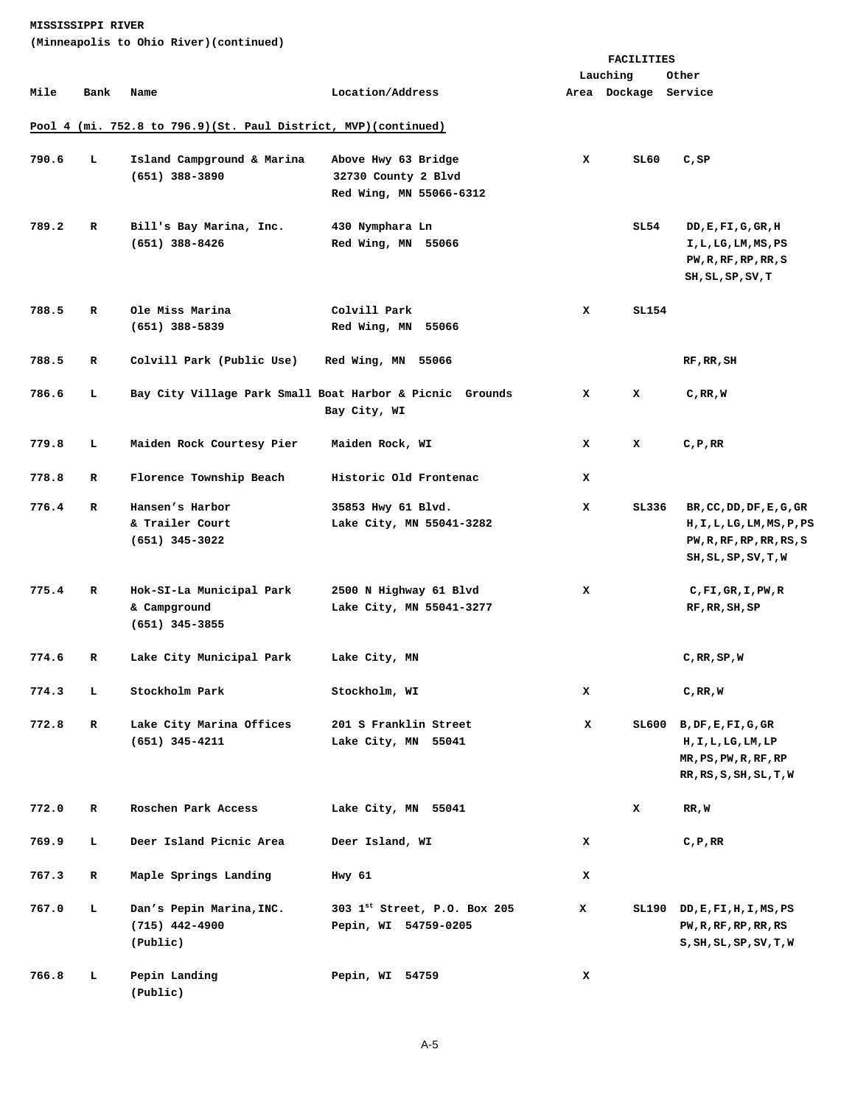**(Minneapolis to Ohio River)(continued)** 

|       |             |                                                                |                                                                          |   | FACILITIES           |                                                                                                            |
|-------|-------------|----------------------------------------------------------------|--------------------------------------------------------------------------|---|----------------------|------------------------------------------------------------------------------------------------------------|
|       |             |                                                                |                                                                          |   | Lauching             | Other                                                                                                      |
| Mile  | Bank        | Name                                                           | Location/Address                                                         |   | Area Dockage Service |                                                                                                            |
|       |             | Pool 4 (mi. 752.8 to 796.9)(St. Paul District, MVP)(continued) |                                                                          |   |                      |                                                                                                            |
| 790.6 | L           | Island Campground & Marina<br>$(651)$ 388-3890                 | Above Hwy 63 Bridge<br>32730 County 2 Blvd<br>Red Wing, MN 55066-6312    | x | SL60                 | C, SP                                                                                                      |
| 789.2 | R           | Bill's Bay Marina, Inc.<br>$(651)$ 388-8426                    | 430 Nymphara Ln<br>Red Wing, MN 55066                                    |   | SL 54                | DD, E, FI, G, GR, H<br>I,L,LG,LM,MS,PS<br>PW, R, RF, RP, RR, S<br>SH, SL, SP, SV, T                        |
| 788.5 | R           | Ole Miss Marina                                                | Colvill Park                                                             | x | SL154                |                                                                                                            |
|       |             | $(651)$ 388-5839                                               | Red Wing, MN 55066                                                       |   |                      |                                                                                                            |
| 788.5 | R           | Colvill Park (Public Use)                                      | Red Wing, MN 55066                                                       |   |                      | RF, RR, SH                                                                                                 |
| 786.6 | L           |                                                                | Bay City Village Park Small Boat Harbor & Picnic Grounds<br>Bay City, WI | x | x                    | C,RR,W                                                                                                     |
| 779.8 | L           | Maiden Rock Courtesy Pier                                      | Maiden Rock, WI                                                          | x | x                    | C, P, RR                                                                                                   |
| 778.8 | R           | Florence Township Beach                                        | Historic Old Frontenac                                                   | x |                      |                                                                                                            |
| 776.4 | R           | Hansen's Harbor<br>& Trailer Court<br>$(651)$ 345-3022         | 35853 Hwy 61 Blvd.<br>Lake City, MN 55041-3282                           | x | SL336                | BR, CC, DD, DF, E, G, GR<br>H, I, L, LG, LM, MS, P, PS<br>PW, R, RF, RP, RR, RS, S<br>SH, SL, SP, SV, T, W |
| 775.4 | R           | Hok-SI-La Municipal Park<br>& Campground<br>$(651)$ 345-3855   | 2500 N Highway 61 Blvd<br>Lake City, MN 55041-3277                       | x |                      | C, F1, GR, I, PW, R<br>RF, RR, SH, SP                                                                      |
| 774.6 | R           | Lake City Municipal Park                                       | Lake City, MN                                                            |   |                      | C, RR, SP, W                                                                                               |
| 774.3 | т.          | Stockholm Park                                                 | Stockholm, WI                                                            | x |                      | C, RR, W                                                                                                   |
| 772.8 | $\mathbf R$ | Lake City Marina Offices<br>$(651)$ 345-4211                   | 201 S Franklin Street<br>Lake City, MN 55041                             | x |                      | $SL600$ B, DF, E, FI, G, GR<br>H, I, L, LG, LM, LP<br>MR, PS, PW, R, RF, RP<br>RR, RS, S, SH, SL, T, W     |
| 772.0 | R           | Roschen Park Access                                            | Lake City, MN 55041                                                      |   | x                    | RR, W                                                                                                      |
| 769.9 | L           | Deer Island Picnic Area                                        | Deer Island, WI                                                          | x |                      | C, P, RR                                                                                                   |
| 767.3 | R           | Maple Springs Landing                                          | Hwy 61                                                                   | x |                      |                                                                                                            |
| 767.0 | L.          | Dan's Pepin Marina, INC.<br>$(715)$ 442-4900<br>(Public)       | 303 1st Street, P.O. Box 205<br>Pepin, WI 54759-0205                     | x |                      | $SL190$ DD, $E$ , $FI$ , $H$ , $I$ , $MS$ , $PS$<br>PW, R, RF, RP, RR, RS<br>S, SH, SL, SP, SV, T, W       |
| 766.8 | L           | Pepin Landing<br>(Public)                                      | Pepin, WI 54759                                                          | x |                      |                                                                                                            |

A-5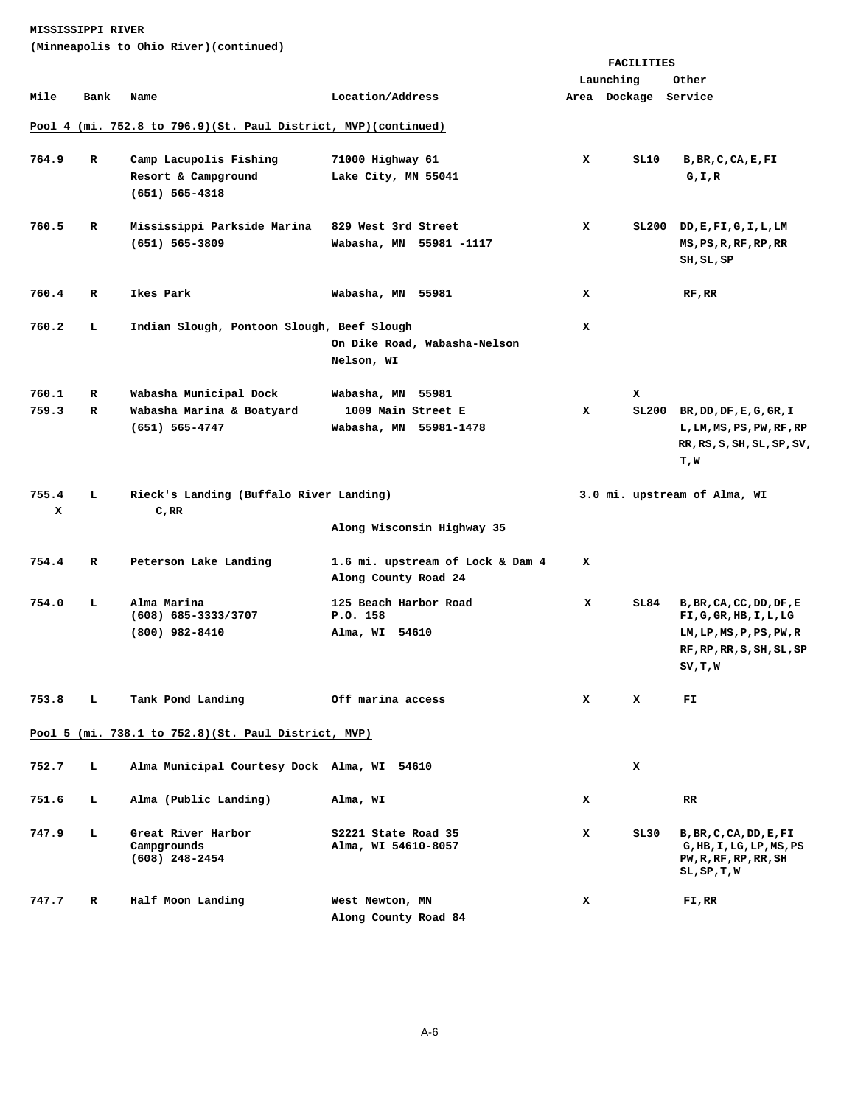**(Minneapolis to Ohio River)(continued)** 

|       |                                                                |                                                      |                                                          |   | FACILITIES           |                                                     |  |  |  |
|-------|----------------------------------------------------------------|------------------------------------------------------|----------------------------------------------------------|---|----------------------|-----------------------------------------------------|--|--|--|
|       |                                                                |                                                      |                                                          |   | Launching            | Other                                               |  |  |  |
| Mile  | Bank                                                           | Name                                                 | Location/Address                                         |   | Area Dockage Service |                                                     |  |  |  |
|       |                                                                |                                                      |                                                          |   |                      |                                                     |  |  |  |
|       | Pool 4 (mi. 752.8 to 796.9)(St. Paul District, MVP)(continued) |                                                      |                                                          |   |                      |                                                     |  |  |  |
| 764.9 | R                                                              | Camp Lacupolis Fishing                               | 71000 Highway 61                                         | x | SL10                 | B, BR, C, CA, E, FI                                 |  |  |  |
|       |                                                                | Resort & Campground                                  | Lake City, MN 55041                                      |   |                      | G,I,R                                               |  |  |  |
|       |                                                                | $(651) 565 - 4318$                                   |                                                          |   |                      |                                                     |  |  |  |
|       |                                                                |                                                      |                                                          |   |                      |                                                     |  |  |  |
| 760.5 | R                                                              | Mississippi Parkside Marina                          | 829 West 3rd Street                                      | x | SL200                | DD, E, FI, G, I, L, LM                              |  |  |  |
|       |                                                                | $(651) 565 - 3809$                                   | Wabasha, MN 55981-1117                                   |   |                      | MS, PS, R, RF, RP, RR                               |  |  |  |
|       |                                                                |                                                      |                                                          |   |                      | SH, SL, SP                                          |  |  |  |
|       |                                                                |                                                      |                                                          |   |                      |                                                     |  |  |  |
| 760.4 | R                                                              | Ikes Park                                            | Wabasha, MN 55981                                        | x |                      | RF, RR                                              |  |  |  |
|       |                                                                |                                                      |                                                          |   |                      |                                                     |  |  |  |
| 760.2 | т.                                                             | Indian Slough, Pontoon Slough, Beef Slough           |                                                          | x |                      |                                                     |  |  |  |
|       |                                                                |                                                      | On Dike Road, Wabasha-Nelson<br>Nelson, WI               |   |                      |                                                     |  |  |  |
|       |                                                                |                                                      |                                                          |   |                      |                                                     |  |  |  |
| 760.1 | R                                                              | Wabasha Municipal Dock                               | Wabasha, MN 55981                                        |   | x                    |                                                     |  |  |  |
| 759.3 | R                                                              | Wabasha Marina & Boatyard                            | 1009 Main Street E                                       | x | SL200                | BR, DD, DF, E, G, GR, I                             |  |  |  |
|       |                                                                | (651) 565-4747                                       | Wabasha, MN 55981-1478                                   |   |                      | L, LM, MS, PS, PW, RF, RP                           |  |  |  |
|       |                                                                |                                                      |                                                          |   |                      | RR, RS, S, SH, SL, SP, SV,                          |  |  |  |
|       |                                                                |                                                      |                                                          |   |                      | T,W                                                 |  |  |  |
|       |                                                                |                                                      |                                                          |   |                      |                                                     |  |  |  |
| 755.4 | т.                                                             | Rieck's Landing (Buffalo River Landing)              |                                                          |   |                      | 3.0 mi. upstream of Alma, WI                        |  |  |  |
| x     |                                                                | C,RR                                                 |                                                          |   |                      |                                                     |  |  |  |
|       |                                                                |                                                      | Along Wisconsin Highway 35                               |   |                      |                                                     |  |  |  |
|       | R                                                              |                                                      |                                                          | x |                      |                                                     |  |  |  |
| 754.4 |                                                                | Peterson Lake Landing                                | 1.6 mi. upstream of Lock & Dam 4<br>Along County Road 24 |   |                      |                                                     |  |  |  |
|       |                                                                |                                                      |                                                          |   |                      |                                                     |  |  |  |
| 754.0 | т.                                                             | Alma Marina                                          | 125 Beach Harbor Road<br>P.O. 158                        | x | SL84                 | B, BR, CA, CC, DD, DF, E                            |  |  |  |
|       |                                                                | $(608) 685 - 3333/3707$<br>$(800)$ 982-8410          | Alma, WI 54610                                           |   |                      | FI,G,GR, HB,I,L,LG<br>LM, LP, MS, P, PS, PW, R      |  |  |  |
|       |                                                                |                                                      |                                                          |   |                      | RF, RP, RR, S, SH, SL, SP                           |  |  |  |
|       |                                                                |                                                      |                                                          |   |                      | SV, T, W                                            |  |  |  |
|       |                                                                |                                                      |                                                          |   |                      |                                                     |  |  |  |
| 753.8 | т.                                                             | Tank Pond Landing                                    | Off marina access                                        | x | x                    | FI                                                  |  |  |  |
|       |                                                                |                                                      |                                                          |   |                      |                                                     |  |  |  |
|       |                                                                | Pool 5 (mi. 738.1 to 752.8) (St. Paul District, MVP) |                                                          |   |                      |                                                     |  |  |  |
|       |                                                                |                                                      |                                                          |   |                      |                                                     |  |  |  |
| 752.7 | т.                                                             | Alma Municipal Courtesy Dock Alma, WI 54610          |                                                          |   | x                    |                                                     |  |  |  |
|       |                                                                |                                                      |                                                          |   |                      |                                                     |  |  |  |
| 751.6 | т.                                                             | Alma (Public Landing)                                | Alma, WI                                                 | x |                      | RR                                                  |  |  |  |
|       | L                                                              |                                                      |                                                          |   |                      |                                                     |  |  |  |
| 747.9 |                                                                | Great River Harbor<br>Campgrounds                    | S2221 State Road 35<br>Alma, WI 54610-8057               | x | SL 30                | B, BR, C, CA, DD, E, FI<br>G, HB, I, LG, LP, MS, PS |  |  |  |
|       |                                                                | $(608)$ 248-2454                                     |                                                          |   |                      | PW, R, RF, RP, RR, SH                               |  |  |  |
|       |                                                                |                                                      |                                                          |   |                      | $SL$ , $SP$ , $T$ , $W$                             |  |  |  |
| 747.7 | R                                                              | Half Moon Landing                                    | West Newton, MN                                          | x |                      | FI,RR                                               |  |  |  |
|       |                                                                |                                                      | Along County Road 84                                     |   |                      |                                                     |  |  |  |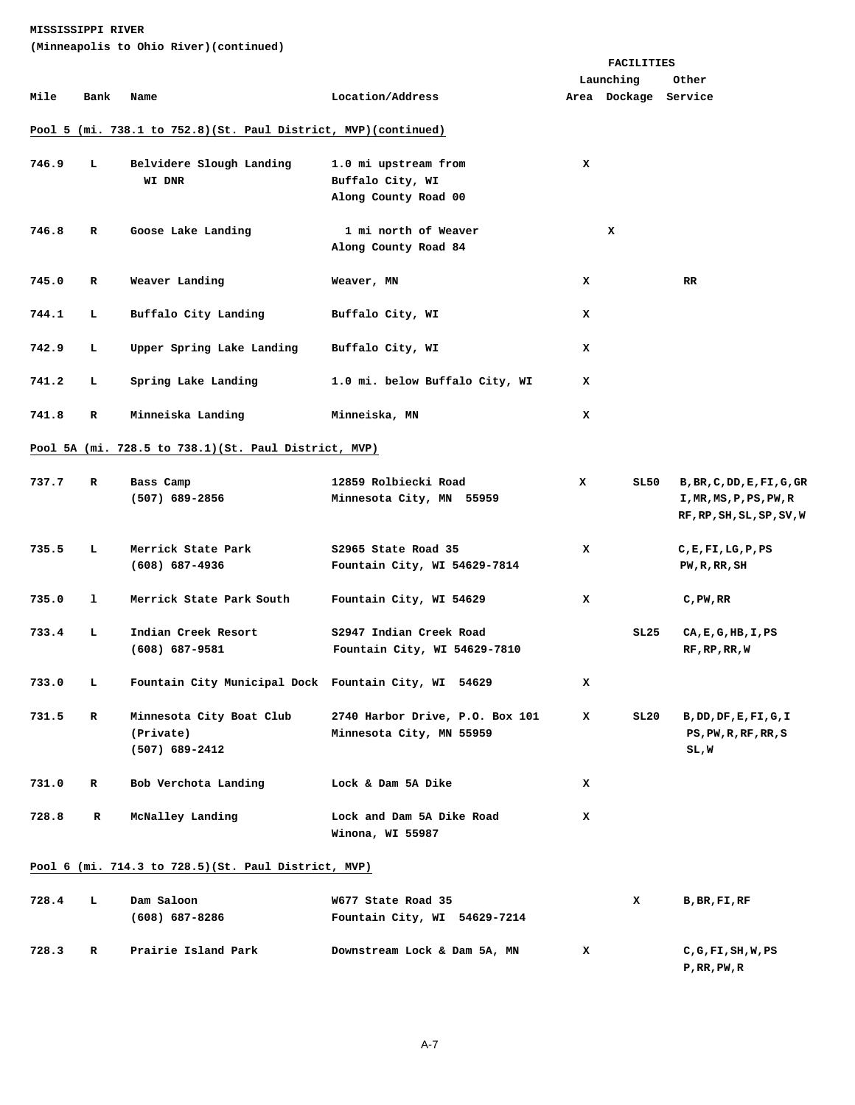**(Minneapolis to Ohio River)(continued)** 

|       |             |                                                                  |                                 |   | FACILITIES           |                            |
|-------|-------------|------------------------------------------------------------------|---------------------------------|---|----------------------|----------------------------|
|       |             |                                                                  |                                 |   | Launching            | Other                      |
| Mile  | Bank        | Name                                                             | Location/Address                |   | Area Dockage Service |                            |
|       |             | Pool 5 (mi. 738.1 to 752.8) (St. Paul District, MVP) (continued) |                                 |   |                      |                            |
|       |             |                                                                  |                                 |   |                      |                            |
| 746.9 | Ъ.          | Belvidere Slough Landing                                         | 1.0 mi upstream from            | x |                      |                            |
|       |             | WI DNR                                                           | Buffalo City, WI                |   |                      |                            |
|       |             |                                                                  | Along County Road 00            |   |                      |                            |
|       |             |                                                                  |                                 |   |                      |                            |
| 746.8 | R           | Goose Lake Landing                                               | 1 mi north of Weaver            |   | x                    |                            |
|       |             |                                                                  | Along County Road 84            |   |                      |                            |
| 745.0 | R           | Weaver Landing                                                   | Weaver, MN                      | x |                      | RR.                        |
|       |             |                                                                  |                                 |   |                      |                            |
| 744.1 | L.          | Buffalo City Landing                                             | Buffalo City, WI                | x |                      |                            |
|       |             |                                                                  |                                 |   |                      |                            |
| 742.9 | т.          | Upper Spring Lake Landing                                        | Buffalo City, WI                | x |                      |                            |
|       |             |                                                                  |                                 |   |                      |                            |
| 741.2 | т.          | Spring Lake Landing                                              | 1.0 mi. below Buffalo City, WI  | x |                      |                            |
|       |             |                                                                  |                                 |   |                      |                            |
| 741.8 | R           | Minneiska Landing                                                | Minneiska, MN                   | x |                      |                            |
|       |             | Pool 5A (mi. 728.5 to 738.1) (St. Paul District, MVP)            |                                 |   |                      |                            |
|       |             |                                                                  |                                 |   |                      |                            |
| 737.7 | R           | Bass Camp                                                        | 12859 Rolbiecki Road            | x | SL50                 | B, BR, C, DD, E, FI, G, GR |
|       |             | $(507)$ 689-2856                                                 | Minnesota City, MN 55959        |   |                      | I, MR, MS, P, PS, PW, R    |
|       |             |                                                                  |                                 |   |                      | RF, RP, SH, SL, SP, SV, W  |
|       |             |                                                                  |                                 |   |                      |                            |
| 735.5 | ъ.          | Merrick State Park                                               | S2965 State Road 35             | x |                      | C, E, F1, LG, P, PS        |
|       |             | $(608)$ 687-4936                                                 | Fountain City, WI 54629-7814    |   |                      | PW, R, RR, SH              |
|       |             |                                                                  |                                 |   |                      |                            |
| 735.0 | 1           | Merrick State Park South                                         | Fountain City, WI 54629         | x |                      | $C$ , PW, RR               |
| 733.4 | т.          | Indian Creek Resort                                              | S2947 Indian Creek Road         |   | SL25                 | CA, E, G, HB, I, PS        |
|       |             | $(608) 687 - 9581$                                               | Fountain City, WI 54629-7810    |   |                      | RF, RP, RR, W              |
|       |             |                                                                  |                                 |   |                      |                            |
| 733.0 | L.          | Fountain City Municipal Dock Fountain City, WI 54629             |                                 | x |                      |                            |
|       |             |                                                                  |                                 |   |                      |                            |
| 731.5 | $\mathbf R$ | Minnesota City Boat Club                                         | 2740 Harbor Drive, P.O. Box 101 | x | SL20                 | B, DD, DF, E, FI, G, I     |
|       |             | (Private)                                                        | Minnesota City, MN 55959        |   |                      | PS, PW, R, RF, RR, S       |
|       |             | $(507)$ 689-2412                                                 |                                 |   |                      | SL,W                       |
|       |             |                                                                  |                                 |   |                      |                            |
| 731.0 | R           | Bob Verchota Landing                                             | Lock & Dam 5A Dike              | x |                      |                            |
|       |             |                                                                  |                                 |   |                      |                            |
| 728.8 | $\mathbf R$ | McNalley Landing                                                 | Lock and Dam 5A Dike Road       | x |                      |                            |
|       |             |                                                                  | Winona, WI 55987                |   |                      |                            |
|       |             | Pool 6 (mi. 714.3 to 728.5) (St. Paul District, MVP)             |                                 |   |                      |                            |
|       |             |                                                                  |                                 |   |                      |                            |
| 728.4 | L.          | Dam Saloon                                                       | W677 State Road 35              |   | x                    | B, BR, FI, RF              |
|       |             | $(608)$ 687-8286                                                 | Fountain City, WI 54629-7214    |   |                      |                            |
|       |             |                                                                  |                                 |   |                      |                            |
| 728.3 | R           | Prairie Island Park                                              | Downstream Lock & Dam 5A, MN    | x |                      | C, G, F1, SH, W, PS        |
|       |             |                                                                  |                                 |   |                      | $P$ , RR, PW, R            |

A-7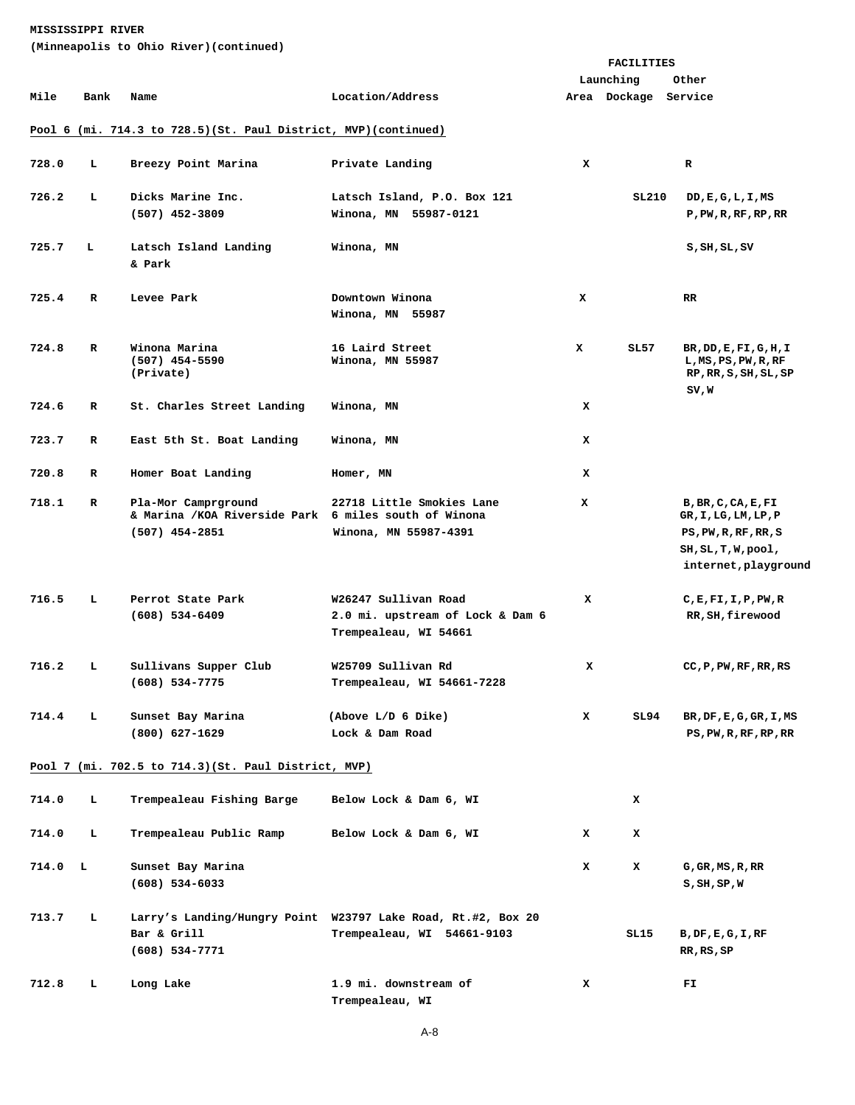**(Minneapolis to Ohio River)(continued)** 

|       |              |                                                                                                  |                                                                                            | <b>FACILITIES</b> |                      |                                                                                                               |
|-------|--------------|--------------------------------------------------------------------------------------------------|--------------------------------------------------------------------------------------------|-------------------|----------------------|---------------------------------------------------------------------------------------------------------------|
|       |              |                                                                                                  |                                                                                            |                   | Launching            | Other                                                                                                         |
| Mile  | Bank         | Name                                                                                             | Location/Address                                                                           |                   | Area Dockage Service |                                                                                                               |
|       |              | Pool 6 (mi. 714.3 to 728.5) (St. Paul District, MVP) (continued)                                 |                                                                                            |                   |                      |                                                                                                               |
| 728.0 | L            | Breezy Point Marina                                                                              | Private Landing                                                                            | x                 |                      | R                                                                                                             |
| 726.2 | L            | Dicks Marine Inc.<br>$(507)$ 452-3809                                                            | Latsch Island, P.O. Box 121<br>Winona, MN 55987-0121                                       |                   | SL210                | DD, E, G, L, I, MS<br>$P$ , $PW$ , $R$ , $RF$ , $RP$ , $RR$                                                   |
| 725.7 | т.           | Latsch Island Landing<br>& Park                                                                  | Winona, MN                                                                                 |                   |                      | S, SH, SL, SV                                                                                                 |
| 725.4 | $\mathbf{R}$ | Levee Park                                                                                       | Downtown Winona<br>Winona, MN 55987                                                        | x                 |                      | RR                                                                                                            |
| 724.8 | $\mathbf{R}$ | Winona Marina<br>$(507)$ 454-5590<br>(Private)                                                   | 16 Laird Street<br>Winona, MN 55987                                                        | x                 | SL57                 | BR, DD, E, FI, G, H, I<br>$L$ , MS, PS, PW, R, RF<br>RP, RR, S, SH, SL, SP<br>SV,W                            |
| 724.6 | R            | St. Charles Street Landing                                                                       | Winona, MN                                                                                 | x                 |                      |                                                                                                               |
| 723.7 | R            | East 5th St. Boat Landing                                                                        | Winona, MN                                                                                 | x                 |                      |                                                                                                               |
| 720.8 | R            | Homer Boat Landing                                                                               | Homer, MN                                                                                  | x                 |                      |                                                                                                               |
| 718.1 | R            | Pla-Mor Camprground<br>& Marina / KOA Riverside Park 6 miles south of Winona<br>$(507)$ 454-2851 | 22718 Little Smokies Lane<br>Winona, MN 55987-4391                                         | x                 |                      | B, BR, C, CA, E, FI<br>GR,I,LG,LM,LP,P<br>PS, PW, R, RF, RR, S<br>SH, SL, T, W, pool,<br>internet, playground |
| 716.5 | L.           | Perrot State Park<br>$(608) 534 - 6409$                                                          | W26247 Sullivan Road<br>2.0 mi. upstream of Lock & Dam 6<br>Trempealeau, WI 54661          | x                 |                      | C, E, F1, I, P, PW, R<br>RR, SH, firewood                                                                     |
| 716.2 | L            | Sullivans Supper Club<br>$(608)$ 534-7775                                                        | W25709 Sullivan Rd<br>Trempealeau, WI 54661-7228                                           | x                 |                      | CC, P, PW, RF, RR, RS                                                                                         |
| 714.4 | L            | Sunset Bay Marina<br>$(800)$ 627-1629                                                            | (Above L/D 6 Dike)<br>Lock & Dam Road                                                      | x                 | SL94                 | $BR$ , $DF$ , $E$ , $G$ , $GR$ , $I$ , $MS$<br>PS, PW, R, RF, RP, RR                                          |
|       |              | Pool 7 (mi. 702.5 to 714.3) (St. Paul District, MVP)                                             |                                                                                            |                   |                      |                                                                                                               |
| 714.0 | L.           | Trempealeau Fishing Barge                                                                        | Below Lock & Dam 6, WI                                                                     |                   | x                    |                                                                                                               |
| 714.0 | L            | Trempealeau Public Ramp                                                                          | Below Lock & Dam 6, WI                                                                     | x                 | x                    |                                                                                                               |
| 714.0 | L.           | Sunset Bay Marina<br>$(608) 534 - 6033$                                                          |                                                                                            | x                 | x                    | $G$ , $GR$ , $MS$ , $R$ , $RR$<br>S, SH, SP, W                                                                |
| 713.7 | L            | Bar & Grill<br>$(608) 534 - 7771$                                                                | Larry's Landing/Hungry Point W23797 Lake Road, Rt.#2, Box 20<br>Trempealeau, WI 54661-9103 |                   | SL15                 | $B$ , $DF$ , $E$ , $G$ , $I$ , $RF$<br>RR, RS, SP                                                             |
| 712.8 | L            | Long Lake                                                                                        | 1.9 mi. downstream of<br>Trempealeau, WI                                                   | x                 |                      | $\mathbf{FI}$                                                                                                 |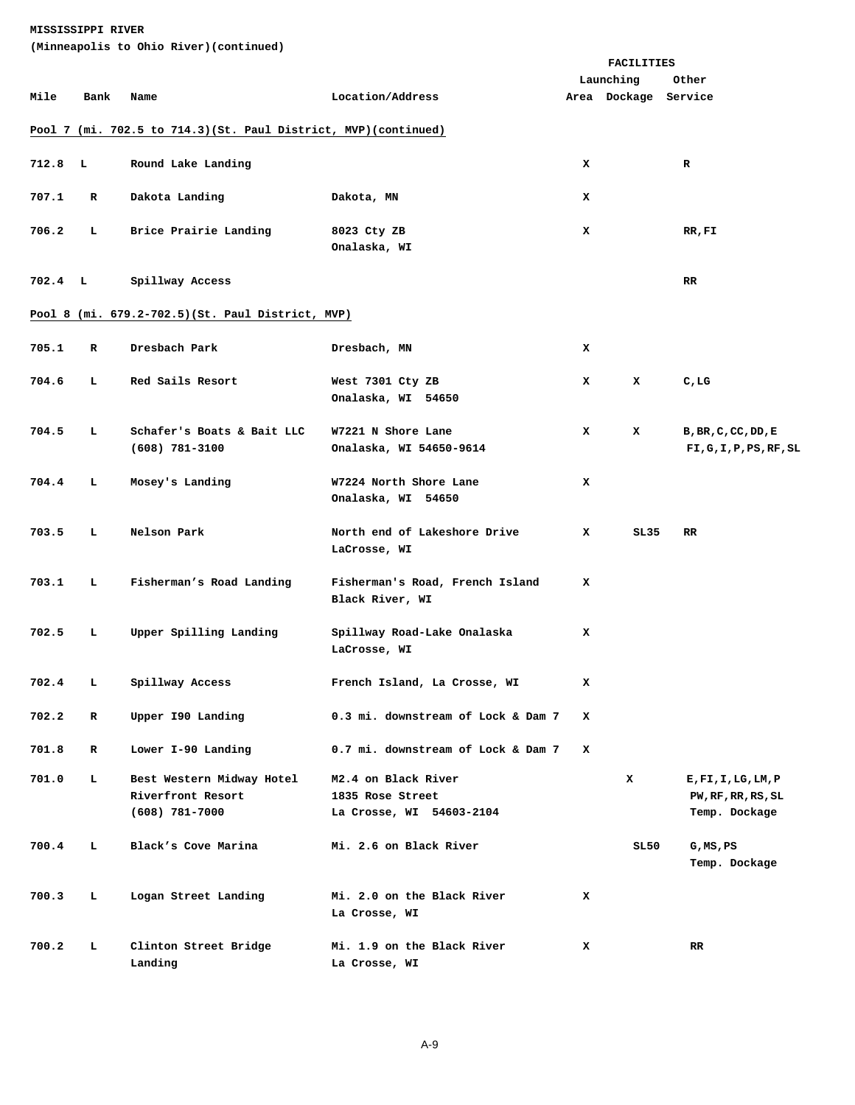|                    |      | (Minneapolis to Ohio River) (continued)                            |                                                                     |   |                      |                                                       |
|--------------------|------|--------------------------------------------------------------------|---------------------------------------------------------------------|---|----------------------|-------------------------------------------------------|
|                    |      |                                                                    |                                                                     |   | <b>FACILITIES</b>    |                                                       |
|                    |      |                                                                    |                                                                     |   | Launching            | Other                                                 |
| Mile               | Bank | Name                                                               | Location/Address                                                    |   | Area Dockage Service |                                                       |
|                    |      | Pool 7 (mi. 702.5 to 714.3) (St. Paul District, MVP) (continued)   |                                                                     |   |                      |                                                       |
| 712.8 <sub>L</sub> |      | Round Lake Landing                                                 |                                                                     | x |                      | R                                                     |
|                    |      |                                                                    |                                                                     |   |                      |                                                       |
| 707.1              | R    | Dakota Landing                                                     | Dakota, MN                                                          | x |                      |                                                       |
| 706.2              | т.   | Brice Prairie Landing                                              | 8023 Cty ZB<br>Onalaska, WI                                         | x |                      | RR,FI                                                 |
| $702.4$ L          |      | Spillway Access                                                    |                                                                     |   |                      | RR.                                                   |
|                    |      | Pool 8 (mi. 679.2-702.5) (St. Paul District, MVP)                  |                                                                     |   |                      |                                                       |
| 705.1              | R    | Dresbach Park                                                      | Dresbach, MN                                                        | x |                      |                                                       |
| 704.6              | т.   | Red Sails Resort                                                   | West 7301 Cty ZB<br>Onalaska, WI 54650                              | x | x                    | C, LG                                                 |
| 704.5              | L    | Schafer's Boats & Bait LLC<br>$(608)$ 781-3100                     | W7221 N Shore Lane<br>Onalaska, WI 54650-9614                       | x | x                    | B, BR, C, CC, DD, E<br>FI,G,I,P,PS,RF,SL              |
| 704.4              | ъ.   | Mosey's Landing                                                    | W7224 North Shore Lane<br>Onalaska, WI 54650                        | x |                      |                                                       |
| 703.5              | ъ.   | Nelson Park                                                        | North end of Lakeshore Drive<br>LaCrosse, WI                        | x | SL35                 | RR.                                                   |
| 703.1              | Ъ.   | Fisherman's Road Landing                                           | Fisherman's Road, French Island<br>Black River, WI                  | x |                      |                                                       |
| 702.5              | ь    | Upper Spilling Landing                                             | Spillway Road-Lake Onalaska<br>LaCrosse, WI                         | x |                      |                                                       |
| 702.4              | т.   | Spillway Access                                                    | French Island, La Crosse, WI                                        | х |                      |                                                       |
| 702.2              | R    | Upper 190 Landing                                                  | 0.3 mi. downstream of Lock & Dam 7                                  | x |                      |                                                       |
| 701.8              | R    | Lower I-90 Landing                                                 | 0.7 mi. downstream of Lock & Dam 7                                  | x |                      |                                                       |
| 701.0              | L    | Best Western Midway Hotel<br>Riverfront Resort<br>$(608)$ 781-7000 | M2.4 on Black River<br>1835 Rose Street<br>La Crosse, WI 54603-2104 |   | x                    | E,FI,I,LG,LM,P<br>PW, RF, RR, RS, SL<br>Temp. Dockage |
| 700.4              | т.   | Black's Cove Marina                                                | Mi. 2.6 on Black River                                              |   | SL50                 | $G$ , MS, PS<br>Temp. Dockage                         |
| 700.3              | т.   | Logan Street Landing                                               | Mi. 2.0 on the Black River<br>La Crosse, WI                         | x |                      |                                                       |
| 700.2              | L    | Clinton Street Bridge<br>Landing                                   | Mi. 1.9 on the Black River<br>La Crosse, WI                         | x |                      | RR.                                                   |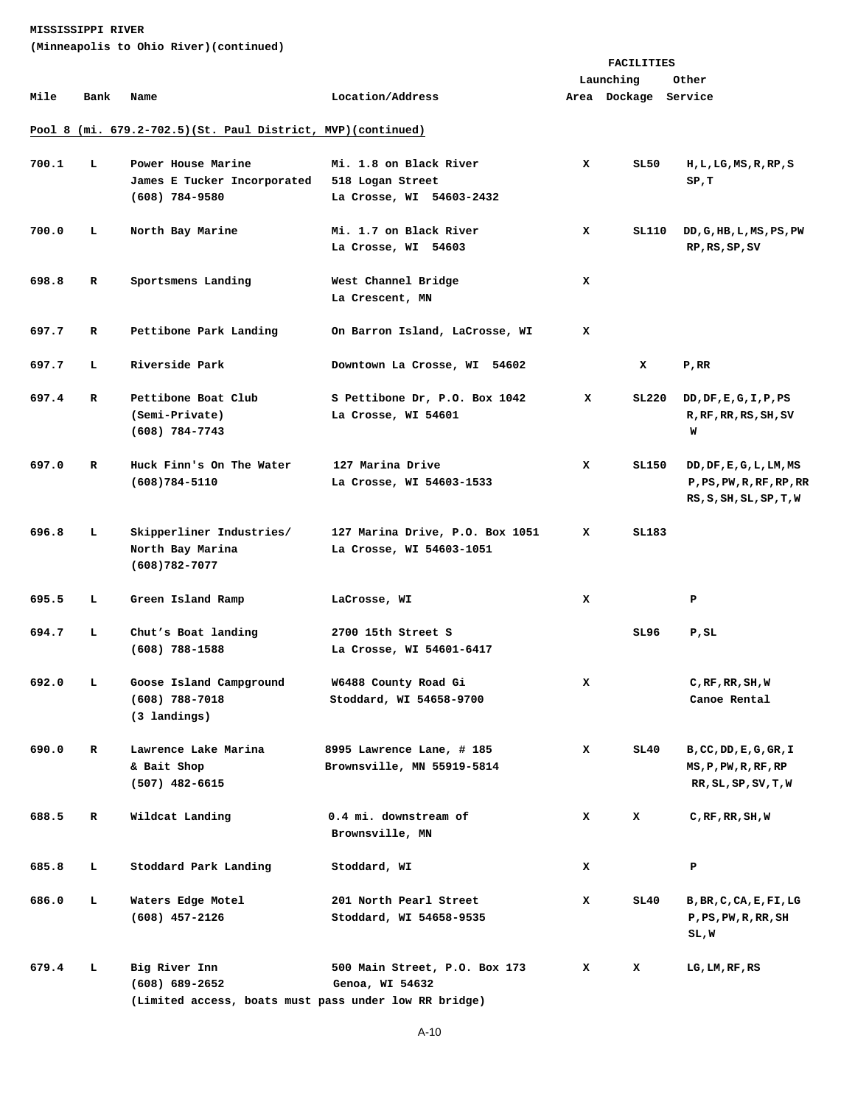**(Minneapolis to Ohio River)(continued)** 

|       |             |                                                               |                                 | <b>FACILITIES</b> |                      |                          |  |
|-------|-------------|---------------------------------------------------------------|---------------------------------|-------------------|----------------------|--------------------------|--|
|       |             |                                                               |                                 |                   | Launching            | Other                    |  |
| Mile  | Bank        | Name                                                          | Location/Address                |                   | Area Dockage Service |                          |  |
|       |             | Pool 8 (mi. 679.2-702.5) (St. Paul District, MVP) (continued) |                                 |                   |                      |                          |  |
| 700.1 | L           | Power House Marine                                            | Mi. 1.8 on Black River          | x                 | SL50                 | H, L, LG, MS, R, RP, S   |  |
|       |             | James E Tucker Incorporated                                   | 518 Logan Street                |                   |                      | SP,T                     |  |
|       |             | $(608)$ 784-9580                                              | La Crosse, WI 54603-2432        |                   |                      |                          |  |
|       |             |                                                               |                                 |                   |                      |                          |  |
| 700.0 | ь.          | North Bay Marine                                              | Mi. 1.7 on Black River          | x                 | SL110                | DD, G, HB, L, MS, PS, PW |  |
|       |             |                                                               | La Crosse, WI 54603             |                   |                      | RP, RS, SP, SV           |  |
|       |             |                                                               |                                 |                   |                      |                          |  |
| 698.8 | R           | Sportsmens Landing                                            | West Channel Bridge             | x                 |                      |                          |  |
|       |             |                                                               | La Crescent, MN                 |                   |                      |                          |  |
|       |             |                                                               |                                 |                   |                      |                          |  |
| 697.7 | R           | Pettibone Park Landing                                        | On Barron Island, LaCrosse, WI  | x                 |                      |                          |  |
| 697.7 | L           | Riverside Park                                                | Downtown La Crosse, WI 54602    |                   | x                    | P,RR                     |  |
|       |             |                                                               |                                 |                   |                      |                          |  |
| 697.4 | $\mathbf R$ | Pettibone Boat Club                                           | S Pettibone Dr, P.O. Box 1042   | x                 | SL220                | DD, DF, E, G, I, P, PS   |  |
|       |             | (Semi-Private)                                                | La Crosse, WI 54601             |                   |                      | R, RF, RR, RS, SH, SV    |  |
|       |             | $(608)$ 784-7743                                              |                                 |                   |                      | W                        |  |
|       |             |                                                               |                                 |                   |                      |                          |  |
| 697.0 | R           | Huck Finn's On The Water                                      | 127 Marina Drive                | x                 | SL150                | DD, DF, E, G, L, LM, MS  |  |
|       |             | $(608)784 - 5110$                                             | La Crosse, WI 54603-1533        |                   |                      | P, PS, PW, R, RF, RP, RR |  |
|       |             |                                                               |                                 |                   |                      | RS, S, SH, SL, SP, T, W  |  |
|       |             |                                                               |                                 |                   |                      |                          |  |
| 696.8 | ь.          | Skipperliner Industries/                                      | 127 Marina Drive, P.O. Box 1051 | x                 | SL183                |                          |  |
|       |             | North Bay Marina                                              | La Crosse, WI 54603-1051        |                   |                      |                          |  |
|       |             | $(608)782 - 7077$                                             |                                 |                   |                      |                          |  |
| 695.5 | ь.          | Green Island Ramp                                             | LaCrosse, WI                    | x                 |                      | Р                        |  |
|       |             |                                                               |                                 |                   |                      |                          |  |
| 694.7 | L           | Chut's Boat landing                                           | 2700 15th Street S              |                   | SL96                 | P,SL                     |  |
|       |             | $(608)$ 788-1588                                              | La Crosse, WI 54601-6417        |                   |                      |                          |  |
|       |             |                                                               |                                 |                   |                      |                          |  |
| 692.0 | L.          | Goose Island Campground                                       | W6488 County Road Gi            | x                 |                      | $C$ , RF, RR, SH, W      |  |
|       |             | $(608)$ 788-7018                                              | Stoddard, WI 54658-9700         |                   |                      | Canoe Rental             |  |
|       |             | (3 landings)                                                  |                                 |                   |                      |                          |  |
| 690.0 | R           | Lawrence Lake Marina                                          |                                 | x                 |                      |                          |  |
|       |             |                                                               | 8995 Lawrence Lane, # 185       |                   | SL40                 | B, CC, DD, E, G, GR, I   |  |
|       |             | & Bait Shop                                                   | Brownsville, MN 55919-5814      |                   |                      | MS, P, PW, R, RF, RP     |  |
|       |             | $(507)$ 482-6615                                              |                                 |                   |                      | RR, SL, SP, SV, T, W     |  |
| 688.5 | R           | Wildcat Landing                                               | 0.4 mi. downstream of           | x                 | x                    | $C$ , RF, RR, SH, W      |  |
|       |             |                                                               | Brownsville, MN                 |                   |                      |                          |  |
|       |             |                                                               |                                 |                   |                      |                          |  |
| 685.8 | г           | Stoddard Park Landing                                         | Stoddard, WI                    | x                 |                      | Р                        |  |
|       |             |                                                               |                                 |                   |                      |                          |  |
| 686.0 | г           | Waters Edge Motel                                             | 201 North Pearl Street          | x                 | SL40                 | B, BR, C, CA, E, FI, LG  |  |
|       |             | $(608)$ 457-2126                                              | Stoddard, WI 54658-9535         |                   |                      | P, PS, PW, R, RR, SH     |  |
|       |             |                                                               |                                 |                   |                      | SL,W                     |  |
|       |             |                                                               |                                 |                   |                      |                          |  |
| 679.4 | г           | Big River Inn                                                 | 500 Main Street, P.O. Box 173   | x                 | x                    | LG, LM, RF, RS           |  |
|       |             | $(608) 689 - 2652$                                            | Genoa, WI 54632                 |                   |                      |                          |  |

 **(Limited access, boats must pass under low RR bridge)**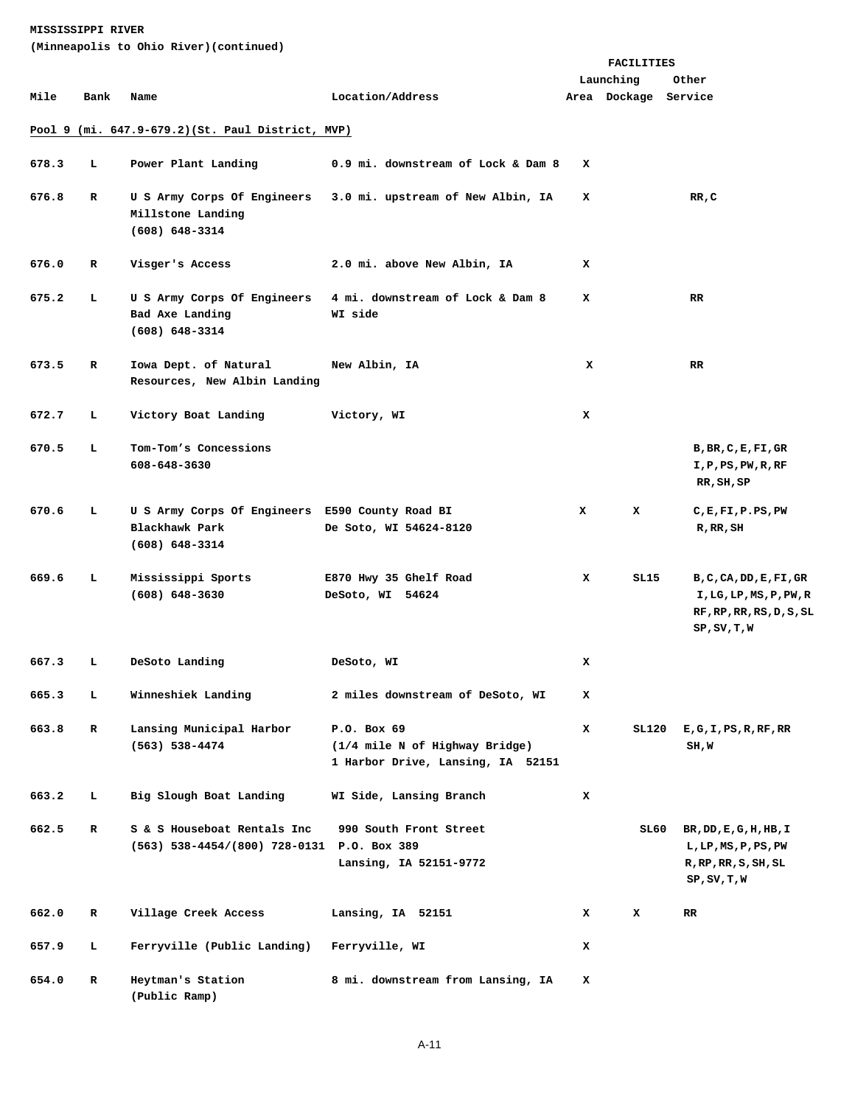**(Minneapolis to Ohio River)(continued)** 

|       |             |                                                                                         |                                                                                    | <b>FACILITIES</b> |                      |                                                                                                                          |  |
|-------|-------------|-----------------------------------------------------------------------------------------|------------------------------------------------------------------------------------|-------------------|----------------------|--------------------------------------------------------------------------------------------------------------------------|--|
|       |             |                                                                                         |                                                                                    |                   | Launching            | Other                                                                                                                    |  |
| Mile  | Bank        | Name                                                                                    | Location/Address                                                                   |                   | Area Dockage Service |                                                                                                                          |  |
|       |             | Pool 9 (mi. 647.9-679.2) (St. Paul District, MVP)                                       |                                                                                    |                   |                      |                                                                                                                          |  |
| 678.3 | т.          | Power Plant Landing                                                                     | 0.9 mi. downstream of Lock & Dam 8                                                 | x                 |                      |                                                                                                                          |  |
| 676.8 | R           | U S Army Corps Of Engineers<br>Millstone Landing<br>$(608) 648 - 3314$                  | 3.0 mi. upstream of New Albin, IA                                                  | x                 |                      | RR, C                                                                                                                    |  |
| 676.0 | R           | Visger's Access                                                                         | 2.0 mi. above New Albin, IA                                                        | x                 |                      |                                                                                                                          |  |
| 675.2 | т.          | U S Army Corps Of Engineers<br>Bad Axe Landing<br>$(608) 648 - 3314$                    | 4 mi. downstream of Lock & Dam 8<br>WI side                                        | x                 |                      | RR.                                                                                                                      |  |
| 673.5 | R           | Iowa Dept. of Natural<br>Resources, New Albin Landing                                   | New Albin, IA                                                                      | x                 |                      | RR.                                                                                                                      |  |
| 672.7 | т.          | Victory Boat Landing                                                                    | Victory, WI                                                                        | x                 |                      |                                                                                                                          |  |
| 670.5 | L           | Tom-Tom's Concessions<br>608-648-3630                                                   |                                                                                    |                   |                      | B, BR, C, E, FI, GR<br>I,P,PS,PW,R,RF<br>RR, SH, SP                                                                      |  |
| 670.6 | т.          | U S Army Corps Of Engineers E590 County Road BI<br>Blackhawk Park<br>$(608) 648 - 3314$ | De Soto, WI 54624-8120                                                             | x                 | x                    | $C$ , $E$ , $F$ I, $P$ . $PS$ , $PW$<br>$R$ , $RR$ , $SH$                                                                |  |
| 669.6 | т.          | Mississippi Sports<br>$(608) 648 - 3630$                                                | E870 Hwy 35 Ghelf Road<br>DeSoto, WI 54624                                         | x                 | SL15                 | B, C, CA, DD, E, FI, GR<br>I, LG, LP, MS, P, PW, R<br>RF, RP, RR, RS, D, S, SL<br>SP, SV, T, W                           |  |
| 667.3 | т.          | DeSoto Landing                                                                          | DeSoto, WI                                                                         | x                 |                      |                                                                                                                          |  |
| 665.3 | L           | Winneshiek Landing                                                                      | 2 miles downstream of DeSoto, WI                                                   | x                 |                      |                                                                                                                          |  |
| 663.8 | $\mathbf R$ | Lansing Municipal Harbor<br>(563) 538-4474                                              | P.O. Box 69<br>(1/4 mile N of Highway Bridge)<br>1 Harbor Drive, Lansing, IA 52151 | x                 | SL120                | E, G, I, PS, R, RF, RR<br>SH,W                                                                                           |  |
| 663.2 | Ь           | Big Slough Boat Landing                                                                 | WI Side, Lansing Branch                                                            | x                 |                      |                                                                                                                          |  |
| 662.5 | $\mathbf R$ | S & S Houseboat Rentals Inc<br>(563) 538-4454/(800) 728-0131 P.O. Box 389               | 990 South Front Street<br>Lansing, IA 52151-9772                                   |                   | SL 60                | BR, DD, E, G, H, HB, I<br>$L$ , $LP$ , $MS$ , $P$ , $PS$ , $PW$<br>$R$ , $RP$ , $RR$ , $S$ , $SH$ , $SL$<br>SP, SV, T, W |  |
| 662.0 | R           | Village Creek Access                                                                    | Lansing, IA 52151                                                                  | x                 | x                    | RR.                                                                                                                      |  |
| 657.9 | L.          | Ferryville (Public Landing)                                                             | Ferryville, WI                                                                     | x                 |                      |                                                                                                                          |  |
| 654.0 | $\mathbf R$ | Heytman's Station<br>(Public Ramp)                                                      | 8 mi. downstream from Lansing, IA                                                  | x                 |                      |                                                                                                                          |  |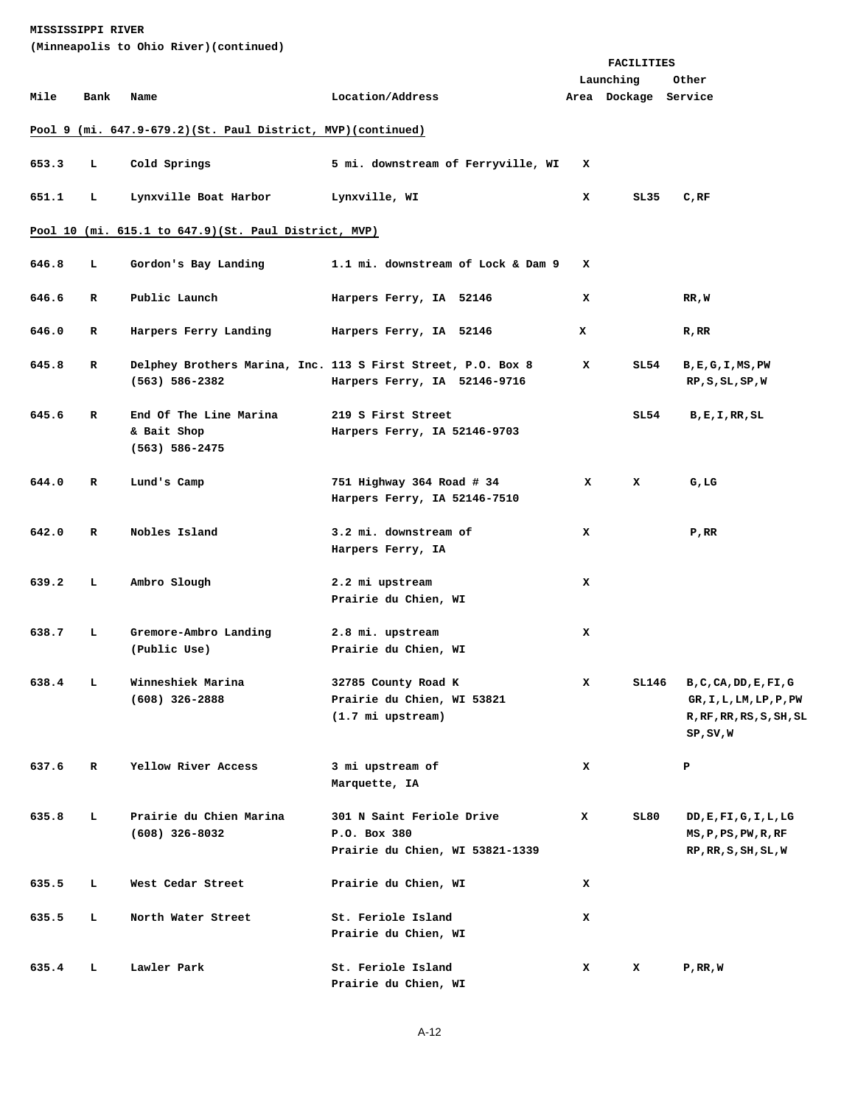| (Minneapolis to Ohio River)(continued)               |                                                               |                                                         |                                                                                              |   |                                   |                                                                                            |  |  |  |
|------------------------------------------------------|---------------------------------------------------------------|---------------------------------------------------------|----------------------------------------------------------------------------------------------|---|-----------------------------------|--------------------------------------------------------------------------------------------|--|--|--|
|                                                      |                                                               |                                                         |                                                                                              |   | <b>FACILITIES</b>                 |                                                                                            |  |  |  |
| Mile                                                 | Bank                                                          | Name                                                    | Location/Address                                                                             |   | Launching<br>Area Dockage Service | Other                                                                                      |  |  |  |
|                                                      | Pool 9 (mi. 647.9-679.2) (St. Paul District, MVP) (continued) |                                                         |                                                                                              |   |                                   |                                                                                            |  |  |  |
| 653.3                                                | L                                                             | Cold Springs                                            | 5 mi. downstream of Ferryville, WI                                                           | x |                                   |                                                                                            |  |  |  |
| 651.1                                                | ъ.                                                            | Lynxville Boat Harbor                                   | Lynxville, WI                                                                                | x | SL35                              | C, RF                                                                                      |  |  |  |
| Pool 10 (mi. 615.1 to 647.9)(St. Paul District, MVP) |                                                               |                                                         |                                                                                              |   |                                   |                                                                                            |  |  |  |
| 646.8                                                | L                                                             | Gordon's Bay Landing                                    | 1.1 mi. downstream of Lock & Dam 9                                                           | x |                                   |                                                                                            |  |  |  |
| 646.6                                                | R                                                             | Public Launch                                           | Harpers Ferry, IA 52146                                                                      | x |                                   | RR, W                                                                                      |  |  |  |
| 646.0                                                | R                                                             | Harpers Ferry Landing                                   | Harpers Ferry, IA 52146                                                                      | x |                                   | $R$ , $RR$                                                                                 |  |  |  |
| 645.8                                                | R                                                             | $(563) 586 - 2382$                                      | Delphey Brothers Marina, Inc. 113 S First Street, P.O. Box 8<br>Harpers Ferry, IA 52146-9716 | x | SL54                              | $B$ , $E$ , $G$ , $I$ , $MS$ , $PW$<br>RP, S, SL, SP, W                                    |  |  |  |
| 645.6                                                | R                                                             | End Of The Line Marina<br>& Bait Shop<br>(563) 586-2475 | 219 S First Street<br>Harpers Ferry, IA 52146-9703                                           |   | SL 54                             | B,E,I,RR,SL                                                                                |  |  |  |
| 644.0                                                | R                                                             | Lund's Camp                                             | 751 Highway 364 Road # 34<br>Harpers Ferry, IA 52146-7510                                    | x | x                                 | G, LG                                                                                      |  |  |  |
| 642.0                                                | R                                                             | Nobles Island                                           | 3.2 mi. downstream of<br>Harpers Ferry, IA                                                   | x |                                   | P,RR                                                                                       |  |  |  |
| 639.2                                                | L                                                             | Ambro Slough                                            | 2.2 mi upstream<br>Prairie du Chien, WI                                                      | x |                                   |                                                                                            |  |  |  |
| 638.7                                                | ъ.                                                            | Gremore-Ambro Landing<br>(Public Use)                   | 2.8 mi. upstream<br>Prairie du Chien, WI                                                     | x |                                   |                                                                                            |  |  |  |
| 638.4                                                | ъ.                                                            | Winneshiek Marina<br>$(608)$ 326-2888                   | 32785 County Road K<br>Prairie du Chien, WI 53821<br>$(1.7 \text{ mi}$ upstream)             | x | SL146                             | B, C, CA, DD, E, FI, G<br>GR, I, L, LM, LP, P, PW<br>R, RF, RR, RS, S, SH, SL<br>SP, SV, W |  |  |  |
| 637.6                                                | R                                                             | Yellow River Access                                     | 3 mi upstream of<br>Marquette, IA                                                            | x |                                   | P                                                                                          |  |  |  |
| 635.8                                                | L.                                                            | Prairie du Chien Marina<br>$(608)$ 326-8032             | 301 N Saint Feriole Drive<br>P.O. Box 380<br>Prairie du Chien, WI 53821-1339                 | x | SL80                              | DD, E, FI, G, I, L, LG<br>MS, P, PS, PW, R, RF<br>RP, RR, S, SH, SL, W                     |  |  |  |
| 635.5                                                | ь                                                             | West Cedar Street                                       | Prairie du Chien, WI                                                                         | x |                                   |                                                                                            |  |  |  |
| 635.5                                                | ь                                                             | North Water Street                                      | St. Feriole Island<br>Prairie du Chien, WI                                                   | x |                                   |                                                                                            |  |  |  |
| 635.4                                                | ь                                                             | Lawler Park                                             | St. Feriole Island<br>Prairie du Chien, WI                                                   | x | x                                 | P,RR,W                                                                                     |  |  |  |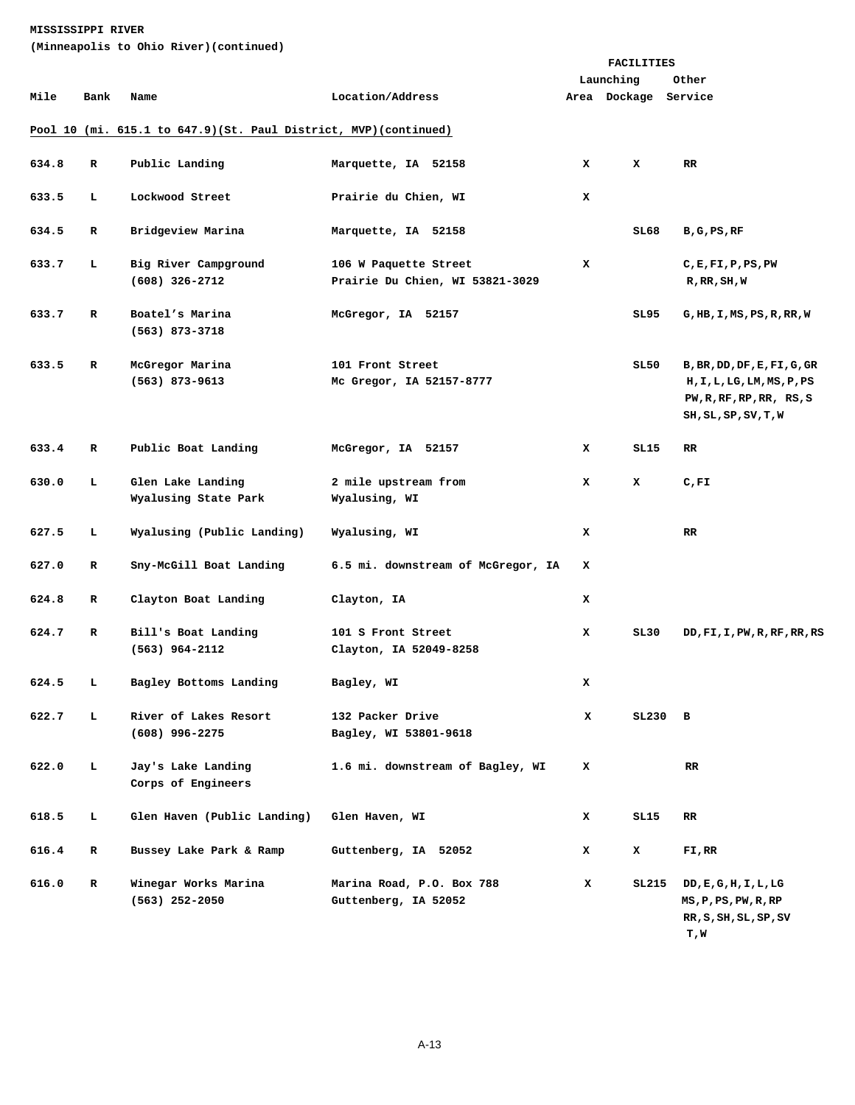**(Minneapolis to Ohio River)(continued)** 

|       | (Minneapolis to Onio Kiver) (continued) |                                                                   |                                                          |   |                                   |                                                                                                               |  |  |
|-------|-----------------------------------------|-------------------------------------------------------------------|----------------------------------------------------------|---|-----------------------------------|---------------------------------------------------------------------------------------------------------------|--|--|
|       |                                         |                                                                   |                                                          |   | <b>FACILITIES</b>                 |                                                                                                               |  |  |
| Mile  | Bank                                    | Name                                                              | Location/Address                                         |   | Launching<br>Area Dockage Service | Other                                                                                                         |  |  |
|       |                                         | Pool 10 (mi. 615.1 to 647.9) (St. Paul District, MVP) (continued) |                                                          |   |                                   |                                                                                                               |  |  |
| 634.8 | R                                       | Public Landing                                                    | Marquette, IA 52158                                      | x | x                                 | RR                                                                                                            |  |  |
| 633.5 | L                                       | Lockwood Street                                                   | Prairie du Chien, WI                                     | x |                                   |                                                                                                               |  |  |
| 634.5 | $\mathbf R$                             | Bridgeview Marina                                                 | Marquette, IA 52158                                      |   | SL68                              | B,G,PS,RF                                                                                                     |  |  |
| 633.7 | L.                                      | Big River Campground<br>$(608)$ 326-2712                          | 106 W Paquette Street<br>Prairie Du Chien, WI 53821-3029 | x |                                   | C, E, F1, P, PS, PW<br>R, RR, SH, W                                                                           |  |  |
| 633.7 | $\mathbf{R}$                            | Boatel's Marina<br>$(563)$ 873-3718                               | McGregor, IA 52157                                       |   | SL95                              | G, HB, I, MS, PS, R, RR, W                                                                                    |  |  |
| 633.5 | $\mathbf{R}$                            | McGregor Marina<br>$(563)$ 873-9613                               | 101 Front Street<br>Mc Gregor, IA 52157-8777             |   | SL50                              | B, BR, DD, DF, E, FI, G, GR<br>H, I, L, LG, LM, MS, P, PS<br>PW, R, RF, RP, RR, RS, S<br>SH, SL, SP, SV, T, W |  |  |
| 633.4 | $\mathbf R$                             | Public Boat Landing                                               | McGregor, IA 52157                                       | x | SL15                              | $_{\rm RR}$                                                                                                   |  |  |
| 630.0 | L                                       | Glen Lake Landing<br>Wyalusing State Park                         | 2 mile upstream from<br>Wyalusing, WI                    | x | x                                 | C, FI                                                                                                         |  |  |
| 627.5 | L                                       | Wyalusing (Public Landing)                                        | Wyalusing, WI                                            | x |                                   | RR                                                                                                            |  |  |
| 627.0 | R                                       | Sny-McGill Boat Landing                                           | 6.5 mi. downstream of McGregor, IA                       | x |                                   |                                                                                                               |  |  |
| 624.8 | R                                       | Clayton Boat Landing                                              | Clayton, IA                                              | x |                                   |                                                                                                               |  |  |
| 624.7 | $\mathbf R$                             | Bill's Boat Landing<br>$(563)$ 964-2112                           | 101 S Front Street<br>Clayton, IA 52049-8258             | x | SL30                              | DD, FI, I, PW, R, RF, RR, RS                                                                                  |  |  |
| 624.5 | L                                       | Bagley Bottoms Landing                                            | Bagley, WI                                               | x |                                   |                                                                                                               |  |  |
| 622.7 | L                                       | River of Lakes Resort<br>$(608)$ 996-2275                         | 132 Packer Drive<br>Bagley, WI 53801-9618                | x | $SL230$ B                         |                                                                                                               |  |  |
| 622.0 | L                                       | Jay's Lake Landing<br>Corps of Engineers                          | 1.6 mi. downstream of Bagley, WI                         | x |                                   | RR.                                                                                                           |  |  |
| 618.5 | г                                       | Glen Haven (Public Landing)                                       | Glen Haven, WI                                           | x | SL15                              | RR.                                                                                                           |  |  |
| 616.4 | R                                       | Bussey Lake Park & Ramp                                           | Guttenberg, IA 52052                                     | x | x                                 | FI,RR                                                                                                         |  |  |
| 616.0 | R                                       | Winegar Works Marina<br>$(563)$ 252-2050                          | Marina Road, P.O. Box 788<br>Guttenberg, IA 52052        | x | SL215                             | DD, E, G, H, I, L, LG<br>MS, P, PS, PW, R, RP<br>RR, S, SH, SL, SP, SV<br>T,W                                 |  |  |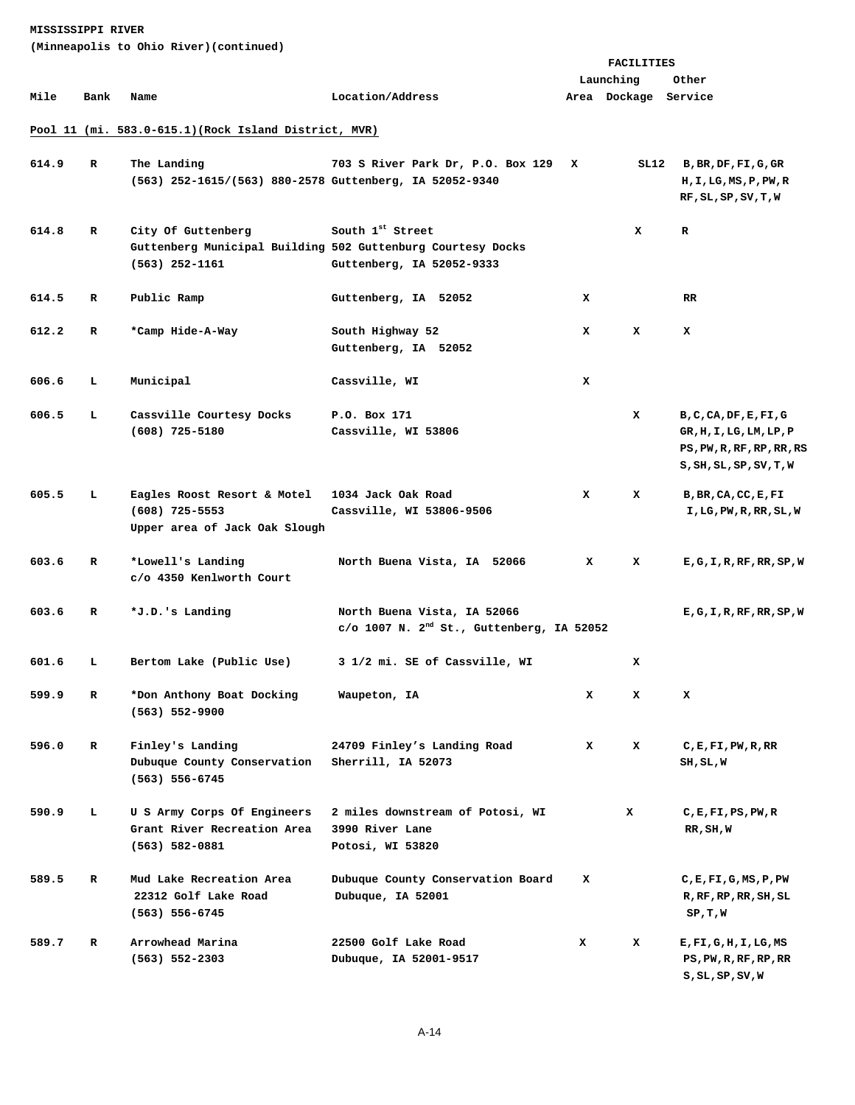| (Minneapolis to Ohio River)(continued) |  |  |  |  |
|----------------------------------------|--|--|--|--|
|----------------------------------------|--|--|--|--|

|       |      |                                                            |                                                                                         |   | FACILITIES           |                                  |
|-------|------|------------------------------------------------------------|-----------------------------------------------------------------------------------------|---|----------------------|----------------------------------|
|       |      |                                                            |                                                                                         |   | Launching            | Other                            |
| Mile  | Bank | Name                                                       | Location/Address                                                                        |   | Area Dockage Service |                                  |
|       |      |                                                            |                                                                                         |   |                      |                                  |
|       |      | Pool 11 (mi. 583.0-615.1) (Rock Island District, MVR)      |                                                                                         |   |                      |                                  |
|       |      |                                                            |                                                                                         |   |                      |                                  |
| 614.9 | R    | The Landing                                                | 703 S River Park Dr, P.O. Box 129                                                       | x |                      | SL12 B, BR, DF, FI, G, GR        |
|       |      | (563) 252-1615/(563) 880-2578 Guttenberg, IA 52052-9340    |                                                                                         |   |                      | H, I, LG, MS, P, PW, R           |
|       |      |                                                            |                                                                                         |   |                      | RF, SL, SP, SV, T, W             |
|       |      |                                                            | South 1st Street                                                                        |   |                      |                                  |
| 614.8 | R    | City Of Guttenberg                                         | Guttenberg Municipal Building 502 Guttenburg Courtesy Docks                             |   | x                    | R                                |
|       |      | $(563)$ 252-1161                                           |                                                                                         |   |                      |                                  |
|       |      |                                                            | Guttenberg, IA 52052-9333                                                               |   |                      |                                  |
| 614.5 | R    | Public Ramp                                                | Guttenberg, IA 52052                                                                    | x |                      | RR.                              |
|       |      |                                                            |                                                                                         |   |                      |                                  |
| 612.2 | R    | *Camp Hide-A-Way                                           | South Highway 52                                                                        | x | x                    | x                                |
|       |      |                                                            | Guttenberg, IA 52052                                                                    |   |                      |                                  |
|       |      |                                                            |                                                                                         |   |                      |                                  |
| 606.6 | L    | Municipal                                                  | Cassville, WI                                                                           | x |                      |                                  |
|       |      |                                                            |                                                                                         |   |                      |                                  |
| 606.5 | L    | Cassville Courtesy Docks                                   | P.O. Box 171                                                                            |   | x                    | B, C, CA, DF, E, FI, G           |
|       |      | $(608)$ 725-5180                                           | Cassville, WI 53806                                                                     |   |                      | GR, H, I, LG, LM, LP, P          |
|       |      |                                                            |                                                                                         |   |                      | PS, PW, R, RF, RP, RR, RS        |
|       |      |                                                            |                                                                                         |   |                      | S, SH, SL, SP, SV, T, W          |
| 605.5 | L    | Eagles Roost Resort & Motel                                | 1034 Jack Oak Road                                                                      | x | x                    | B, BR, CA, CC, E, FI             |
|       |      | $(608)$ 725-5553                                           | Cassville, WI 53806-9506                                                                |   |                      | I, LG, PW, R, RR, SL, W          |
|       |      | Upper area of Jack Oak Slough                              |                                                                                         |   |                      |                                  |
|       |      |                                                            |                                                                                         |   |                      |                                  |
| 603.6 | R    | *Lowell's Landing                                          | North Buena Vista, IA 52066                                                             | x | x                    | E, G, I, R, RF, RR, SP, W        |
|       |      | c/o 4350 Kenlworth Court                                   |                                                                                         |   |                      |                                  |
|       |      |                                                            |                                                                                         |   |                      |                                  |
| 603.6 | R    | *J.D.'s Landing                                            | North Buena Vista, IA 52066<br>$c$ /o 1007 N. 2 <sup>nd</sup> St., Guttenberg, IA 52052 |   |                      | E, G, I, R, RF, RR, SP, W        |
|       |      |                                                            |                                                                                         |   |                      |                                  |
| 601.6 | L    | Bertom Lake (Public Use)                                   | 3 1/2 mi. SE of Cassville, WI                                                           |   | x                    |                                  |
|       |      |                                                            |                                                                                         |   |                      |                                  |
| 599.9 | R    | *Don Anthony Boat Docking                                  | Waupeton, IA                                                                            | x | x                    | x                                |
|       |      | $(563) 552 - 9900$                                         |                                                                                         |   |                      |                                  |
|       |      |                                                            |                                                                                         |   |                      |                                  |
| 596.0 | R    | Finley's Landing                                           | 24709 Finley's Landing Road                                                             | x | x                    | C, E, F1, PW, R, RR              |
|       |      | Dubuque County Conservation                                | Sherrill, IA 52073                                                                      |   |                      | SH,SL,W                          |
|       |      | $(563) 556 - 6745$                                         |                                                                                         |   |                      |                                  |
|       |      |                                                            |                                                                                         |   |                      |                                  |
| 590.9 | т.   | U S Army Corps Of Engineers<br>Grant River Recreation Area | 2 miles downstream of Potosi, WI<br>3990 River Lane                                     |   | x                    | C, E, F1, PS, PW, R<br>RR, SH, W |
|       |      | $(563) 582 - 0881$                                         | Potosi, WI 53820                                                                        |   |                      |                                  |
|       |      |                                                            |                                                                                         |   |                      |                                  |
| 589.5 | R    | Mud Lake Recreation Area                                   | Dubuque County Conservation Board                                                       | x |                      | C, E, F1, G, MS, P, PW           |
|       |      | 22312 Golf Lake Road                                       | Dubuque, IA 52001                                                                       |   |                      | R, RF, RP, RR, SH, SL            |
|       |      | (563) 556-6745                                             |                                                                                         |   |                      | SP, T, W                         |
|       |      |                                                            |                                                                                         |   |                      |                                  |
| 589.7 | R    | Arrowhead Marina                                           | 22500 Golf Lake Road                                                                    | x | x                    | E,FI,G,H,I,LG,MS                 |
|       |      | $(563) 552 - 2303$                                         | Dubuque, IA 52001-9517                                                                  |   |                      | PS, PW, R, RF, RP, RR            |
|       |      |                                                            |                                                                                         |   |                      | $S$ , $SL$ , $SP$ , $SV$ , $W$   |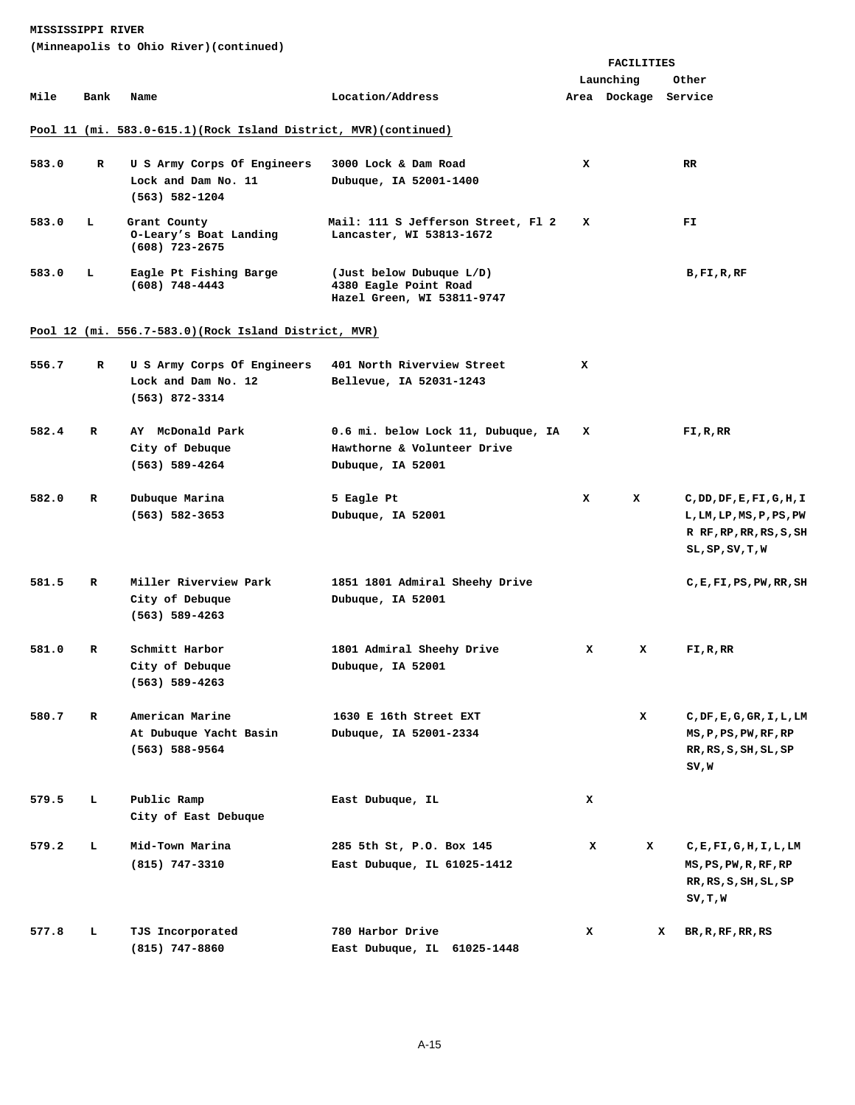|       |                                                                   |                                                          |                                                                                 |   | FACILITIES           |                                              |  |  |  |
|-------|-------------------------------------------------------------------|----------------------------------------------------------|---------------------------------------------------------------------------------|---|----------------------|----------------------------------------------|--|--|--|
|       |                                                                   |                                                          |                                                                                 |   | Launching            | Other                                        |  |  |  |
| Mile  | Bank                                                              | Name                                                     | Location/Address                                                                |   | Area Dockage Service |                                              |  |  |  |
|       |                                                                   |                                                          |                                                                                 |   |                      |                                              |  |  |  |
|       | Pool 11 (mi. 583.0-615.1) (Rock Island District, MVR) (continued) |                                                          |                                                                                 |   |                      |                                              |  |  |  |
|       |                                                                   |                                                          |                                                                                 |   |                      |                                              |  |  |  |
| 583.0 | R                                                                 | U S Army Corps Of Engineers                              | 3000 Lock & Dam Road                                                            | x |                      | RR.                                          |  |  |  |
|       |                                                                   | Lock and Dam No. 11                                      | Dubuque, IA 52001-1400                                                          |   |                      |                                              |  |  |  |
|       |                                                                   | $(563) 582 - 1204$                                       |                                                                                 |   |                      |                                              |  |  |  |
| 583.0 | ъ                                                                 | Grant County<br>O-Leary's Boat Landing<br>(608) 723-2675 | Mail: 111 S Jefferson Street, Fl 2<br>Lancaster, WI 53813-1672                  | x |                      | FI.                                          |  |  |  |
| 583.0 | ъ                                                                 | Eagle Pt Fishing Barge<br>$(608)$ 748-4443               | (Just below Dubuque L/D)<br>4380 Eagle Point Road<br>Hazel Green, WI 53811-9747 |   |                      | B,FI,R,RF                                    |  |  |  |
|       |                                                                   | Pool 12 (mi. 556.7-583.0) (Rock Island District, MVR)    |                                                                                 |   |                      |                                              |  |  |  |
|       |                                                                   |                                                          |                                                                                 |   |                      |                                              |  |  |  |
| 556.7 | R                                                                 | U S Army Corps Of Engineers                              | 401 North Riverview Street                                                      | x |                      |                                              |  |  |  |
|       |                                                                   | Lock and Dam No. 12                                      | Bellevue, IA 52031-1243                                                         |   |                      |                                              |  |  |  |
|       |                                                                   | $(563)$ 872-3314                                         |                                                                                 |   |                      |                                              |  |  |  |
|       |                                                                   |                                                          |                                                                                 |   |                      |                                              |  |  |  |
| 582.4 | R                                                                 | AY McDonald Park                                         | 0.6 mi. below Lock 11, Dubuque, IA                                              | x |                      | FI,R,RR                                      |  |  |  |
|       |                                                                   | City of Debuque                                          | Hawthorne & Volunteer Drive                                                     |   |                      |                                              |  |  |  |
|       |                                                                   | $(563) 589 - 4264$                                       | Dubuque, IA 52001                                                               |   |                      |                                              |  |  |  |
|       |                                                                   |                                                          |                                                                                 |   |                      |                                              |  |  |  |
| 582.0 | R                                                                 | Dubuque Marina                                           | 5 Eagle Pt                                                                      | x | x                    | C,DD,DF,E,FI,G,H,I                           |  |  |  |
|       |                                                                   | $(563) 582 - 3653$                                       | Dubuque, IA 52001                                                               |   |                      | L, LM, LP, MS, P, PS, PW                     |  |  |  |
|       |                                                                   |                                                          |                                                                                 |   |                      | R RF, RP, RR, RS, S, SH                      |  |  |  |
|       |                                                                   |                                                          |                                                                                 |   |                      | $SL$ , $SP$ , $SV$ , $T$ , $W$               |  |  |  |
| 581.5 | R                                                                 | Miller Riverview Park                                    | 1851 1801 Admiral Sheehy Drive                                                  |   |                      | $C$ , $E$ , $F$ I, $PS$ , $PW$ , $RR$ , $SH$ |  |  |  |
|       |                                                                   | City of Debuque                                          | Dubuque, IA 52001                                                               |   |                      |                                              |  |  |  |
|       |                                                                   | $(563) 589 - 4263$                                       |                                                                                 |   |                      |                                              |  |  |  |
|       |                                                                   |                                                          |                                                                                 |   |                      |                                              |  |  |  |
| 581.0 | R                                                                 | Schmitt Harbor                                           | 1801 Admiral Sheehy Drive                                                       | x | x                    | FI, R, RR                                    |  |  |  |
|       |                                                                   | City of Debuque                                          | Dubuque, IA 52001                                                               |   |                      |                                              |  |  |  |
|       |                                                                   | $(563) 589 - 4263$                                       |                                                                                 |   |                      |                                              |  |  |  |
|       |                                                                   |                                                          |                                                                                 |   |                      |                                              |  |  |  |
| 580.7 | $\mathbf{R}$                                                      | American Marine                                          | 1630 E 16th Street EXT                                                          |   | x                    | C, DF, E, G, GR, I, L, LM                    |  |  |  |
|       |                                                                   | At Dubuque Yacht Basin                                   | Dubuque, IA 52001-2334                                                          |   |                      | MS, P, PS, PW, RF, RP                        |  |  |  |
|       |                                                                   | $(563) 588 - 9564$                                       |                                                                                 |   |                      | RR, RS, SH, SL, SP                           |  |  |  |
|       |                                                                   |                                                          |                                                                                 |   |                      | SV,W                                         |  |  |  |
|       |                                                                   |                                                          |                                                                                 |   |                      |                                              |  |  |  |
| 579.5 | L                                                                 | Public Ramp                                              | East Dubuque, IL                                                                | x |                      |                                              |  |  |  |
|       |                                                                   | City of East Debuque                                     |                                                                                 |   |                      |                                              |  |  |  |
| 579.2 | т.                                                                | Mid-Town Marina                                          | 285 5th St, P.O. Box 145                                                        | x | x                    | C,E,FI,G,H,I,L,LM                            |  |  |  |
|       |                                                                   | $(815)$ 747-3310                                         | East Dubuque, IL 61025-1412                                                     |   |                      | MS, PS, PW, R, RF, RP                        |  |  |  |
|       |                                                                   |                                                          |                                                                                 |   |                      | RR, RS, S, SH, SL, SP                        |  |  |  |
|       |                                                                   |                                                          |                                                                                 |   |                      | SV,T,W                                       |  |  |  |
|       |                                                                   |                                                          |                                                                                 |   |                      |                                              |  |  |  |
| 577.8 | L.                                                                | TJS Incorporated                                         | 780 Harbor Drive                                                                | x |                      | x<br>BR, R, RF, RR, RS                       |  |  |  |
|       |                                                                   | $(815)$ 747-8860                                         | East Dubuque, IL 61025-1448                                                     |   |                      |                                              |  |  |  |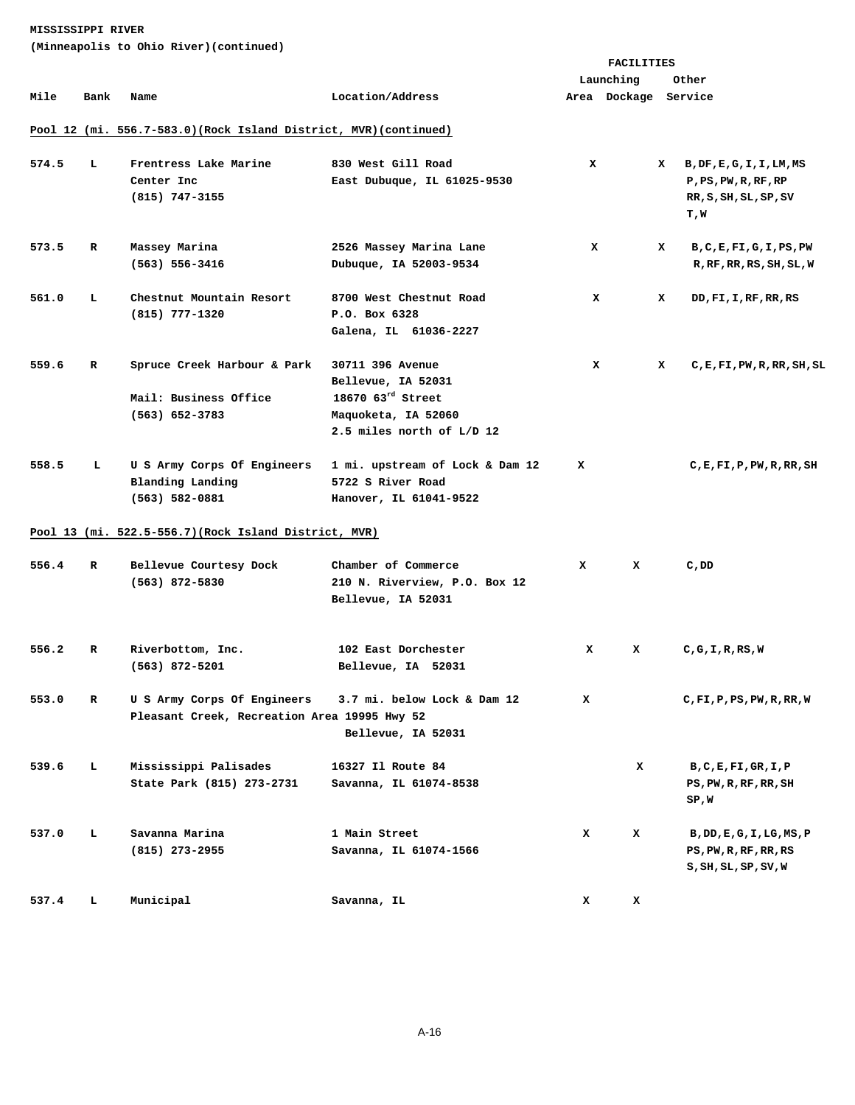|       |      |                                                                             |                                                                                                                               | <b>FACILITIES</b> |                      |                                                                                     |  |
|-------|------|-----------------------------------------------------------------------------|-------------------------------------------------------------------------------------------------------------------------------|-------------------|----------------------|-------------------------------------------------------------------------------------|--|
|       |      |                                                                             |                                                                                                                               |                   | Launching            | Other                                                                               |  |
| Mile  | Bank | Name                                                                        | Location/Address                                                                                                              |                   | Area Dockage Service |                                                                                     |  |
|       |      |                                                                             |                                                                                                                               |                   |                      |                                                                                     |  |
|       |      | Pool 12 (mi. 556.7-583.0) (Rock Island District, MVR) (continued)           |                                                                                                                               |                   |                      |                                                                                     |  |
| 574.5 | т.   | Frentress Lake Marine<br>Center Inc<br>$(815)$ 747-3155                     | 830 West Gill Road<br>East Dubuque, IL 61025-9530                                                                             | x                 |                      | X B, DF, E, G, I, I, LM, MS<br>P, PS, PW, R, RF, RP<br>RR, S, SH, SL, SP, SV<br>T,W |  |
|       |      |                                                                             |                                                                                                                               |                   |                      |                                                                                     |  |
| 573.5 | R    | Massey Marina<br>$(563) 556 - 3416$                                         | 2526 Massey Marina Lane<br>Dubuque, IA 52003-9534                                                                             | x                 |                      | x<br>B, C, E, FI, G, I, PS, PW<br>R, RF, RR, RS, SH, SL, W                          |  |
| 561.0 | L.   | Chestnut Mountain Resort<br>$(815)$ 777-1320                                | 8700 West Chestnut Road<br>P.O. Box 6328<br>Galena, IL 61036-2227                                                             | x                 |                      | x<br>DD, FI, I, RF, RR, RS                                                          |  |
| 559.6 | R    | Spruce Creek Harbour & Park<br>Mail: Business Office<br>$(563) 652 - 3783$  | 30711 396 Avenue<br>Bellevue, IA 52031<br>$18670$ $63^{\text{rd}}$ Street<br>Maquoketa, IA 52060<br>2.5 miles north of L/D 12 | x                 |                      | x<br>$C$ , E, FI, PW, R, RR, SH, SL                                                 |  |
| 558.5 | т.   | U S Army Corps Of Engineers<br>Blanding Landing<br>$(563) 582 - 0881$       | 1 mi. upstream of Lock & Dam 12<br>5722 S River Road<br>Hanover, IL 61041-9522                                                | x                 |                      | $C$ , E, FI, P, PW, R, RR, SH                                                       |  |
|       |      | Pool 13 (mi. 522.5-556.7) (Rock Island District, MVR)                       |                                                                                                                               |                   |                      |                                                                                     |  |
| 556.4 | R    | Bellevue Courtesy Dock<br>$(563)$ 872-5830                                  | Chamber of Commerce<br>210 N. Riverview, P.O. Box 12<br>Bellevue, IA 52031                                                    | x                 | x                    | C, DD                                                                               |  |
| 556.2 | R    | Riverbottom, Inc.<br>$(563)$ 872-5201                                       | 102 East Dorchester<br>Bellevue, IA 52031                                                                                     | x                 | x                    | C, G, I, R, RS, W                                                                   |  |
| 553.0 | R    | U S Army Corps Of Engineers<br>Pleasant Creek, Recreation Area 19995 Hwy 52 | 3.7 mi. below Lock & Dam 12<br>Bellevue, IA 52031                                                                             | x                 |                      | $C$ , FI, P, PS, PW, R, RR, W                                                       |  |
| 539.6 | г    | Mississippi Palisades<br>State Park (815) 273-2731                          | 16327 Il Route 84<br>Savanna, IL 61074-8538                                                                                   |                   | x                    | B, C, E, F1, GR, I, P<br>PS, PW, R, RF, RR, SH<br>SP,W                              |  |
| 537.0 | г    | Savanna Marina<br>$(815)$ 273-2955                                          | 1 Main Street<br>Savanna, IL 61074-1566                                                                                       | x                 | x                    | B, DD, E, G, I, LG, MS, P<br>PS, PW, R, RF, RR, RS<br>S,SH,SL,SP,SV,W               |  |
| 537.4 | г    | Municipal                                                                   | Savanna, IL                                                                                                                   | x                 | x                    |                                                                                     |  |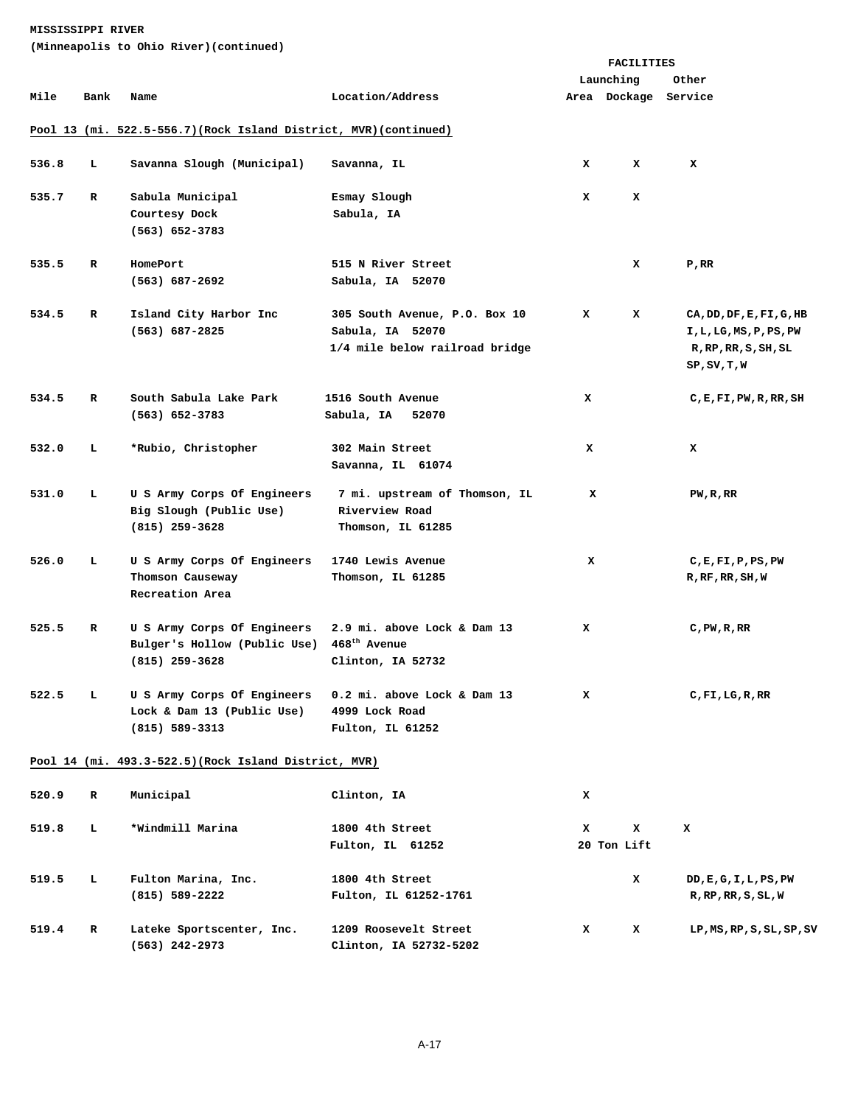|       |      |                                                                                 |                                                                                     |   | FACILITIES           |                                                                                                     |
|-------|------|---------------------------------------------------------------------------------|-------------------------------------------------------------------------------------|---|----------------------|-----------------------------------------------------------------------------------------------------|
|       |      |                                                                                 |                                                                                     |   | Launching            | Other                                                                                               |
| Mile  | Bank | Name                                                                            | Location/Address                                                                    |   | Area Dockage Service |                                                                                                     |
|       |      | Pool 13 (mi. 522.5-556.7) (Rock Island District, MVR) (continued)               |                                                                                     |   |                      |                                                                                                     |
| 536.8 | т.   | Savanna Slough (Municipal)                                                      | Savanna, IL                                                                         | x | x                    | x                                                                                                   |
| 535.7 | R    | Sabula Municipal<br>Courtesy Dock<br>$(563) 652 - 3783$                         | Esmay Slough<br>Sabula, IA                                                          | x | x                    |                                                                                                     |
| 535.5 | R    | HomePort<br>(563) 687-2692                                                      | 515 N River Street<br>Sabula, IA 52070                                              |   | x                    | $P$ , RR                                                                                            |
| 534.5 | R    | Island City Harbor Inc<br>$(563)$ 687-2825                                      | 305 South Avenue, P.O. Box 10<br>Sabula, IA 52070<br>1/4 mile below railroad bridge | x | x                    | CA, DD, DF, E, FI, G, HB<br>I,L,LG,MS,P,PS,PW<br>$R$ , $RP$ , $RR$ , $S$ , $SH$ , $SL$<br>SP,SV,T,W |
| 534.5 | R    | South Sabula Lake Park<br>$(563) 652 - 3783$                                    | 1516 South Avenue<br>Sabula, IA<br>52070                                            | x |                      | $C$ , $E$ , $F$ I, $PW$ , $RR$ , $SH$                                                               |
| 532.0 | ь.   | *Rubio, Christopher                                                             | 302 Main Street<br>Savanna, IL 61074                                                | x |                      | x                                                                                                   |
| 531.0 | т.   | U S Army Corps Of Engineers<br>Big Slough (Public Use)<br>$(815)$ 259-3628      | 7 mi. upstream of Thomson, IL<br>Riverview Road<br>Thomson, IL 61285                | x |                      | PW, R, RR                                                                                           |
| 526.0 | ь.   | U S Army Corps Of Engineers<br>Thomson Causeway<br>Recreation Area              | 1740 Lewis Avenue<br>Thomson, IL 61285                                              | x |                      | C, E, F1, P, PS, PW<br>$R$ , $RF$ , $RR$ , $SH$ , $W$                                               |
| 525.5 | R    | U S Army Corps Of Engineers<br>Bulger's Hollow (Public Use)<br>$(815)$ 259-3628 | 2.9 mi. above Lock & Dam 13<br>$468^{\text{th}}$ Avenue<br>Clinton, IA 52732        | x |                      | $C$ , PW, R, RR                                                                                     |
| 522.5 | т.   | U S Army Corps Of Engineers<br>Lock & Dam 13 (Public Use)<br>$(815) 589 - 3313$ | 0.2 mi. above Lock & Dam 13<br>4999 Lock Road<br>Fulton, IL 61252                   | x |                      | $C$ , FI, LG, R, RR                                                                                 |
|       |      | Pool 14 (mi. 493.3-522.5) (Rock Island District, MVR)                           |                                                                                     |   |                      |                                                                                                     |
| 520.9 | R    | Municipal                                                                       | Clinton, IA                                                                         | x |                      |                                                                                                     |
| 519.8 | г    | *Windmill Marina                                                                | 1800 4th Street<br>Fulton, IL 61252                                                 | x | x<br>20 Ton Lift     | x                                                                                                   |
| 519.5 | г    | Fulton Marina, Inc.<br>(815) 589-2222                                           | 1800 4th Street<br>Fulton, IL 61252-1761                                            |   | x                    | DD, E, G, I, L, PS, PW<br>$R$ , $RP$ , $RR$ , $S$ , $SL$ , $W$                                      |
| 519.4 | R    | Lateke Sportscenter, Inc.<br>$(563)$ 242-2973                                   | 1209 Roosevelt Street<br>Clinton, IA 52732-5202                                     | x | x                    | $LP$ , $MS$ , $RP$ , $SL$ , $SP$ , $SV$                                                             |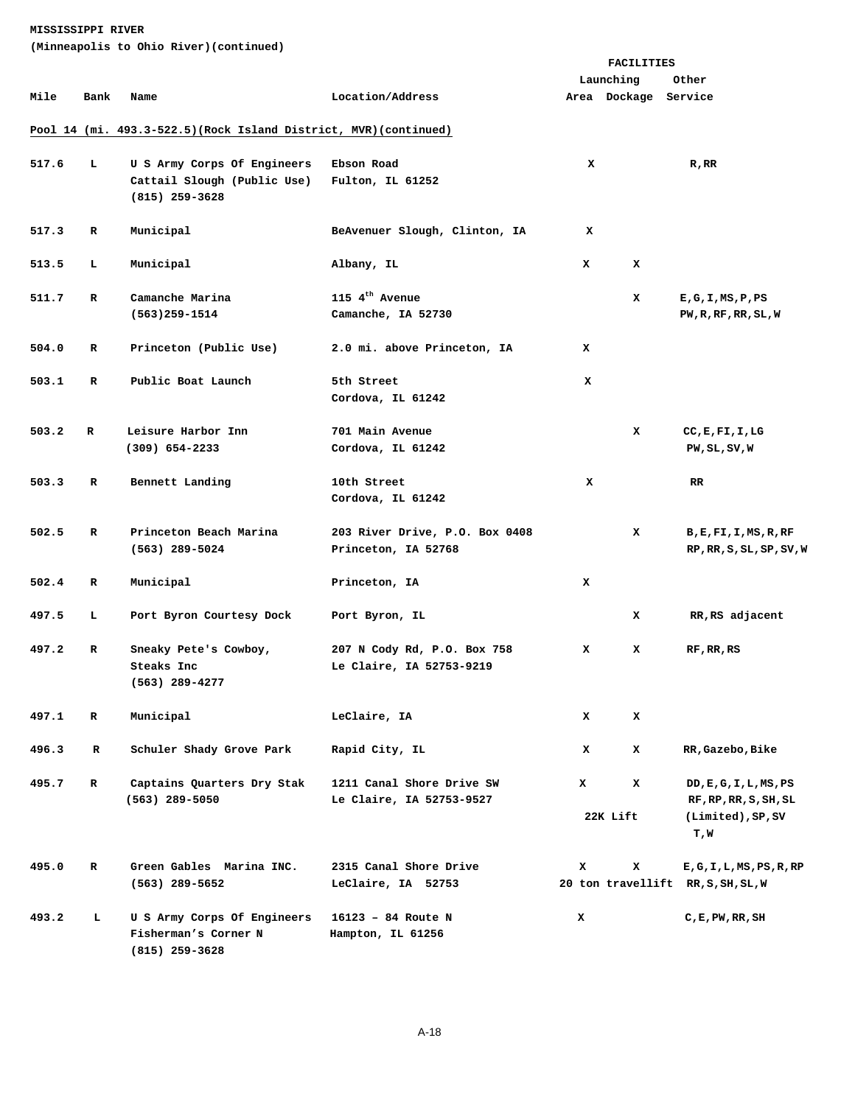|       |              |                                                                         |                                                         | FACILITIES |                      |                                                    |
|-------|--------------|-------------------------------------------------------------------------|---------------------------------------------------------|------------|----------------------|----------------------------------------------------|
|       |              |                                                                         |                                                         |            | Launching            | Other                                              |
| Mile  | Bank         | Name                                                                    | Location/Address                                        |            | Area Dockage Service |                                                    |
|       |              | Pool 14 (mi. 493.3-522.5) (Rock Island District, MVR) (continued)       |                                                         |            |                      |                                                    |
|       |              |                                                                         |                                                         |            |                      |                                                    |
| 517.6 | L.           | U S Army Corps Of Engineers                                             | Ebson Road                                              | x          |                      | $R$ , $RR$                                         |
|       |              | Cattail Slough (Public Use)<br>$(815)$ 259-3628                         | Fulton, IL 61252                                        |            |                      |                                                    |
| 517.3 | R            | Municipal                                                               | BeAvenuer Slough, Clinton, IA                           | x          |                      |                                                    |
| 513.5 | L            | Municipal                                                               | Albany, IL                                              | x          | x                    |                                                    |
| 511.7 | $\mathbf{R}$ | Camanche Marina                                                         | 115 $4^{\text{th}}$ Avenue                              |            | x                    | E, G, I, MS, P, PS                                 |
|       |              | $(563)$ 259-1514                                                        | Camanche, IA 52730                                      |            |                      | PW, R, RF, RR, SL, W                               |
| 504.0 | R            | Princeton (Public Use)                                                  | 2.0 mi. above Princeton, IA                             | x          |                      |                                                    |
| 503.1 | R            | Public Boat Launch                                                      | 5th Street<br>Cordova, IL 61242                         | x          |                      |                                                    |
| 503.2 | R            | Leisure Harbor Inn                                                      | 701 Main Avenue                                         |            | x                    | CC, E, FI, I, LG                                   |
|       |              | $(309)$ 654-2233                                                        | Cordova, IL 61242                                       |            |                      | PW, SL, SV, W                                      |
|       |              |                                                                         |                                                         |            |                      |                                                    |
| 503.3 | R            | Bennett Landing                                                         | 10th Street<br>Cordova, IL 61242                        | x          |                      | RR.                                                |
| 502.5 | R            | Princeton Beach Marina<br>$(563)$ 289-5024                              | 203 River Drive, P.O. Box 0408<br>Princeton, IA 52768   |            | x                    | B, E, FI, I, MS, R, RF<br>RP, RR, S, SL, SP, SV, W |
| 502.4 | R            | Municipal                                                               | Princeton, IA                                           | x          |                      |                                                    |
| 497.5 | ъ.           | Port Byron Courtesy Dock                                                | Port Byron, IL                                          |            | x                    | RR, RS adjacent                                    |
| 497.2 | R            | Sneaky Pete's Cowboy,<br>Steaks Inc<br>(563) 289-4277                   | 207 N Cody Rd, P.O. Box 758<br>Le Claire, IA 52753-9219 | x          | x                    | RF, RR, RS                                         |
| 497.1 | $\mathbf R$  | Municipal                                                               | LeClaire, IA                                            | x          | x                    |                                                    |
| 496.3 | R            | Schuler Shady Grove Park                                                | Rapid City, IL                                          | x          | x                    | RR, Gazebo, Bike                                   |
| 495.7 | $\mathbf{R}$ | Captains Quarters Dry Stak<br>$(563)$ 289-5050                          | 1211 Canal Shore Drive SW<br>Le Claire, IA 52753-9527   | x          | x                    | DD, E, G, I, L, MS, PS<br>RF, RP, RR, S, SH, SL    |
|       |              |                                                                         |                                                         |            | 22K Lift             | (Limited), SP, SV<br>T,W                           |
| 495.0 | $\mathbf{R}$ | Green Gables Marina INC.                                                | 2315 Canal Shore Drive                                  | x          | x                    | E, G, I, L, MS, PS, R, RP                          |
|       |              | $(563)$ 289-5652                                                        | LeClaire, IA 52753                                      |            |                      | 20 ton travellift RR, S, SH, SL, W                 |
| 493.2 | ь.           | U S Army Corps Of Engineers<br>Fisherman's Corner N<br>$(815)$ 259-3628 | 16123 - 84 Route N<br>Hampton, IL 61256                 | x          |                      | $C$ , $E$ , $PW$ , $RR$ , $SH$                     |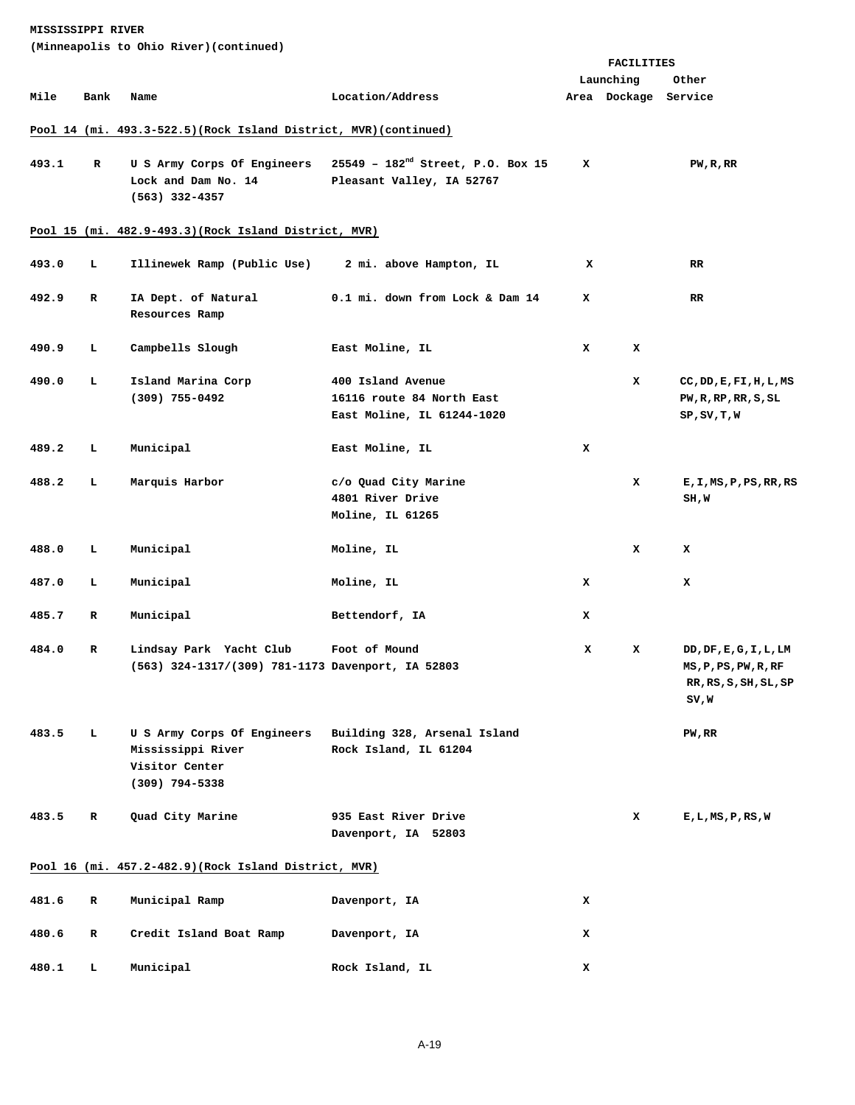|       |      | (Minneapolis to Ohio River)(continued)                                                 |                                                                              |   |              |                                                                           |
|-------|------|----------------------------------------------------------------------------------------|------------------------------------------------------------------------------|---|--------------|---------------------------------------------------------------------------|
|       |      |                                                                                        |                                                                              |   | FACILITIES   |                                                                           |
|       |      |                                                                                        |                                                                              |   | Launching    | Other                                                                     |
| Mile  | Bank | Name                                                                                   | Location/Address                                                             |   | Area Dockage | Service                                                                   |
|       |      | Pool 14 (mi. 493.3-522.5) (Rock Island District, MVR) (continued)                      |                                                                              |   |              |                                                                           |
| 493.1 | R    | U S Army Corps Of Engineers<br>Lock and Dam No. 14<br>$(563)$ 332-4357                 | 25549 - 182 <sup>nd</sup> Street, P.O. Box 15<br>Pleasant Valley, IA 52767   | x |              | PW, R, RR                                                                 |
|       |      | Pool 15 (mi. 482.9-493.3) (Rock Island District, MVR)                                  |                                                                              |   |              |                                                                           |
| 493.0 | т.   | Illinewek Ramp (Public Use)                                                            | 2 mi. above Hampton, IL                                                      | x |              | RR                                                                        |
| 492.9 | R    | IA Dept. of Natural<br>Resources Ramp                                                  | 0.1 mi. down from Lock & Dam 14                                              | x |              | RR.                                                                       |
| 490.9 | т.   | Campbells Slough                                                                       | East Moline, IL                                                              | x | x            |                                                                           |
| 490.0 | г    | Island Marina Corp<br>$(309)$ 755-0492                                                 | 400 Island Avenue<br>16116 route 84 North East<br>East Moline, IL 61244-1020 |   | x            | CC, DD, E, FI, H, L, MS<br>PW, R, RP, RR, S, SL<br>SP, SV, T, W           |
| 489.2 | т.   | Municipal                                                                              | East Moline, IL                                                              | x |              |                                                                           |
| 488.2 | г    | Marquis Harbor                                                                         | c/o Quad City Marine<br>4801 River Drive<br>Moline, IL 61265                 |   | x            | E, I, MS, P, PS, RR, RS<br>SH,W                                           |
| 488.0 | L    | Municipal                                                                              | Moline, IL                                                                   |   | x            | x                                                                         |
| 487.0 | ь    | Municipal                                                                              | Moline, IL                                                                   | x |              | x                                                                         |
| 485.7 | R    | Municipal                                                                              | Bettendorf, IA                                                               | x |              |                                                                           |
| 484.0 | R    | Lindsay Park Yacht Club<br>(563) 324-1317/(309) 781-1173 Davenport, IA 52803           | Foot of Mound                                                                | x | x            | DD,DF, E, G, I, L, LM<br>MS,P,PS,PW,R,RF<br>RR, RS, S, SH, SL, SP<br>SV,W |
| 483.5 | т.   | U S Army Corps Of Engineers<br>Mississippi River<br>Visitor Center<br>$(309)$ 794-5338 | Building 328, Arsenal Island<br>Rock Island, IL 61204                        |   |              | PW, RR                                                                    |
| 483.5 | R    | Quad City Marine                                                                       | 935 East River Drive<br>Davenport, IA 52803                                  |   | x            | E,L,MS,P,RS,W                                                             |
|       |      | Pool 16 (mi. 457.2-482.9) (Rock Island District, MVR)                                  |                                                                              |   |              |                                                                           |
| 481.6 | R    | Municipal Ramp                                                                         | Davenport, IA                                                                | x |              |                                                                           |
| 480.6 | R    | Credit Island Boat Ramp                                                                | Davenport, IA                                                                | x |              |                                                                           |
| 480.1 | г    | Municipal                                                                              | Rock Island, IL                                                              | x |              |                                                                           |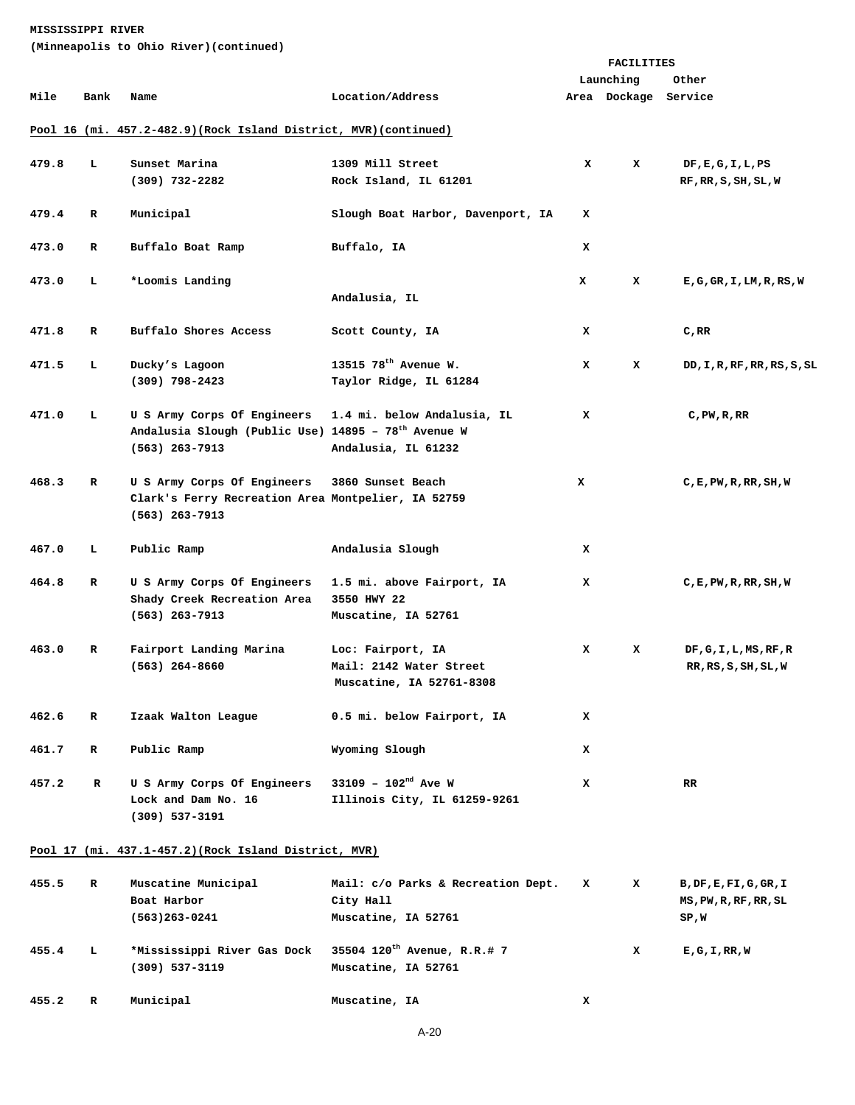**(Minneapolis to Ohio River)(continued)** 

|       |      |                                                                        |                                   | <b>FACILITIES</b> |                      |                                      |  |
|-------|------|------------------------------------------------------------------------|-----------------------------------|-------------------|----------------------|--------------------------------------|--|
|       |      |                                                                        |                                   |                   | Launching            | Other                                |  |
| Mile  | Bank | Name                                                                   | Location/Address                  |                   | Area Dockage Service |                                      |  |
|       |      |                                                                        |                                   |                   |                      |                                      |  |
|       |      | Pool 16 (mi. 457.2-482.9) (Rock Island District, MVR) (continued)      |                                   |                   |                      |                                      |  |
| 479.8 | L    | Sunset Marina                                                          | 1309 Mill Street                  | x                 | x                    | DF, E, G, I, L, PS                   |  |
|       |      | $(309)$ 732-2282                                                       | Rock Island, IL 61201             |                   |                      | RF, RR, S, SH, SL, W                 |  |
| 479.4 | R    | Municipal                                                              | Slough Boat Harbor, Davenport, IA | x                 |                      |                                      |  |
| 473.0 | R    | Buffalo Boat Ramp                                                      | Buffalo, IA                       | x                 |                      |                                      |  |
| 473.0 | т.   | *Loomis Landing                                                        |                                   | x                 | x                    | E, G, GR, I, LM, R, RS, W            |  |
|       |      |                                                                        | Andalusia, IL                     |                   |                      |                                      |  |
| 471.8 | R    | Buffalo Shores Access                                                  | Scott County, IA                  | x                 |                      | C,RR                                 |  |
| 471.5 | ь.   | Ducky's Lagoon                                                         | 13515 78 <sup>th</sup> Avenue W.  | x                 | x                    | DD, I, R, RF, RR, RS, S, SL          |  |
|       |      | $(309)$ 798-2423                                                       | Taylor Ridge, IL 61284            |                   |                      |                                      |  |
| 471.0 | ь.   | U S Army Corps Of Engineers                                            | 1.4 mi. below Andalusia, IL       | x                 |                      | $C$ , PW, R, RR                      |  |
|       |      | Andalusia Slough (Public Use) 14895 - $78^{\text{th}}$ Avenue W        |                                   |                   |                      |                                      |  |
|       |      | $(563)$ 263-7913                                                       | Andalusia, IL 61232               |                   |                      |                                      |  |
| 468.3 | R    | U S Army Corps Of Engineers                                            | 3860 Sunset Beach                 | x                 |                      | C, E, PW, R, RR, SH, W               |  |
|       |      | Clark's Ferry Recreation Area Montpelier, IA 52759<br>$(563)$ 263-7913 |                                   |                   |                      |                                      |  |
| 467.0 | т.   | Public Ramp                                                            | Andalusia Slough                  | x                 |                      |                                      |  |
| 464.8 | R    | U S Army Corps Of Engineers                                            | 1.5 mi. above Fairport, IA        | x                 |                      | $C$ , $E$ , $PW$ , $RR$ , $SH$ , $W$ |  |
|       |      | Shady Creek Recreation Area                                            | 3550 HWY 22                       |                   |                      |                                      |  |
|       |      | $(563)$ 263-7913                                                       | Muscatine, IA 52761               |                   |                      |                                      |  |
| 463.0 | R    | Fairport Landing Marina                                                | Loc: Fairport, IA                 | x                 | x                    | DF, G, I, L, MS, RF, R               |  |
|       |      | $(563)$ 264-8660                                                       | Mail: 2142 Water Street           |                   |                      | RR, RS, S, SH, SL, W                 |  |
|       |      |                                                                        | Muscatine, IA 52761-8308          |                   |                      |                                      |  |
| 462.6 | R    | Izaak Walton League                                                    | 0.5 mi. below Fairport, IA        | x                 |                      |                                      |  |
| 461.7 | R    | Public Ramp                                                            | Wyoming Slough                    | x                 |                      |                                      |  |
| 457.2 | R    | U S Army Corps Of Engineers                                            | 33109 - $102^{nd}$ Ave W          | x                 |                      | RR.                                  |  |
|       |      | Lock and Dam No. 16                                                    | Illinois City, IL 61259-9261      |                   |                      |                                      |  |
|       |      | $(309)$ 537-3191                                                       |                                   |                   |                      |                                      |  |
|       |      | Pool 17 (mi. 437.1-457.2) (Rock Island District, MVR)                  |                                   |                   |                      |                                      |  |
|       |      |                                                                        |                                   |                   |                      |                                      |  |

| 455.5 | R | Muscatine Municipal         | Mail: C/o Parks & Recreation Dept.      | x | x | B, DF, E, FI, G, GR, I |
|-------|---|-----------------------------|-----------------------------------------|---|---|------------------------|
|       |   | Boat Harbor                 | City Hall                               |   |   | MS, PW, R, RF, RR, SL  |
|       |   | (563)263-0241               | Muscatine, IA 52761                     |   |   | SP,W                   |
| 455.4 | L | *Mississippi River Gas Dock | 35504 120 <sup>th</sup> Avenue, R.R.# 7 |   | x | E, G, I, RR, W         |
|       |   | (309) 537-3119              | Muscatine, IA 52761                     |   |   |                        |
| 455.2 | R | Municipal                   | Muscatine, IA                           | x |   |                        |

A-20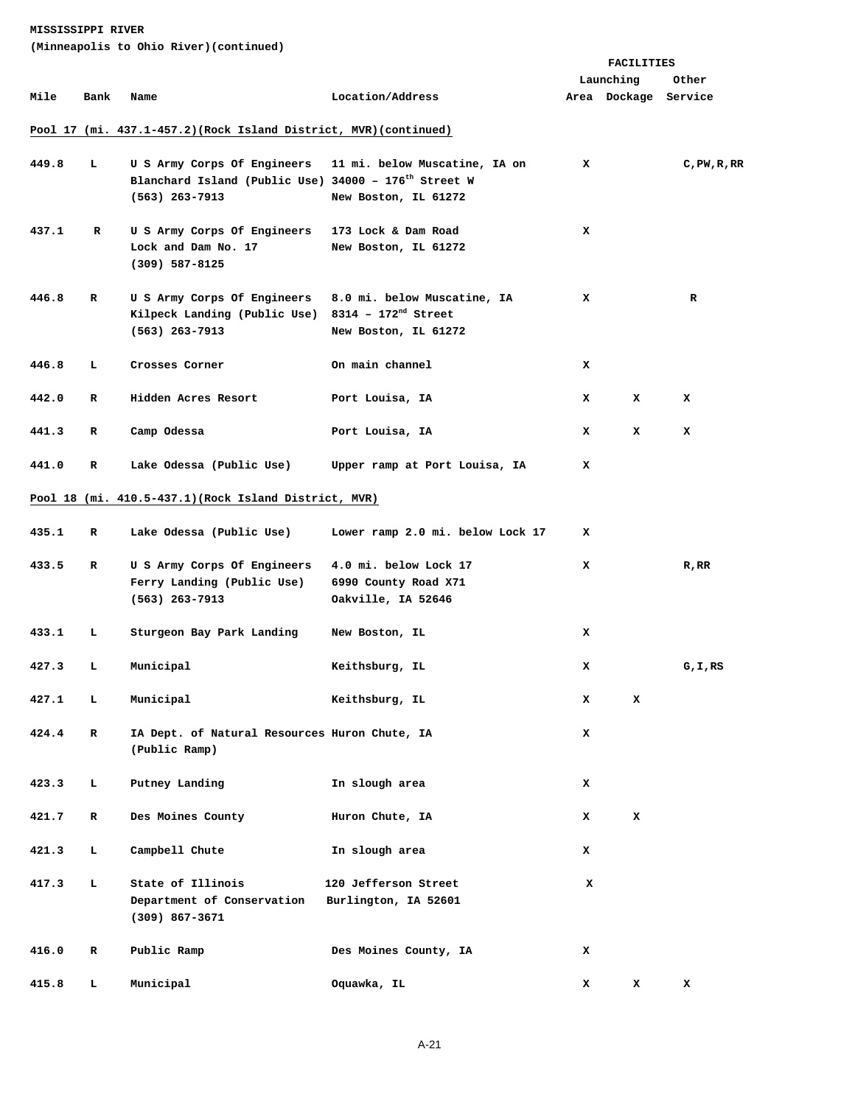|       |             | <u>--&gt; 00 01110 11101 / 001101110</u>                                                                            |                                                                                 |   | FACILITIES           |                 |
|-------|-------------|---------------------------------------------------------------------------------------------------------------------|---------------------------------------------------------------------------------|---|----------------------|-----------------|
|       |             |                                                                                                                     |                                                                                 |   | Launching            | Other           |
| Mile  | Bank        | Name                                                                                                                | Location/Address                                                                |   | Area Dockage Service |                 |
|       |             | Pool 17 (mi. 437.1-457.2) (Rock Island District, MVR) (continued)                                                   |                                                                                 |   |                      |                 |
| 449.8 | ь.          | U S Army Corps Of Engineers<br>Blanchard Island (Public Use) 34000 - 176 <sup>th</sup> Street W<br>$(563)$ 263-7913 | 11 mi. below Muscatine, IA on<br>New Boston, IL 61272                           | x |                      | $C$ , PW, R, RR |
| 437.1 | R           | U S Army Corps Of Engineers<br>Lock and Dam No. 17<br>$(309)$ 587-8125                                              | 173 Lock & Dam Road<br>New Boston, IL 61272                                     | x |                      |                 |
| 446.8 | R           | U S Army Corps Of Engineers<br>Kilpeck Landing (Public Use)<br>$(563)$ 263-7913                                     | 8.0 mi. below Muscatine, IA<br>8314 - $172^{nd}$ Street<br>New Boston, IL 61272 | x |                      | R               |
| 446.8 | L.          | Crosses Corner                                                                                                      | On main channel                                                                 | x |                      |                 |
| 442.0 | R           | Hidden Acres Resort                                                                                                 | Port Louisa, IA                                                                 | x | x                    | x               |
| 441.3 | R           | Camp Odessa                                                                                                         | Port Louisa, IA                                                                 | x | x                    | x               |
| 441.0 | R           | Lake Odessa (Public Use)                                                                                            | Upper ramp at Port Louisa, IA                                                   | x |                      |                 |
|       |             | Pool 18 (mi. 410.5-437.1) (Rock Island District, MVR)                                                               |                                                                                 |   |                      |                 |
| 435.1 | R           | Lake Odessa (Public Use)                                                                                            | Lower ramp 2.0 mi. below Lock 17                                                | x |                      |                 |
| 433.5 | R           | U S Army Corps Of Engineers<br>Ferry Landing (Public Use)<br>(563) 263-7913                                         | 4.0 mi. below Lock 17<br>6990 County Road X71<br>Oakville, IA 52646             | x |                      | $R$ , $RR$      |
| 433.1 | L.          | Sturgeon Bay Park Landing                                                                                           | New Boston, IL                                                                  | x |                      |                 |
| 427.3 | ь.          | Municipal                                                                                                           | Keithsburg, IL                                                                  | x |                      | G, I, RS        |
| 427.1 | L           | Municipal                                                                                                           | Keithsburg, IL                                                                  | x | x                    |                 |
| 424.4 | $\mathbf R$ | IA Dept. of Natural Resources Huron Chute, IA<br>(Public Ramp)                                                      |                                                                                 | x |                      |                 |
| 423.3 | т.          | Putney Landing                                                                                                      | In slough area                                                                  | x |                      |                 |
| 421.7 | R           | Des Moines County                                                                                                   | Huron Chute, IA                                                                 | x | x                    |                 |
| 421.3 | ь.          | Campbell Chute                                                                                                      | In slough area                                                                  | x |                      |                 |
| 417.3 | ь.          | State of Illinois<br>Department of Conservation<br>$(309)$ 867-3671                                                 | 120 Jefferson Street<br>Burlington, IA 52601                                    | x |                      |                 |
| 416.0 | $\mathbf R$ | Public Ramp                                                                                                         | Des Moines County, IA                                                           | x |                      |                 |
| 415.8 | L           | Municipal                                                                                                           | Oquawka, IL                                                                     | x | x                    | x               |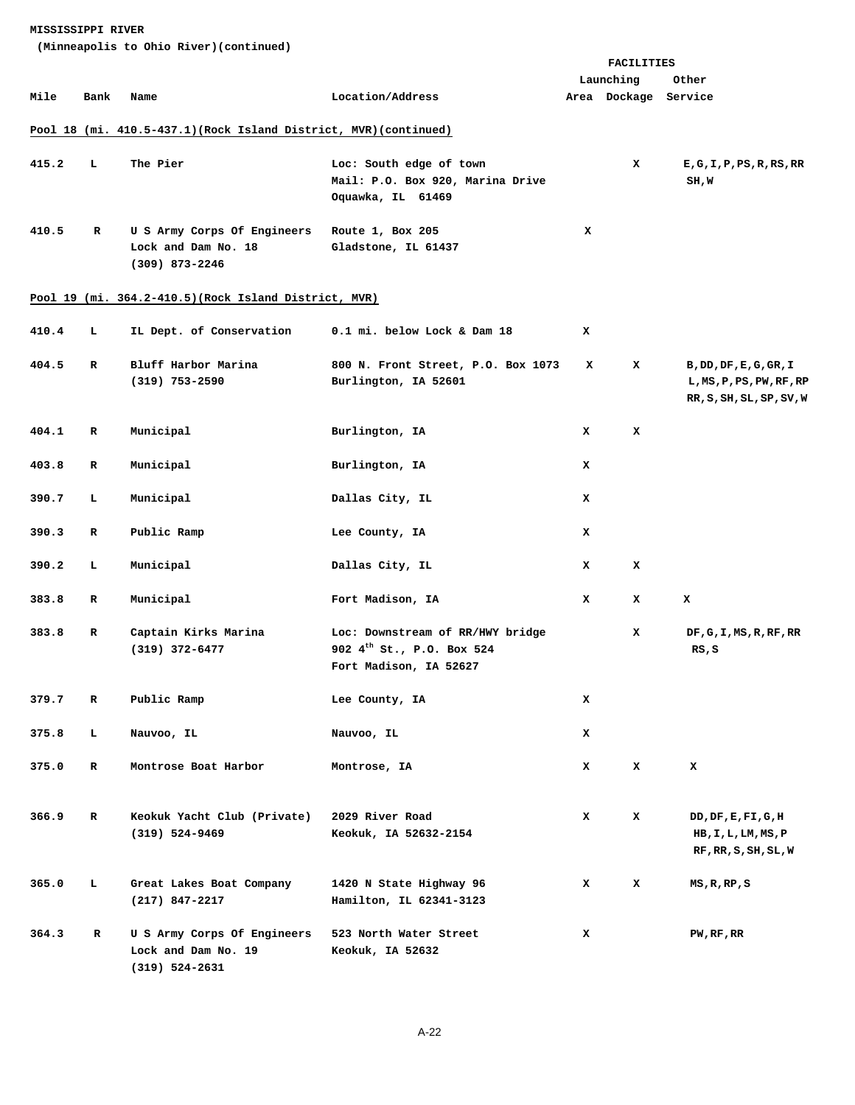|       |      |                                                                          |                                                                                                     | FACILITIES |                      |                                                                                |
|-------|------|--------------------------------------------------------------------------|-----------------------------------------------------------------------------------------------------|------------|----------------------|--------------------------------------------------------------------------------|
|       |      |                                                                          |                                                                                                     |            | Launching            | Other                                                                          |
| Mile  | Bank | Name                                                                     | Location/Address                                                                                    |            | Area Dockage Service |                                                                                |
|       |      | Pool 18 (mi. 410.5-437.1) (Rock Island District, MVR) (continued)        |                                                                                                     |            |                      |                                                                                |
| 415.2 | L    | The Pier                                                                 | Loc: South edge of town<br>Mail: P.O. Box 920, Marina Drive<br>Oquawka, IL 61469                    |            | x                    | E, G, I, P, PS, R, RS, RR<br>SH, W                                             |
| 410.5 | R    | U S Army Corps Of Engineers<br>Lock and Dam No. 18<br>$(309)$ 873-2246   | Route 1, Box 205<br>Gladstone, IL 61437                                                             | x          |                      |                                                                                |
|       |      | Pool 19 (mi. 364.2-410.5) (Rock Island District, MVR)                    |                                                                                                     |            |                      |                                                                                |
| 410.4 | ъ.   | IL Dept. of Conservation                                                 | 0.1 mi. below Lock & Dam 18                                                                         | x          |                      |                                                                                |
| 404.5 | R    | Bluff Harbor Marina<br>$(319)$ 753-2590                                  | 800 N. Front Street, P.O. Box 1073<br>Burlington, IA 52601                                          | x          | x                    | B, DD, DF, E, G, GR, I<br>L, MS, P, PS, PW, RF, RP<br>RR, S, SH, SL, SP, SV, W |
| 404.1 | R    | Municipal                                                                | Burlington, IA                                                                                      | x          | x                    |                                                                                |
| 403.8 | R    | Municipal                                                                | Burlington, IA                                                                                      | x          |                      |                                                                                |
| 390.7 | т.   | Municipal                                                                | Dallas City, IL                                                                                     | x          |                      |                                                                                |
| 390.3 | R    | Public Ramp                                                              | Lee County, IA                                                                                      | x          |                      |                                                                                |
| 390.2 | L    | Municipal                                                                | Dallas City, IL                                                                                     | x          | x                    |                                                                                |
| 383.8 | R    | Municipal                                                                | Fort Madison, IA                                                                                    | x          | x                    | x                                                                              |
| 383.8 | R    | Captain Kirks Marina<br>$(319)$ $372 - 6477$                             | Loc: Downstream of RR/HWY bridge<br>902 4 <sup>th</sup> St., P.O. Box 524<br>Fort Madison, IA 52627 |            | x                    | DF, G, I, MS, R, RF, RR<br>RS, S                                               |
| 379.7 | R    | Public Ramp                                                              | Lee County, IA                                                                                      | x          |                      |                                                                                |
| 375.8 | ь    | Nauvoo, IL                                                               | Nauvoo, IL                                                                                          | x          |                      |                                                                                |
| 375.0 | R    | Montrose Boat Harbor                                                     | Montrose, IA                                                                                        | x          | x                    | x                                                                              |
| 366.9 | R    | Keokuk Yacht Club (Private)<br>$(319) 524 - 9469$                        | 2029 River Road<br>Keokuk, IA 52632-2154                                                            | x          | x                    | DD,DF,E,FI,G,H<br>HB, I, L, LM, MS, P<br>RF, RR, S, SH, SL, W                  |
| 365.0 | ь.   | Great Lakes Boat Company<br>$(217)$ 847-2217                             | 1420 N State Highway 96<br>Hamilton, IL 62341-3123                                                  | x          | x                    | MS, R, RP, S                                                                   |
| 364.3 | R    | U S Army Corps Of Engineers<br>Lock and Dam No. 19<br>$(319) 524 - 2631$ | 523 North Water Street<br>Keokuk, IA 52632                                                          | x          |                      | PW, RF, RR                                                                     |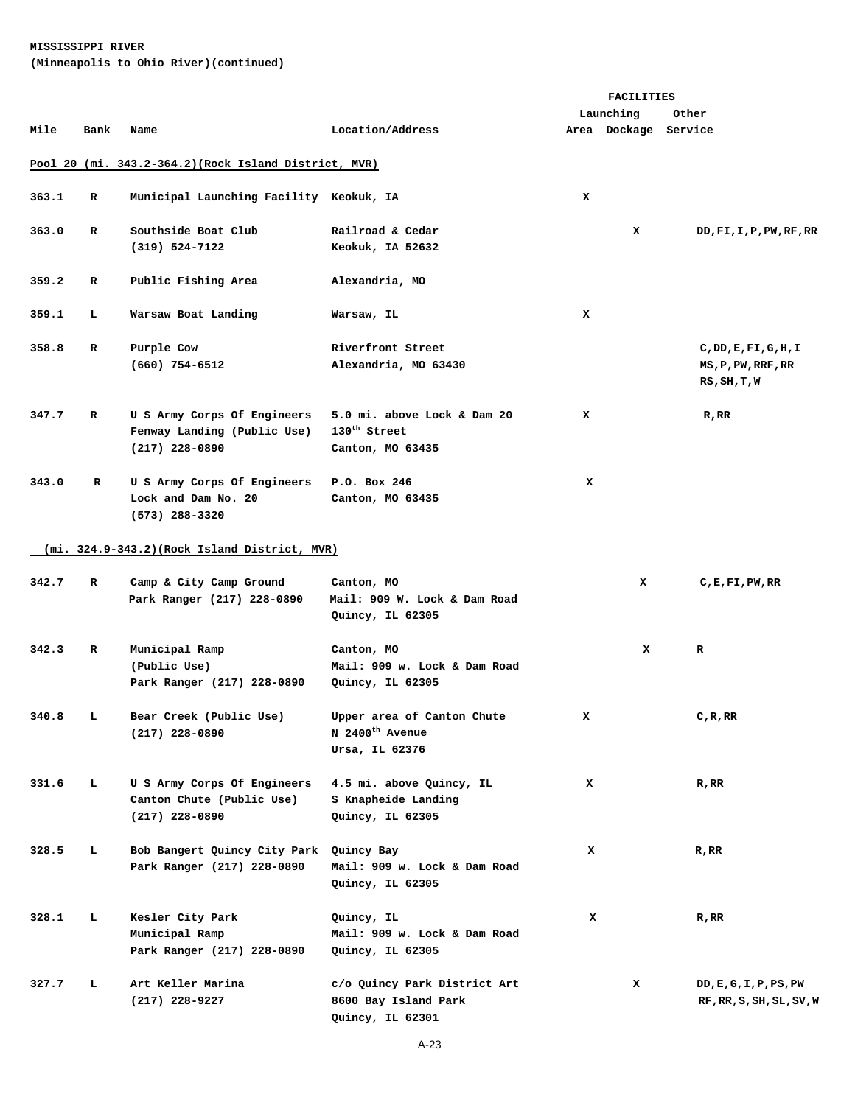## **MISSISSIPPI RIVER (Minneapolis to Ohio River)(continued)**

|       |      |                                                                                |                                                                             | <b>FACILITIES</b> |                      |                                                       |
|-------|------|--------------------------------------------------------------------------------|-----------------------------------------------------------------------------|-------------------|----------------------|-------------------------------------------------------|
|       |      |                                                                                |                                                                             |                   | Launching            | Other                                                 |
| Mile  | Bank | Name                                                                           | Location/Address                                                            |                   | Area Dockage Service |                                                       |
|       |      | Pool 20 (mi. 343.2-364.2) (Rock Island District, MVR)                          |                                                                             |                   |                      |                                                       |
| 363.1 | R    | Municipal Launching Facility Keokuk, IA                                        |                                                                             | x                 |                      |                                                       |
| 363.0 | R    | Southside Boat Club<br>$(319) 524 - 7122$                                      | Railroad & Cedar<br>Keokuk, IA 52632                                        |                   | x                    | DD, FI, I, P, PW, RF, RR                              |
| 359.2 | R    | Public Fishing Area                                                            | Alexandria, MO                                                              |                   |                      |                                                       |
| 359.1 | т.   | Warsaw Boat Landing                                                            | Warsaw, IL                                                                  | x                 |                      |                                                       |
| 358.8 | R    | Purple Cow<br>$(660)$ 754-6512                                                 | Riverfront Street<br>Alexandria, MO 63430                                   |                   |                      | C,DD,E,FI,G,H,I<br>MS, P, PW, RRF, RR<br>RS, SH, T, W |
| 347.7 | R    | U S Army Corps Of Engineers<br>Fenway Landing (Public Use)<br>$(217)$ 228-0890 | 5.0 mi. above Lock & Dam 20<br>$130^{\text{th}}$ Street<br>Canton, MO 63435 | x                 |                      | $R$ , $RR$                                            |
| 343.0 | R    | U S Army Corps Of Engineers<br>Lock and Dam No. 20<br>$(573)$ 288-3320         | P.O. Box 246<br>Canton, MO 63435                                            | x                 |                      |                                                       |
|       |      | $(min 324.9-343.2)(Rock Island District, MVR)$                                 |                                                                             |                   |                      |                                                       |
| 342.7 | R    | Camp & City Camp Ground<br>Park Ranger (217) 228-0890                          | Canton, MO<br>Mail: 909 W. Lock & Dam Road<br>Quincy, IL 62305              |                   | x                    | C, E, F1, PW, RR                                      |
| 342.3 | R    | Municipal Ramp<br>(Public Use)<br>Park Ranger (217) 228-0890                   | Canton, MO<br>Mail: 909 w. Lock & Dam Road<br>Quincy, IL 62305              |                   | x                    | R                                                     |
| 340.8 | L.   | Bear Creek (Public Use)<br>$(217)$ 228-0890                                    | Upper area of Canton Chute<br>N 2400 <sup>th</sup> Avenue<br>Ursa, IL 62376 | x                 |                      | C, R, RR                                              |
| 331.6 | т.   | U S Army Corps Of Engineers<br>Canton Chute (Public Use)<br>$(217)$ 228-0890   | 4.5 mi. above Quincy, IL<br>S Knapheide Landing<br>Quincy, IL 62305         | x                 |                      | R, RR                                                 |
| 328.5 | L    | Bob Bangert Quincy City Park<br>Park Ranger (217) 228-0890                     | Quincy Bay<br>Mail: 909 w. Lock & Dam Road<br>Quincy, IL 62305              | x                 |                      | R, RR                                                 |
| 328.1 | L    | Kesler City Park<br>Municipal Ramp<br>Park Ranger (217) 228-0890               | Quincy, IL<br>Mail: 909 w. Lock & Dam Road<br>Quincy, IL 62305              | x                 |                      | R, RR                                                 |
| 327.7 | ь    | Art Keller Marina<br>(217) 228-9227                                            | c/o Quincy Park District Art<br>8600 Bay Island Park<br>Quincy, IL 62301    |                   | x                    | DD,E,G,I,P,PS,PW<br>RF, RR, S, SH, SL, SV, W          |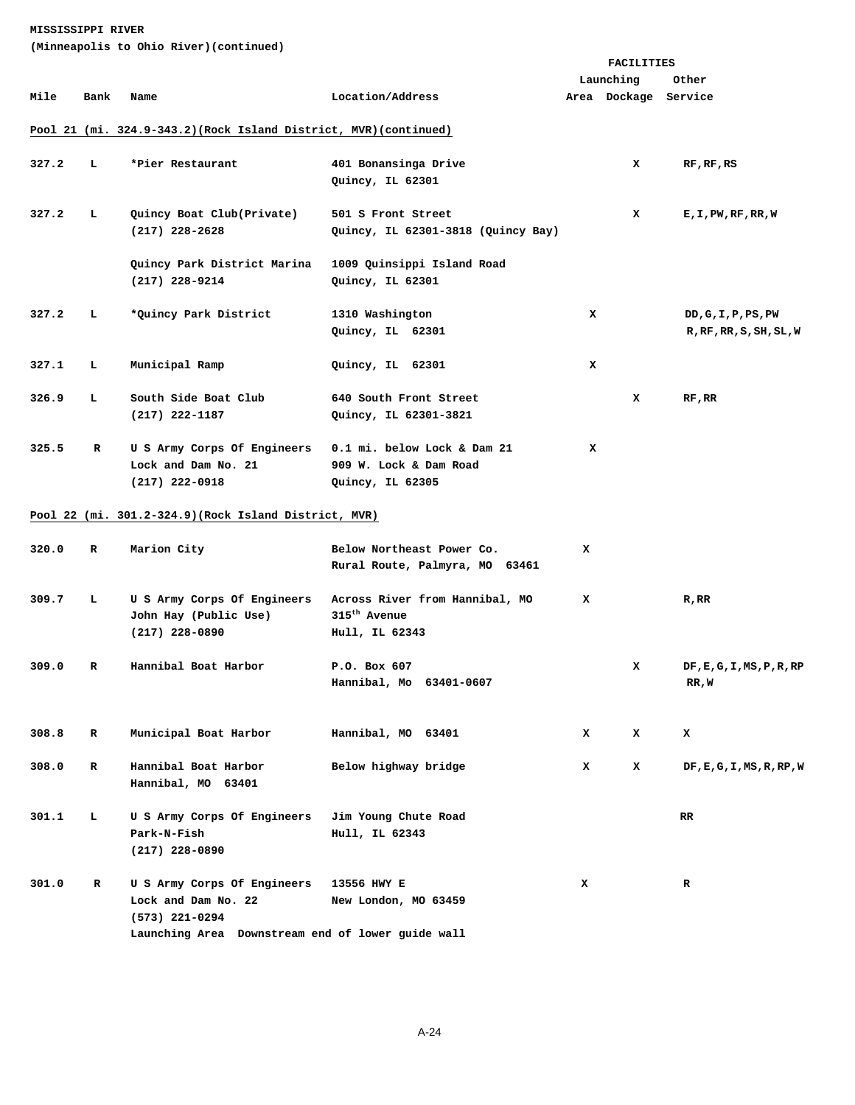|       |      |                                                                                                                             | <b>FACILITIES</b>                                                            |   |                      |                                                |
|-------|------|-----------------------------------------------------------------------------------------------------------------------------|------------------------------------------------------------------------------|---|----------------------|------------------------------------------------|
|       |      |                                                                                                                             |                                                                              |   | Launching            | Other                                          |
| Mile  | Bank | Name                                                                                                                        | Location/Address                                                             |   | Area Dockage Service |                                                |
|       |      | Pool 21 (mi. 324.9-343.2) (Rock Island District, MVR) (continued)                                                           |                                                                              |   |                      |                                                |
| 327.2 | ь.   | *Pier Restaurant                                                                                                            | 401 Bonansinga Drive<br>Quincy, IL 62301                                     |   | x                    | RF, RF, RS                                     |
| 327.2 | ъ.   | Quincy Boat Club(Private)<br>$(217)$ 228-2628                                                                               | 501 S Front Street<br>Quincy, IL 62301-3818 (Quincy Bay)                     |   | x                    | E,I,PW,RF,RR,W                                 |
|       |      | Quincy Park District Marina<br>$(217)$ 228-9214                                                                             | 1009 Quinsippi Island Road<br>Quincy, IL 62301                               |   |                      |                                                |
| 327.2 | ь.   | *Quincy Park District                                                                                                       | 1310 Washington<br>Quincy, IL 62301                                          | x |                      | DD, G, I, P, PS, PW<br>R, RF, RR, S, SH, SL, W |
| 327.1 | ъ.   | Municipal Ramp                                                                                                              | Quincy, IL 62301                                                             | x |                      |                                                |
| 326.9 | L    | South Side Boat Club<br>$(217)$ 222-1187                                                                                    | 640 South Front Street<br>Quincy, IL 62301-3821                              |   | x                    | RF, RR                                         |
| 325.5 | R    | U S Army Corps Of Engineers<br>Lock and Dam No. 21<br>$(217)$ 222-0918                                                      | 0.1 mi. below Lock & Dam 21<br>909 W. Lock & Dam Road<br>Quincy, IL 62305    | x |                      |                                                |
|       |      | Pool 22 (mi. 301.2-324.9) (Rock Island District, MVR)                                                                       |                                                                              |   |                      |                                                |
| 320.0 | R    | Marion City                                                                                                                 | Below Northeast Power Co.<br>Rural Route, Palmyra, MO 63461                  | x |                      |                                                |
| 309.7 | ъ.   | U S Army Corps Of Engineers<br>John Hay (Public Use)<br>$(217)$ 228-0890                                                    | Across River from Hannibal, MO<br>315 <sup>th</sup> Avenue<br>Hull, IL 62343 | x |                      | R, RR                                          |
| 309.0 | R    | Hannibal Boat Harbor                                                                                                        | P.O. Box 607<br>Hannibal, Mo 63401-0607                                      |   | x                    | DF, E, G, I, MS, P, R, RP<br>RR,W              |
| 308.8 | R    | Municipal Boat Harbor                                                                                                       | Hannibal, MO 63401                                                           | x | x                    | x                                              |
| 308.0 | R    | Hannibal Boat Harbor<br>Hannibal, MO 63401                                                                                  | Below highway bridge                                                         | x | x                    | DF, E, G, I, MS, R, RP, W                      |
| 301.1 | т.   | U S Army Corps Of Engineers<br>Park-N-Fish<br>$(217)$ 228-0890                                                              | Jim Young Chute Road<br>Hull, IL 62343                                       |   |                      | RR.                                            |
| 301.0 | R    | U S Army Corps Of Engineers<br>Lock and Dam No. 22<br>$(573)$ 221-0294<br>Launching Area Downstream end of lower guide wall | 13556 HWY E<br>New London, MO 63459                                          | x |                      | R                                              |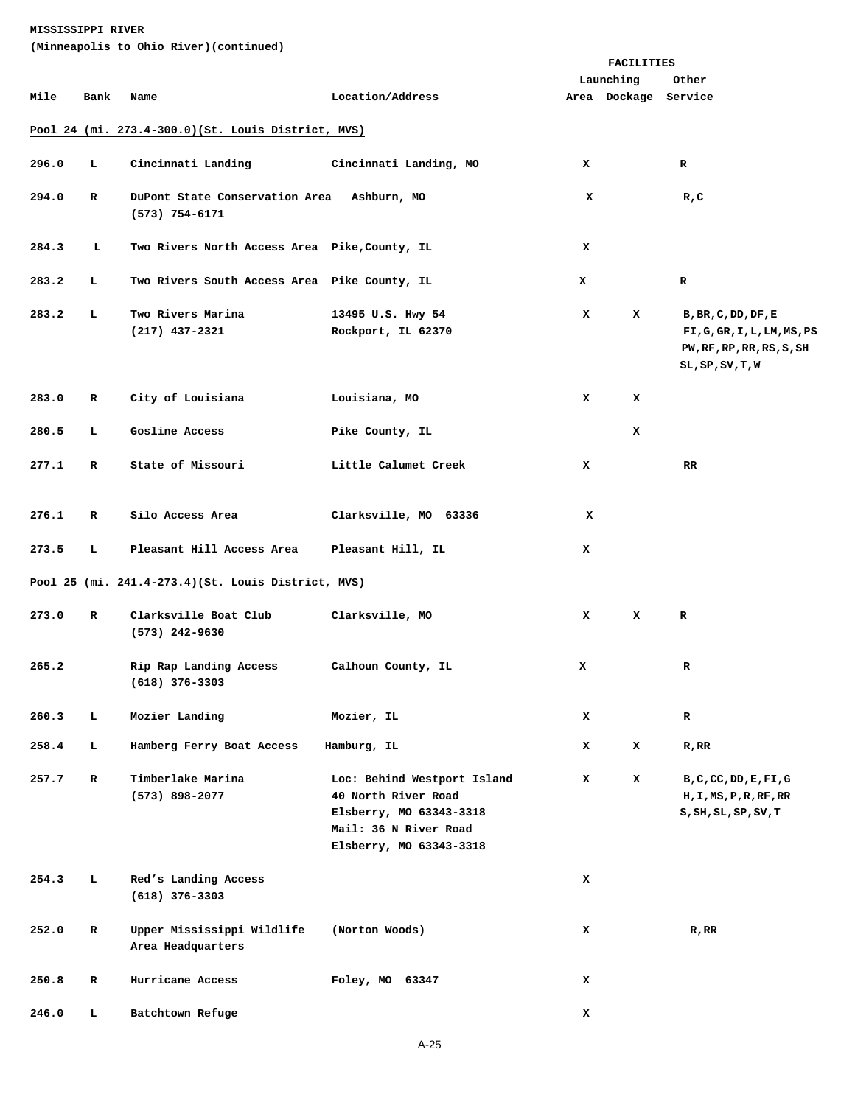|       |             |                                                     |                                                                                                                                   |   | FACILITIES           |                                                                                                                 |
|-------|-------------|-----------------------------------------------------|-----------------------------------------------------------------------------------------------------------------------------------|---|----------------------|-----------------------------------------------------------------------------------------------------------------|
|       |             |                                                     |                                                                                                                                   |   | Launching            | Other                                                                                                           |
| Mile  | Bank        | Name                                                | Location/Address                                                                                                                  |   | Area Dockage Service |                                                                                                                 |
|       |             | Pool 24 (mi. 273.4-300.0)(St. Louis District, MVS)  |                                                                                                                                   |   |                      |                                                                                                                 |
| 296.0 | L           | Cincinnati Landing                                  | Cincinnati Landing, MO                                                                                                            | x |                      | R                                                                                                               |
| 294.0 | R           | DuPont State Conservation Area<br>(573) 754-6171    | Ashburn, MO                                                                                                                       | x |                      | R,C                                                                                                             |
| 284.3 | ь           | Two Rivers North Access Area Pike, County, IL       |                                                                                                                                   | x |                      |                                                                                                                 |
| 283.2 | ь           | Two Rivers South Access Area Pike County, IL        |                                                                                                                                   | x |                      | R                                                                                                               |
| 283.2 | L           | Two Rivers Marina<br>(217) 437-2321                 | 13495 U.S. Hwy 54<br>Rockport, IL 62370                                                                                           | x | x                    | B, BR, C, DD, DF, E<br>FI,G,GR, I, L, LM, MS, PS<br>PW, RF, RP, RR, RS, S, SH<br>$SL$ , $SP$ , $SV$ , $T$ , $W$ |
| 283.0 | R           | City of Louisiana                                   | Louisiana, MO                                                                                                                     | x | x                    |                                                                                                                 |
| 280.5 | т.          | Gosline Access                                      | Pike County, IL                                                                                                                   |   | x                    |                                                                                                                 |
| 277.1 | R           | State of Missouri                                   | Little Calumet Creek                                                                                                              | x |                      | <b>RR</b>                                                                                                       |
| 276.1 | R           | Silo Access Area                                    | Clarksville, MO 63336                                                                                                             | x |                      |                                                                                                                 |
| 273.5 | ъ.          | Pleasant Hill Access Area                           | Pleasant Hill, IL                                                                                                                 | x |                      |                                                                                                                 |
|       |             | Pool 25 (mi. 241.4-273.4) (St. Louis District, MVS) |                                                                                                                                   |   |                      |                                                                                                                 |
| 273.0 | R           | Clarksville Boat Club<br>$(573)$ 242-9630           | Clarksville, MO                                                                                                                   | x | x                    | R                                                                                                               |
| 265.2 |             | Rip Rap Landing Access<br>(618) 376-3303            | Calhoun County, IL                                                                                                                | x |                      | R                                                                                                               |
| 260.3 | L.          | Mozier Landing                                      | Mozier, IL                                                                                                                        | x |                      | $\mathbf R$                                                                                                     |
| 258.4 | т.          | Hamberg Ferry Boat Access                           | Hamburg, IL                                                                                                                       | x | x                    | R, RR                                                                                                           |
| 257.7 | $\mathbf R$ | Timberlake Marina<br>$(573)$ 898-2077               | Loc: Behind Westport Island<br>40 North River Road<br>Elsberry, MO 63343-3318<br>Mail: 36 N River Road<br>Elsberry, MO 63343-3318 | x | x                    | B, C, CC, DD, E, FI, G<br>H, I, MS, P, R, RF, RR<br>S, SH, SL, SP, SV, T                                        |
| 254.3 | ъ.          | Red's Landing Access<br>$(618)$ 376-3303            |                                                                                                                                   | x |                      |                                                                                                                 |
| 252.0 | R           | Upper Mississippi Wildlife<br>Area Headquarters     | (Norton Woods)                                                                                                                    | x |                      | $R$ , $RR$                                                                                                      |
| 250.8 | R           | Hurricane Access                                    | Foley, MO 63347                                                                                                                   | x |                      |                                                                                                                 |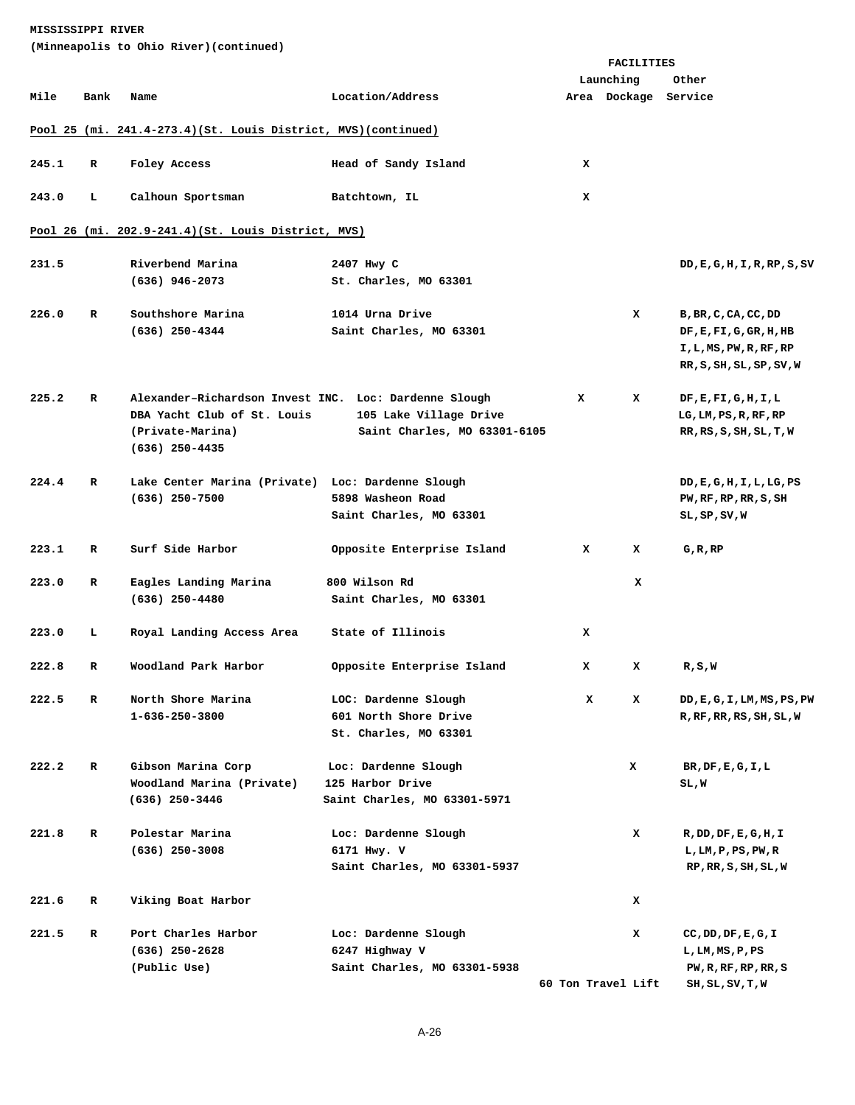| MISSISSIPPI RIVER |
|-------------------|
|-------------------|

| (Minneapolis to Ohio River)(continued) |  |  |
|----------------------------------------|--|--|
|                                        |  |  |

|       |      |                                                                 |                              |   | <b>FACILITIES</b>    |                                             |  |  |
|-------|------|-----------------------------------------------------------------|------------------------------|---|----------------------|---------------------------------------------|--|--|
|       |      |                                                                 |                              |   | Launching            | Other                                       |  |  |
| Mile  | Bank | Name                                                            | Location/Address             |   | Area Dockage Service |                                             |  |  |
|       |      | Pool 25 (mi. 241.4-273.4) (St. Louis District, MVS) (continued) |                              |   |                      |                                             |  |  |
| 245.1 | R    | Foley Access                                                    | Head of Sandy Island         | x |                      |                                             |  |  |
| 243.0 | г    | Calhoun Sportsman                                               | Batchtown, IL                | x |                      |                                             |  |  |
|       |      | Pool 26 (mi. 202.9-241.4) (St. Louis District, MVS)             |                              |   |                      |                                             |  |  |
| 231.5 |      | Riverbend Marina                                                | 2407 Hwy C                   |   |                      | DD, E, G, H, I, R, RP, S, SV                |  |  |
|       |      | $(636)$ 946-2073                                                | St. Charles, MO 63301        |   |                      |                                             |  |  |
| 226.0 | R    | Southshore Marina                                               | 1014 Urna Drive              |   | x                    | B, BR, C, CA, CC, DD                        |  |  |
|       |      | $(636)$ 250-4344                                                | Saint Charles, MO 63301      |   |                      | $DF$ , $E$ , $FI$ , $G$ , $GR$ , $H$ , $HB$ |  |  |
|       |      |                                                                 |                              |   |                      | I,L,MS,PW,R,RF,RP                           |  |  |
|       |      |                                                                 |                              |   |                      | RR, S, SH, SL, SP, SV, W                    |  |  |
| 225.2 | R    | Alexander-Richardson Invest INC. Loc: Dardenne Slough           |                              | x | x                    | DF, E, FI, G, H, I, L                       |  |  |
|       |      | DBA Yacht Club of St. Louis                                     | 105 Lake Village Drive       |   |                      | LG, LM, PS, R, RF, RP                       |  |  |
|       |      | (Private-Marina)<br>$(636)$ 250-4435                            | Saint Charles, MO 63301-6105 |   |                      | RR, RS, S, SH, SL, T, W                     |  |  |
| 224.4 | R    | Lake Center Marina (Private) Loc: Dardenne Slough               |                              |   |                      | DD, E, G, H, I, L, LG, PS                   |  |  |
|       |      | $(636)$ 250-7500                                                | 5898 Washeon Road            |   |                      | PW, RF, RP, RR, S, SH                       |  |  |
|       |      |                                                                 | Saint Charles, MO 63301      |   |                      | SL,SP,SV,W                                  |  |  |
| 223.1 | R    | Surf Side Harbor                                                | Opposite Enterprise Island   | x | x                    | G, R, RP                                    |  |  |
| 223.0 | R    | Eagles Landing Marina                                           | 800 Wilson Rd                |   | x                    |                                             |  |  |
|       |      | $(636)$ 250-4480                                                | Saint Charles, MO 63301      |   |                      |                                             |  |  |
| 223.0 | г    | Royal Landing Access Area                                       | State of Illinois            | x |                      |                                             |  |  |
| 222.8 | R    | Woodland Park Harbor                                            | Opposite Enterprise Island   | x | x                    | R, S, W                                     |  |  |
| 222.5 | R    | North Shore Marina                                              | LOC: Dardenne Slough         | x | x                    | DD, E, G, I, LM, MS, PS, PW                 |  |  |
|       |      | 1-636-250-3800                                                  | 601 North Shore Drive        |   |                      | R, RF, RR, RS, SH, SL, W                    |  |  |
|       |      |                                                                 | St. Charles, MO 63301        |   |                      |                                             |  |  |
| 222.2 | R    | Gibson Marina Corp                                              | Loc: Dardenne Slough         |   | x                    | $BR$ , $DF$ , $E$ , $G$ , $I$ , $L$         |  |  |
|       |      | Woodland Marina (Private)                                       | 125 Harbor Drive             |   |                      | SL,W                                        |  |  |
|       |      | $(636)$ 250-3446                                                | Saint Charles, MO 63301-5971 |   |                      |                                             |  |  |
| 221.8 | R    | Polestar Marina                                                 | Loc: Dardenne Slough         |   | x                    | R, DD, DF, E, G, H, I                       |  |  |
|       |      | $(636)$ 250-3008                                                | 6171 Hwy. V                  |   |                      | L, LM, P, PS, PW, R                         |  |  |
|       |      |                                                                 | Saint Charles, MO 63301-5937 |   |                      | RP, RR, S, SH, SL, W                        |  |  |
| 221.6 | R    | Viking Boat Harbor                                              |                              |   | x                    |                                             |  |  |
| 221.5 | R    | Port Charles Harbor                                             | Loc: Dardenne Slough         |   | x                    | CC, DD, DF, E, G, I                         |  |  |
|       |      | $(636)$ 250-2628                                                | 6247 Highway V               |   |                      | L, LM, MS, P, PS                            |  |  |
|       |      | (Public Use)                                                    | Saint Charles, MO 63301-5938 |   | 60 Ton Travel Lift   | PW, R, RF, RP, RR, S                        |  |  |
|       |      |                                                                 |                              |   |                      | SH, SL, SV, T, W                            |  |  |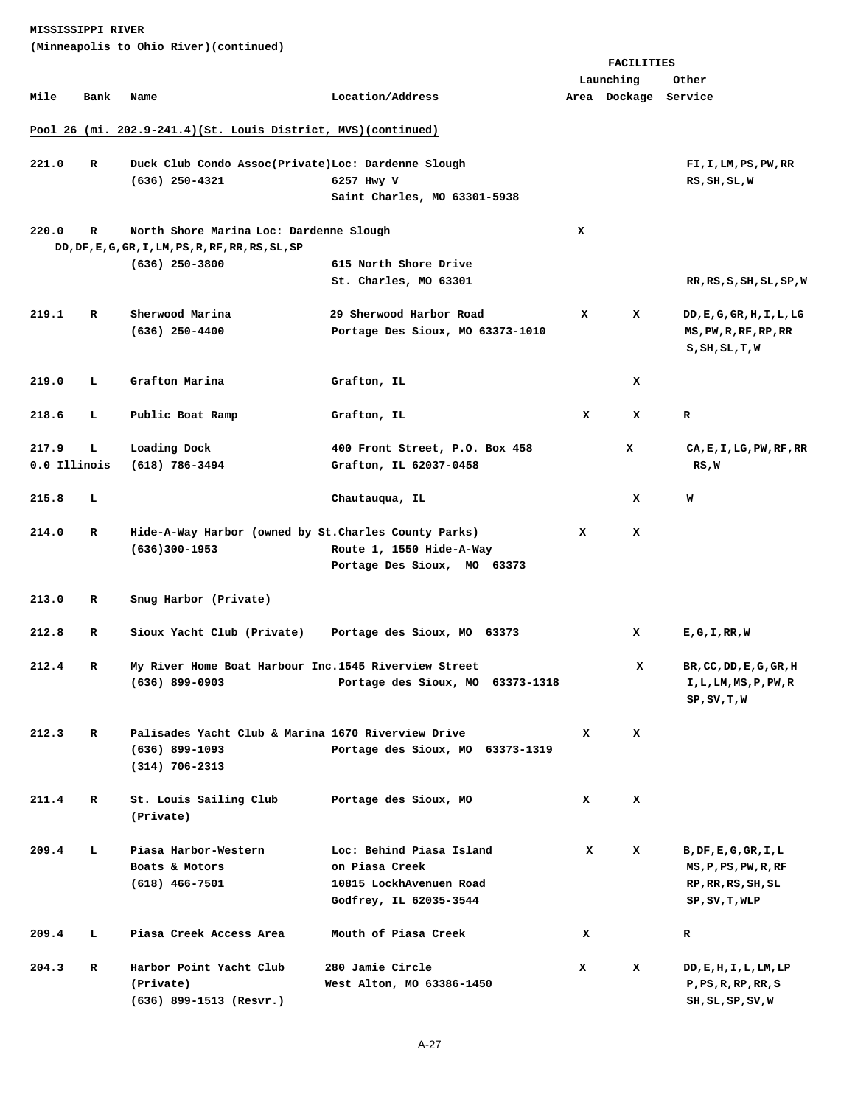|              |             | (Minneapolis to Ohio River)(continued)                          |                                  |   |                      |                                              |
|--------------|-------------|-----------------------------------------------------------------|----------------------------------|---|----------------------|----------------------------------------------|
|              |             |                                                                 |                                  |   | FACILITIES           |                                              |
|              |             |                                                                 |                                  |   | Launching            | Other                                        |
| Mile         | Bank        | Name                                                            | Location/Address                 |   | Area Dockage Service |                                              |
|              |             | Pool 26 (mi. 202.9-241.4) (St. Louis District, MVS) (continued) |                                  |   |                      |                                              |
| 221.0        | R           | Duck Club Condo Assoc(Private)Loc: Dardenne Slough              |                                  |   |                      | FI,I,LM,PS,PW,RR                             |
|              |             | $(636)$ 250-4321                                                | 6257 Hwy V                       |   |                      | RS, SH, SL, W                                |
|              |             |                                                                 | Saint Charles, MO 63301-5938     |   |                      |                                              |
| 220.0        | $\mathbf R$ | North Shore Marina Loc: Dardenne Slough                         |                                  | x |                      |                                              |
|              |             | DD, DF, E, G, GR, I, LM, PS, R, RF, RR, RS, SL, SP              |                                  |   |                      |                                              |
|              |             | $(636)$ 250-3800                                                | 615 North Shore Drive            |   |                      |                                              |
|              |             |                                                                 | St. Charles, MO 63301            |   |                      | RR, RS, S, SH, SL, SP, W                     |
| 219.1        | R           | Sherwood Marina                                                 | 29 Sherwood Harbor Road          | x | x                    | DD,E,G,GR,H,I,L,LG                           |
|              |             | $(636)$ 250-4400                                                | Portage Des Sioux, MO 63373-1010 |   |                      | MS, PW, R, RF, RP, RR<br>S, SH, SL, T, W     |
|              |             |                                                                 |                                  |   |                      |                                              |
| 219.0        | L           | Grafton Marina                                                  | Grafton, IL                      |   | x                    |                                              |
| 218.6        | г           | Public Boat Ramp                                                | Grafton, IL                      | x | x                    | R                                            |
| 217.9        | г           | Loading Dock                                                    | 400 Front Street, P.O. Box 458   |   | x                    | $CA$ , $E$ , $I$ , $LG$ , $PW$ , $RF$ , $RR$ |
| 0.0 Illinois |             | (618) 786-3494                                                  | Grafton, IL 62037-0458           |   |                      | RS,W                                         |
| 215.8        | L           |                                                                 | Chautauqua, IL                   |   | x                    | W                                            |
| 214.0        | R           | Hide-A-Way Harbor (owned by St.Charles County Parks)            |                                  | x | x                    |                                              |
|              |             | $(636)300 - 1953$                                               | Route 1, 1550 Hide-A-Way         |   |                      |                                              |
|              |             |                                                                 | Portage Des Sioux, MO 63373      |   |                      |                                              |
| 213.0        | R           | Snug Harbor (Private)                                           |                                  |   |                      |                                              |
| 212.8        | R           | Sioux Yacht Club (Private)                                      | Portage des Sioux, MO 63373      |   | x                    | E,G,I,RR,W                                   |
| 212.4        | R           | My River Home Boat Harbour Inc.1545 Riverview Street            |                                  |   | x                    | BR, CC, DD, E, G, GR, H                      |
|              |             | $(636)$ 899-0903                                                | Portage des Sioux, MO 63373-1318 |   |                      | I,L,LM,MS,P,PW,R<br>SP, SV, T, W             |
| 212.3        | R           | Palisades Yacht Club & Marina 1670 Riverview Drive              |                                  | x | x                    |                                              |
|              |             | $(636)$ 899-1093                                                | Portage des Sioux, MO 63373-1319 |   |                      |                                              |
|              |             | $(314) 706 - 2313$                                              |                                  |   |                      |                                              |
| 211.4        | R           | St. Louis Sailing Club                                          | Portage des Sioux, MO            | x | x                    |                                              |
|              |             | (Private)                                                       |                                  |   |                      |                                              |
| 209.4        | г           | Piasa Harbor-Western                                            | Loc: Behind Piasa Island         | x | x                    | B, DF, E, G, GR, I, L                        |
|              |             | Boats & Motors                                                  | on Piasa Creek                   |   |                      | MS, P, PS, PW, R, RF                         |
|              |             | $(618)$ 466-7501                                                | 10815 LockhAvenuen Road          |   |                      | RP, RR, RS, SH, SL                           |
|              |             |                                                                 | Godfrey, IL 62035-3544           |   |                      | SP, SV, T, WLP                               |
| 209.4        | г           | Piasa Creek Access Area                                         | Mouth of Piasa Creek             | x |                      | R                                            |
| 204.3        | R           | Harbor Point Yacht Club                                         | 280 Jamie Circle                 | x | x                    | DD, E, H, I, L, LM, LP                       |
|              |             | (Private)                                                       | West Alton, MO 63386-1450        |   |                      | P, PS, R, RP, RR, S                          |

A-27

(636) 899-1513 (Resvr.) SH, SL, SP, SV, W SH, SL, SP, SV, W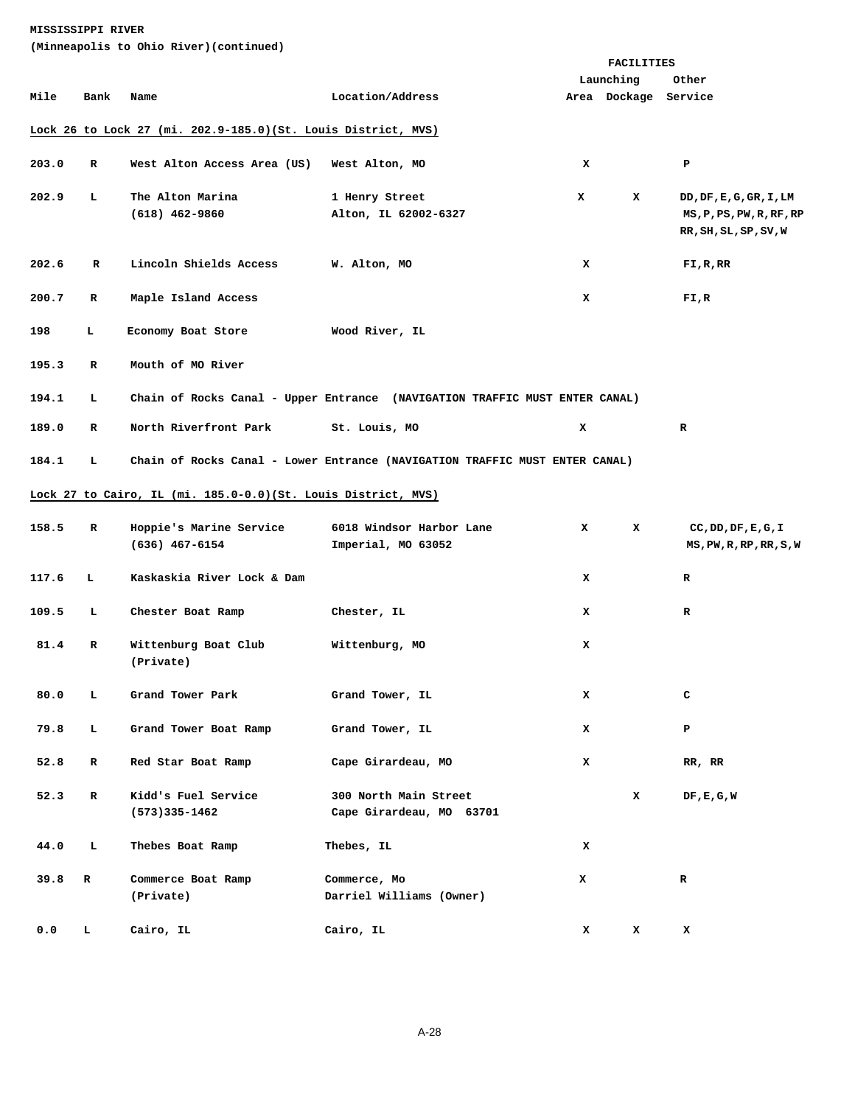|       |             | (Minneapolis to Ohio River)(continued)                         |                                                                             |            |                                   |                                                                              |
|-------|-------------|----------------------------------------------------------------|-----------------------------------------------------------------------------|------------|-----------------------------------|------------------------------------------------------------------------------|
|       |             |                                                                |                                                                             | FACILITIES |                                   |                                                                              |
| Mile  | Bank        | Name                                                           | Location/Address                                                            |            | Launching<br>Area Dockage Service | Other                                                                        |
|       |             |                                                                |                                                                             |            |                                   |                                                                              |
|       |             | Lock 26 to Lock 27 (mi. 202.9-185.0) (St. Louis District, MVS) |                                                                             |            |                                   |                                                                              |
| 203.0 | R           | West Alton Access Area (US)                                    | West Alton, MO                                                              | x          |                                   | P                                                                            |
| 202.9 | L           | The Alton Marina<br>$(618)$ 462-9860                           | 1 Henry Street<br>Alton, IL 62002-6327                                      | x          | x                                 | DD, DF, E, G, GR, I, LM<br>MS, P, PS, PW, R, RF, RP<br>RR, SH, SL, SP, SV, W |
| 202.6 | $\mathbf R$ | Lincoln Shields Access                                         | W. Alton, MO                                                                | x          |                                   | FI,R,RR                                                                      |
| 200.7 | R           | Maple Island Access                                            |                                                                             | x          |                                   | FI,R                                                                         |
| 198   | L.          | Economy Boat Store                                             | Wood River, IL                                                              |            |                                   |                                                                              |
| 195.3 | R           | Mouth of MO River                                              |                                                                             |            |                                   |                                                                              |
| 194.1 | т.          |                                                                | Chain of Rocks Canal - Upper Entrance (NAVIGATION TRAFFIC MUST ENTER CANAL) |            |                                   |                                                                              |
| 189.0 | R           | North Riverfront Park                                          | St. Louis, MO                                                               | x          |                                   | R                                                                            |
| 184.1 | т.          |                                                                | Chain of Rocks Canal - Lower Entrance (NAVIGATION TRAFFIC MUST ENTER CANAL) |            |                                   |                                                                              |
|       |             | Lock 27 to Cairo, IL (mi. 185.0-0.0)(St. Louis District, MVS)  |                                                                             |            |                                   |                                                                              |
| 158.5 | R           | Hoppie's Marine Service<br>$(636)$ 467-6154                    | 6018 Windsor Harbor Lane<br>Imperial, MO 63052                              | x          | x                                 | CC, DD, DF, E, G, I<br>MS, PW, R, RP, RR, S, W                               |
| 117.6 | L           | Kaskaskia River Lock & Dam                                     |                                                                             | x          |                                   | R                                                                            |
| 109.5 | L           | Chester Boat Ramp                                              | Chester, IL                                                                 | x          |                                   | $\mathbf R$                                                                  |
| 81.4  | R           | Wittenburg Boat Club<br>(Private)                              | Wittenburg, MO                                                              | x          |                                   |                                                                              |
| 80.0  | т.          | Grand Tower Park                                               | Grand Tower, IL                                                             | x          |                                   | с                                                                            |
| 79.8  | L           | Grand Tower Boat Ramp                                          | Grand Tower, IL                                                             | x          |                                   | P                                                                            |
| 52.8  | R           | Red Star Boat Ramp                                             | Cape Girardeau, MO                                                          | x          |                                   | RR, RR                                                                       |
| 52.3  | R           | Kidd's Fuel Service<br>$(573)335 - 1462$                       | 300 North Main Street<br>Cape Girardeau, MO 63701                           |            | x                                 | DF,E,G,W                                                                     |
| 44.0  | L           | Thebes Boat Ramp                                               | Thebes, IL                                                                  | x          |                                   |                                                                              |
| 39.8  | R           | Commerce Boat Ramp<br>(Private)                                | Commerce, Mo<br>Darriel Williams (Owner)                                    | x          |                                   | R                                                                            |
| 0.0   | L           | Cairo, IL                                                      | Cairo, IL                                                                   | x          | x                                 | x                                                                            |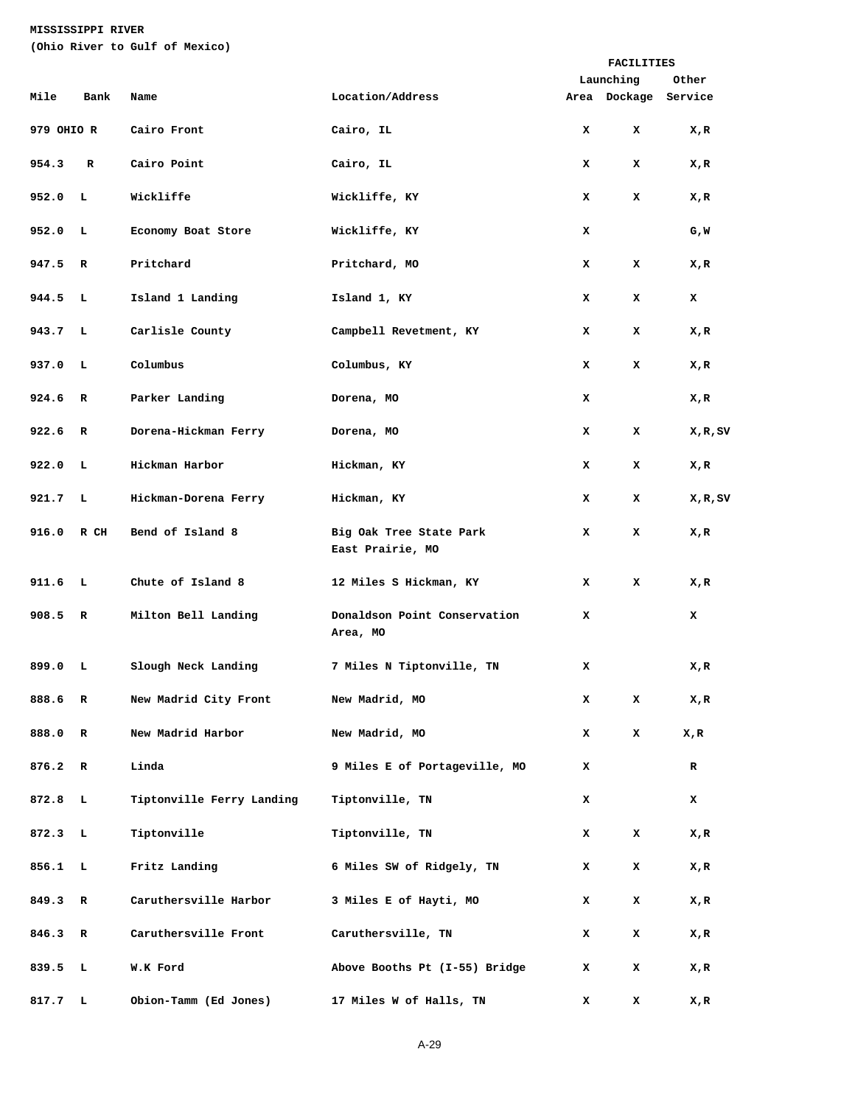**(Ohio River to Gulf of Mexico)** 

|            |              |                           |                                             |   | FACILITIES           |        |
|------------|--------------|---------------------------|---------------------------------------------|---|----------------------|--------|
|            |              |                           |                                             |   | Launching            | Other  |
| Mile       | Bank         | Name                      | Location/Address                            |   | Area Dockage Service |        |
| 979 OHIO R |              | Cairo Front               | Cairo, IL                                   | x | x                    | X,R    |
| 954.3      | R            | Cairo Point               | Cairo, IL                                   | x | x                    | X,R    |
| 952.0 L    |              | Wickliffe                 | Wickliffe, KY                               | x | x                    | X,R    |
| 952.0      | L.           | Economy Boat Store        | Wickliffe, KY                               | x |                      | G,W    |
| 947.5      | $\mathbb{R}$ | Pritchard                 | Pritchard, MO                               | x | x                    | X,R    |
| 944.5 L    |              | Island 1 Landing          | Island 1, KY                                | x | x                    | x      |
| 943.7 L    |              | Carlisle County           | Campbell Revetment, KY                      | x | x                    | X,R    |
| 937.0      | L.           | Columbus                  | Columbus, KY                                | x | x                    | X,R    |
| 924.6 R    |              | Parker Landing            | Dorena, MO                                  | x |                      | X,R    |
| 922.6 R    |              | Dorena-Hickman Ferry      | Dorena, MO                                  | x | x                    | X,R,SV |
| 922.0      | L.           | Hickman Harbor            | Hickman, KY                                 | x | x                    | X,R    |
| 921.7 L    |              | Hickman-Dorena Ferry      | Hickman, KY                                 | x | x                    | X,R,SV |
| 916.0 R CH |              | Bend of Island 8          | Big Oak Tree State Park<br>East Prairie, MO | x | x                    | X,R    |
| 911.6 L    |              | Chute of Island 8         | 12 Miles S Hickman, KY                      | x | x                    | X,R    |
| 908.5      | $\mathbb{R}$ | Milton Bell Landing       | Donaldson Point Conservation<br>Area, MO    | x |                      | x      |
| 899.0      | L            | Slough Neck Landing       | 7 Miles N Tiptonville, TN                   | x |                      | X,R    |
| 888.6      | R            | New Madrid City Front     | New Madrid, MO                              | x | x                    | X,R    |
| 888.0      | R            | New Madrid Harbor         | New Madrid, MO                              | x | x                    | X,R    |
| 876.2      | R            | Linda                     | 9 Miles E of Portageville, MO               | x |                      | R      |
| 872.8      | L            | Tiptonville Ferry Landing | Tiptonville, TN                             | x |                      | x      |
| 872.3      | L            | Tiptonville               | Tiptonville, TN                             | x | x                    | X,R    |
| 856.1      | L            | Fritz Landing             | 6 Miles SW of Ridgely, TN                   | x | x                    | X,R    |
| 849.3      | R            | Caruthersville Harbor     | 3 Miles E of Hayti, MO                      | x | x                    | X,R    |
| 846.3      | R            | Caruthersville Front      | Caruthersville, TN                          | x | x                    | X,R    |
| 839.5      | L            | W.K Ford                  | Above Booths Pt (I-55) Bridge               | x | x                    | X,R    |
| 817.7      | L            | Obion-Tamm (Ed Jones)     | 17 Miles W of Halls, TN                     | x | x                    | X,R    |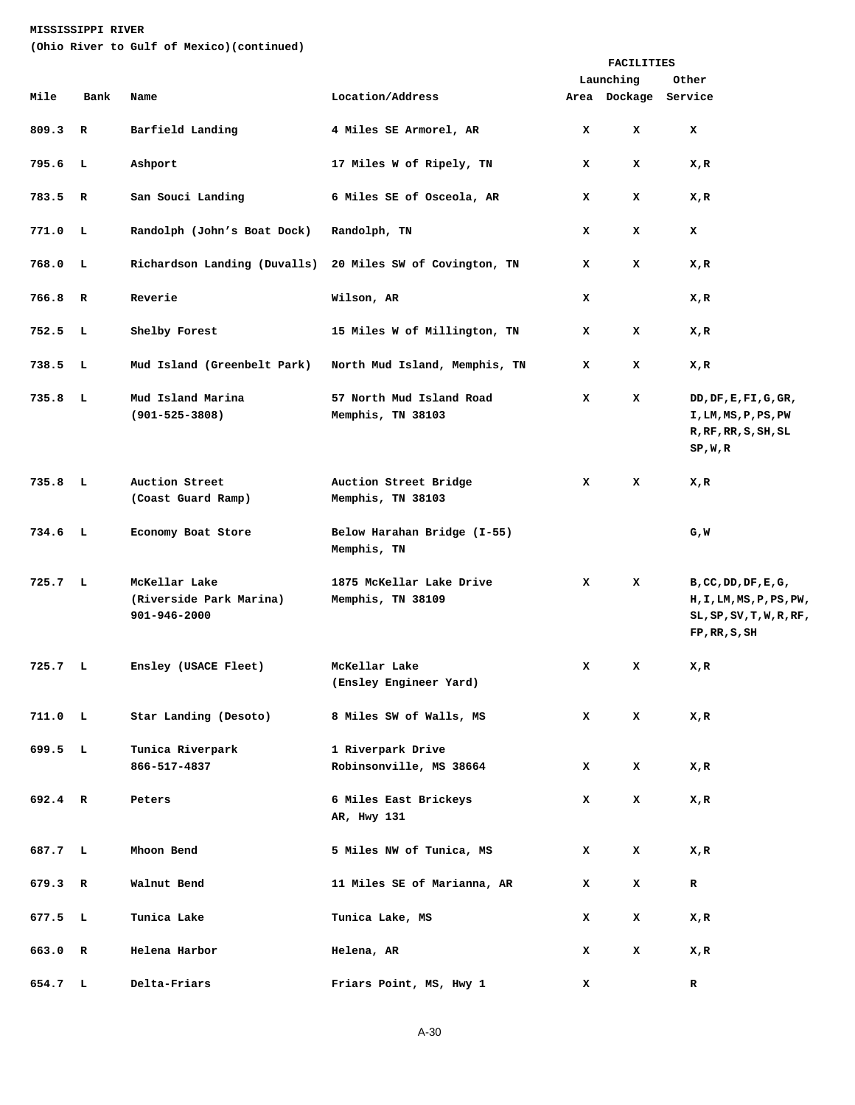**(Ohio River to Gulf of Mexico)(continued)** 

|                    |              |                                                          |                                                           |   | <b>FACILITIES</b> |                                                                                                  |
|--------------------|--------------|----------------------------------------------------------|-----------------------------------------------------------|---|-------------------|--------------------------------------------------------------------------------------------------|
|                    |              |                                                          |                                                           |   | Launching         | Other                                                                                            |
| Mile               | Bank         | Name                                                     | Location/Address                                          |   | Area Dockage      | Service                                                                                          |
| 809.3              | $\mathbf R$  | Barfield Landing                                         | 4 Miles SE Armorel, AR                                    | x | x                 | x                                                                                                |
| 795.6              | L            | Ashport                                                  | 17 Miles W of Ripely, TN                                  | x | x                 | X,R                                                                                              |
| 783.5              | $\mathbf R$  | San Souci Landing                                        | 6 Miles SE of Osceola, AR                                 | x | x                 | X,R                                                                                              |
| 771.0              | ΞL,          | Randolph (John's Boat Dock)                              | Randolph, TN                                              | x | x                 | x                                                                                                |
| 768.0              | ΞL,          |                                                          | Richardson Landing (Duvalls) 20 Miles SW of Covington, TN | x | x                 | X,R                                                                                              |
| 766.8              | R            | Reverie                                                  | Wilson, AR                                                | x |                   | X,R                                                                                              |
| 752.5              | - L          | Shelby Forest                                            | 15 Miles W of Millington, TN                              | x | x                 | X,R                                                                                              |
| 738.5              | - L          | Mud Island (Greenbelt Park)                              | North Mud Island, Memphis, TN                             | x | x                 | X,R                                                                                              |
| $735.8$ L          |              | Mud Island Marina<br>$(901 - 525 - 3808)$                | 57 North Mud Island Road<br>Memphis, TN 38103             | x | x                 | DD, DF, E, FI, G, GR,<br>I,LM,MS,P,PS,PW<br>R, RF, RR, S, SH, SL<br>SP, W, R                     |
| 735.8              | $\mathbf{L}$ | Auction Street<br>(Coast Guard Ramp)                     | Auction Street Bridge<br>Memphis, TN 38103                | x | x                 | X,R                                                                                              |
| $734.6$ L          |              | Economy Boat Store                                       | Below Harahan Bridge (I-55)<br>Memphis, TN                |   |                   | G,W                                                                                              |
| 725.7 L            |              | McKellar Lake<br>(Riverside Park Marina)<br>901-946-2000 | 1875 McKellar Lake Drive<br>Memphis, TN 38109             | x | x                 | B, CC, DD, DF, E, G,<br>H, I, LM, MS, P, PS, PW,<br>$SL, SP, SV, T, W, R, RF$ ,<br>FP, RR, S, SH |
| 725.7 L            |              | Ensley (USACE Fleet)                                     | McKellar Lake<br>(Ensley Engineer Yard)                   | x | x                 | X,R                                                                                              |
| 711.0 <sub>L</sub> |              | Star Landing (Desoto)                                    | 8 Miles SW of Walls, MS                                   | x | x                 | X,R                                                                                              |
| 699.5 L            |              | Tunica Riverpark<br>866-517-4837                         | 1 Riverpark Drive<br>Robinsonville, MS 38664              | x | x                 | X,R                                                                                              |
| 692.4 R            |              | Peters                                                   | 6 Miles East Brickeys<br>AR, Hwy 131                      | x | x                 | X,R                                                                                              |
| 687.7 L            |              | Mhoon Bend                                               | 5 Miles NW of Tunica, MS                                  | x | x                 | X,R                                                                                              |
| 679.3 R            |              | Walnut Bend                                              | 11 Miles SE of Marianna, AR                               | x | x                 | R                                                                                                |
| 677.5 L            |              | Tunica Lake                                              | Tunica Lake, MS                                           | x | x                 | X,R                                                                                              |
| 663.0 R            |              | Helena Harbor                                            | Helena, AR                                                | x | x                 | X,R                                                                                              |
| 654.7 L            |              | Delta-Friars                                             | Friars Point, MS, Hwy 1                                   | x |                   | R                                                                                                |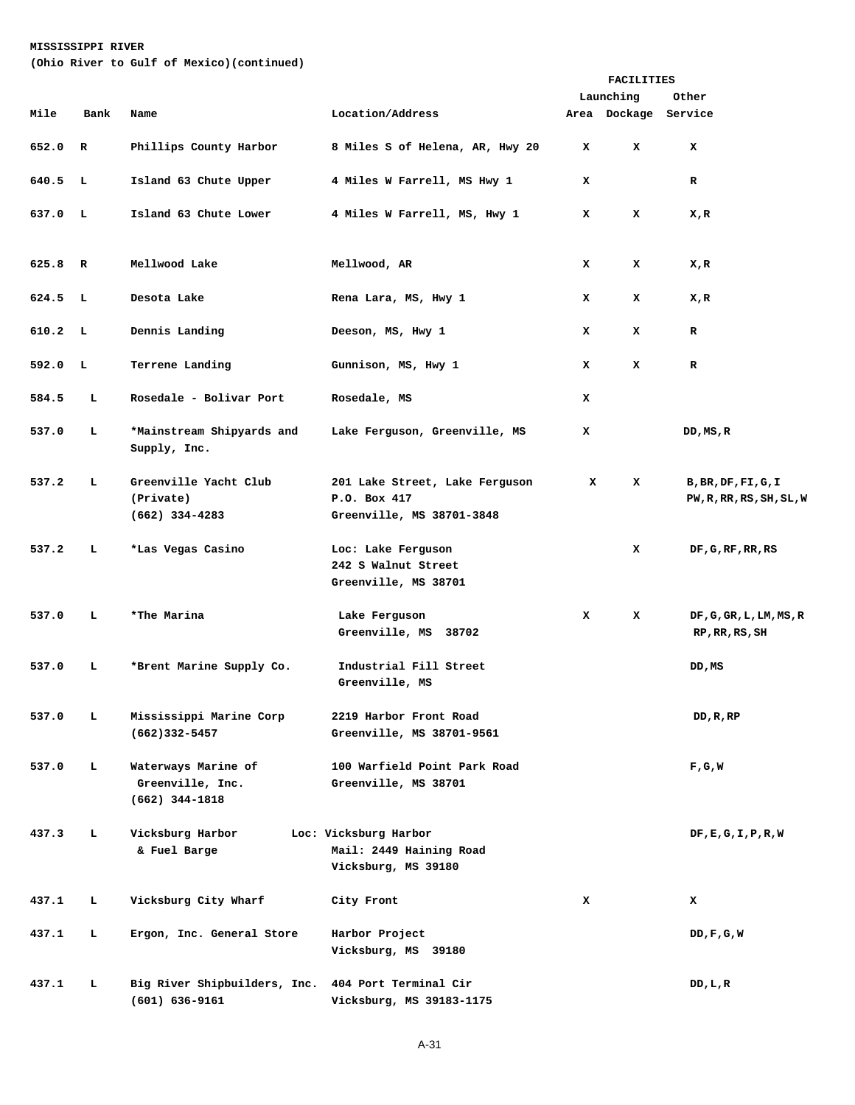**(Ohio River to Gulf of Mexico)(continued)** 

|       |              |                                                             |                                                                             |   | FACILITIES           |                                                 |  |
|-------|--------------|-------------------------------------------------------------|-----------------------------------------------------------------------------|---|----------------------|-------------------------------------------------|--|
|       |              |                                                             |                                                                             |   | Launching            | Other                                           |  |
| Mile  | Bank         | Name                                                        | Location/Address                                                            |   | Area Dockage Service |                                                 |  |
| 652.0 | $\mathbf R$  | Phillips County Harbor                                      | 8 Miles S of Helena, AR, Hwy 20                                             | x | x                    | x                                               |  |
| 640.5 | л,           | Island 63 Chute Upper                                       | 4 Miles W Farrell, MS Hwy 1                                                 | x |                      | $\mathbf R$                                     |  |
| 637.0 | $\mathbf{L}$ | Island 63 Chute Lower                                       | 4 Miles W Farrell, MS, Hwy 1                                                | x | x                    | X,R                                             |  |
| 625.8 | $\mathbf R$  | Mellwood Lake                                               | Mellwood, AR                                                                | x | x                    | X,R                                             |  |
| 624.5 | $\mathbf{L}$ | Desota Lake                                                 | Rena Lara, MS, Hwy 1                                                        | x | x                    | X,R                                             |  |
| 610.2 | L,           | Dennis Landing                                              | Deeson, MS, Hwy 1                                                           | x | x                    | R                                               |  |
| 592.0 | L.           | Terrene Landing                                             | Gunnison, MS, Hwy 1                                                         | x | x                    | R                                               |  |
| 584.5 | L            | Rosedale - Bolivar Port                                     | Rosedale, MS                                                                | x |                      |                                                 |  |
| 537.0 | L            | *Mainstream Shipyards and<br>Supply, Inc.                   | Lake Ferguson, Greenville, MS                                               | x |                      | DD,MS,R                                         |  |
| 537.2 | L            | Greenville Yacht Club<br>(Private)<br>$(662)$ 334-4283      | 201 Lake Street, Lake Ferguson<br>P.O. Box 417<br>Greenville, MS 38701-3848 | x | x                    | B, BR, DF, FI, G, I<br>PW, R, RR, RS, SH, SL, W |  |
| 537.2 | L            | *Las Vegas Casino                                           | Loc: Lake Ferguson<br>242 S Walnut Street<br>Greenville, MS 38701           |   | x                    | DF, G, RF, RR, RS                               |  |
| 537.0 | L            | *The Marina                                                 | Lake Ferguson<br>Greenville, MS 38702                                       | x | x                    | DF, G, GR, L, LM, MS, R<br>RP, RR, RS, SH       |  |
| 537.0 | L            | *Brent Marine Supply Co.                                    | Industrial Fill Street<br>Greenville, MS                                    |   |                      | DD,MS                                           |  |
| 537.0 | ь            | Mississippi Marine Corp<br>$(662)332 - 5457$                | 2219 Harbor Front Road<br>Greenville, MS 38701-9561                         |   |                      | DD, R, RP                                       |  |
| 537.0 | L            | Waterways Marine of<br>Greenville, Inc.<br>$(662)$ 344-1818 | 100 Warfield Point Park Road<br>Greenville, MS 38701                        |   |                      | F,G,W                                           |  |
| 437.3 | ь            | Vicksburg Harbor<br>& Fuel Barge                            | Loc: Vicksburg Harbor<br>Mail: 2449 Haining Road<br>Vicksburg, MS 39180     |   |                      | DF, E, G, I, P, R, W                            |  |
| 437.1 | ь            | Vicksburg City Wharf                                        | City Front                                                                  | x |                      | x                                               |  |
| 437.1 | ь            | Ergon, Inc. General Store                                   | Harbor Project<br>Vicksburg, MS 39180                                       |   |                      | DD,F,G,W                                        |  |
| 437.1 | ь            | Big River Shipbuilders, Inc.<br>$(601) 636 - 9161$          | 404 Port Terminal Cir<br>Vicksburg, MS 39183-1175                           |   |                      | DD,L,R                                          |  |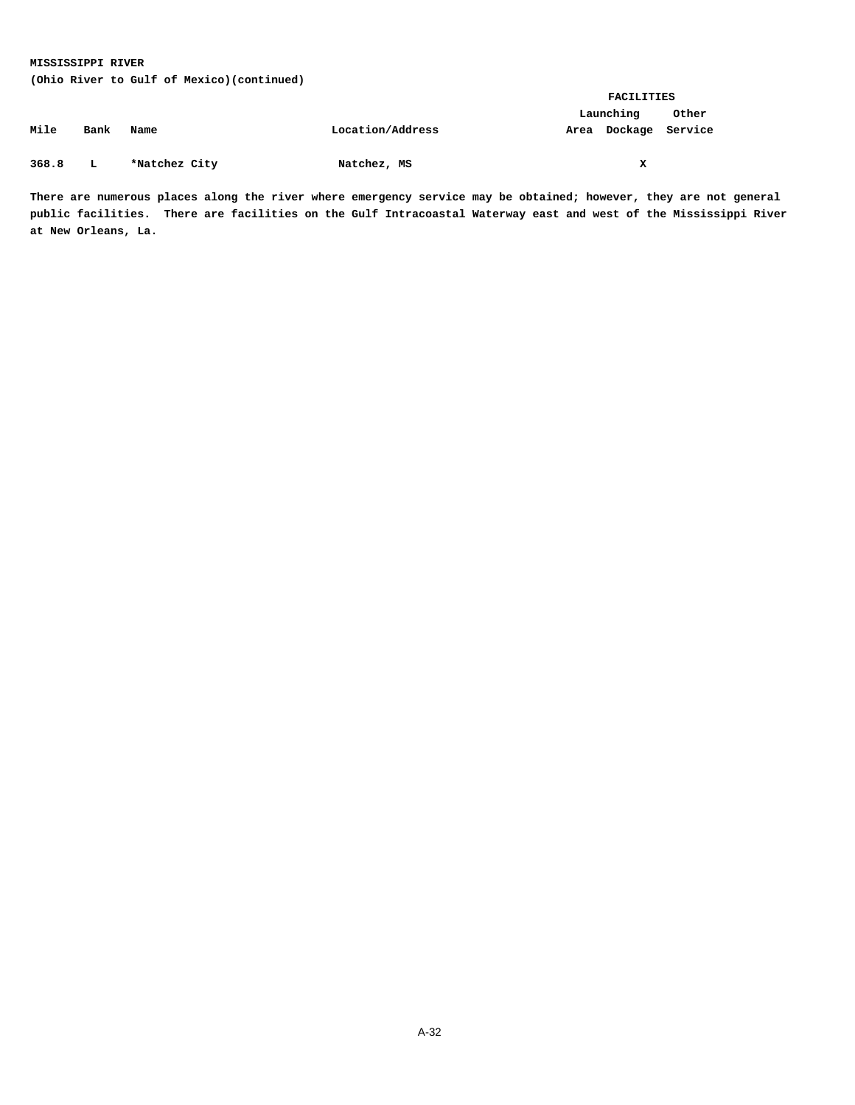**(Ohio River to Gulf of Mexico)(continued)** 

|       |      |               |                  |      | FACILITIES |         |  |
|-------|------|---------------|------------------|------|------------|---------|--|
|       |      |               |                  |      | Launching  | Other   |  |
| Mile  | Bank | Name          | Location/Address | Area | Dockage    | Service |  |
|       |      |               |                  |      |            |         |  |
| 368.8 | L    | *Natchez City | Natchez, MS      |      | x          |         |  |

**There are numerous places along the river where emergency service may be obtained; however, they are not general public facilities. There are facilities on the Gulf Intracoastal Waterway east and west of the Mississippi River at New Orleans, La.**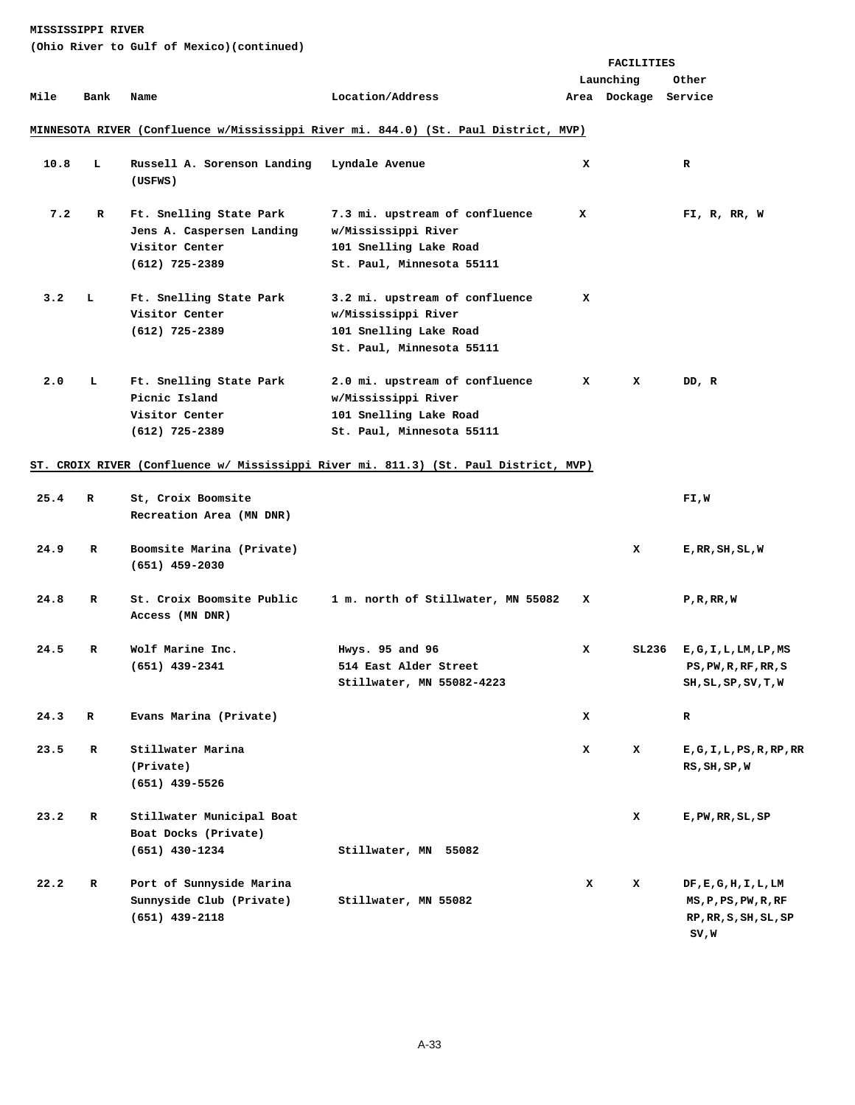|      |      |                                                                                          |                                                                                                              |   | <b>FACILITIES</b>    |                                                                        |
|------|------|------------------------------------------------------------------------------------------|--------------------------------------------------------------------------------------------------------------|---|----------------------|------------------------------------------------------------------------|
|      |      |                                                                                          |                                                                                                              |   | Launching            | Other                                                                  |
| Mile | Bank | Name                                                                                     | Location/Address                                                                                             |   | Area Dockage Service |                                                                        |
|      |      |                                                                                          | MINNESOTA RIVER (Confluence w/Mississippi River mi. 844.0) (St. Paul District, MVP)                          |   |                      |                                                                        |
| 10.8 | ъ    | Russell A. Sorenson Landing<br>(USFWS)                                                   | Lyndale Avenue                                                                                               | x |                      | R                                                                      |
| 7.2  | R    | Ft. Snelling State Park<br>Jens A. Caspersen Landing<br>Visitor Center<br>(612) 725-2389 | 7.3 mi. upstream of confluence<br>w/Mississippi River<br>101 Snelling Lake Road<br>St. Paul, Minnesota 55111 | x |                      | FI, R, RR, W                                                           |
| 3.2  | т,   | Ft. Snelling State Park<br>Visitor Center<br>(612) 725-2389                              | 3.2 mi. upstream of confluence<br>w/Mississippi River<br>101 Snelling Lake Road<br>St. Paul, Minnesota 55111 | x |                      |                                                                        |
| 2.0  | ь    | Ft. Snelling State Park<br>Picnic Island<br>Visitor Center<br>$(612)$ 725-2389           | 2.0 mi. upstream of confluence<br>w/Mississippi River<br>101 Snelling Lake Road<br>St. Paul, Minnesota 55111 | x | x                    | DD, R                                                                  |
|      |      |                                                                                          | ST. CROIX RIVER (Confluence w/ Mississippi River mi. 811.3) (St. Paul District, MVP)                         |   |                      |                                                                        |
| 25.4 | R    | St, Croix Boomsite<br>Recreation Area (MN DNR)                                           |                                                                                                              |   |                      | FI,W                                                                   |
| 24.9 | R    | Boomsite Marina (Private)<br>$(651)$ 459-2030                                            |                                                                                                              |   | x                    | E, RR, SH, SL, W                                                       |
| 24.8 | R    | St. Croix Boomsite Public<br>Access (MN DNR)                                             | 1 m. north of Stillwater, MN 55082                                                                           | x |                      | P, R, RR, W                                                            |
| 24.5 | R    | Wolf Marine Inc.<br>$(651)$ 439-2341                                                     | Hwys. 95 and 96<br>514 East Alder Street<br>Stillwater, MN 55082-4223                                        | x | SL236                | E, G, I, L, LM, LP, MS<br>PS, PW, R, RF, RR, S<br>SH, SL, SP, SV, T, W |
| 24.3 | R    | Evans Marina (Private)                                                                   |                                                                                                              | x |                      | R                                                                      |
| 23.5 | R    | Stillwater Marina<br>(Private)<br>(651) 439-5526                                         |                                                                                                              | x | x                    | E, G, I, L, PS, R, RP, RR<br>RS, SH, SP, W                             |
| 23.2 | R    | Stillwater Municipal Boat<br>Boat Docks (Private)<br>$(651)$ 430-1234                    | Stillwater, MN 55082                                                                                         |   | x                    | E, PW, RR, SL, SP                                                      |
| 22.2 | R    | Port of Sunnyside Marina<br>Sunnyside Club (Private)<br>$(651)$ 439-2118                 | Stillwater, MN 55082                                                                                         | x | x                    | DF, E, G, H, I, L, LM<br>MS, P, PS, PW, R, RF<br>RP, RR, S, SH, SL, SP |

 **SV,W**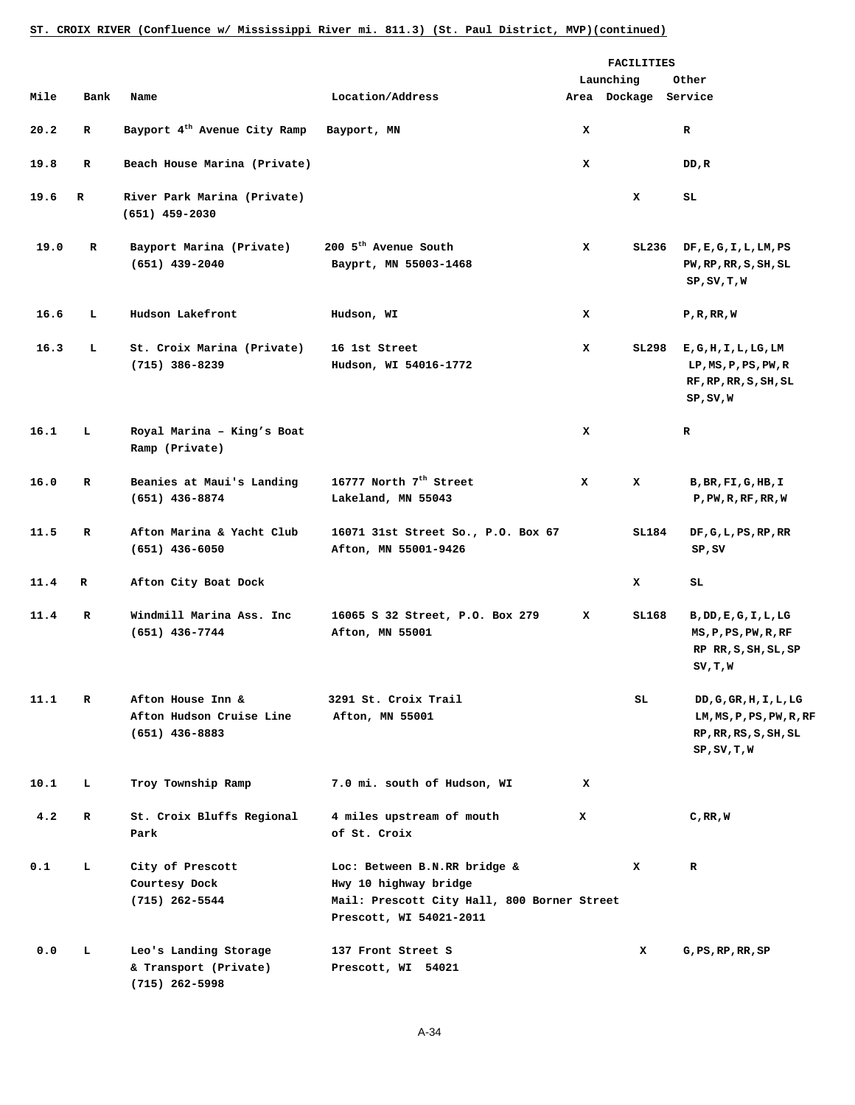## **ST. CROIX RIVER (Confluence w/ Mississippi River mi. 811.3) (St. Paul District, MVP)(continued)**

|      |              |                                                                    |                                                                                                                                 |   | FACILITIES           |                                                                                                       |
|------|--------------|--------------------------------------------------------------------|---------------------------------------------------------------------------------------------------------------------------------|---|----------------------|-------------------------------------------------------------------------------------------------------|
|      |              |                                                                    |                                                                                                                                 |   | Launching            | Other                                                                                                 |
| Mile | Bank         | Name                                                               | Location/Address                                                                                                                |   | Area Dockage Service |                                                                                                       |
| 20.2 | $\mathbf R$  | Bayport 4 <sup>th</sup> Avenue City Ramp                           | Bayport, MN                                                                                                                     | x |                      | $\mathbf R$                                                                                           |
| 19.8 | R            | Beach House Marina (Private)                                       |                                                                                                                                 | x |                      | DD, R                                                                                                 |
| 19.6 | $\mathbf R$  | River Park Marina (Private)<br>$(651)$ 459-2030                    |                                                                                                                                 |   | x                    | SL.                                                                                                   |
| 19.0 | R            | Bayport Marina (Private)<br>$(651)$ 439-2040                       | 200 5 <sup>th</sup> Avenue South<br>Bayprt, MN 55003-1468                                                                       | x | SL236                | DF, E, G, I, L, LM, PS<br>PW,RP,RR, S, SH, SL<br>SP, SV, T, W                                         |
| 16.6 | L.           | Hudson Lakefront                                                   | Hudson, WI                                                                                                                      | x |                      | P, R, RR, W                                                                                           |
| 16.3 | L            | St. Croix Marina (Private)<br>$(715)$ 386-8239                     | 16 1st Street<br>Hudson, WI 54016-1772                                                                                          | x | SL298                | E, G, H, I, L, LG, LM<br>LP, MS, P, PS, PW, R<br>RF, RP, RR, S, SH, SL<br>SP, SV, W                   |
| 16.1 | L.           | Royal Marina - King's Boat<br>Ramp (Private)                       |                                                                                                                                 | x |                      | $\mathbf R$                                                                                           |
| 16.0 | $\mathbf R$  | Beanies at Maui's Landing<br>$(651)$ 436-8874                      | 16777 North $7^{\text{th}}$ Street<br>Lakeland, MN 55043                                                                        | x | x                    | B, BR, FI, G, HB, I<br>P, PW, R, RF, RR, W                                                            |
| 11.5 | $\mathbf R$  | Afton Marina & Yacht Club<br>$(651)$ 436-6050                      | 16071 31st Street So., P.O. Box 67<br>Afton, MN 55001-9426                                                                      |   | SL184                | DF, G, L, PS, RP, RR<br>SP, SV                                                                        |
| 11.4 | R            | Afton City Boat Dock                                               |                                                                                                                                 |   | x                    | SL.                                                                                                   |
| 11.4 | $\mathbf{R}$ | Windmill Marina Ass. Inc<br>$(651)$ 436-7744                       | 16065 S 32 Street, P.O. Box 279<br>Afton, MN 55001                                                                              | x | SL168                | $B$ , $DD$ , $E$ , $G$ , $I$ , $L$ , $LG$<br>MS, P, PS, PW, R, RF<br>RP RR, S, SH, SL, SP<br>SV, T, W |
| 11.1 | $\mathbf R$  | Afton House Inn &<br>Afton Hudson Cruise Line<br>$(651)$ 436-8883  | 3291 St. Croix Trail<br>Afton, MN 55001                                                                                         |   | SL                   | DD,G,GR,H,I,L,LG<br>LM, MS, P, PS, PW, R, RF<br>RP, RR, RS, S, SH, SL<br>SP, SV, T, W                 |
| 10.1 | г            | Troy Township Ramp                                                 | 7.0 mi. south of Hudson, WI                                                                                                     | x |                      |                                                                                                       |
| 4.2  | R            | St. Croix Bluffs Regional<br>Park                                  | 4 miles upstream of mouth<br>of St. Croix                                                                                       | x |                      | C, RR, W                                                                                              |
| 0.1  | L            | City of Prescott<br>Courtesy Dock<br>(715) 262-5544                | Loc: Between B.N.RR bridge &<br>Hwy 10 highway bridge<br>Mail: Prescott City Hall, 800 Borner Street<br>Prescott, WI 54021-2011 |   | x                    | R                                                                                                     |
| 0.0  | L            | Leo's Landing Storage<br>& Transport (Private)<br>$(715)$ 262-5998 | 137 Front Street S<br>Prescott, WI 54021                                                                                        |   | x                    | G, PS, RP, RR, SP                                                                                     |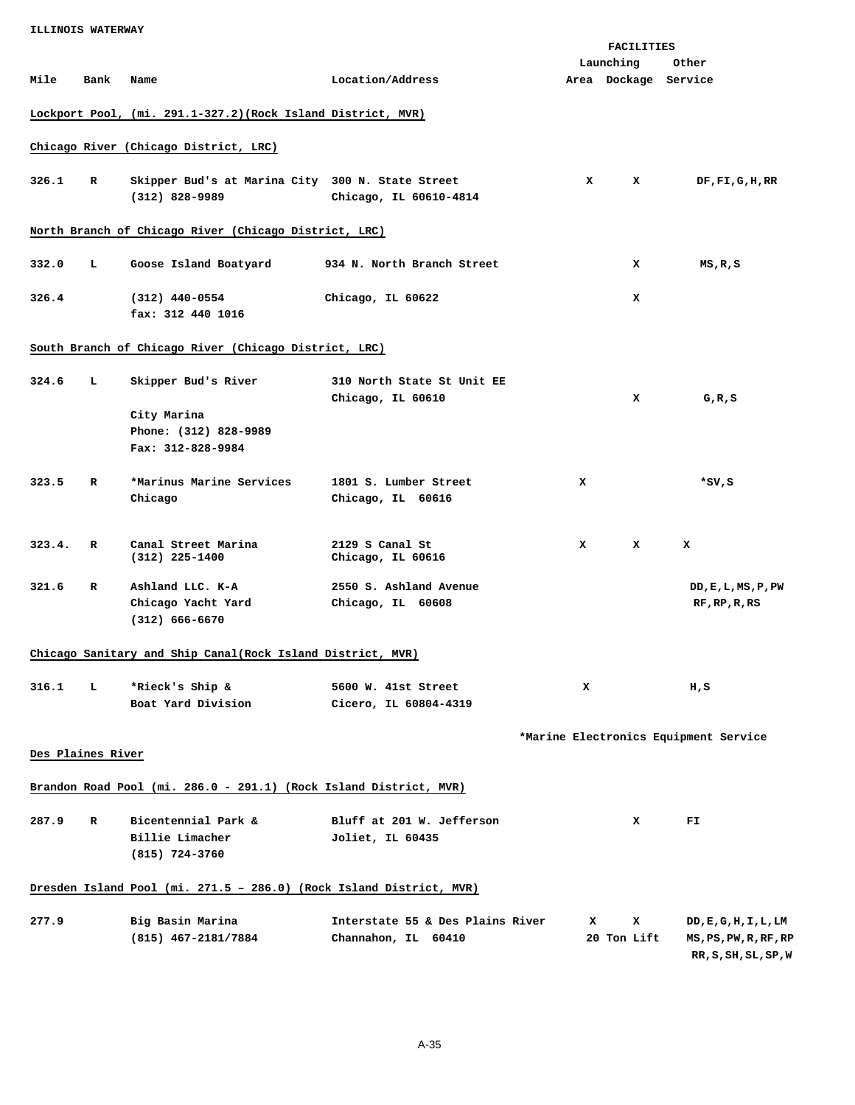| <b>ILLINOIS WATERWAY</b> |      |                                                                     |                                  |                                   |             |                                       |
|--------------------------|------|---------------------------------------------------------------------|----------------------------------|-----------------------------------|-------------|---------------------------------------|
|                          |      |                                                                     |                                  |                                   | FACILITIES  |                                       |
| Mile                     | Bank | Name                                                                | Location/Address                 | Launching<br>Area Dockage Service |             | Other                                 |
|                          |      |                                                                     |                                  |                                   |             |                                       |
|                          |      | Lockport Pool, (mi. 291.1-327.2) (Rock Island District, MVR)        |                                  |                                   |             |                                       |
|                          |      | Chicago River (Chicago District, LRC)                               |                                  |                                   |             |                                       |
| 326.1                    | R    | Skipper Bud's at Marina City 300 N. State Street                    |                                  | x                                 | x           | $DF$ , $FI$ , $G$ , $H$ , $RR$        |
|                          |      | $(312)$ 828-9989                                                    | Chicago, IL 60610-4814           |                                   |             |                                       |
|                          |      | North Branch of Chicago River (Chicago District, LRC)               |                                  |                                   |             |                                       |
|                          |      |                                                                     |                                  |                                   |             |                                       |
| 332.0                    | т.   | Goose Island Boatyard                                               | 934 N. North Branch Street       |                                   | x           | MS,R,S                                |
| 326.4                    |      | $(312)$ 440-0554                                                    | Chicago, IL 60622                |                                   | x           |                                       |
|                          |      | fax: 312 440 1016                                                   |                                  |                                   |             |                                       |
|                          |      | South Branch of Chicago River (Chicago District, LRC)               |                                  |                                   |             |                                       |
| 324.6                    | L    | Skipper Bud's River                                                 | 310 North State St Unit EE       |                                   |             |                                       |
|                          |      |                                                                     | Chicago, IL 60610                |                                   | x           | G, R, S                               |
|                          |      | City Marina                                                         |                                  |                                   |             |                                       |
|                          |      | Phone: (312) 828-9989                                               |                                  |                                   |             |                                       |
|                          |      | Fax: 312-828-9984                                                   |                                  |                                   |             |                                       |
| 323.5                    | R    | *Marinus Marine Services                                            | 1801 S. Lumber Street            | x                                 |             | *SV,S                                 |
|                          |      | Chicago                                                             | Chicago, IL 60616                |                                   |             |                                       |
|                          |      |                                                                     |                                  |                                   |             |                                       |
| 323.4.                   | R    | Canal Street Marina                                                 | 2129 S Canal St                  | x                                 | x           | x                                     |
|                          |      | $(312)$ 225-1400                                                    | Chicago, IL 60616                |                                   |             |                                       |
| 321.6                    | R    | Ashland LLC. K-A                                                    | 2550 S. Ashland Avenue           |                                   |             | DD, E, L, MS, P, PW                   |
|                          |      | Chicago Yacht Yard                                                  | Chicago, IL 60608                |                                   |             | RF,RP,R,RS                            |
|                          |      | $(312) 666 - 6670$                                                  |                                  |                                   |             |                                       |
|                          |      |                                                                     |                                  |                                   |             |                                       |
|                          |      | Chicago Sanitary and Ship Canal(Rock Island District, MVR)          |                                  |                                   |             |                                       |
| 316.1                    | т.   | *Rieck's Ship &                                                     | 5600 W. 41st Street              | x                                 |             | H,S                                   |
|                          |      | Boat Yard Division                                                  | Cicero, IL 60804-4319            |                                   |             |                                       |
|                          |      |                                                                     |                                  |                                   |             | *Marine Electronics Equipment Service |
| Des Plaines River        |      |                                                                     |                                  |                                   |             |                                       |
|                          |      |                                                                     |                                  |                                   |             |                                       |
|                          |      | Brandon Road Pool (mi. 286.0 - 291.1) (Rock Island District, MVR)   |                                  |                                   |             |                                       |
| 287.9                    | R    | Bicentennial Park &                                                 | Bluff at 201 W. Jefferson        |                                   | x           | FI                                    |
|                          |      | Billie Limacher                                                     | Joliet, IL 60435                 |                                   |             |                                       |
|                          |      | (815) 724-3760                                                      |                                  |                                   |             |                                       |
|                          |      | Dresden Island Pool (mi. 271.5 - 286.0) (Rock Island District, MVR) |                                  |                                   |             |                                       |
| 277.9                    |      | Big Basin Marina                                                    | Interstate 55 & Des Plains River | x                                 | x           | DD, E, G, H, I, L, LM                 |
|                          |      | (815) 467-2181/7884                                                 | Channahon, IL 60410              |                                   | 20 Ton Lift | MS, PS, PW, R, RF, RP                 |
|                          |      |                                                                     |                                  |                                   |             | RR, S, SH, SL, SP, W                  |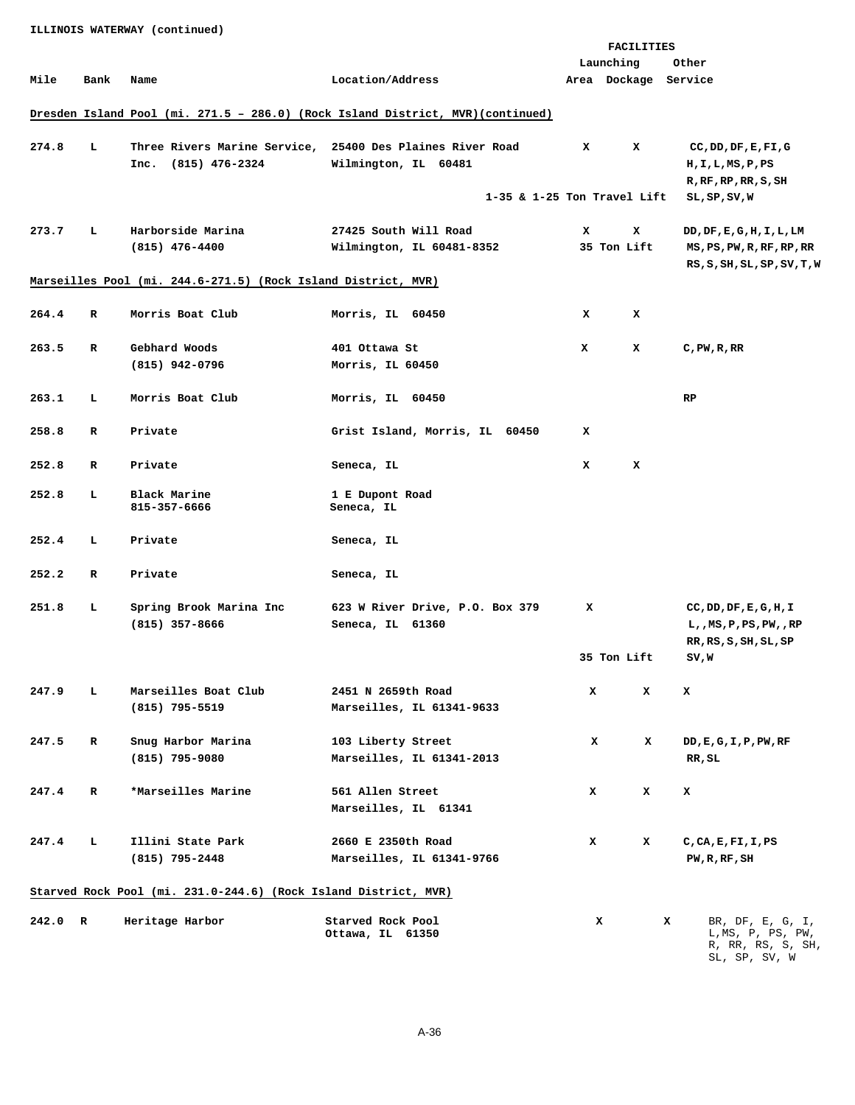**ILLINOIS WATERWAY (continued) FACILITIES Launching Other Mile Bank Name Location/Address Area Dockage Service Dresden Island Pool (mi. 271.5 – 286.0) (Rock Island District, MVR)(continued) 274.8 L Three Rivers Marine Service, 25400 Des Plaines River Road X X CC,DD,DF,E,FI,G Inc.** (815) 476-2324 Wilmington, IL 60481 H,I,L,MS,P,PS  **R,RF,RP,RR,S,SH 1-35 & 1-25 Ton Travel Lift SL,SP,SV,W 273.7 L Harborside Marina 27425 South Will Road X X DD,DF,E,G,H,I,L,LM (815) 476-4400 Wilmington, IL 60481-8352 35 Ton Lift MS,PS,PW,R,RF,RP,RR RS,S,SH,SL,SP,SV,T,W Marseilles Pool (mi. 244.6-271.5) (Rock Island District, MVR) 264.4 R Morris Boat Club Morris, IL 60450 X X 263.5 R Gebhard Woods 401 Ottawa St X X C,PW,R,RR (815) 942-0796 Morris, IL 60450 263.1 L Morris Boat Club Morris, IL 60450 RP 258.8 R Private Grist Island, Morris, IL 60450 X 252.8 R Private Seneca, IL X X 252.8** L Black Marine **1 E Dupont Road 1 E Dupont Road** Seneca, IL **252.4 L Private Seneca, IL 252.2 R Private Seneca, IL 251.8 L Spring Brook Marina Inc 623 W River Drive, P.O. Box 379 X CC,DD,DF,E,G,H,I (815) 357-8666 Seneca, IL 61360 L,,MS,P,PS,PW,,RP RR,RS,S,SH,SL,SP 135 Ton Lift SV,W** 35 Ton Lift SV,W **247.9 L Marseilles Boat Club 2451 N 2659th Road X X X (815) 795-5519 Marseilles, IL 61341-9633 247.5 R Snug Harbor Marina 103 Liberty Street X X DD,E,G,I,P,PW,RF (815) 795-9080 Marseilles, IL 61341-2013 RR,SL 247.4 R \*Marseilles Marine 561 Allen Street X X X Marseilles, IL 61341 247.4 L Illini State Park 2660 E 2350th Road X X C,CA,E,FI,I,PS (815) 795-2448 Marseilles, IL 61341-9766 PW,R,RF,SH Starved Rock Pool (mi. 231.0-244.6) (Rock Island District, MVR) 242.0 R Heritage Harbor Starved Rock Pool Ottawa, IL 61350 X X** BR, DF, E, G, I, L,MS, P, PS, PW, R, RR, RS, S, SH,

SL, SP, SV, W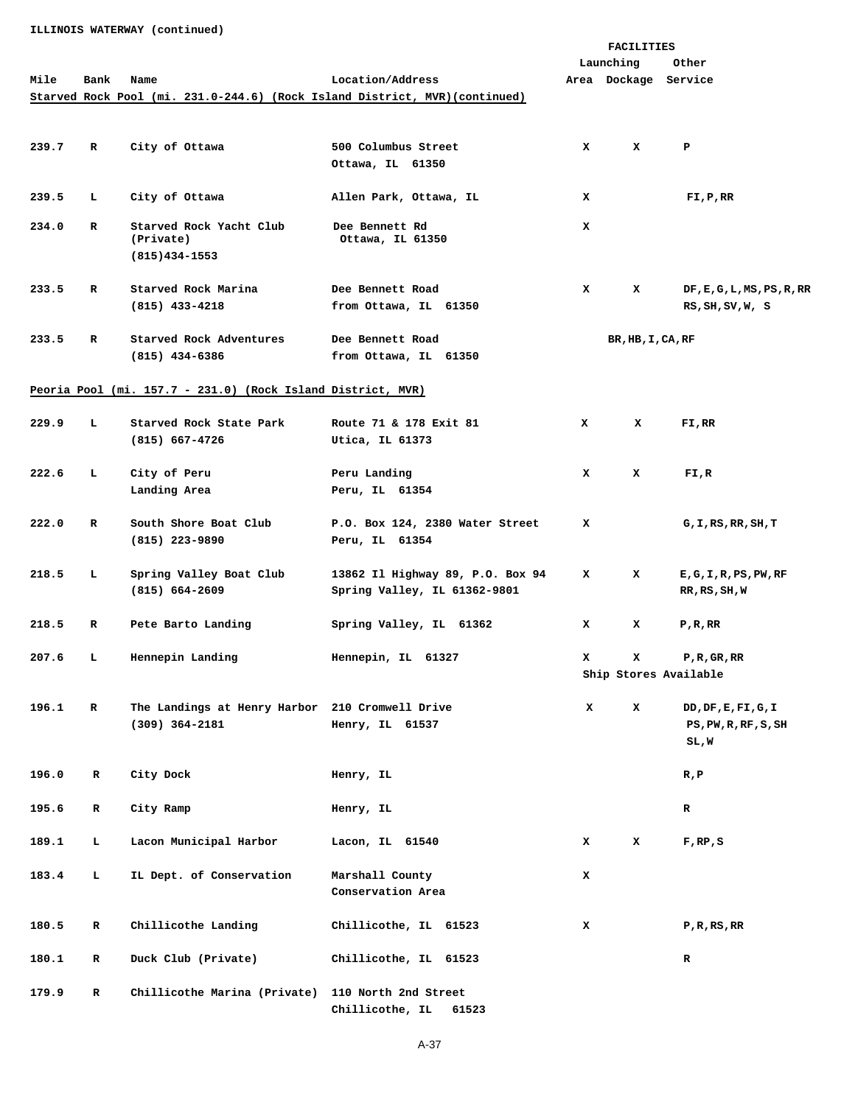**ILLINOIS WATERWAY (continued)** 

|       |              |                                                             |                                                                             |   | FACILITIES           |                            |
|-------|--------------|-------------------------------------------------------------|-----------------------------------------------------------------------------|---|----------------------|----------------------------|
|       |              |                                                             |                                                                             |   | Launching            | Other                      |
| Mile  | Bank         | Name                                                        | Location/Address                                                            |   | Area Dockage Service |                            |
|       |              |                                                             | Starved Rock Pool (mi. 231.0-244.6) (Rock Island District, MVR) (continued) |   |                      |                            |
|       |              |                                                             |                                                                             |   |                      |                            |
|       |              |                                                             |                                                                             |   |                      |                            |
| 239.7 | R            | City of Ottawa                                              | 500 Columbus Street                                                         | x | x                    | P                          |
|       |              |                                                             | Ottawa, IL 61350                                                            |   |                      |                            |
|       |              |                                                             |                                                                             |   |                      |                            |
|       |              |                                                             |                                                                             |   |                      |                            |
| 239.5 | ъ.           | City of Ottawa                                              | Allen Park, Ottawa, IL                                                      | x |                      | FI, P, RR                  |
| 234.0 | R            | Starved Rock Yacht Club                                     | Dee Bennett Rd                                                              | x |                      |                            |
|       |              | (Private)                                                   | Ottawa, IL 61350                                                            |   |                      |                            |
|       |              | $(815)434 - 1553$                                           |                                                                             |   |                      |                            |
|       |              |                                                             |                                                                             |   |                      |                            |
| 233.5 | R            | Starved Rock Marina                                         | Dee Bennett Road                                                            | x | x                    |                            |
|       |              |                                                             |                                                                             |   |                      | DF, E, G, L, MS, PS, R, RR |
|       |              | $(815)$ 433-4218                                            | from Ottawa, IL 61350                                                       |   |                      | RS, SH, SV, W, S           |
|       |              |                                                             |                                                                             |   |                      |                            |
| 233.5 | R            | Starved Rock Adventures                                     | Dee Bennett Road                                                            |   | BR, HB, I, CA, RF    |                            |
|       |              | $(815)$ 434-6386                                            | from Ottawa, IL 61350                                                       |   |                      |                            |
|       |              |                                                             |                                                                             |   |                      |                            |
|       |              | Peoria Pool (mi. 157.7 - 231.0) (Rock Island District, MVR) |                                                                             |   |                      |                            |
|       |              |                                                             |                                                                             |   |                      |                            |
| 229.9 | L.           | Starved Rock State Park                                     | Route 71 & 178 Exit 81                                                      | x | x                    | FI,RR                      |
|       |              | $(815) 667 - 4726$                                          | Utica, IL 61373                                                             |   |                      |                            |
|       |              |                                                             |                                                                             |   |                      |                            |
| 222.6 | L.           | City of Peru                                                | Peru Landing                                                                | x | x                    | FI,R                       |
|       |              | Landing Area                                                | Peru, IL 61354                                                              |   |                      |                            |
|       |              |                                                             |                                                                             |   |                      |                            |
|       |              |                                                             |                                                                             |   |                      |                            |
| 222.0 | R            | South Shore Boat Club                                       | P.O. Box 124, 2380 Water Street                                             | x |                      | G,I,RS,RR,SH,T             |
|       |              | $(815)$ 223-9890                                            | Peru, IL 61354                                                              |   |                      |                            |
|       |              |                                                             |                                                                             |   |                      |                            |
| 218.5 | ъ.           | Spring Valley Boat Club                                     | 13862 Il Highway 89, P.O. Box 94                                            | x | x                    | E, G, I, R, PS, PW, RF     |
|       |              | $(815) 664 - 2609$                                          | Spring Valley, IL 61362-9801                                                |   |                      | RR, RS, SH, W              |
|       |              |                                                             |                                                                             |   |                      |                            |
| 218.5 | R            | Pete Barto Landing                                          | Spring Valley, IL 61362                                                     | x | x                    | $P$ , R, RR                |
|       |              |                                                             |                                                                             |   |                      |                            |
| 207.6 | т.           | Hennepin Landing                                            | Hennepin, IL 61327                                                          | x | x                    | P, R, GR, RR               |
|       |              |                                                             |                                                                             |   |                      | Ship Stores Available      |
|       |              |                                                             |                                                                             |   |                      |                            |
| 196.1 | $\mathbf R$  | The Landings at Henry Harbor 210 Cromwell Drive             |                                                                             | x |                      | DD, DF, E, FI, G, I        |
|       |              |                                                             |                                                                             |   | x                    |                            |
|       |              | $(309)$ 364-2181                                            | Henry, IL 61537                                                             |   |                      | PS, PW, R, RF, S, SH       |
|       |              |                                                             |                                                                             |   |                      | SL,W                       |
|       |              |                                                             |                                                                             |   |                      |                            |
| 196.0 | $\mathbf R$  | City Dock                                                   | Henry, IL                                                                   |   |                      | R, P                       |
|       |              |                                                             |                                                                             |   |                      |                            |
| 195.6 | $\mathbf R$  | City Ramp                                                   | Henry, IL                                                                   |   |                      | $\mathbf R$                |
|       |              |                                                             |                                                                             |   |                      |                            |
| 189.1 | Ъ.           | Lacon Municipal Harbor                                      | Lacon, IL 61540                                                             | x | x                    | $F$ , RP, S                |
|       |              |                                                             |                                                                             |   |                      |                            |
| 183.4 | Ъ.           | IL Dept. of Conservation                                    | Marshall County                                                             | x |                      |                            |
|       |              |                                                             | Conservation Area                                                           |   |                      |                            |
|       |              |                                                             |                                                                             |   |                      |                            |
|       |              |                                                             |                                                                             |   |                      |                            |
| 180.5 | $\mathbf{R}$ | Chillicothe Landing                                         | Chillicothe, IL 61523                                                       | x |                      | P,R,RS,RR                  |
|       |              |                                                             |                                                                             |   |                      |                            |
| 180.1 | $\mathbf R$  | Duck Club (Private)                                         | Chillicothe, IL 61523                                                       |   |                      | $\mathbf R$                |
|       |              |                                                             |                                                                             |   |                      |                            |
| 179.9 | $\mathbf R$  | Chillicothe Marina (Private) 110 North 2nd Street           |                                                                             |   |                      |                            |
|       |              |                                                             | Chillicothe, IL<br>61523                                                    |   |                      |                            |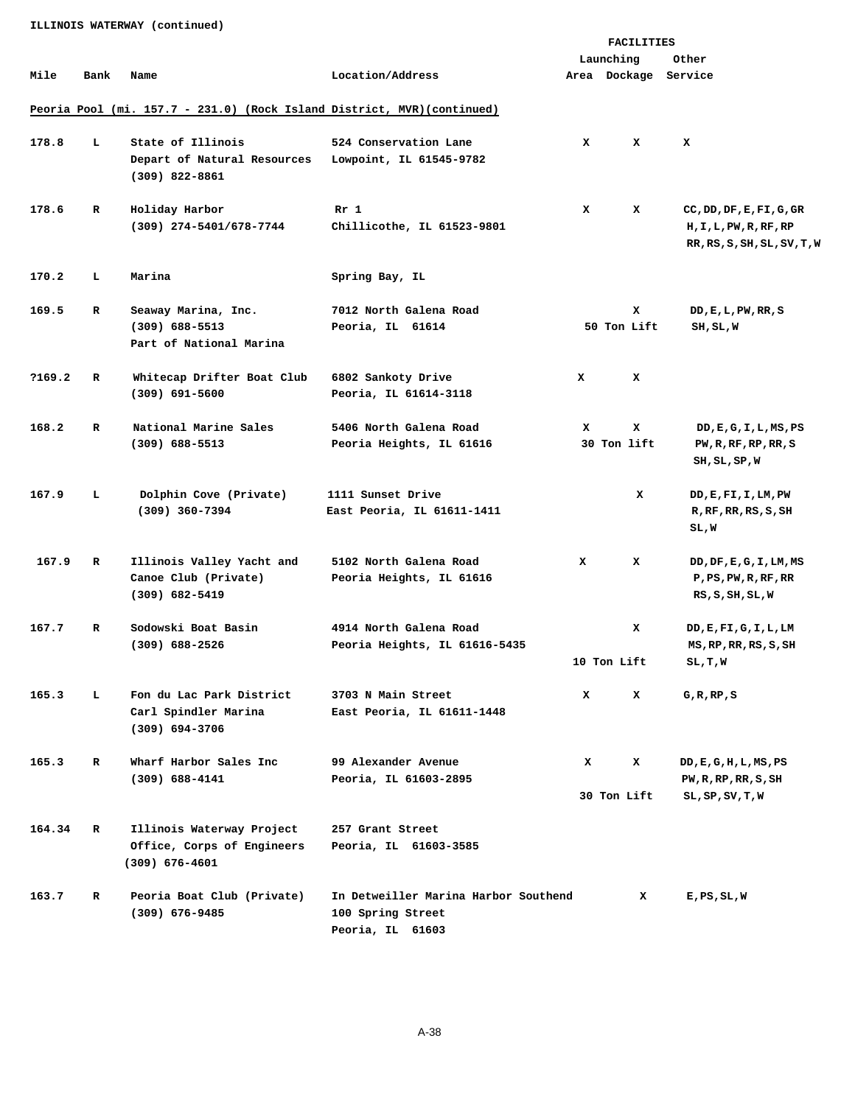**FACILITIES Launching Other Mile Bank Name Location/Address Area Dockage Service Peoria Pool (mi. 157.7 - 231.0) (Rock Island District, MVR)(continued) 178.8 L State of Illinois 524 Conservation Lane X X X Depart of Natural Resources Lowpoint, IL 61545-9782 (309) 822-8861**  178.6 R Holiday Harbor **Rr** 1 **Rr** 1 X X CC, DD, DF, E, FI, G, GR  **(309) 274-5401/678-7744 Chillicothe, IL 61523-9801 H,I,L,PW,R,RF,RP RR,RS,S,SH,SL,SV,T,W**  170.2 L Marina Spring Bay, IL **169.5 R Seaway Marina, Inc. 7012 North Galena Road X DD,E,L,PW,RR,S (309) 688-5513 Peoria, IL 61614 50 Ton Lift SH,SL,W Part of National Marina ?169.2 R Whitecap Drifter Boat Club 6802 Sankoty Drive X X (309) 691-5600 Peoria, IL 61614-3118 168.2 R National Marine Sales 5406 North Galena Road X X DD,E,G,I,L,MS,PS (309) 688-5513 Peoria Heights, IL 61616 30 Ton lift PW,R,RF,RP,RR,S SH,SL,SP,W 167.9 L Dolphin Cove (Private) 1111 Sunset Drive X DD,E,FI,I,LM,PW (309) 360-7394 East Peoria, IL 61611-1411 R,RF,RR,RS,S,SH SL,W 167.9 R Illinois Valley Yacht and 5102 North Galena Road X X DD,DF,E,G,I,LM,MS Canoe Club (Private) Peoria Heights, IL 61616 P,PS,PW,R,RF,RR (309) 682-5419 RS,S,SH,SL,W 167.7 R Sodowski Boat Basin 4914 North Galena Road X DD,E,FI,G,I,L,LM (309) 688-2526 Peoria Heights, IL 61616-5435 MS,RP,RR,RS,S,SH 10 Ton Lift SL,T,W 165.3 L Fon du Lac Park District 3703 N Main Street X X G,R,RP,S Carl Spindler Marina East Peoria, IL 61611-1448 (309) 694-3706 165.3 R Wharf Harbor Sales Inc 99 Alexander Avenue X X DD,E,G,H,L,MS,PS (309) 688-4141 Peoria, IL 61603-2895 PW,R,RP,RR,S,SH 30 Ton Lift SL, SP, SV, T, W 164.34 R Illinois Waterway Project 257 Grant Street Office, Corps of Engineers Peoria, IL 61603-3585 (309) 676-4601 163.7 R Peoria Boat Club (Private) In Detweiller Marina Harbor Southend X E,PS,SL,W (309) 676-9485 100 Spring Street** 

**ILLINOIS WATERWAY (continued)** 

 **Peoria, IL 61603**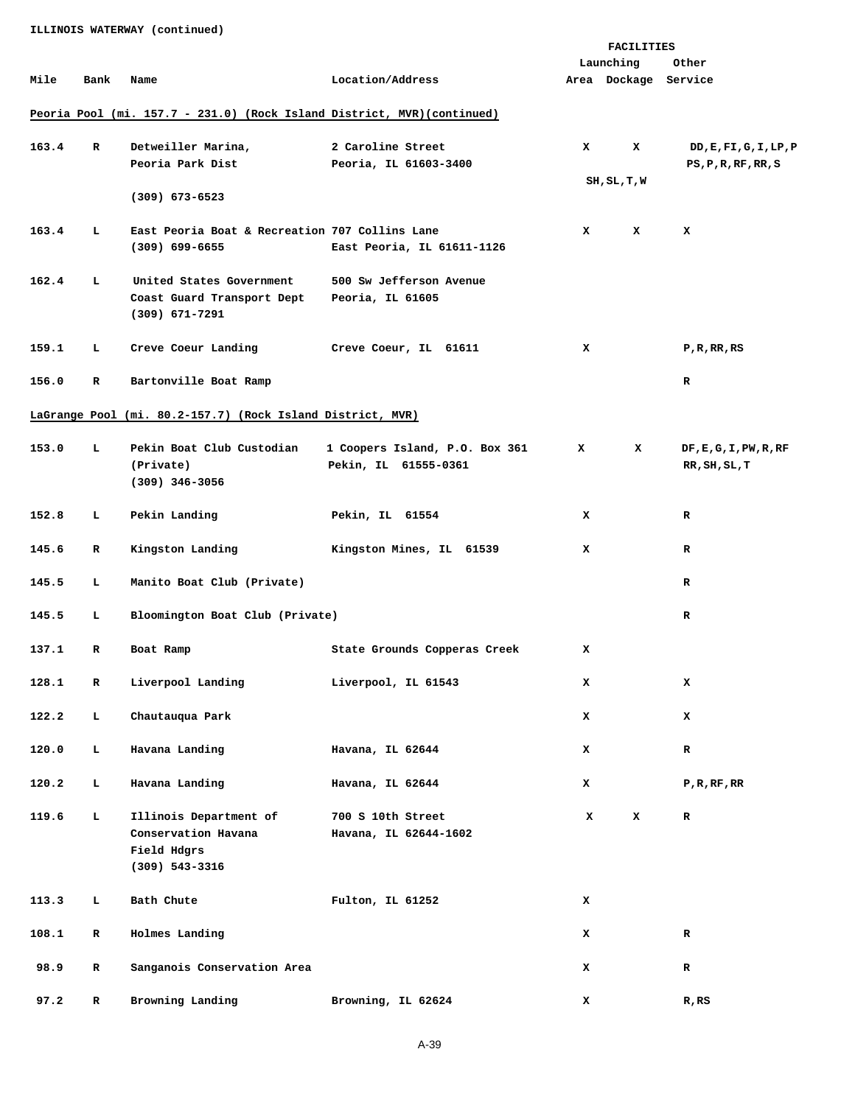**ILLINOIS WATERWAY (continued)** 

|       |             |                                                                         |                                |              | <b>FACILITIES</b>    |                        |
|-------|-------------|-------------------------------------------------------------------------|--------------------------------|--------------|----------------------|------------------------|
|       |             |                                                                         |                                |              | Launching            | Other                  |
| Mile  | Bank        | Name                                                                    | Location/Address               |              | Area Dockage Service |                        |
|       |             |                                                                         |                                |              |                      |                        |
|       |             | Peoria Pool (mi. 157.7 - 231.0) (Rock Island District, MVR) (continued) |                                |              |                      |                        |
| 163.4 | R           | Detweiller Marina,                                                      | 2 Caroline Street              | x            | x                    | DD, E, FI, G, I, LP, P |
|       |             | Peoria Park Dist                                                        | Peoria, IL 61603-3400          |              |                      | PS, P, R, RF, RR, S    |
|       |             |                                                                         |                                |              | SH, SL, T, W         |                        |
|       |             | $(309)$ 673-6523                                                        |                                |              |                      |                        |
| 163.4 | Ъ.          | East Peoria Boat & Recreation 707 Collins Lane                          |                                | x            | x                    | x                      |
|       |             | $(309)$ 699-6655                                                        | East Peoria, IL 61611-1126     |              |                      |                        |
|       |             |                                                                         |                                |              |                      |                        |
| 162.4 | Ъ.          | United States Government                                                | 500 Sw Jefferson Avenue        |              |                      |                        |
|       |             | Coast Guard Transport Dept<br>$(309)$ 671-7291                          | Peoria, IL 61605               |              |                      |                        |
|       |             |                                                                         |                                |              |                      |                        |
| 159.1 | Ъ.          | Creve Coeur Landing                                                     | Creve Coeur, IL 61611          | x            |                      | P, R, RR, RS           |
|       |             |                                                                         |                                |              |                      |                        |
| 156.0 | R           | Bartonville Boat Ramp                                                   |                                |              |                      | $\mathbf R$            |
|       |             |                                                                         |                                |              |                      |                        |
|       |             | LaGrange Pool (mi. 80.2-157.7) (Rock Island District, MVR)              |                                |              |                      |                        |
| 153.0 | Ъ.          | Pekin Boat Club Custodian                                               | 1 Coopers Island, P.O. Box 361 | $\mathbf{x}$ | x                    | DF, E, G, I, PW, R, RF |
|       |             | (Private)                                                               | Pekin, IL 61555-0361           |              |                      | RR, SH, SL, T          |
|       |             | $(309)$ 346-3056                                                        |                                |              |                      |                        |
| 152.8 | Ъ.          | Pekin Landing                                                           | Pekin, IL 61554                | x            |                      | R                      |
|       |             |                                                                         |                                |              |                      |                        |
| 145.6 | R           | Kingston Landing                                                        | Kingston Mines, IL 61539       | x            |                      | R                      |
|       |             |                                                                         |                                |              |                      |                        |
| 145.5 | Ъ.          | Manito Boat Club (Private)                                              |                                |              |                      | $\mathbf R$            |
| 145.5 | Ъ.          | Bloomington Boat Club (Private)                                         |                                |              |                      | $\mathbf R$            |
|       |             |                                                                         |                                |              |                      |                        |
| 137.1 | R           | Boat Ramp                                                               | State Grounds Copperas Creek   | x            |                      |                        |
|       |             |                                                                         |                                |              |                      |                        |
| 128.1 | $\mathbf R$ | Liverpool Landing                                                       | Liverpool, IL 61543            | x            |                      | x                      |
| 122.2 | Ъ.          | Chautauqua Park                                                         |                                | x            |                      | x                      |
|       |             |                                                                         |                                |              |                      |                        |
| 120.0 | Ъ.          | Havana Landing                                                          | Havana, IL 62644               | x            |                      | $\mathbf R$            |
|       |             |                                                                         |                                |              |                      |                        |
| 120.2 | Ъ.          | Havana Landing                                                          | Havana, IL 62644               | x            |                      | $P$ , R, RF, RR        |
| 119.6 | Ъ.          | Illinois Department of                                                  | 700 S 10th Street              | x            | x                    | R                      |
|       |             | Conservation Havana                                                     | Havana, IL 62644-1602          |              |                      |                        |
|       |             | Field Hdgrs                                                             |                                |              |                      |                        |
|       |             | $(309)$ 543-3316                                                        |                                |              |                      |                        |
| 113.3 | Ы           | Bath Chute                                                              | Fulton, IL 61252               | x            |                      |                        |
|       |             |                                                                         |                                |              |                      |                        |
| 108.1 | R           | Holmes Landing                                                          |                                | x            |                      | $\mathbf R$            |
|       |             |                                                                         |                                |              |                      |                        |
| 98.9  | R           | Sanganois Conservation Area                                             |                                | x            |                      | $\mathbf R$            |
| 97.2  | R           | Browning Landing                                                        | Browning, IL 62624             | x            |                      | $R$ , $RS$             |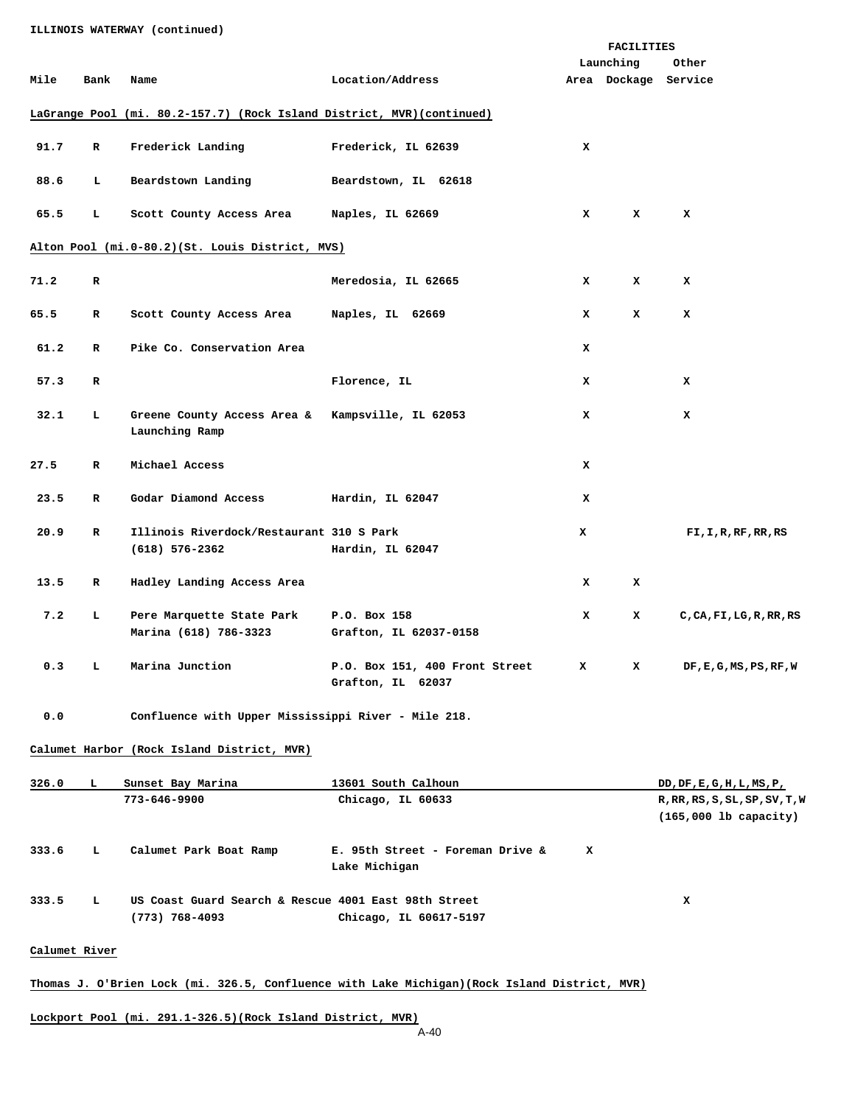|      |              |                                                                        |                                                     |              | FACILITIES           |                          |
|------|--------------|------------------------------------------------------------------------|-----------------------------------------------------|--------------|----------------------|--------------------------|
|      |              |                                                                        |                                                     |              | Launching            | Other                    |
| Mile | Bank         | Name                                                                   | Location/Address                                    |              | Area Dockage Service |                          |
|      |              | LaGrange Pool (mi. 80.2-157.7) (Rock Island District, MVR) (continued) |                                                     |              |                      |                          |
| 91.7 | $\mathbf R$  | Frederick Landing                                                      | Frederick, IL 62639                                 | $\mathbf{x}$ |                      |                          |
| 88.6 | L            | Beardstown Landing                                                     | Beardstown, IL 62618                                |              |                      |                          |
| 65.5 | L.           | Scott County Access Area                                               | Naples, IL 62669                                    | x            | x                    | x                        |
|      |              | Alton Pool (mi.0-80.2)(St. Louis District, MVS)                        |                                                     |              |                      |                          |
| 71.2 | R            |                                                                        | Meredosia, IL 62665                                 | x            | x                    | x                        |
| 65.5 | R            | Scott County Access Area                                               | Naples, IL 62669                                    | x            | x                    | x                        |
| 61.2 | R            | Pike Co. Conservation Area                                             |                                                     | x            |                      |                          |
| 57.3 | R            |                                                                        | Florence, IL                                        | x            |                      | x                        |
| 32.1 | L            | Greene County Access Area & Kampsville, IL 62053<br>Launching Ramp     |                                                     | x            |                      | x                        |
| 27.5 | $\mathbf{R}$ | Michael Access                                                         |                                                     | x            |                      |                          |
| 23.5 | R            | Godar Diamond Access                                                   | Hardin, IL 62047                                    | x            |                      |                          |
| 20.9 | $\mathbf R$  | Illinois Riverdock/Restaurant 310 S Park<br>$(618) 576 - 2362$         | Hardin, IL 62047                                    | x            |                      | FI, I, R, RF, RR, RS     |
| 13.5 | $\mathbf R$  | Hadley Landing Access Area                                             |                                                     | x            | x                    |                          |
| 7.2  | L            | Pere Marquette State Park<br>Marina (618) 786-3323                     | P.O. Box 158<br>Grafton, IL 62037-0158              | x            | x                    | C, CA, FI, LG, R, RR, RS |
| 0.3  | L.           | Marina Junction                                                        | P.O. Box 151, 400 Front Street<br>Grafton, IL 62037 | x            | x                    | DF, E, G, MS, PS, RF, W  |

 **0.0 Confluence with Upper Mississippi River - Mile 218.** 

**Calumet Harbor (Rock Island District, MVR)**

| 326.0 | ъ. | Sunset Bay Marina                                                        | 13601 South Calhoun                               | DD, DF, E, G, H, L, MS, P,     |
|-------|----|--------------------------------------------------------------------------|---------------------------------------------------|--------------------------------|
|       |    | 773-646-9900                                                             | Chicago, IL 60633                                 | R, RR, RS, S, SL, SP, SV, T, W |
|       |    |                                                                          |                                                   | $(165,000$ lb capacity)        |
| 333.6 | L. | Calumet Park Boat Ramp                                                   | E. 95th Street - Foreman Drive &<br>Lake Michigan | x                              |
| 333.5 | L. | US Coast Guard Search & Rescue 4001 East 98th Street<br>$(773)$ 768-4093 | Chicago, IL 60617-5197                            | x                              |

## **Calumet River**

## **Thomas J. O'Brien Lock (mi. 326.5, Confluence with Lake Michigan)(Rock Island District, MVR)**

**Lockport Pool (mi. 291.1-326.5)(Rock Island District, MVR)**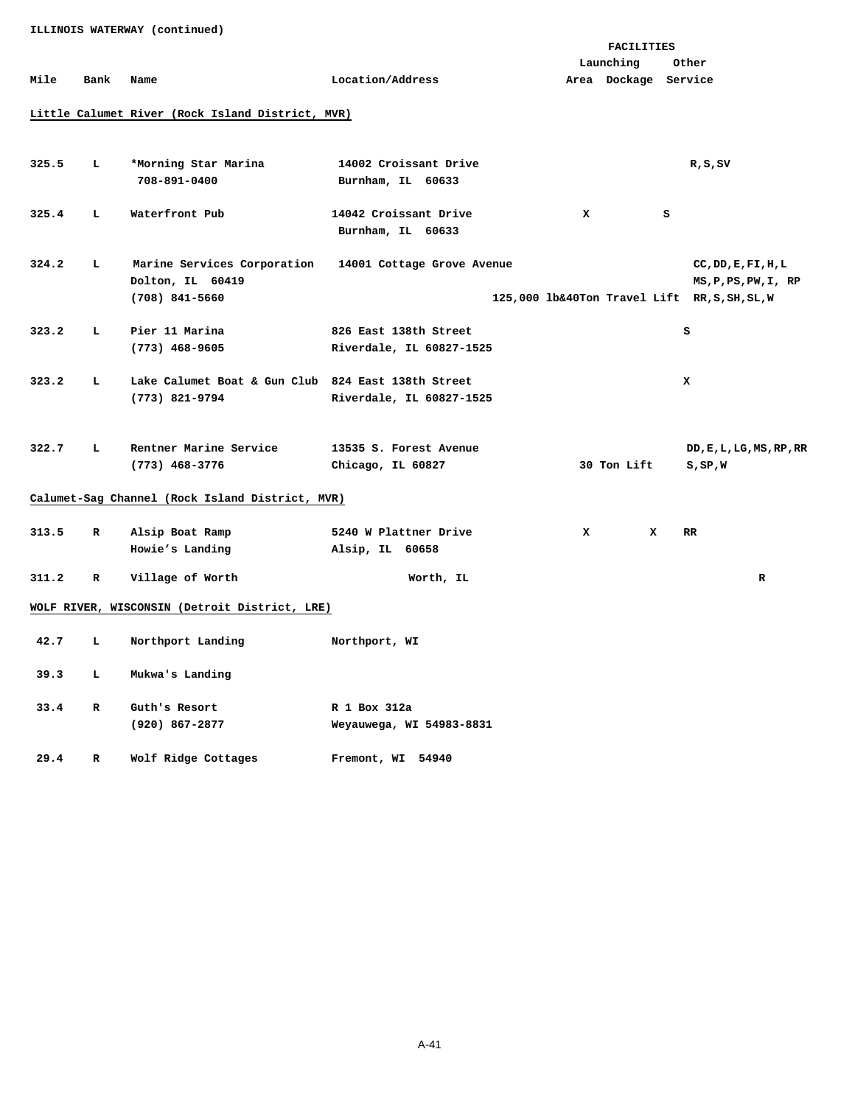**Launching Other Mile Bank Name Location/Address Area Dockage Service Little Calumet River (Rock Island District, MVR)** 325.5 L \*Morning Star Marina 14002 Croissant Drive **R**, S, SV  **708-891-0400 Burnham, IL 60633 325.4 L Waterfront Pub 14042 Croissant Drive X S Burnham, IL 60633 324.2 L Marine Services Corporation 14001 Cottage Grove Avenue CC,DD,E,FI,H,L Dolton, IL 60419** MS, P, PS, PW, I, RP **MS, P, PS, PW, I**, RP  **(708) 841-5660 125,000 lb&40Ton Travel Lift RR,S,SH,SL,W 323.2 L Pier 11 Marina 826 East 138th Street S (773) 468-9605 Riverdale, IL 60827-1525 323.2 L Lake Calumet Boat & Gun Club 824 East 138th Street X (773) 821-9794 Riverdale, IL 60827-1525 322.7 L Rentner Marine Service 13535 S. Forest Avenue DD,E,L,LG,MS,RP,RR (773) 468-3776 Chicago, IL 60827 30 Ton Lift S,SP,W Calumet-Sag Channel (Rock Island District, MVR) 313.5 R Alsip Boat Ramp 5240 W Plattner Drive X X RR Howie's Landing Alsip, IL 60658 311.2 R Village of Worth Worth, IL R WOLF RIVER, WISCONSIN (Detroit District, LRE) 42.7 L Northport Landing Northport, WI 39.3 L Mukwa's Landing 33.4 R Guth's Resort R 1 Box 312a (920) 867-2877 Weyauwega, WI 54983-8831** 

**FACILITIES** 

 **29.4 R Wolf Ridge Cottages Fremont, WI 54940**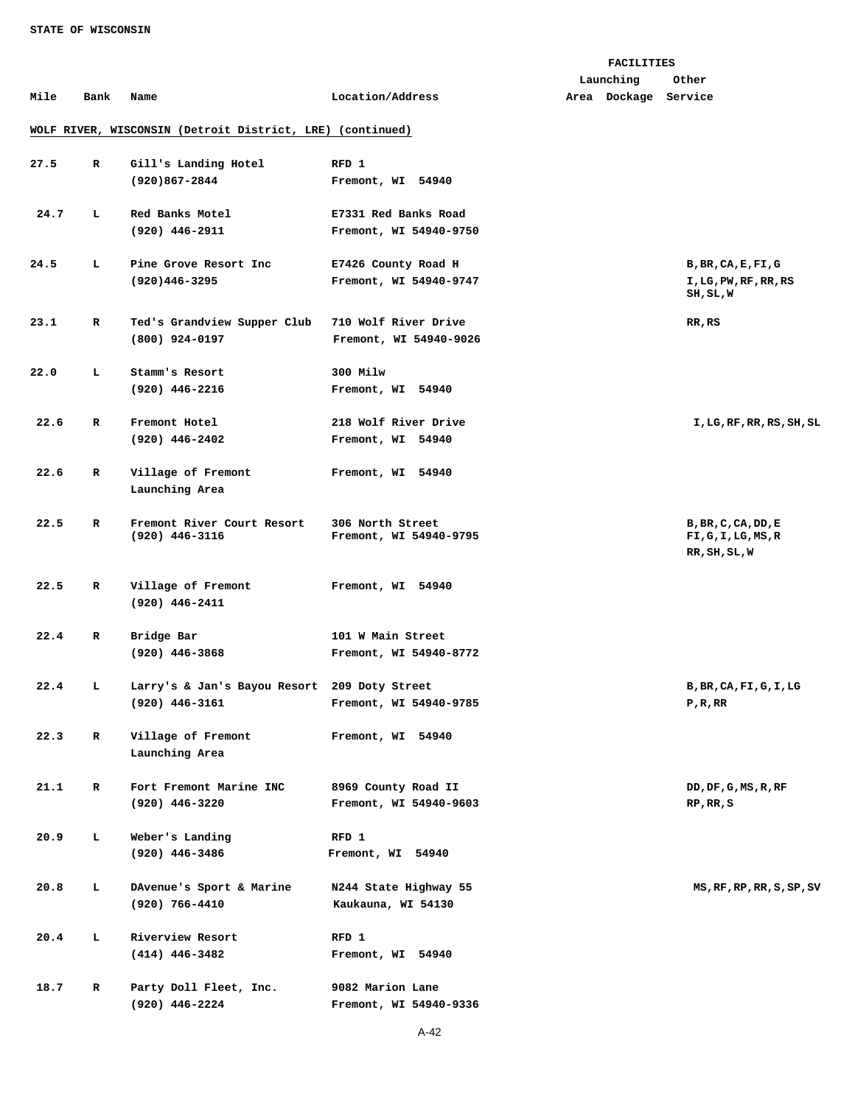### **FACILITIES**

 **Launching Other** 

## **Mile Bank Name Location/Address Area Dockage Service**

# **WOLF RIVER, WISCONSIN (Detroit District, LRE) (continued)**

| 27.5 | $\mathbf{R}$ | Gill's Landing Hotel<br>$(920)867 - 2844$        | RFD 1<br>Fremont, WI 54940                     |                                                           |
|------|--------------|--------------------------------------------------|------------------------------------------------|-----------------------------------------------------------|
| 24.7 | L.           | Red Banks Motel<br>(920) 446-2911                | E7331 Red Banks Road<br>Fremont, WI 54940-9750 |                                                           |
| 24.5 | L.           | Pine Grove Resort Inc<br>$(920)446 - 3295$       | E7426 County Road H<br>Fremont, WI 54940-9747  | B, BR, CA, E, FI, G<br>I, LG, PW, RF, RR, RS<br>SH, SL, W |
| 23.1 | R            | Ted's Grandview Supper Club<br>$(800)$ 924-0197  | 710 Wolf River Drive<br>Fremont, WI 54940-9026 | RR, RS                                                    |
| 22.0 | L            | Stamm's Resort<br>$(920)$ 446-2216               | 300 Milw<br>Fremont, WI 54940                  |                                                           |
| 22.6 | $\mathbf{R}$ | Fremont Hotel<br>$(920)$ 446-2402                | 218 Wolf River Drive<br>Fremont, WI 54940      | I, LG, RF, RR, RS, SH, SL                                 |
| 22.6 | $\mathbf{R}$ | Village of Fremont<br>Launching Area             | Fremont, WI 54940                              |                                                           |
| 22.5 | R            | Fremont River Court Resort<br>$(920)$ 446-3116   | 306 North Street<br>Fremont, WI 54940-9795     | B, BR, C, CA, DD, E<br>FI,G,I,LG,MS,R<br>RR, SH, SL, W    |
| 22.5 | R            | Village of Fremont<br>$(920)$ 446-2411           | Fremont, WI 54940                              |                                                           |
| 22.4 | R            | Bridge Bar<br>$(920)$ 446-3868                   | 101 W Main Street<br>Fremont, WI 54940-8772    |                                                           |
| 22.4 | т.           | Larry's & Jan's Bayou Resort<br>$(920)$ 446-3161 | 209 Doty Street<br>Fremont, WI 54940-9785      | B, BR, CA, FI, G, I, LG<br>P, R, RR                       |
| 22.3 | R            | Village of Fremont<br>Launching Area             | Fremont, WI 54940                              |                                                           |
| 21.1 | R            | Fort Fremont Marine INC<br>(920) 446-3220        | 8969 County Road II<br>Fremont, WI 54940-9603  | DD, DF, G, MS, R, RF<br>RP, RR, S                         |
| 20.9 | L            | Weber's Landing<br>(920) 446-3486                | RFD 1<br>Fremont, WI 54940                     |                                                           |
| 20.8 | L            | DAvenue's Sport & Marine<br>(920) 766-4410       | N244 State Highway 55<br>Kaukauna, WI 54130    | MS, RF, RP, RR, S, SP, SV                                 |
| 20.4 | L            | Riverview Resort<br>$(414)$ 446-3482             | RFD 1<br>Fremont, WI 54940                     |                                                           |
| 18.7 | R            | Party Doll Fleet, Inc.<br>(920) 446-2224         | 9082 Marion Lane<br>Fremont, WI 54940-9336     |                                                           |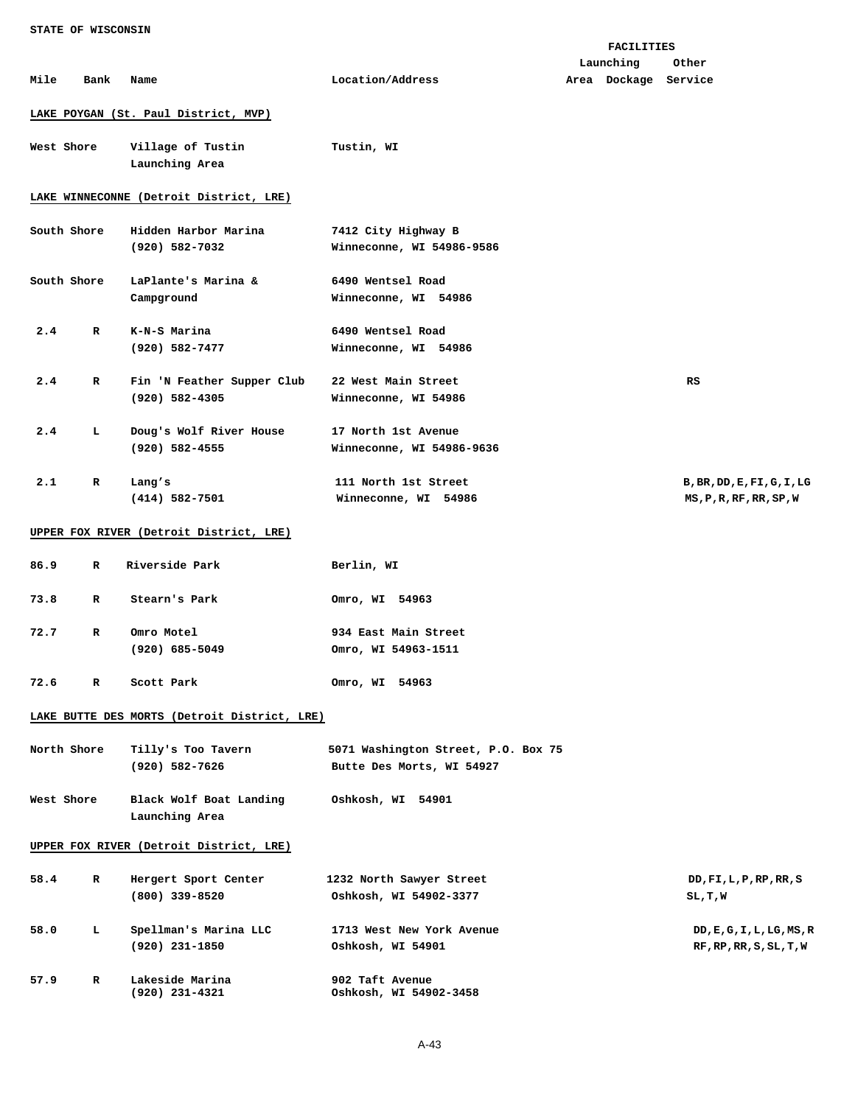|      |             |                                              |                                     | FACILITIES           |                            |
|------|-------------|----------------------------------------------|-------------------------------------|----------------------|----------------------------|
|      |             |                                              |                                     | Launching            | Other                      |
| Mile | Bank        | Name                                         | Location/Address                    | Area Dockage Service |                            |
|      |             | LAKE POYGAN (St. Paul District, MVP)         |                                     |                      |                            |
|      |             |                                              |                                     |                      |                            |
|      | West Shore  | Village of Tustin                            | Tustin, WI                          |                      |                            |
|      |             | Launching Area                               |                                     |                      |                            |
|      |             | LAKE WINNECONNE (Detroit District, LRE)      |                                     |                      |                            |
|      | South Shore | Hidden Harbor Marina                         | 7412 City Highway B                 |                      |                            |
|      |             |                                              |                                     |                      |                            |
|      |             | (920) 582-7032                               | Winneconne, WI 54986-9586           |                      |                            |
|      | South Shore | LaPlante's Marina &                          | 6490 Wentsel Road                   |                      |                            |
|      |             | Campground                                   | Winneconne, WI 54986                |                      |                            |
|      |             |                                              |                                     |                      |                            |
| 2.4  | R           | K-N-S Marina                                 | 6490 Wentsel Road                   |                      |                            |
|      |             | $(920)$ 582-7477                             | Winneconne, WI 54986                |                      |                            |
|      |             |                                              |                                     |                      |                            |
| 2.4  | R           | Fin 'N Feather Supper Club                   | 22 West Main Street                 |                      | RS                         |
|      |             | $(920)$ 582-4305                             | Winneconne, WI 54986                |                      |                            |
|      |             |                                              |                                     |                      |                            |
| 2.4  | ь.          | Doug's Wolf River House                      | 17 North 1st Avenue                 |                      |                            |
|      |             | $(920)$ 582-4555                             | Winneconne, WI 54986-9636           |                      |                            |
|      |             |                                              |                                     |                      |                            |
| 2.1  | R           | Lang's                                       | 111 North 1st Street                |                      | B, BR, DD, E, FI, G, I, LG |
|      |             | $(414) 582 - 7501$                           | Winneconne, WI 54986                |                      | MS, P, R, RF, RR, SP, W    |
|      |             | UPPER FOX RIVER (Detroit District, LRE)      |                                     |                      |                            |
| 86.9 | R           | Riverside Park                               | Berlin, WI                          |                      |                            |
|      |             |                                              |                                     |                      |                            |
| 73.8 | R           | Stearn's Park                                | Omro, WI 54963                      |                      |                            |
|      |             |                                              |                                     |                      |                            |
| 72.7 | R           | Omro Motel                                   | 934 East Main Street                |                      |                            |
|      |             | $(920)$ 685-5049                             | Omro, WI 54963-1511                 |                      |                            |
|      |             |                                              |                                     |                      |                            |
| 72.6 | R           | Scott Park                                   | Omro, WI 54963                      |                      |                            |
|      |             |                                              |                                     |                      |                            |
|      |             | LAKE BUTTE DES MORTS (Detroit District, LRE) |                                     |                      |                            |
|      | North Shore | Tilly's Too Tavern                           | 5071 Washington Street, P.O. Box 75 |                      |                            |
|      |             | (920) 582-7626                               | Butte Des Morts, WI 54927           |                      |                            |
|      |             |                                              |                                     |                      |                            |
|      | West Shore  | Black Wolf Boat Landing                      | Oshkosh, WI 54901                   |                      |                            |
|      |             | Launching Area                               |                                     |                      |                            |
|      |             |                                              |                                     |                      |                            |
|      |             | UPPER FOX RIVER (Detroit District, LRE)      |                                     |                      |                            |
|      | R           |                                              |                                     |                      |                            |
| 58.4 |             | Hergert Sport Center                         | 1232 North Sawyer Street            |                      | DD, FI, L, P, RP, RR, S    |
|      |             | $(800)$ 339-8520                             | Oshkosh, WI 54902-3377              |                      | SL,T,W                     |
| 58.0 | ь.          | Spellman's Marina LLC                        | 1713 West New York Avenue           |                      | DD, E, G, I, L, LG, MS, R  |
|      |             | $(920)$ 231-1850                             | Oshkosh, WI 54901                   |                      | RF, RP, RR, S, SL, T, W    |
|      |             |                                              |                                     |                      |                            |
| 57.9 | R           | Lakeside Marina                              | 902 Taft Avenue                     |                      |                            |
|      |             | $(920)$ 231-4321                             | Oshkosh, WI 54902-3458              |                      |                            |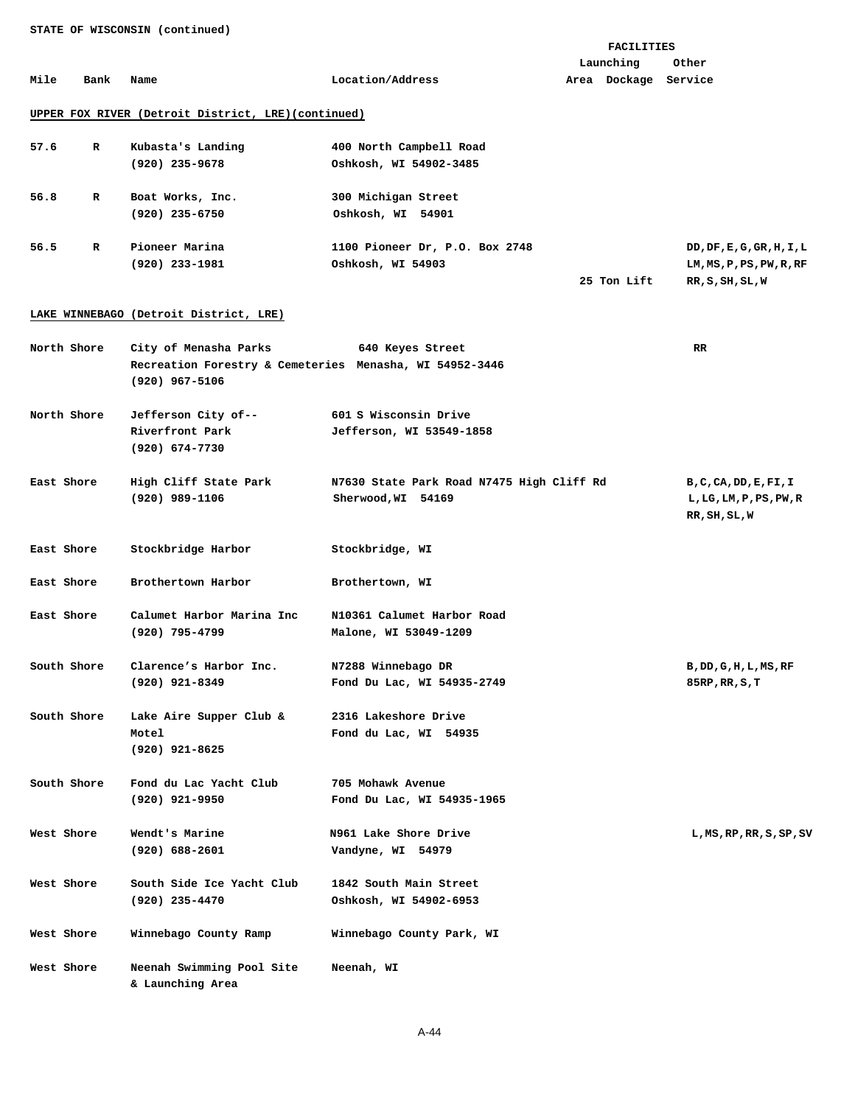**FACILITIES Launching Other Mile Bank Name Location/Address Area Dockage Service** 

## **UPPER FOX RIVER (Detroit District, LRE)(continued)**

| 57.6 | R | Kubasta's Landing | 400 North Campbell Road        |             |                           |
|------|---|-------------------|--------------------------------|-------------|---------------------------|
|      |   | (920) 235-9678    | Oshkosh, WI 54902-3485         |             |                           |
| 56.8 | R | Boat Works, Inc.  | 300 Michigan Street            |             |                           |
|      |   | $(920)$ 235-6750  | Oshkosh, WI 54901              |             |                           |
| 56.5 | R | Pioneer Marina    | 1100 Pioneer Dr, P.O. Box 2748 |             | DD, DF, E, G, GR, H, I, L |
|      |   | (920) 233-1981    | Oshkosh, WI 54903              |             | LM, MS, P, PS, PW, R, RF  |
|      |   |                   |                                | 25 Ton Lift | RR, S, SH, SL, W          |

# **LAKE WINNEBAGO (Detroit District, LRE)**

| North Shore | City of Menasha Parks                                                       | 640 Keyes Street                                                | RR.                                                                |
|-------------|-----------------------------------------------------------------------------|-----------------------------------------------------------------|--------------------------------------------------------------------|
|             | Recreation Forestry & Cemeteries Menasha, WI 54952-3446<br>$(920)$ 967-5106 |                                                                 |                                                                    |
| North Shore | Jefferson City of--<br>Riverfront Park<br>$(920)$ 674-7730                  | 601 S Wisconsin Drive<br>Jefferson, WI 53549-1858               |                                                                    |
| East Shore  | High Cliff State Park<br>$(920)$ 989-1106                                   | N7630 State Park Road N7475 High Cliff Rd<br>Sherwood, WI 54169 | B, C, CA, DD, E, FI, I<br>L, LG, LM, P, PS, PW, R<br>RR, SH, SL, W |
| East Shore  | Stockbridge Harbor                                                          | Stockbridge, WI                                                 |                                                                    |
| East Shore  | Brothertown Harbor                                                          | Brothertown, WI                                                 |                                                                    |
| East Shore  | Calumet Harbor Marina Inc<br>(920) 795-4799                                 | N10361 Calumet Harbor Road<br>Malone, WI 53049-1209             |                                                                    |
| South Shore | Clarence's Harbor Inc.<br>$(920)$ $921 - 8349$                              | N7288 Winnebago DR<br>Fond Du Lac, WI 54935-2749                | B,DD,G,H,L,MS,RF<br>85RP, RR, S, T                                 |
| South Shore | Lake Aire Supper Club &<br>Motel<br>$(920)$ $921 - 8625$                    | 2316 Lakeshore Drive<br>Fond du Lac, WI 54935                   |                                                                    |
| South Shore | Fond du Lac Yacht Club<br>$(920)$ $921 - 9950$                              | 705 Mohawk Avenue<br>Fond Du Lac, WI 54935-1965                 |                                                                    |
| West Shore  | Wendt's Marine<br>$(920) 688 - 2601$                                        | N961 Lake Shore Drive<br>Vandyne, WI 54979                      | $L$ , MS, RP, RR, S, SP, SV                                        |
| West Shore  | South Side Ice Yacht Club<br>$(920)$ 235-4470                               | 1842 South Main Street<br>Oshkosh, WI 54902-6953                |                                                                    |
| West Shore  | Winnebago County Ramp                                                       | Winnebago County Park, WI                                       |                                                                    |
| West Shore  | Neenah Swimming Pool Site<br>& Launching Area                               | Neenah, WI                                                      |                                                                    |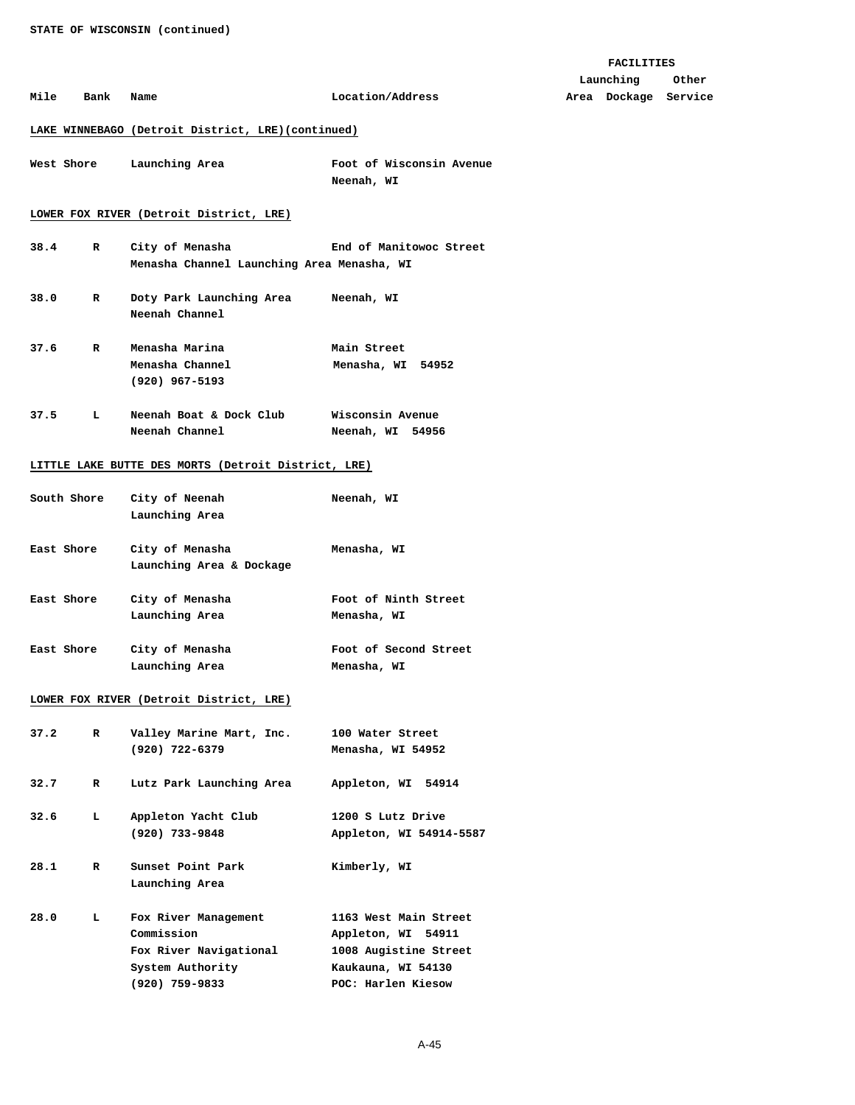|      |             |                                                               |                                              | <b>FACILITIES</b>    |       |
|------|-------------|---------------------------------------------------------------|----------------------------------------------|----------------------|-------|
|      |             |                                                               |                                              | Launching            | Other |
| Mile | Bank        | Name                                                          | Location/Address                             | Area Dockage Service |       |
|      |             | LAKE WINNEBAGO (Detroit District, LRE)(continued)             |                                              |                      |       |
|      | West Shore  | Launching Area                                                | Foot of Wisconsin Avenue<br>Neenah, WI       |                      |       |
|      |             | LOWER FOX RIVER (Detroit District, LRE)                       |                                              |                      |       |
| 38.4 | R           | City of Menasha<br>Menasha Channel Launching Area Menasha, WI | End of Manitowoc Street                      |                      |       |
| 38.0 | R           | Doty Park Launching Area<br>Neenah Channel                    | Neenah, WI                                   |                      |       |
| 37.6 | R           | Menasha Marina<br>Menasha Channel<br>$(920)$ 967-5193         | Main Street<br>Menasha, WI 54952             |                      |       |
| 37.5 | ъ           | Neenah Boat & Dock Club<br>Neenah Channel                     | Wisconsin Avenue<br>Neenah, WI 54956         |                      |       |
|      |             | LITTLE LAKE BUTTE DES MORTS (Detroit District, LRE)           |                                              |                      |       |
|      | South Shore | City of Neenah<br>Launching Area                              | Neenah, WI                                   |                      |       |
|      | East Shore  | City of Menasha<br>Launching Area & Dockage                   | Menasha, WI                                  |                      |       |
|      | East Shore  | City of Menasha<br>Launching Area                             | Foot of Ninth Street<br>Menasha, WI          |                      |       |
|      | East Shore  | City of Menasha<br>Launching Area                             | Foot of Second Street<br>Menasha, WI         |                      |       |
|      |             | LOWER FOX RIVER (Detroit District, LRE)                       |                                              |                      |       |
| 37.2 | R           | Valley Marine Mart, Inc.<br>$(920)$ 722-6379                  | 100 Water Street<br>Menasha, WI 54952        |                      |       |
| 32.7 | R           | Lutz Park Launching Area                                      | Appleton, WI 54914                           |                      |       |
| 32.6 | ь.          | Appleton Yacht Club<br>$(920)$ 733-9848                       | 1200 S Lutz Drive<br>Appleton, WI 54914-5587 |                      |       |
| 28.1 | R           | Sunset Point Park<br>Launching Area                           | Kimberly, WI                                 |                      |       |

| 28.0 | L | Fox River Management   | 1163 West Main Street |
|------|---|------------------------|-----------------------|
|      |   | Commission             | Appleton, WI 54911    |
|      |   | Fox River Navigational | 1008 Augistine Street |
|      |   | System Authority       | Kaukauna, WI 54130    |
|      |   | $(920)$ 759-9833       | POC: Harlen Kiesow    |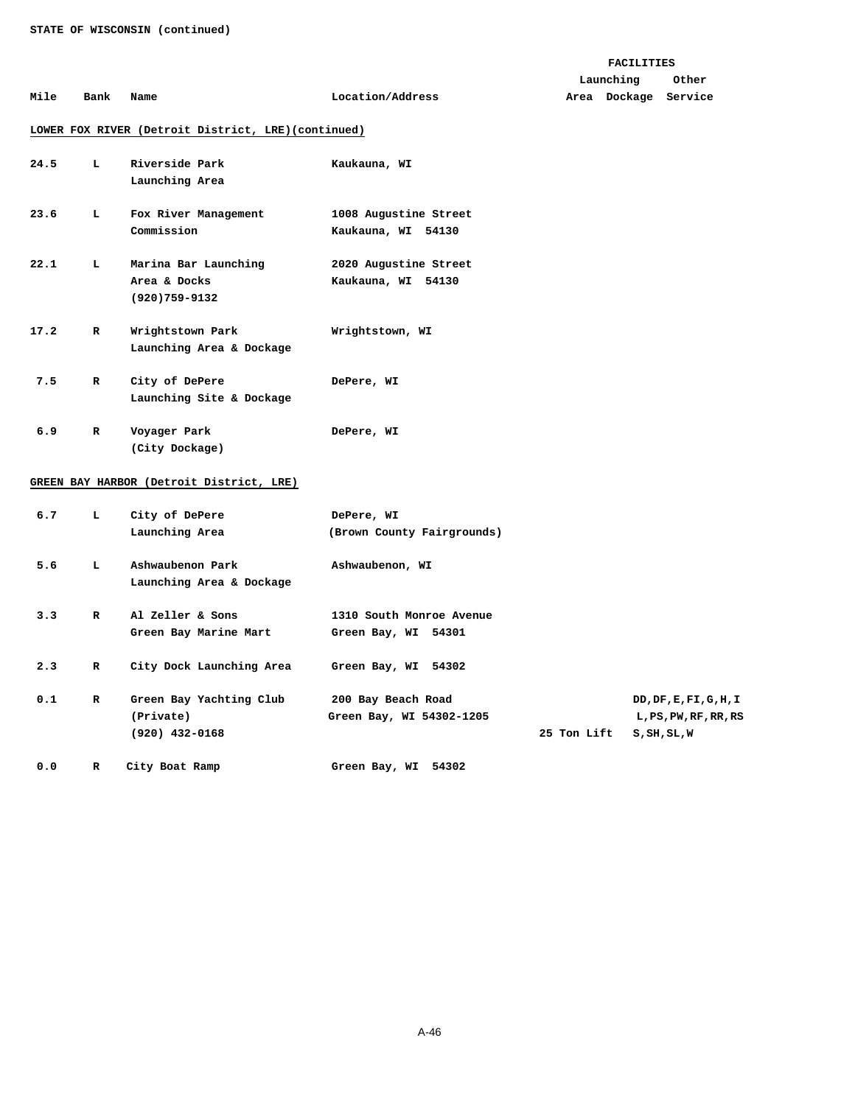### **FACILITIES**

|      |      |      |                  | Launching            | Other |
|------|------|------|------------------|----------------------|-------|
| Mile | Bank | Name | Location/Address | Area Dockage Service |       |

# **LOWER FOX RIVER (Detroit District, LRE)(continued)**

| 24.5 | L            | Riverside Park<br>Launching Area                          | Kaukauna, WI                                    |
|------|--------------|-----------------------------------------------------------|-------------------------------------------------|
| 23.6 | L.           | Fox River Management<br>Commission                        | 1008 Augustine Street<br>Kaukauna, WI 54130     |
| 22.1 | L.           | Marina Bar Launching<br>Area & Docks<br>$(920)759 - 9132$ | 2020 Augustine Street<br>Kaukauna, WI 54130     |
| 17.2 | R            | Wrightstown Park<br>Launching Area & Dockage              | Wrightstown, WI                                 |
| 7.5  | $\mathbf R$  | City of DePere<br>Launching Site & Dockage                | DePere, WI                                      |
| 6.9  | $\mathbf{R}$ | Voyager Park<br>(City Dockage)                            | DePere, WI                                      |
|      |              | GREEN BAY HARBOR (Detroit District, LRE)                  |                                                 |
| 6.7  | L.           | City of DePere<br>Launching Area                          | DePere, WI<br>(Brown County Fairgrounds)        |
| 5.6  | L            | Ashwaubenon Park<br>Launching Area & Dockage              | Ashwaubenon, WI                                 |
| 3.3  | R            | Al Zeller & Sons<br>Green Bay Marine Mart                 | 1310 South Monroe Avenue<br>Green Bay, WI 54301 |
| 2.3  | R            | City Dock Launching Area                                  | Green Bay, WI<br>54302                          |

| 0.1 | Green Bay Yachting Club | 200 Bay Beach Road       |             | DD, DF, E, FI, G, H, I |  |
|-----|-------------------------|--------------------------|-------------|------------------------|--|
|     | (Private)               | Green Bay, WI 54302-1205 |             | L, PS, PW, RF, RR, RS  |  |
|     | (920) 432-0168          |                          | 25 Ton Lift | S,SH,SL,W              |  |

0.0 R City Boat Ramp Green Bay, WI 54302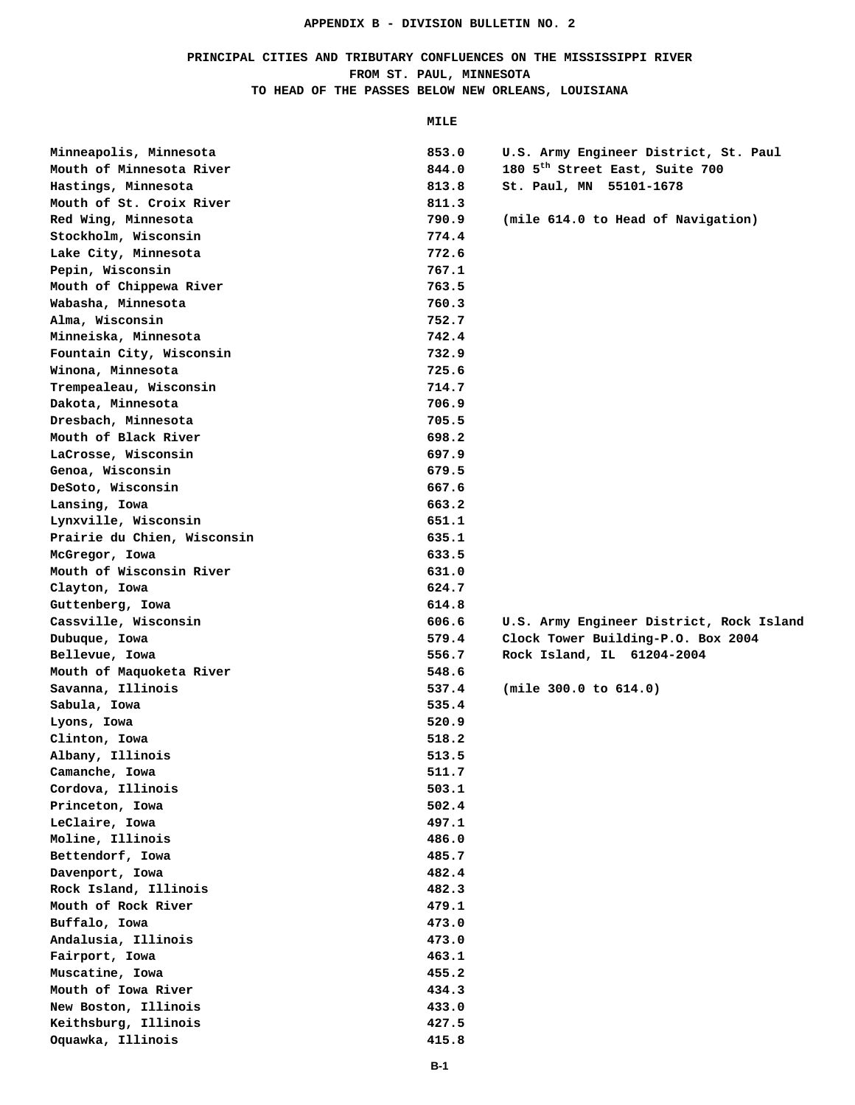# **PRINCIPAL CITIES AND TRIBUTARY CONFLUENCES ON THE MISSISSIPPI RIVER FROM ST. PAUL, MINNESOTA TO HEAD OF THE PASSES BELOW NEW ORLEANS, LOUISIANA**

 **MILE** 

| Minneapolis, Minnesota                   | 853.0 | U.S. Army Engineer District, St. Paul      |
|------------------------------------------|-------|--------------------------------------------|
| Mouth of Minnesota River                 | 844.0 | 180 5 <sup>th</sup> Street East, Suite 700 |
| Hastings, Minnesota                      | 813.8 | St. Paul, MN 55101-1678                    |
| Mouth of St. Croix River                 | 811.3 |                                            |
| Red Wing, Minnesota                      | 790.9 | (mile 614.0 to Head of Navigation)         |
| Stockholm, Wisconsin                     | 774.4 |                                            |
| Lake City, Minnesota                     | 772.6 |                                            |
| Pepin, Wisconsin                         | 767.1 |                                            |
| Mouth of Chippewa River                  | 763.5 |                                            |
| Wabasha, Minnesota                       | 760.3 |                                            |
| Alma, Wisconsin                          | 752.7 |                                            |
| Minneiska, Minnesota                     | 742.4 |                                            |
| Fountain City, Wisconsin                 | 732.9 |                                            |
| Winona, Minnesota                        | 725.6 |                                            |
| Trempealeau, Wisconsin                   | 714.7 |                                            |
| Dakota, Minnesota                        | 706.9 |                                            |
| Dresbach, Minnesota                      | 705.5 |                                            |
| Mouth of Black River                     | 698.2 |                                            |
| LaCrosse, Wisconsin                      | 697.9 |                                            |
| Genoa, Wisconsin                         | 679.5 |                                            |
| DeSoto, Wisconsin                        | 667.6 |                                            |
| Lansing, Iowa                            | 663.2 |                                            |
| Lynxville, Wisconsin                     | 651.1 |                                            |
| Prairie du Chien, Wisconsin              | 635.1 |                                            |
| McGregor, Iowa                           | 633.5 |                                            |
| Mouth of Wisconsin River                 | 631.0 |                                            |
| Clayton, Iowa                            | 624.7 |                                            |
|                                          |       |                                            |
|                                          | 614.8 |                                            |
| Guttenberg, Iowa<br>Cassville, Wisconsin | 606.6 | U.S. Army Engineer District, Rock Island   |
| Dubuque, Iowa                            | 579.4 | Clock Tower Building-P.O. Box 2004         |
| Bellevue, Iowa                           | 556.7 | Rock Island, IL 61204-2004                 |
| Mouth of Maquoketa River                 | 548.6 |                                            |
| Savanna, Illinois                        | 537.4 | (min 300.0 to 614.0)                       |
| Sabula, Iowa                             | 535.4 |                                            |
| Lyons, Iowa                              | 520.9 |                                            |
| Clinton, Iowa                            | 518.2 |                                            |
| Albany, Illinois                         | 513.5 |                                            |
|                                          | 511.7 |                                            |
| Camanche, Iowa<br>Cordova, Illinois      | 503.1 |                                            |
| Princeton, Iowa                          | 502.4 |                                            |
| LeClaire, Iowa                           | 497.1 |                                            |
| Moline, Illinois                         | 486.0 |                                            |
| Bettendorf, Iowa                         | 485.7 |                                            |
| Davenport, Iowa                          | 482.4 |                                            |
| Rock Island, Illinois                    | 482.3 |                                            |
| Mouth of Rock River                      | 479.1 |                                            |
| Buffalo, Iowa                            | 473.0 |                                            |
| Andalusia, Illinois                      | 473.0 |                                            |
| Fairport, Iowa                           | 463.1 |                                            |
| Muscatine, Iowa                          | 455.2 |                                            |
| Mouth of Iowa River                      | 434.3 |                                            |
| New Boston, Illinois                     | 433.0 |                                            |
| Keithsburg, Illinois                     | 427.5 |                                            |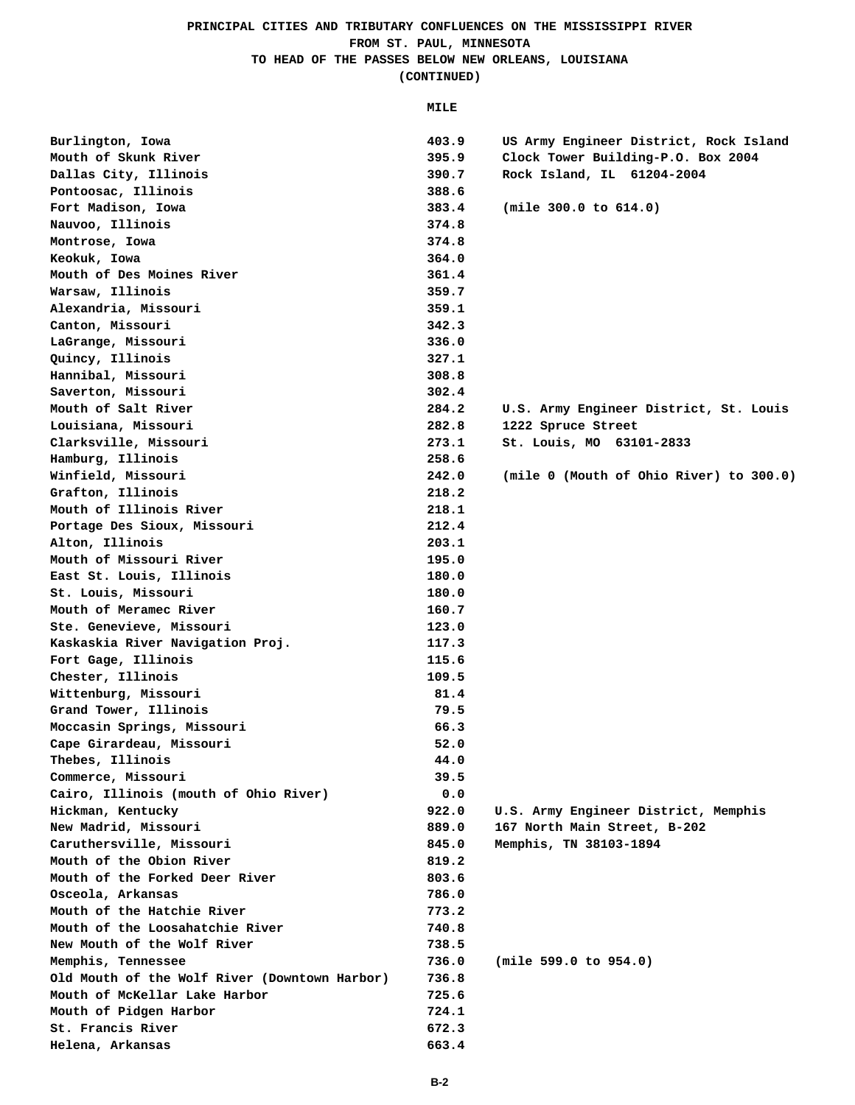## **PRINCIPAL CITIES AND TRIBUTARY CONFLUENCES ON THE MISSISSIPPI RIVER FROM ST. PAUL, MINNESOTA TO HEAD OF THE PASSES BELOW NEW ORLEANS, LOUISIANA (CONTINUED)**

 **MILE** 

| Burlington, Iowa                              | 403.9 | US Army Engineer District, Rock Island  |
|-----------------------------------------------|-------|-----------------------------------------|
| Mouth of Skunk River                          | 395.9 | Clock Tower Building-P.O. Box 2004      |
| Dallas City, Illinois                         | 390.7 | Rock Island, IL 61204-2004              |
| Pontoosac, Illinois                           | 388.6 |                                         |
| Fort Madison, Iowa                            | 383.4 | (min 300.0 to 614.0)                    |
| Nauvoo, Illinois                              | 374.8 |                                         |
| Montrose, Iowa                                | 374.8 |                                         |
| Keokuk, Iowa                                  | 364.0 |                                         |
| Mouth of Des Moines River                     | 361.4 |                                         |
| Warsaw, Illinois                              | 359.7 |                                         |
| Alexandria, Missouri                          | 359.1 |                                         |
| Canton, Missouri                              | 342.3 |                                         |
| LaGrange, Missouri                            | 336.0 |                                         |
| Quincy, Illinois                              | 327.1 |                                         |
| Hannibal, Missouri                            | 308.8 |                                         |
| Saverton, Missouri                            | 302.4 |                                         |
| Mouth of Salt River                           | 284.2 | U.S. Army Engineer District, St. Louis  |
| Louisiana, Missouri                           | 282.8 | 1222 Spruce Street                      |
| Clarksville, Missouri                         | 273.1 | St. Louis, MO 63101-2833                |
| Hamburg, Illinois                             | 258.6 |                                         |
| Winfield, Missouri                            | 242.0 | (mile 0 (Mouth of Ohio River) to 300.0) |
| Grafton, Illinois                             | 218.2 |                                         |
| Mouth of Illinois River                       | 218.1 |                                         |
| Portage Des Sioux, Missouri                   | 212.4 |                                         |
| Alton, Illinois                               | 203.1 |                                         |
| Mouth of Missouri River                       | 195.0 |                                         |
| East St. Louis, Illinois                      | 180.0 |                                         |
| St. Louis, Missouri                           | 180.0 |                                         |
| Mouth of Meramec River                        | 160.7 |                                         |
| Ste. Genevieve, Missouri                      | 123.0 |                                         |
| Kaskaskia River Navigation Proj.              | 117.3 |                                         |
| Fort Gage, Illinois                           | 115.6 |                                         |
| Chester, Illinois                             | 109.5 |                                         |
| Wittenburg, Missouri                          | 81.4  |                                         |
| Grand Tower, Illinois                         | 79.5  |                                         |
| Moccasin Springs, Missouri                    | 66.3  |                                         |
| Cape Girardeau, Missouri                      | 52.0  |                                         |
| Thebes, Illinois                              | 44.0  |                                         |
| Commerce, Missouri                            | 39.5  |                                         |
| Cairo, Illinois (mouth of Ohio River)         | 0.0   |                                         |
| Hickman, Kentucky                             | 922.0 | U.S. Army Engineer District, Memphis    |
| New Madrid, Missouri                          | 889.0 | 167 North Main Street, B-202            |
| Caruthersville, Missouri                      | 845.0 | Memphis, TN 38103-1894                  |
| Mouth of the Obion River                      | 819.2 |                                         |
| Mouth of the Forked Deer River                | 803.6 |                                         |
| Osceola, Arkansas                             | 786.0 |                                         |
| Mouth of the Hatchie River                    | 773.2 |                                         |
| Mouth of the Loosahatchie River               | 740.8 |                                         |
| New Mouth of the Wolf River                   | 738.5 |                                         |
| Memphis, Tennessee                            | 736.0 | (mile 599.0 to 954.0)                   |
| Old Mouth of the Wolf River (Downtown Harbor) | 736.8 |                                         |
| Mouth of McKellar Lake Harbor                 | 725.6 |                                         |
| Mouth of Pidgen Harbor                        | 724.1 |                                         |
| St. Francis River                             | 672.3 |                                         |
| Helena, Arkansas                              | 663.4 |                                         |
|                                               |       |                                         |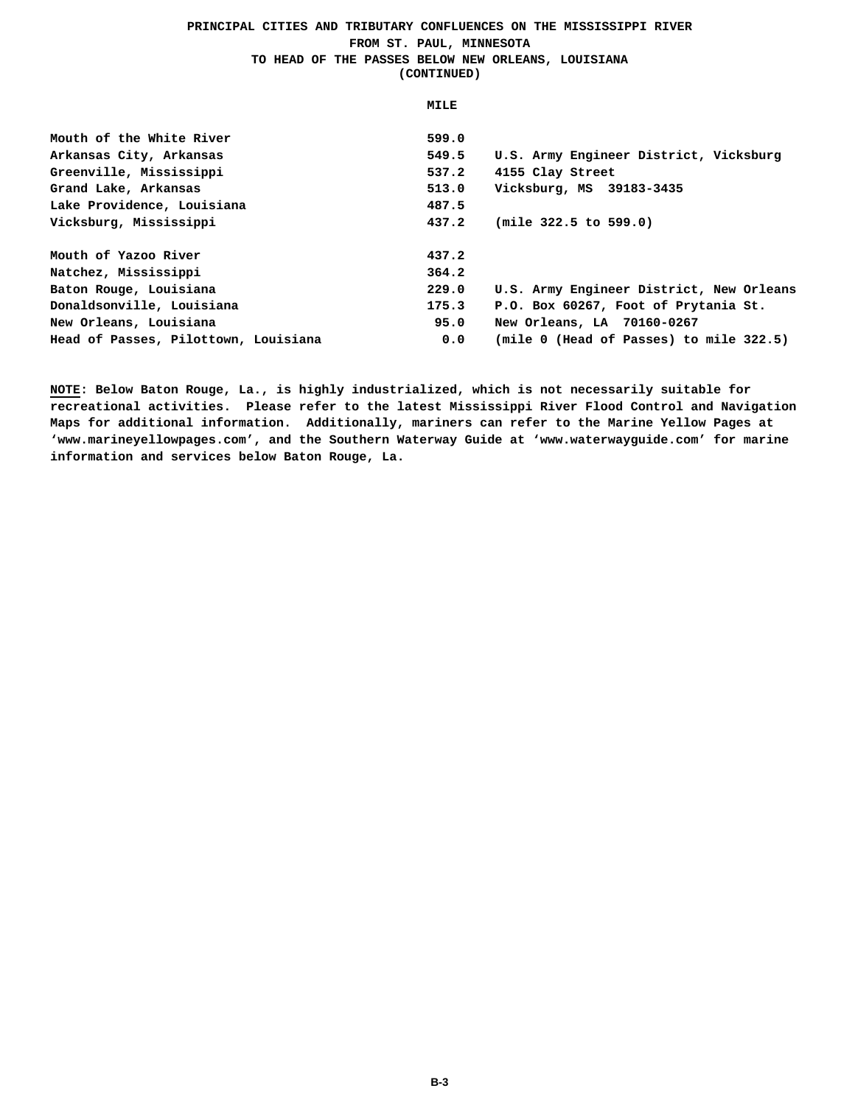## **PRINCIPAL CITIES AND TRIBUTARY CONFLUENCES ON THE MISSISSIPPI RIVER FROM ST. PAUL, MINNESOTA TO HEAD OF THE PASSES BELOW NEW ORLEANS, LOUISIANA (CONTINUED)**

 **MILE**  Mouth of the White River **599.0 Arkansas City, Arkansas 549.5 U.S. Army Engineer District, Vicksburg Greenville, Mississippi 537.2 4155 Clay Street Grand Lake, Arkansas 513.0 Vicksburg, MS 39183-3435**  Lake Providence, Louisiana **487.5 Vicksburg, Mississippi 437.2 (mile 322.5 to 599.0)**  Mouth of Yazoo River 437.2 **Natchez, Mississippi 364.2 Baton Rouge, Louisiana 229.0 U.S. Army Engineer District, New Orleans Donaldsonville, Louisiana 175.3 P.O. Box 60267, Foot of Prytania St. New Orleans, Louisiana 95.0 New Orleans, LA 70160-0267 Head of Passes, Pilottown, Louisiana 0.0 (mile 0 (Head of Passes) to mile 322.5)** 

**NOTE: Below Baton Rouge, La., is highly industrialized, which is not necessarily suitable for recreational activities. Please refer to the latest Mississippi River Flood Control and Navigation Maps for additional information. Additionally, mariners can refer to the Marine Yellow Pages at 'www.marineyellowpages.com', and the Southern Waterway Guide at 'www.waterwayguide.com' for marine information and services below Baton Rouge, La.**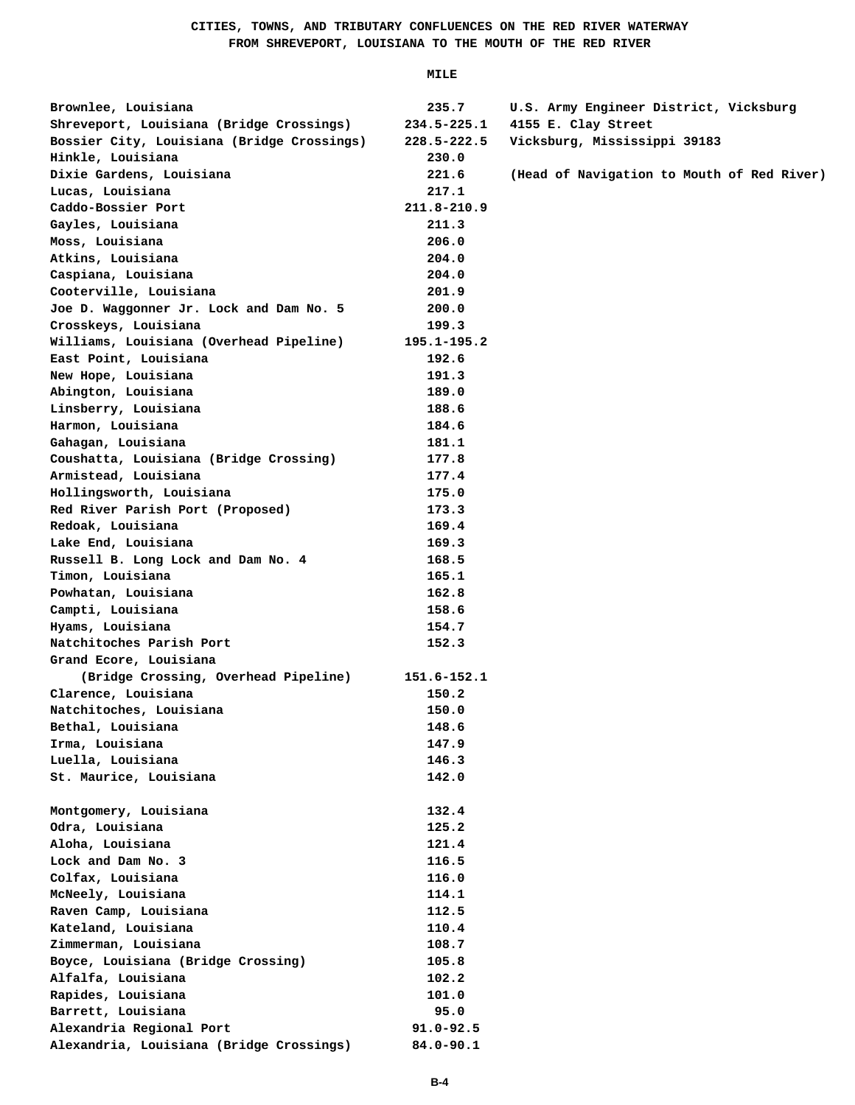| Brownlee, Louisiana                        | 235.7           | U.S. Army Engineer District, Vicksburg     |
|--------------------------------------------|-----------------|--------------------------------------------|
| Shreveport, Louisiana (Bridge Crossings)   | 234.5-225.1     | 4155 E. Clay Street                        |
| Bossier City, Louisiana (Bridge Crossings) | 228.5-222.5     | Vicksburg, Mississippi 39183               |
| Hinkle, Louisiana                          | 230.0           |                                            |
| Dixie Gardens, Louisiana                   | 221.6           | (Head of Navigation to Mouth of Red River) |
| Lucas, Louisiana                           | 217.1           |                                            |
| Caddo-Bossier Port                         | 211.8-210.9     |                                            |
| Gayles, Louisiana                          | 211.3           |                                            |
| Moss, Louisiana                            | 206.0           |                                            |
| Atkins, Louisiana                          | 204.0           |                                            |
| Caspiana, Louisiana                        | 204.0           |                                            |
| Cooterville, Louisiana                     | 201.9           |                                            |
| Joe D. Waggonner Jr. Lock and Dam No. 5    | 200.0           |                                            |
| Crosskeys, Louisiana                       | 199.3           |                                            |
| Williams, Louisiana (Overhead Pipeline)    | $195.1 - 195.2$ |                                            |
| East Point, Louisiana                      | 192.6           |                                            |
| New Hope, Louisiana                        | 191.3           |                                            |
| Abington, Louisiana                        | 189.0           |                                            |
| Linsberry, Louisiana                       | 188.6           |                                            |
| Harmon, Louisiana                          | 184.6           |                                            |
| Gahagan, Louisiana                         | 181.1           |                                            |
| Coushatta, Louisiana (Bridge Crossing)     | 177.8           |                                            |
| Armistead, Louisiana                       | 177.4           |                                            |
| Hollingsworth, Louisiana                   | 175.0           |                                            |
| Red River Parish Port (Proposed)           | 173.3           |                                            |
| Redoak, Louisiana                          | 169.4           |                                            |
| Lake End, Louisiana                        | 169.3           |                                            |
| Russell B. Long Lock and Dam No. 4         | 168.5           |                                            |
|                                            | 165.1           |                                            |
| Timon, Louisiana                           |                 |                                            |
| Powhatan, Louisiana                        | 162.8           |                                            |
| Campti, Louisiana                          | 158.6           |                                            |
| Hyams, Louisiana                           | 154.7           |                                            |
| Natchitoches Parish Port                   | 152.3           |                                            |
| Grand Ecore, Louisiana                     |                 |                                            |
| (Bridge Crossing, Overhead Pipeline)       | 151.6-152.1     |                                            |
| Clarence, Louisiana                        | 150.2           |                                            |
| Natchitoches, Louisiana                    | 150.0           |                                            |
| Bethal, Louisiana                          | 148.6           |                                            |
| Irma, Louisiana                            | 147.9           |                                            |
| Luella, Louisiana                          | 146.3           |                                            |
| St. Maurice, Louisiana                     | 142.0           |                                            |
|                                            |                 |                                            |
| Montgomery, Louisiana                      | 132.4           |                                            |
| Odra, Louisiana                            | 125.2           |                                            |
| Aloha, Louisiana                           | 121.4           |                                            |
| Lock and Dam No. 3                         | 116.5           |                                            |
| Colfax, Louisiana                          | 116.0           |                                            |
| McNeely, Louisiana                         | 114.1           |                                            |
| Raven Camp, Louisiana                      | 112.5           |                                            |
| Kateland, Louisiana                        | 110.4           |                                            |
| Zimmerman, Louisiana                       | 108.7           |                                            |
| Boyce, Louisiana (Bridge Crossing)         | 105.8           |                                            |
| Alfalfa, Louisiana                         | 102.2           |                                            |
| Rapides, Louisiana                         | 101.0           |                                            |
| Barrett, Louisiana                         | 95.0            |                                            |
| Alexandria Regional Port                   | $91.0 - 92.5$   |                                            |
| Alexandria, Louisiana (Bridge Crossings)   | $84.0 - 90.1$   |                                            |
|                                            |                 |                                            |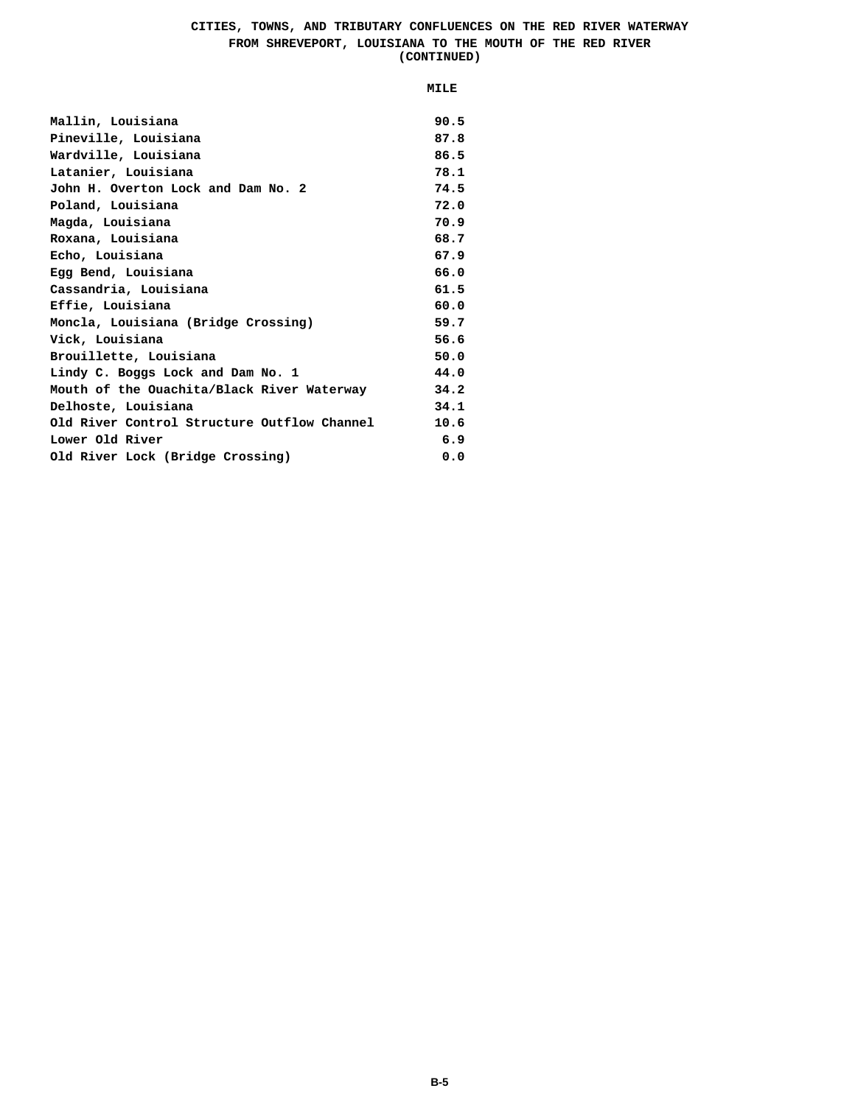#### **CITIES, TOWNS, AND TRIBUTARY CONFLUENCES ON THE RED RIVER WATERWAY FROM SHREVEPORT, LOUISIANA TO THE MOUTH OF THE RED RIVER (CONTINUED)**

| Mallin, Louisiana                           | 90.5 |
|---------------------------------------------|------|
| Pineville, Louisiana                        | 87.8 |
| Wardville, Louisiana                        | 86.5 |
| Latanier, Louisiana                         | 78.1 |
| John H. Overton Lock and Dam No. 2          | 74.5 |
| Poland, Louisiana                           | 72.0 |
| Magda, Louisiana                            | 70.9 |
| Roxana, Louisiana                           | 68.7 |
| Echo, Louisiana                             | 67.9 |
| Egg Bend, Louisiana                         | 66.0 |
| Cassandria, Louisiana                       | 61.5 |
| Effie, Louisiana                            | 60.0 |
| Moncla, Louisiana (Bridge Crossing)         | 59.7 |
| Vick, Louisiana                             | 56.6 |
| Brouillette, Louisiana                      | 50.0 |
| Lindy C. Boggs Lock and Dam No. 1           | 44.0 |
| Mouth of the Ouachita/Black River Waterway  | 34.2 |
| Delhoste, Louisiana                         | 34.1 |
| Old River Control Structure Outflow Channel | 10.6 |
| Lower Old River                             | 6.9  |
| Old River Lock (Bridge Crossing)            | 0.0  |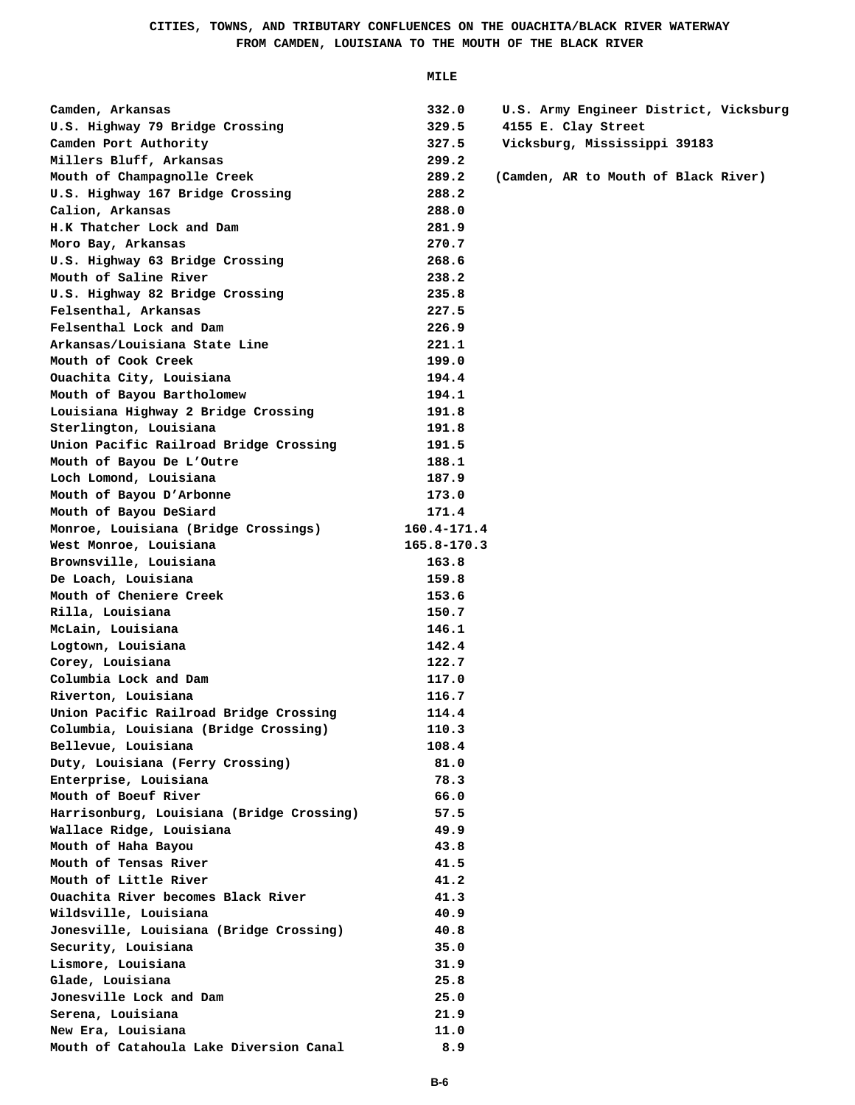## **CITIES, TOWNS, AND TRIBUTARY CONFLUENCES ON THE OUACHITA/BLACK RIVER WATERWAY FROM CAMDEN, LOUISIANA TO THE MOUTH OF THE BLACK RIVER**

| Camden, Arkansas                          | 332.0           | U.S. Army Engineer District, Vicksburg |
|-------------------------------------------|-----------------|----------------------------------------|
| U.S. Highway 79 Bridge Crossing           | 329.5           | 4155 E. Clay Street                    |
| Camden Port Authority                     | 327.5           | Vicksburg, Mississippi 39183           |
| Millers Bluff, Arkansas                   | 299.2           |                                        |
| Mouth of Champagnolle Creek               | 289.2           | (Camden, AR to Mouth of Black River)   |
| U.S. Highway 167 Bridge Crossing          | 288.2           |                                        |
| Calion, Arkansas                          | 288.0           |                                        |
| H.K Thatcher Lock and Dam                 | 281.9           |                                        |
| Moro Bay, Arkansas                        | 270.7           |                                        |
| U.S. Highway 63 Bridge Crossing           | 268.6           |                                        |
| Mouth of Saline River                     | 238.2           |                                        |
| U.S. Highway 82 Bridge Crossing           | 235.8           |                                        |
| Felsenthal, Arkansas                      | 227.5           |                                        |
| Felsenthal Lock and Dam                   | 226.9           |                                        |
| Arkansas/Louisiana State Line             | 221.1           |                                        |
| Mouth of Cook Creek                       | 199.0           |                                        |
| Ouachita City, Louisiana                  | 194.4           |                                        |
| Mouth of Bayou Bartholomew                | 194.1           |                                        |
| Louisiana Highway 2 Bridge Crossing       | 191.8           |                                        |
| Sterlington, Louisiana                    | 191.8           |                                        |
| Union Pacific Railroad Bridge Crossing    | 191.5           |                                        |
| Mouth of Bayou De L'Outre                 | 188.1           |                                        |
| Loch Lomond, Louisiana                    | 187.9           |                                        |
| Mouth of Bayou D'Arbonne                  | 173.0           |                                        |
| Mouth of Bayou DeSiard                    | 171.4           |                                        |
| Monroe, Louisiana (Bridge Crossings)      | $160.4 - 171.4$ |                                        |
| West Monroe, Louisiana                    | 165.8-170.3     |                                        |
| Brownsville, Louisiana                    | 163.8           |                                        |
| De Loach, Louisiana                       | 159.8           |                                        |
| Mouth of Cheniere Creek                   | 153.6           |                                        |
| Rilla, Louisiana                          | 150.7           |                                        |
| McLain, Louisiana                         | 146.1           |                                        |
| Logtown, Louisiana                        | 142.4           |                                        |
| Corey, Louisiana                          | 122.7           |                                        |
| Columbia Lock and Dam                     | 117.0           |                                        |
| Riverton, Louisiana                       | 116.7           |                                        |
| Union Pacific Railroad Bridge Crossing    | 114.4           |                                        |
| Columbia, Louisiana (Bridge Crossing)     | 110.3           |                                        |
| Bellevue, Louisiana                       | 108.4           |                                        |
| Duty, Louisiana (Ferry Crossing)          | 81.0            |                                        |
| Enterprise, Louisiana                     | 78.3            |                                        |
| Mouth of Boeuf River                      | 66.0            |                                        |
| Harrisonburg, Louisiana (Bridge Crossing) | 57.5            |                                        |
| Wallace Ridge, Louisiana                  | 49.9            |                                        |
| Mouth of Haha Bayou                       | 43.8            |                                        |
| Mouth of Tensas River                     | 41.5            |                                        |
| Mouth of Little River                     | 41.2            |                                        |
| Ouachita River becomes Black River        | 41.3            |                                        |
| Wildsville, Louisiana                     | 40.9            |                                        |
| Jonesville, Louisiana (Bridge Crossing)   | 40.8            |                                        |
| Security, Louisiana                       | 35.0            |                                        |
| Lismore, Louisiana                        | 31.9            |                                        |
| Glade, Louisiana                          | 25.8            |                                        |
| Jonesville Lock and Dam                   | 25.0            |                                        |
| Serena, Louisiana                         | 21.9            |                                        |
| New Era, Louisiana                        | 11.0            |                                        |
| Mouth of Catahoula Lake Diversion Canal   | 8.9             |                                        |
|                                           |                 |                                        |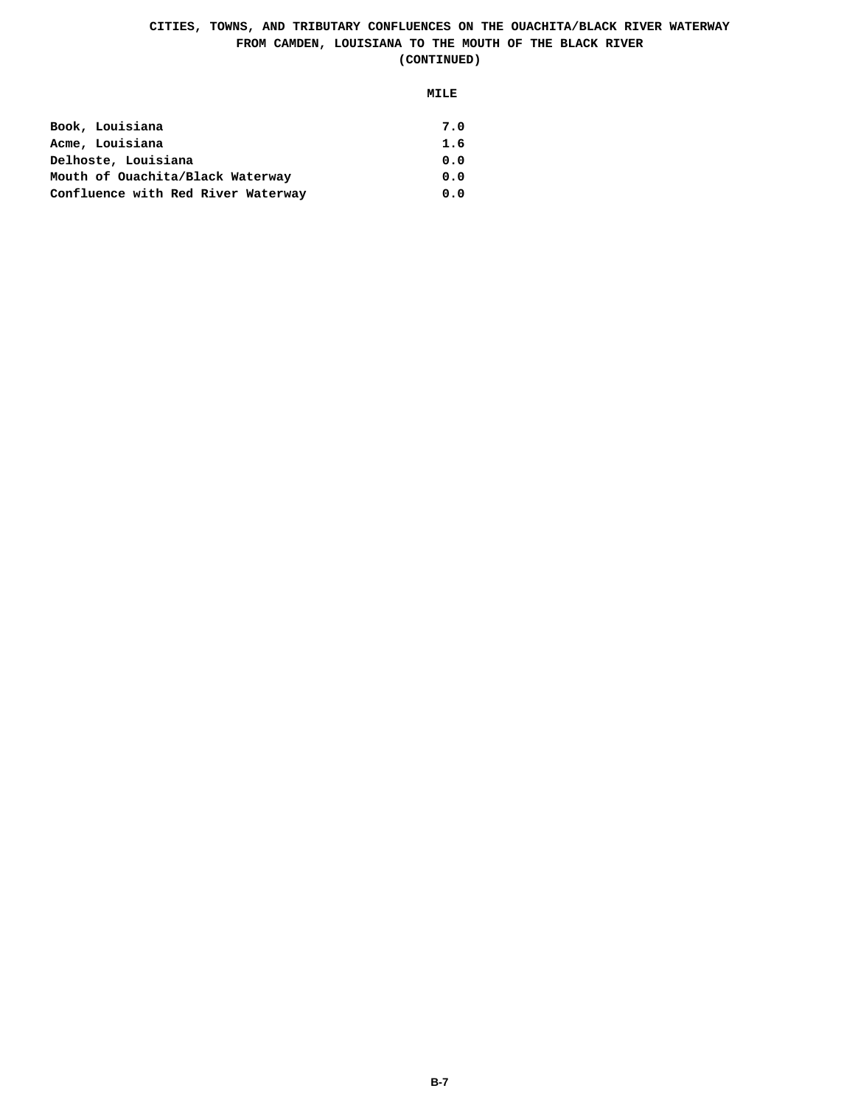# **CITIES, TOWNS, AND TRIBUTARY CONFLUENCES ON THE OUACHITA/BLACK RIVER WATERWAY FROM CAMDEN, LOUISIANA TO THE MOUTH OF THE BLACK RIVER (CONTINUED)**

| Book, Louisiana                    | 7.0 |
|------------------------------------|-----|
| Acme, Louisiana                    | 1.6 |
| Delhoste, Louisiana                | 0.0 |
| Mouth of Ouachita/Black Waterway   | 0.0 |
| Confluence with Red River Waterway | 0.0 |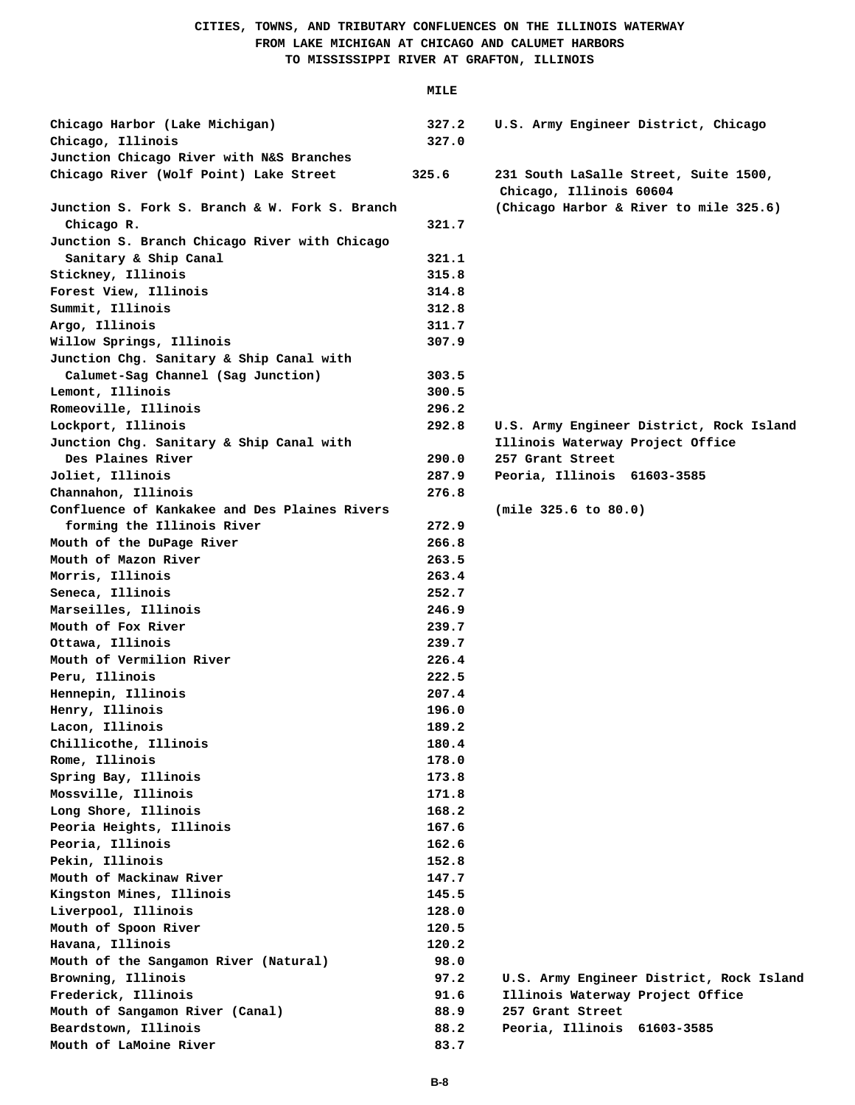# **CITIES, TOWNS, AND TRIBUTARY CONFLUENCES ON THE ILLINOIS WATERWAY FROM LAKE MICHIGAN AT CHICAGO AND CALUMET HARBORS TO MISSISSIPPI RIVER AT GRAFTON, ILLINOIS**

| Chicago Harbor (Lake Michigan)<br>Chicago, Illinois                                | 327.2<br>327.0 | U.S. Army Engineer District, Chicago                              |
|------------------------------------------------------------------------------------|----------------|-------------------------------------------------------------------|
| Junction Chicago River with N&S Branches<br>Chicago River (Wolf Point) Lake Street | 325.6          | 231 South LaSalle Street, Suite 1500,                             |
| Junction S. Fork S. Branch & W. Fork S. Branch                                     |                | Chicago, Illinois 60604<br>(Chicago Harbor & River to mile 325.6) |
| Chicago R.                                                                         | 321.7          |                                                                   |
| Junction S. Branch Chicago River with Chicago<br>Sanitary & Ship Canal             | 321.1          |                                                                   |
| Stickney, Illinois                                                                 | 315.8          |                                                                   |
| Forest View, Illinois                                                              | 314.8          |                                                                   |
| Summit, Illinois                                                                   | 312.8          |                                                                   |
| Argo, Illinois                                                                     | 311.7          |                                                                   |
| Willow Springs, Illinois                                                           | 307.9          |                                                                   |
| Junction Chg. Sanitary & Ship Canal with                                           |                |                                                                   |
| Calumet-Sag Channel (Sag Junction)                                                 | 303.5          |                                                                   |
| Lemont, Illinois                                                                   | 300.5          |                                                                   |
| Romeoville, Illinois                                                               | 296.2          |                                                                   |
| Lockport, Illinois                                                                 | 292.8          | U.S. Army Engineer District, Rock Island                          |
| Junction Chg. Sanitary & Ship Canal with                                           |                | Illinois Waterway Project Office                                  |
| Des Plaines River                                                                  | 290.0          | 257 Grant Street                                                  |
| Joliet, Illinois                                                                   | 287.9          | Peoria, Illinois 61603-3585                                       |
| Channahon, Illinois                                                                | 276.8          |                                                                   |
| Confluence of Kankakee and Des Plaines Rivers                                      |                | (mile 325.6 to 80.0)                                              |
| forming the Illinois River                                                         | 272.9          |                                                                   |
| Mouth of the DuPage River                                                          | 266.8          |                                                                   |
| Mouth of Mazon River                                                               | 263.5          |                                                                   |
| Morris, Illinois                                                                   | 263.4          |                                                                   |
| Seneca, Illinois                                                                   | 252.7          |                                                                   |
| Marseilles, Illinois                                                               | 246.9          |                                                                   |
| Mouth of Fox River                                                                 | 239.7          |                                                                   |
| Ottawa, Illinois                                                                   | 239.7          |                                                                   |
| Mouth of Vermilion River                                                           | 226.4          |                                                                   |
| Peru, Illinois                                                                     | 222.5          |                                                                   |
| Hennepin, Illinois                                                                 | 207.4          |                                                                   |
| Henry, Illinois                                                                    | 196.0          |                                                                   |
| Lacon, Illinois                                                                    | 189.2          |                                                                   |
| Chillicothe, Illinois                                                              | 180.4          |                                                                   |
| Rome, Illinois                                                                     | 178.0          |                                                                   |
| Spring Bay, Illinois                                                               | 173.8          |                                                                   |
| Mossville, Illinois                                                                | 171.8          |                                                                   |
| Long Shore, Illinois                                                               | 168.2          |                                                                   |
| Peoria Heights, Illinois                                                           | 167.6          |                                                                   |
| Peoria, Illinois                                                                   | 162.6          |                                                                   |
| Pekin, Illinois                                                                    | 152.8          |                                                                   |
| Mouth of Mackinaw River                                                            | 147.7          |                                                                   |
| Kingston Mines, Illinois                                                           | 145.5          |                                                                   |
| Liverpool, Illinois                                                                | 128.0          |                                                                   |
| Mouth of Spoon River                                                               | 120.5          |                                                                   |
| Havana, Illinois                                                                   | 120.2          |                                                                   |
| Mouth of the Sangamon River (Natural)                                              | 98.0           |                                                                   |
| Browning, Illinois                                                                 | 97.2           | U.S. Army Engineer District, Rock Island                          |
| Frederick, Illinois                                                                | 91.6           | Illinois Waterway Project Office                                  |
| Mouth of Sangamon River (Canal)                                                    | 88.9           | 257 Grant Street                                                  |
| Beardstown, Illinois                                                               | 88.2           | Peoria, Illinois 61603-3585                                       |
| Mouth of LaMoine River                                                             | 83.7           |                                                                   |
|                                                                                    |                |                                                                   |